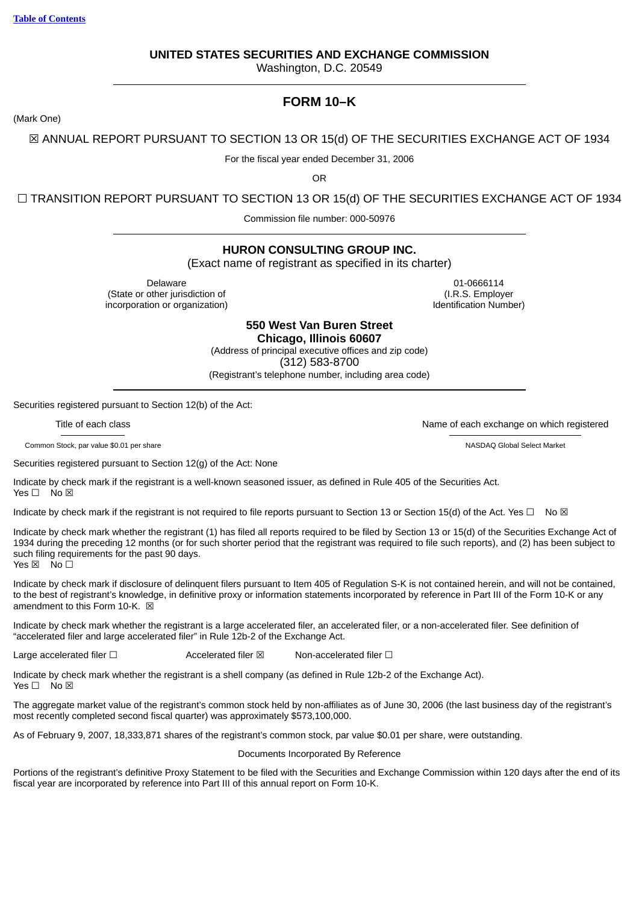## **UNITED STATES SECURITIES AND EXCHANGE COMMISSION**

Washington, D.C. 20549

## **FORM 10–K**

(Mark One)

☒ ANNUAL REPORT PURSUANT TO SECTION 13 OR 15(d) OF THE SECURITIES EXCHANGE ACT OF 1934

For the fiscal year ended December 31, 2006

OR

☐ TRANSITION REPORT PURSUANT TO SECTION 13 OR 15(d) OF THE SECURITIES EXCHANGE ACT OF 1934

Commission file number: 000-50976

## **HURON CONSULTING GROUP INC.**

(Exact name of registrant as specified in its charter)

Delaware 01-0666114 (State or other jurisdiction of incorporation or organization)

(I.R.S. Employer Identification Number)

**550 West Van Buren Street Chicago, Illinois 60607**

(Address of principal executive offices and zip code)

(312) 583-8700

(Registrant's telephone number, including area code)

Securities registered pursuant to Section 12(b) of the Act:

Title of each class **Name of each exchange on which registered**  $\blacksquare$ 

Common Stock, par value \$0.01 per share NASDAQ Global Select Market

Securities registered pursuant to Section 12(g) of the Act: None

Indicate by check mark if the registrant is a well-known seasoned issuer, as defined in Rule 405 of the Securities Act.  $Yes \Box$  No  $\boxtimes$ 

Indicate by check mark if the registrant is not required to file reports pursuant to Section 13 or Section 15(d) of the Act. Yes  $\Box$  No  $\boxtimes$ 

Indicate by check mark whether the registrant (1) has filed all reports required to be filed by Section 13 or 15(d) of the Securities Exchange Act of 1934 during the preceding 12 months (or for such shorter period that the registrant was required to file such reports), and (2) has been subject to such filing requirements for the past 90 days. Yes  $\boxtimes$  No  $\square$ 

Indicate by check mark if disclosure of delinquent filers pursuant to Item 405 of Regulation S-K is not contained herein, and will not be contained, to the best of registrant's knowledge, in definitive proxy or information statements incorporated by reference in Part III of the Form 10-K or any amendment to this Form  $10-K$ .  $\boxtimes$ 

Indicate by check mark whether the registrant is a large accelerated filer, an accelerated filer, or a non-accelerated filer. See definition of "accelerated filer and large accelerated filer" in Rule 12b-2 of the Exchange Act.

Large accelerated filer □ Accelerated filer ⊠ Non-accelerated filer □

Indicate by check mark whether the registrant is a shell company (as defined in Rule 12b-2 of the Exchange Act).

Yes □ No ⊠

The aggregate market value of the registrant's common stock held by non-affiliates as of June 30, 2006 (the last business day of the registrant's most recently completed second fiscal quarter) was approximately \$573,100,000.

As of February 9, 2007, 18,333,871 shares of the registrant's common stock, par value \$0.01 per share, were outstanding.

Documents Incorporated By Reference

Portions of the registrant's definitive Proxy Statement to be filed with the Securities and Exchange Commission within 120 days after the end of its fiscal year are incorporated by reference into Part III of this annual report on Form 10-K.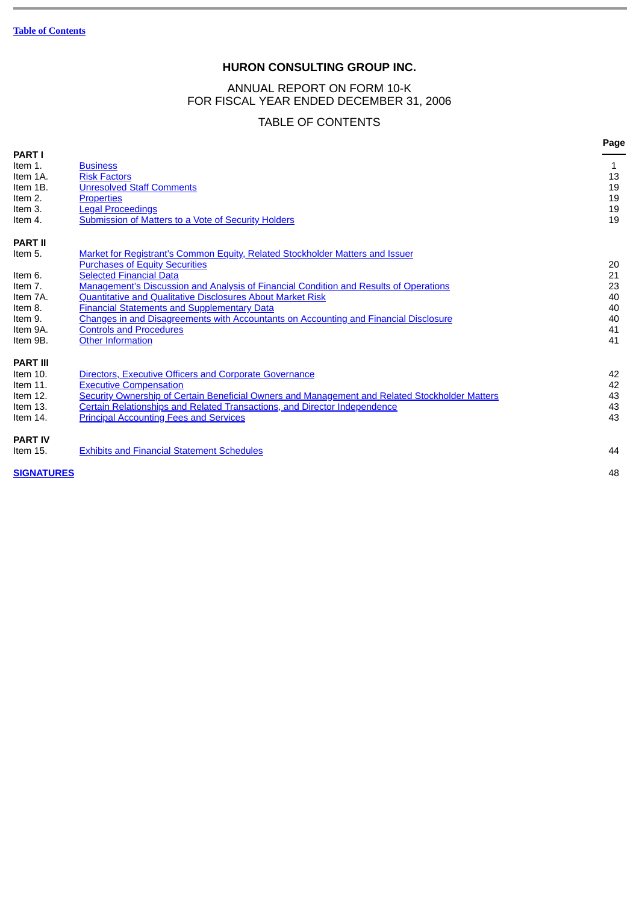## **HURON CONSULTING GROUP INC.**

## ANNUAL REPORT ON FORM 10-K FOR FISCAL YEAR ENDED DECEMBER 31, 2006

## TABLE OF CONTENTS

<span id="page-1-0"></span>

|                                                                                      |                                                                                                                                                                                                                                                                                                                                                                                                                                                          | Page                                         |
|--------------------------------------------------------------------------------------|----------------------------------------------------------------------------------------------------------------------------------------------------------------------------------------------------------------------------------------------------------------------------------------------------------------------------------------------------------------------------------------------------------------------------------------------------------|----------------------------------------------|
| <b>PART I</b><br>Item 1.<br>Item 1A.<br>Item 1B.<br>Item 2.<br>Item 3.<br>Item 4.    | <b>Business</b><br><b>Risk Factors</b><br><b>Unresolved Staff Comments</b><br><b>Properties</b><br><b>Legal Proceedings</b><br>Submission of Matters to a Vote of Security Holders                                                                                                                                                                                                                                                                       | 1<br>13<br>19<br>19<br>19<br>19              |
| <b>PART II</b><br>Item 5.                                                            | Market for Registrant's Common Equity, Related Stockholder Matters and Issuer                                                                                                                                                                                                                                                                                                                                                                            |                                              |
| Item 6.<br>Item 7.<br>Item 7A.<br>Item 8.<br>Item 9.<br>Item 9A.<br>Item 9B.         | <b>Purchases of Equity Securities</b><br><b>Selected Financial Data</b><br><b>Management's Discussion and Analysis of Financial Condition and Results of Operations</b><br><b>Quantitative and Qualitative Disclosures About Market Risk</b><br><b>Financial Statements and Supplementary Data</b><br>Changes in and Disagreements with Accountants on Accounting and Financial Disclosure<br><b>Controls and Procedures</b><br><b>Other Information</b> | 20<br>21<br>23<br>40<br>40<br>40<br>41<br>41 |
| <b>PART III</b><br>Item $10.$<br>Item $11.$<br>Item $12$ .<br>Item $13.$<br>Item 14. | Directors, Executive Officers and Corporate Governance<br><b>Executive Compensation</b><br>Security Ownership of Certain Beneficial Owners and Management and Related Stockholder Matters<br>Certain Relationships and Related Transactions, and Director Independence<br><b>Principal Accounting Fees and Services</b>                                                                                                                                  | 42<br>42<br>43<br>43<br>43                   |
| <b>PART IV</b><br>Item 15.                                                           | <b>Exhibits and Financial Statement Schedules</b>                                                                                                                                                                                                                                                                                                                                                                                                        | 44                                           |
| <b>SIGNATURES</b>                                                                    |                                                                                                                                                                                                                                                                                                                                                                                                                                                          | 48                                           |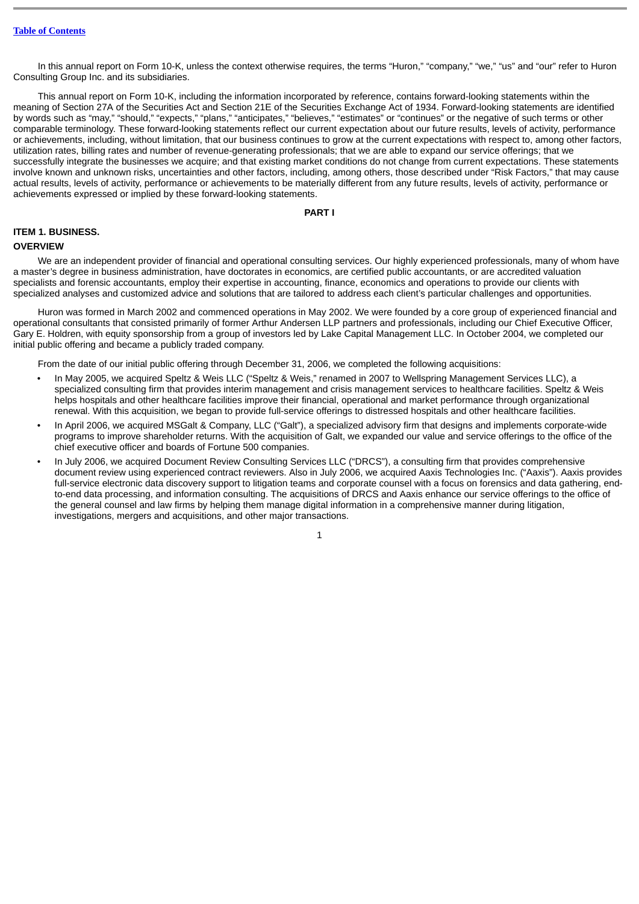In this annual report on Form 10-K, unless the context otherwise requires, the terms "Huron," "company," "we," "us" and "our" refer to Huron Consulting Group Inc. and its subsidiaries.

This annual report on Form 10-K, including the information incorporated by reference, contains forward-looking statements within the meaning of Section 27A of the Securities Act and Section 21E of the Securities Exchange Act of 1934. Forward-looking statements are identified by words such as "may," "should," "expects," "plans," "anticipates," "believes," "estimates" or "continues" or the negative of such terms or other comparable terminology. These forward-looking statements reflect our current expectation about our future results, levels of activity, performance or achievements, including, without limitation, that our business continues to grow at the current expectations with respect to, among other factors, utilization rates, billing rates and number of revenue-generating professionals; that we are able to expand our service offerings; that we successfully integrate the businesses we acquire; and that existing market conditions do not change from current expectations. These statements involve known and unknown risks, uncertainties and other factors, including, among others, those described under "Risk Factors," that may cause actual results, levels of activity, performance or achievements to be materially different from any future results, levels of activity, performance or achievements expressed or implied by these forward-looking statements.

## **PART I**

## <span id="page-2-0"></span>**ITEM 1. BUSINESS.**

#### **OVERVIEW**

We are an independent provider of financial and operational consulting services. Our highly experienced professionals, many of whom have a master's degree in business administration, have doctorates in economics, are certified public accountants, or are accredited valuation specialists and forensic accountants, employ their expertise in accounting, finance, economics and operations to provide our clients with specialized analyses and customized advice and solutions that are tailored to address each client's particular challenges and opportunities.

Huron was formed in March 2002 and commenced operations in May 2002. We were founded by a core group of experienced financial and operational consultants that consisted primarily of former Arthur Andersen LLP partners and professionals, including our Chief Executive Officer, Gary E. Holdren, with equity sponsorship from a group of investors led by Lake Capital Management LLC. In October 2004, we completed our initial public offering and became a publicly traded company.

From the date of our initial public offering through December 31, 2006, we completed the following acquisitions:

- In May 2005, we acquired Speltz & Weis LLC ("Speltz & Weis," renamed in 2007 to Wellspring Management Services LLC), a specialized consulting firm that provides interim management and crisis management services to healthcare facilities. Speltz & Weis helps hospitals and other healthcare facilities improve their financial, operational and market performance through organizational renewal. With this acquisition, we began to provide full-service offerings to distressed hospitals and other healthcare facilities.
- In April 2006, we acquired MSGalt & Company, LLC ("Galt"), a specialized advisory firm that designs and implements corporate-wide programs to improve shareholder returns. With the acquisition of Galt, we expanded our value and service offerings to the office of the chief executive officer and boards of Fortune 500 companies.
- In July 2006, we acquired Document Review Consulting Services LLC ("DRCS"), a consulting firm that provides comprehensive document review using experienced contract reviewers. Also in July 2006, we acquired Aaxis Technologies Inc. ("Aaxis"). Aaxis provides full-service electronic data discovery support to litigation teams and corporate counsel with a focus on forensics and data gathering, endto-end data processing, and information consulting. The acquisitions of DRCS and Aaxis enhance our service offerings to the office of the general counsel and law firms by helping them manage digital information in a comprehensive manner during litigation, investigations, mergers and acquisitions, and other major transactions.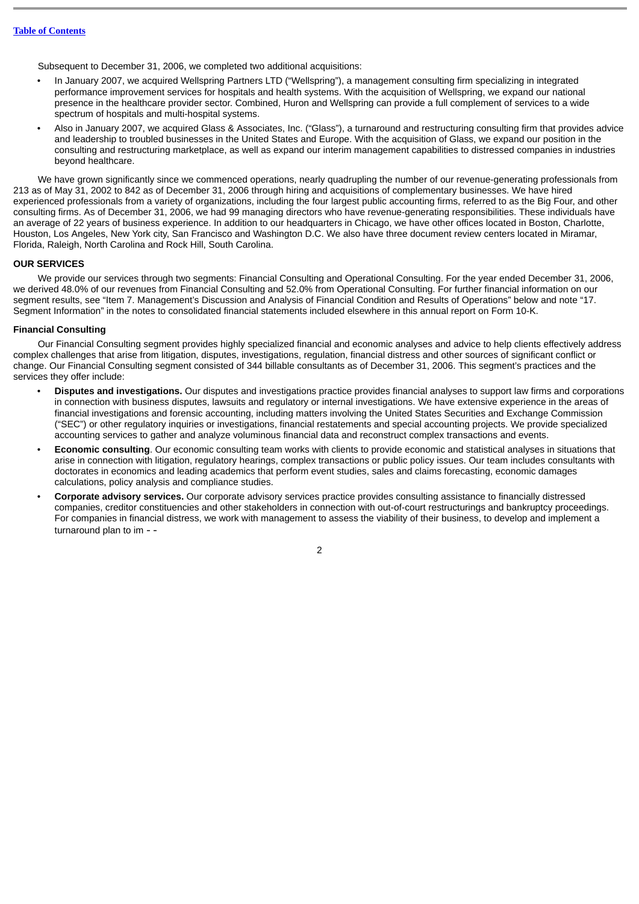Subsequent to December 31, 2006, we completed two additional acquisitions:

- In January 2007, we acquired Wellspring Partners LTD ("Wellspring"), a management consulting firm specializing in integrated performance improvement services for hospitals and health systems. With the acquisition of Wellspring, we expand our national presence in the healthcare provider sector. Combined, Huron and Wellspring can provide a full complement of services to a wide spectrum of hospitals and multi-hospital systems.
- Also in January 2007, we acquired Glass & Associates, Inc. ("Glass"), a turnaround and restructuring consulting firm that provides advice and leadership to troubled businesses in the United States and Europe. With the acquisition of Glass, we expand our position in the consulting and restructuring marketplace, as well as expand our interim management capabilities to distressed companies in industries beyond healthcare.

We have grown significantly since we commenced operations, nearly quadrupling the number of our revenue-generating professionals from 213 as of May 31, 2002 to 842 as of December 31, 2006 through hiring and acquisitions of complementary businesses. We have hired experienced professionals from a variety of organizations, including the four largest public accounting firms, referred to as the Big Four, and other consulting firms. As of December 31, 2006, we had 99 managing directors who have revenue-generating responsibilities. These individuals have an average of 22 years of business experience. In addition to our headquarters in Chicago, we have other offices located in Boston, Charlotte, Houston, Los Angeles, New York city, San Francisco and Washington D.C. We also have three document review centers located in Miramar, Florida, Raleigh, North Carolina and Rock Hill, South Carolina.

#### **OUR SERVICES**

We provide our services through two segments: Financial Consulting and Operational Consulting. For the year ended December 31, 2006, we derived 48.0% of our revenues from Financial Consulting and 52.0% from Operational Consulting. For further financial information on our segment results, see "Item 7. Management's Discussion and Analysis of Financial Condition and Results of Operations" below and note "17. Segment Information" in the notes to consolidated financial statements included elsewhere in this annual report on Form 10-K.

### **Financial Consulting**

Our Financial Consulting segment provides highly specialized financial and economic analyses and advice to help clients effectively address complex challenges that arise from litigation, disputes, investigations, regulation, financial distress and other sources of significant conflict or change. Our Financial Consulting segment consisted of 344 billable consultants as of December 31, 2006. This segment's practices and the services they offer include:

- **Disputes and investigations.** Our disputes and investigations practice provides financial analyses to support law firms and corporations in connection with business disputes, lawsuits and regulatory or internal investigations. We have extensive experience in the areas of financial investigations and forensic accounting, including matters involving the United States Securities and Exchange Commission ("SEC") or other regulatory inquiries or investigations, financial restatements and special accounting projects. We provide specialized accounting services to gather and analyze voluminous financial data and reconstruct complex transactions and events.
- **Economic consulting**. Our economic consulting team works with clients to provide economic and statistical analyses in situations that arise in connection with litigation, regulatory hearings, complex transactions or public policy issues. Our team includes consultants with doctorates in economics and leading academics that perform event studies, sales and claims forecasting, economic damages calculations, policy analysis and compliance studies.
- **Corporate advisory services.** Our corporate advisory services practice provides consulting assistance to financially distressed companies, creditor constituencies and other stakeholders in connection with out-of-court restructurings and bankruptcy proceedings. For companies in financial distress, we work with management to assess the viability of their business, to develop and implement a turnaround plan to im - -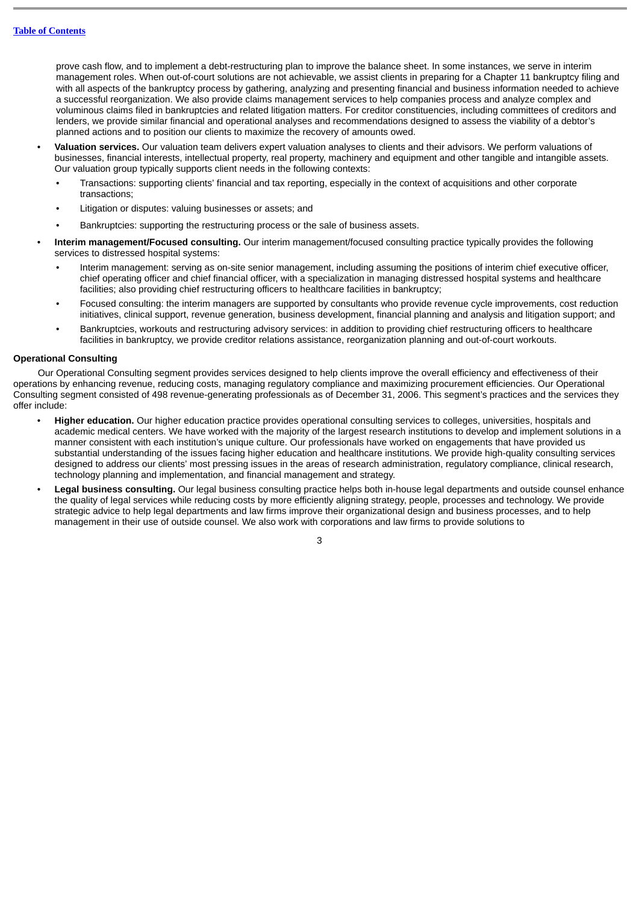prove cash flow, and to implement a debt-restructuring plan to improve the balance sheet. In some instances, we serve in interim management roles. When out-of-court solutions are not achievable, we assist clients in preparing for a Chapter 11 bankruptcy filing and with all aspects of the bankruptcy process by gathering, analyzing and presenting financial and business information needed to achieve a successful reorganization. We also provide claims management services to help companies process and analyze complex and voluminous claims filed in bankruptcies and related litigation matters. For creditor constituencies, including committees of creditors and lenders, we provide similar financial and operational analyses and recommendations designed to assess the viability of a debtor's planned actions and to position our clients to maximize the recovery of amounts owed.

- **Valuation services.** Our valuation team delivers expert valuation analyses to clients and their advisors. We perform valuations of businesses, financial interests, intellectual property, real property, machinery and equipment and other tangible and intangible assets. Our valuation group typically supports client needs in the following contexts:
	- Transactions: supporting clients' financial and tax reporting, especially in the context of acquisitions and other corporate transactions;
	- Litigation or disputes: valuing businesses or assets; and
	- Bankruptcies: supporting the restructuring process or the sale of business assets.
- **Interim management/Focused consulting.** Our interim management/focused consulting practice typically provides the following services to distressed hospital systems:
	- Interim management: serving as on-site senior management, including assuming the positions of interim chief executive officer, chief operating officer and chief financial officer, with a specialization in managing distressed hospital systems and healthcare facilities; also providing chief restructuring officers to healthcare facilities in bankruptcy;
	- Focused consulting: the interim managers are supported by consultants who provide revenue cycle improvements, cost reduction initiatives, clinical support, revenue generation, business development, financial planning and analysis and litigation support; and
	- Bankruptcies, workouts and restructuring advisory services: in addition to providing chief restructuring officers to healthcare facilities in bankruptcy, we provide creditor relations assistance, reorganization planning and out-of-court workouts.

### **Operational Consulting**

Our Operational Consulting segment provides services designed to help clients improve the overall efficiency and effectiveness of their operations by enhancing revenue, reducing costs, managing regulatory compliance and maximizing procurement efficiencies. Our Operational Consulting segment consisted of 498 revenue-generating professionals as of December 31, 2006. This segment's practices and the services they offer include:

- **Higher education.** Our higher education practice provides operational consulting services to colleges, universities, hospitals and academic medical centers. We have worked with the majority of the largest research institutions to develop and implement solutions in a manner consistent with each institution's unique culture. Our professionals have worked on engagements that have provided us substantial understanding of the issues facing higher education and healthcare institutions. We provide high-quality consulting services designed to address our clients' most pressing issues in the areas of research administration, regulatory compliance, clinical research, technology planning and implementation, and financial management and strategy.
- **Legal business consulting.** Our legal business consulting practice helps both in-house legal departments and outside counsel enhance the quality of legal services while reducing costs by more efficiently aligning strategy, people, processes and technology. We provide strategic advice to help legal departments and law firms improve their organizational design and business processes, and to help management in their use of outside counsel. We also work with corporations and law firms to provide solutions to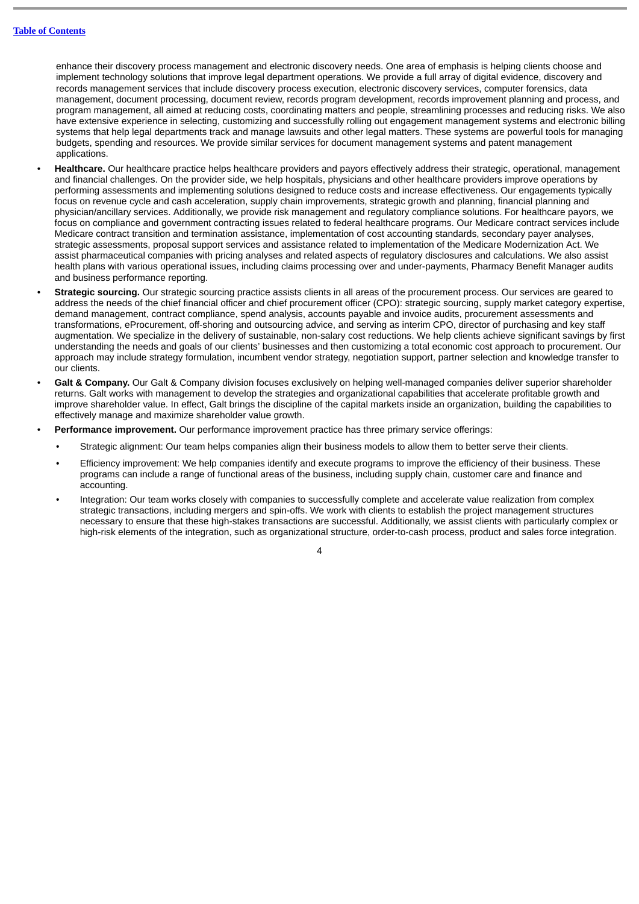enhance their discovery process management and electronic discovery needs. One area of emphasis is helping clients choose and implement technology solutions that improve legal department operations. We provide a full array of digital evidence, discovery and records management services that include discovery process execution, electronic discovery services, computer forensics, data management, document processing, document review, records program development, records improvement planning and process, and program management, all aimed at reducing costs, coordinating matters and people, streamlining processes and reducing risks. We also have extensive experience in selecting, customizing and successfully rolling out engagement management systems and electronic billing systems that help legal departments track and manage lawsuits and other legal matters. These systems are powerful tools for managing budgets, spending and resources. We provide similar services for document management systems and patent management applications.

- **Healthcare.** Our healthcare practice helps healthcare providers and payors effectively address their strategic, operational, management and financial challenges. On the provider side, we help hospitals, physicians and other healthcare providers improve operations by performing assessments and implementing solutions designed to reduce costs and increase effectiveness. Our engagements typically focus on revenue cycle and cash acceleration, supply chain improvements, strategic growth and planning, financial planning and physician/ancillary services. Additionally, we provide risk management and regulatory compliance solutions. For healthcare payors, we focus on compliance and government contracting issues related to federal healthcare programs. Our Medicare contract services include Medicare contract transition and termination assistance, implementation of cost accounting standards, secondary payer analyses, strategic assessments, proposal support services and assistance related to implementation of the Medicare Modernization Act. We assist pharmaceutical companies with pricing analyses and related aspects of regulatory disclosures and calculations. We also assist health plans with various operational issues, including claims processing over and under-payments, Pharmacy Benefit Manager audits and business performance reporting.
- **Strategic sourcing.** Our strategic sourcing practice assists clients in all areas of the procurement process. Our services are geared to address the needs of the chief financial officer and chief procurement officer (CPO): strategic sourcing, supply market category expertise, demand management, contract compliance, spend analysis, accounts payable and invoice audits, procurement assessments and transformations, eProcurement, off-shoring and outsourcing advice, and serving as interim CPO, director of purchasing and key staff augmentation. We specialize in the delivery of sustainable, non-salary cost reductions. We help clients achieve significant savings by first understanding the needs and goals of our clients' businesses and then customizing a total economic cost approach to procurement. Our approach may include strategy formulation, incumbent vendor strategy, negotiation support, partner selection and knowledge transfer to our clients.
- Galt & Company. Our Galt & Company division focuses exclusively on helping well-managed companies deliver superior shareholder returns. Galt works with management to develop the strategies and organizational capabilities that accelerate profitable growth and improve shareholder value. In effect, Galt brings the discipline of the capital markets inside an organization, building the capabilities to effectively manage and maximize shareholder value growth.
- **Performance improvement.** Our performance improvement practice has three primary service offerings:
	- Strategic alignment: Our team helps companies align their business models to allow them to better serve their clients.
	- Efficiency improvement: We help companies identify and execute programs to improve the efficiency of their business. These programs can include a range of functional areas of the business, including supply chain, customer care and finance and accounting.
	- Integration: Our team works closely with companies to successfully complete and accelerate value realization from complex strategic transactions, including mergers and spin-offs. We work with clients to establish the project management structures necessary to ensure that these high-stakes transactions are successful. Additionally, we assist clients with particularly complex or high-risk elements of the integration, such as organizational structure, order-to-cash process, product and sales force integration.

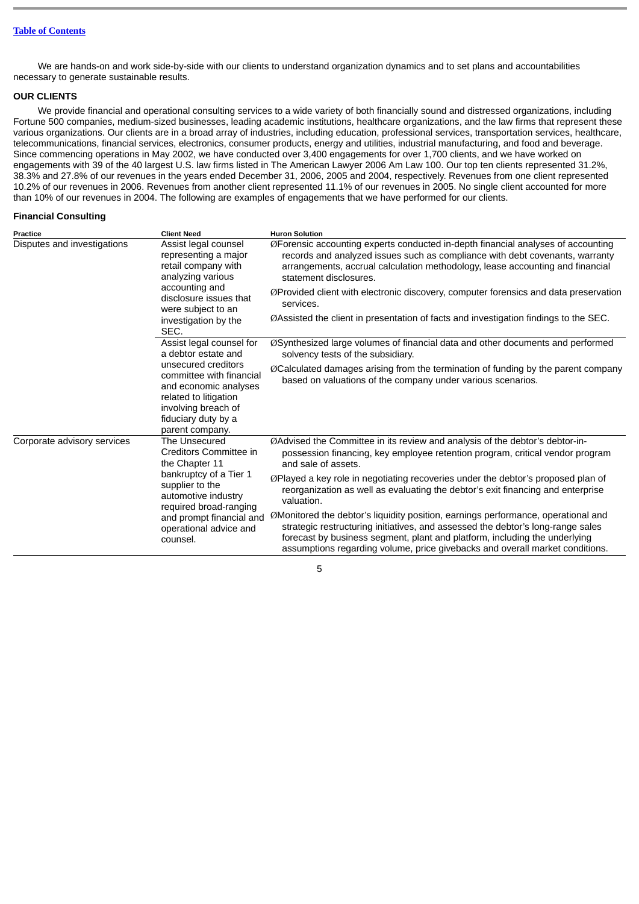We are hands-on and work side-by-side with our clients to understand organization dynamics and to set plans and accountabilities necessary to generate sustainable results.

## **OUR CLIENTS**

We provide financial and operational consulting services to a wide variety of both financially sound and distressed organizations, including Fortune 500 companies, medium-sized businesses, leading academic institutions, healthcare organizations, and the law firms that represent these various organizations. Our clients are in a broad array of industries, including education, professional services, transportation services, healthcare, telecommunications, financial services, electronics, consumer products, energy and utilities, industrial manufacturing, and food and beverage. Since commencing operations in May 2002, we have conducted over 3,400 engagements for over 1,700 clients, and we have worked on engagements with 39 of the 40 largest U.S. law firms listed in The American Lawyer 2006 Am Law 100. Our top ten clients represented 31.2%, 38.3% and 27.8% of our revenues in the years ended December 31, 2006, 2005 and 2004, respectively. Revenues from one client represented 10.2% of our revenues in 2006. Revenues from another client represented 11.1% of our revenues in 2005. No single client accounted for more than 10% of our revenues in 2004. The following are examples of engagements that we have performed for our clients.

### **Financial Consulting**

| Practice                    | <b>Client Need</b>                                                                                                                                                 | <b>Huron Solution</b>                                                                                                                                                                                                                                                                                                              |
|-----------------------------|--------------------------------------------------------------------------------------------------------------------------------------------------------------------|------------------------------------------------------------------------------------------------------------------------------------------------------------------------------------------------------------------------------------------------------------------------------------------------------------------------------------|
| Disputes and investigations | Assist legal counsel<br>representing a major<br>retail company with<br>analyzing various                                                                           | ØForensic accounting experts conducted in-depth financial analyses of accounting<br>records and analyzed issues such as compliance with debt covenants, warranty<br>arrangements, accrual calculation methodology, lease accounting and financial<br>statement disclosures.                                                        |
|                             | accounting and<br>disclosure issues that<br>were subject to an                                                                                                     | ØProvided client with electronic discovery, computer forensics and data preservation<br>services.                                                                                                                                                                                                                                  |
|                             | investigation by the<br>SEC.                                                                                                                                       | ØAssisted the client in presentation of facts and investigation findings to the SEC.                                                                                                                                                                                                                                               |
|                             | Assist legal counsel for<br>a debtor estate and                                                                                                                    | ØSynthesized large volumes of financial data and other documents and performed<br>solvency tests of the subsidiary.                                                                                                                                                                                                                |
|                             | unsecured creditors<br>committee with financial<br>and economic analyses<br>related to litigation<br>involving breach of<br>fiduciary duty by a<br>parent company. | ØCalculated damages arising from the termination of funding by the parent company<br>based on valuations of the company under various scenarios.                                                                                                                                                                                   |
| Corporate advisory services | The Unsecured<br>Creditors Committee in<br>the Chapter 11                                                                                                          | ØAdvised the Committee in its review and analysis of the debtor's debtor-in-<br>possession financing, key employee retention program, critical vendor program<br>and sale of assets.                                                                                                                                               |
|                             | bankruptcy of a Tier 1<br>supplier to the<br>automotive industry<br>required broad-ranging                                                                         | ØPlayed a key role in negotiating recoveries under the debtor's proposed plan of<br>reorganization as well as evaluating the debtor's exit financing and enterprise<br>valuation.                                                                                                                                                  |
|                             | and prompt financial and<br>operational advice and<br>counsel.                                                                                                     | ØMonitored the debtor's liquidity position, earnings performance, operational and<br>strategic restructuring initiatives, and assessed the debtor's long-range sales<br>forecast by business segment, plant and platform, including the underlying<br>assumptions regarding volume, price givebacks and overall market conditions. |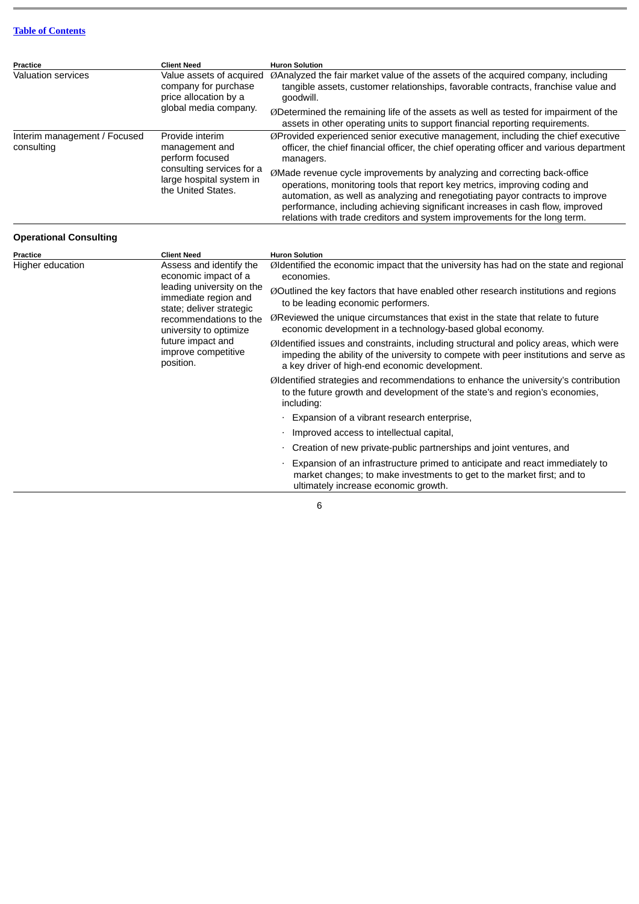| <b>Practice</b>                            | <b>Client Need</b>                                                                                                                  | <b>Huron Solution</b>                                                                                                                                                                                                                                                                                                                                                                                 |
|--------------------------------------------|-------------------------------------------------------------------------------------------------------------------------------------|-------------------------------------------------------------------------------------------------------------------------------------------------------------------------------------------------------------------------------------------------------------------------------------------------------------------------------------------------------------------------------------------------------|
| <b>Valuation services</b>                  | Value assets of acquired<br>company for purchase<br>price allocation by a                                                           | ØAnalyzed the fair market value of the assets of the acquired company, including<br>tangible assets, customer relationships, favorable contracts, franchise value and<br>aoodwill.                                                                                                                                                                                                                    |
|                                            | global media company.                                                                                                               | ØDetermined the remaining life of the assets as well as tested for impairment of the<br>assets in other operating units to support financial reporting requirements.                                                                                                                                                                                                                                  |
| Interim management / Focused<br>consulting | Provide interim<br>management and<br>perform focused<br>consulting services for a<br>large hospital system in<br>the United States. | ØProvided experienced senior executive management, including the chief executive<br>officer, the chief financial officer, the chief operating officer and various department<br>managers.                                                                                                                                                                                                             |
|                                            |                                                                                                                                     | ØMade revenue cycle improvements by analyzing and correcting back-office<br>operations, monitoring tools that report key metrics, improving coding and<br>automation, as well as analyzing and renegotiating payor contracts to improve<br>performance, including achieving significant increases in cash flow, improved<br>relations with trade creditors and system improvements for the long term. |

## **Operational Consulting**

| Practice         | <b>Client Need</b>                                                           | <b>Huron Solution</b>                                                                                                                                                                                                            |
|------------------|------------------------------------------------------------------------------|----------------------------------------------------------------------------------------------------------------------------------------------------------------------------------------------------------------------------------|
| Higher education | Assess and identify the<br>economic impact of a<br>leading university on the | Øldentified the economic impact that the university has had on the state and regional<br>economies.                                                                                                                              |
|                  | immediate region and<br>state; deliver strategic                             | <i><b>ØOutlined the key factors that have enabled other research institutions and regions</b></i><br>to be leading economic performers.                                                                                          |
|                  | recommendations to the<br>university to optimize                             | ØReviewed the unique circumstances that exist in the state that relate to future<br>economic development in a technology-based global economy.                                                                                   |
|                  | future impact and<br>improve competitive<br>position.                        | Øldentified issues and constraints, including structural and policy areas, which were<br>impeding the ability of the university to compete with peer institutions and serve as<br>a key driver of high-end economic development. |
|                  |                                                                              | Øldentified strategies and recommendations to enhance the university's contribution<br>to the future growth and development of the state's and region's economies,<br>including:                                                 |
|                  |                                                                              | Expansion of a vibrant research enterprise,                                                                                                                                                                                      |
|                  |                                                                              | $\cdot$ Improved access to intellectual capital,                                                                                                                                                                                 |
|                  |                                                                              | Creation of new private-public partnerships and joint ventures, and                                                                                                                                                              |
|                  |                                                                              | Expansion of an infrastructure primed to anticipate and react immediately to<br>market changes; to make investments to get to the market first; and to<br>ultimately increase economic growth.                                   |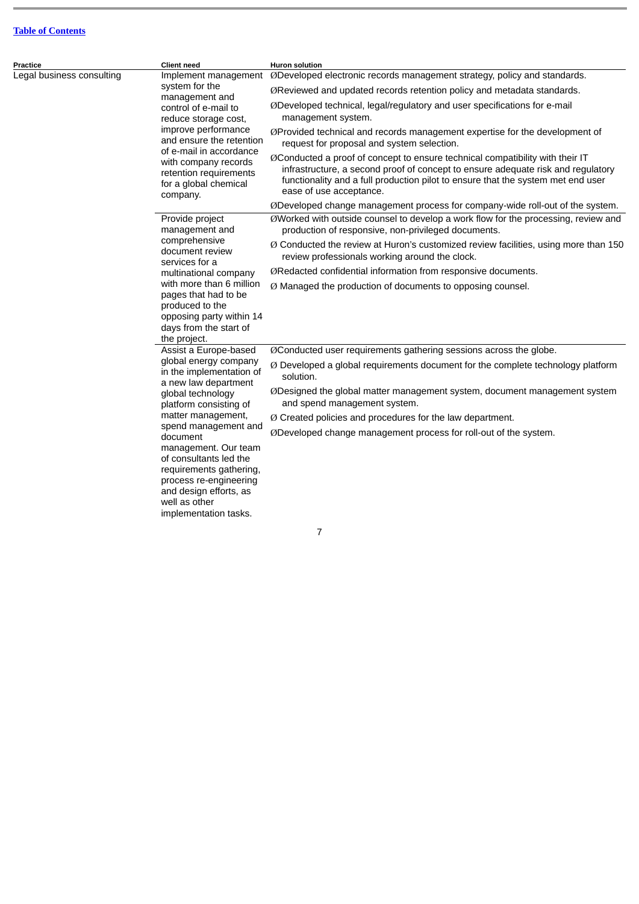## **Table of [Contents](#page-1-0)**

| <b>Practice</b>           | <b>Client need</b>                                                                                                                                                                                                                                            | <b>Huron solution</b>                                                                                                                                                                                                                                                            |
|---------------------------|---------------------------------------------------------------------------------------------------------------------------------------------------------------------------------------------------------------------------------------------------------------|----------------------------------------------------------------------------------------------------------------------------------------------------------------------------------------------------------------------------------------------------------------------------------|
| Legal business consulting |                                                                                                                                                                                                                                                               | Implement management ØDeveloped electronic records management strategy, policy and standards.                                                                                                                                                                                    |
|                           | system for the<br>management and<br>control of e-mail to                                                                                                                                                                                                      | ØReviewed and updated records retention policy and metadata standards.                                                                                                                                                                                                           |
|                           |                                                                                                                                                                                                                                                               | ØDeveloped technical, legal/regulatory and user specifications for e-mail                                                                                                                                                                                                        |
|                           | reduce storage cost,                                                                                                                                                                                                                                          | management system.                                                                                                                                                                                                                                                               |
|                           | improve performance<br>and ensure the retention<br>of e-mail in accordance<br>with company records<br>retention requirements<br>for a global chemical<br>company.                                                                                             | ØProvided technical and records management expertise for the development of<br>request for proposal and system selection.                                                                                                                                                        |
|                           |                                                                                                                                                                                                                                                               | ØConducted a proof of concept to ensure technical compatibility with their IT<br>infrastructure, a second proof of concept to ensure adequate risk and regulatory<br>functionality and a full production pilot to ensure that the system met end user<br>ease of use acceptance. |
|                           |                                                                                                                                                                                                                                                               | ØDeveloped change management process for company-wide roll-out of the system.                                                                                                                                                                                                    |
|                           | Provide project<br>management and<br>comprehensive<br>document review<br>services for a<br>multinational company<br>with more than 6 million<br>pages that had to be<br>produced to the<br>opposing party within 14<br>days from the start of<br>the project. | ØWorked with outside counsel to develop a work flow for the processing, review and<br>production of responsive, non-privileged documents.                                                                                                                                        |
|                           |                                                                                                                                                                                                                                                               | Ø Conducted the review at Huron's customized review facilities, using more than 150<br>review professionals working around the clock.                                                                                                                                            |
|                           |                                                                                                                                                                                                                                                               | ØRedacted confidential information from responsive documents.                                                                                                                                                                                                                    |
|                           |                                                                                                                                                                                                                                                               | Ø Managed the production of documents to opposing counsel.                                                                                                                                                                                                                       |
|                           | Assist a Europe-based<br>global energy company<br>in the implementation of<br>a new law department<br>global technology<br>platform consisting of                                                                                                             | ØConducted user requirements gathering sessions across the globe.                                                                                                                                                                                                                |
|                           |                                                                                                                                                                                                                                                               | Ø Developed a global requirements document for the complete technology platform<br>solution.                                                                                                                                                                                     |
|                           |                                                                                                                                                                                                                                                               | ØDesigned the global matter management system, document management system<br>and spend management system.                                                                                                                                                                        |
|                           | matter management,                                                                                                                                                                                                                                            | Ø Created policies and procedures for the law department.                                                                                                                                                                                                                        |
|                           | spend management and<br>document<br>management. Our team<br>of consultants led the<br>requirements gathering,<br>process re-engineering<br>and design efforts, as<br>well as other<br>implementation tasks.                                                   | ØDeveloped change management process for roll-out of the system.                                                                                                                                                                                                                 |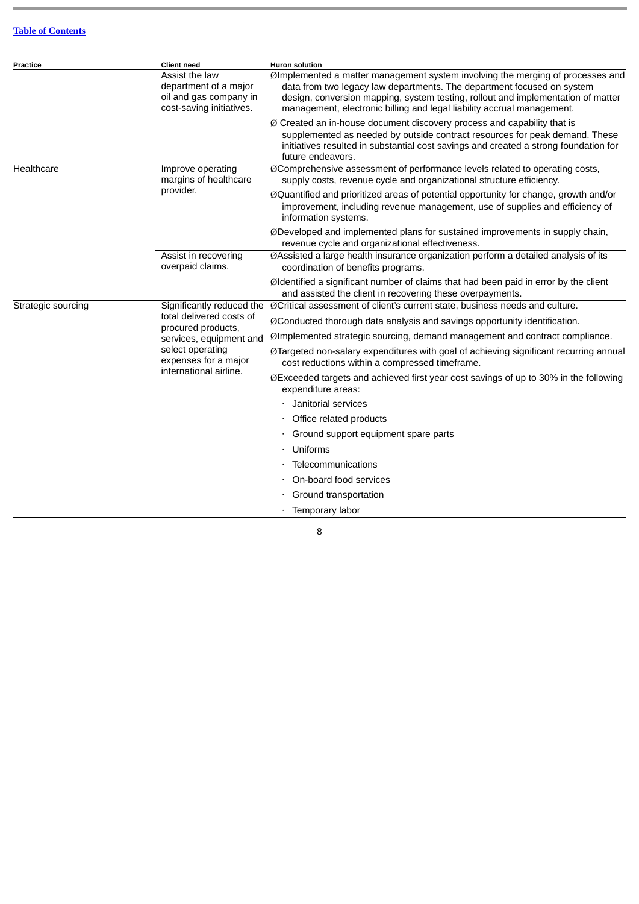## **Table of [Contents](#page-1-0)**

| <b>Practice</b>    | <b>Client need</b>                                                                            | <b>Huron solution</b>                                                                                                                                                                                                                                                                                                  |
|--------------------|-----------------------------------------------------------------------------------------------|------------------------------------------------------------------------------------------------------------------------------------------------------------------------------------------------------------------------------------------------------------------------------------------------------------------------|
|                    | Assist the law<br>department of a major<br>oil and gas company in<br>cost-saving initiatives. | Ølmplemented a matter management system involving the merging of processes and<br>data from two legacy law departments. The department focused on system<br>design, conversion mapping, system testing, rollout and implementation of matter<br>management, electronic billing and legal liability accrual management. |
|                    |                                                                                               | Ø Created an in-house document discovery process and capability that is<br>supplemented as needed by outside contract resources for peak demand. These<br>initiatives resulted in substantial cost savings and created a strong foundation for<br>future endeavors.                                                    |
| Healthcare         | Improve operating<br>margins of healthcare                                                    | ØComprehensive assessment of performance levels related to operating costs,<br>supply costs, revenue cycle and organizational structure efficiency.                                                                                                                                                                    |
|                    | provider.                                                                                     | ØQuantified and prioritized areas of potential opportunity for change, growth and/or<br>improvement, including revenue management, use of supplies and efficiency of<br>information systems.                                                                                                                           |
|                    |                                                                                               | ØDeveloped and implemented plans for sustained improvements in supply chain,<br>revenue cycle and organizational effectiveness.                                                                                                                                                                                        |
|                    | Assist in recovering<br>overpaid claims.                                                      | ØAssisted a large health insurance organization perform a detailed analysis of its<br>coordination of benefits programs.                                                                                                                                                                                               |
|                    |                                                                                               | Øldentified a significant number of claims that had been paid in error by the client<br>and assisted the client in recovering these overpayments.                                                                                                                                                                      |
| Strategic sourcing | Significantly reduced the                                                                     | ØCritical assessment of client's current state, business needs and culture.                                                                                                                                                                                                                                            |
|                    | total delivered costs of<br>procured products,                                                | ØConducted thorough data analysis and savings opportunity identification.                                                                                                                                                                                                                                              |
|                    | services, equipment and                                                                       | Ølmplemented strategic sourcing, demand management and contract compliance.                                                                                                                                                                                                                                            |
|                    | select operating<br>expenses for a major                                                      | ØTargeted non-salary expenditures with goal of achieving significant recurring annual<br>cost reductions within a compressed timeframe.                                                                                                                                                                                |
|                    | international airline.                                                                        | ØExceeded targets and achieved first year cost savings of up to 30% in the following<br>expenditure areas:                                                                                                                                                                                                             |
|                    |                                                                                               | · Janitorial services                                                                                                                                                                                                                                                                                                  |
|                    |                                                                                               | $\cdot$ Office related products                                                                                                                                                                                                                                                                                        |
|                    |                                                                                               | $\cdot$ Ground support equipment spare parts                                                                                                                                                                                                                                                                           |
|                    |                                                                                               | Uniforms                                                                                                                                                                                                                                                                                                               |
|                    |                                                                                               | · Telecommunications                                                                                                                                                                                                                                                                                                   |
|                    |                                                                                               | On-board food services                                                                                                                                                                                                                                                                                                 |
|                    |                                                                                               | Ground transportation                                                                                                                                                                                                                                                                                                  |
|                    |                                                                                               | · Temporary labor                                                                                                                                                                                                                                                                                                      |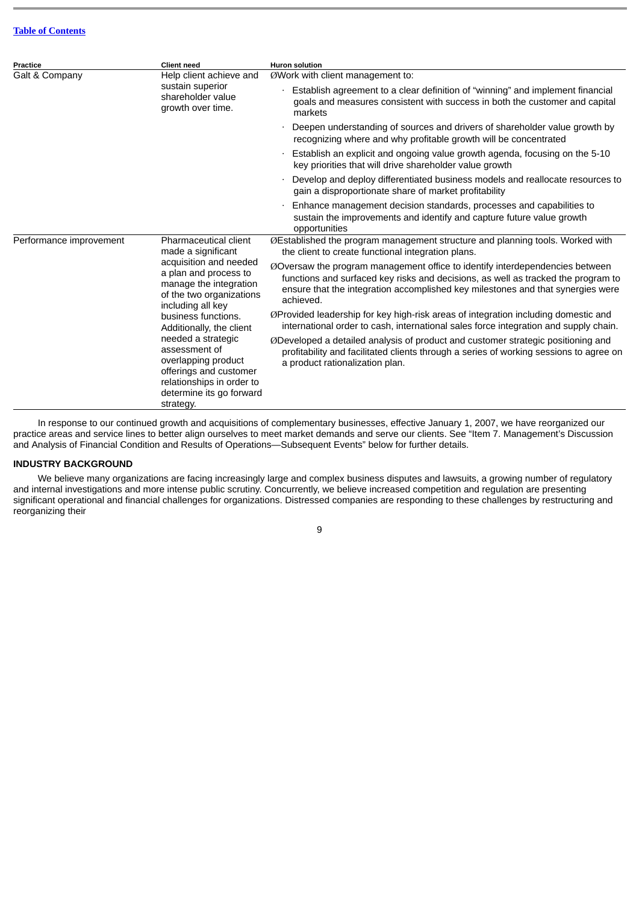| <b>Practice</b>         | <b>Client need</b>                                                                                                                                                                                                                                                                                                                                                                                | <b>Huron solution</b>                                                                                                                                                                                                                                             |
|-------------------------|---------------------------------------------------------------------------------------------------------------------------------------------------------------------------------------------------------------------------------------------------------------------------------------------------------------------------------------------------------------------------------------------------|-------------------------------------------------------------------------------------------------------------------------------------------------------------------------------------------------------------------------------------------------------------------|
| Galt & Company          | Help client achieve and                                                                                                                                                                                                                                                                                                                                                                           | ØWork with client management to:                                                                                                                                                                                                                                  |
|                         | sustain superior<br>shareholder value<br>growth over time.                                                                                                                                                                                                                                                                                                                                        | Establish agreement to a clear definition of "winning" and implement financial<br>goals and measures consistent with success in both the customer and capital<br>markets                                                                                          |
|                         |                                                                                                                                                                                                                                                                                                                                                                                                   | Deepen understanding of sources and drivers of shareholder value growth by<br>recognizing where and why profitable growth will be concentrated                                                                                                                    |
|                         |                                                                                                                                                                                                                                                                                                                                                                                                   | Establish an explicit and ongoing value growth agenda, focusing on the 5-10<br>key priorities that will drive shareholder value growth                                                                                                                            |
|                         |                                                                                                                                                                                                                                                                                                                                                                                                   | Develop and deploy differentiated business models and reallocate resources to<br>gain a disproportionate share of market profitability                                                                                                                            |
|                         |                                                                                                                                                                                                                                                                                                                                                                                                   | Enhance management decision standards, processes and capabilities to<br>sustain the improvements and identify and capture future value growth<br>opportunities                                                                                                    |
| Performance improvement | <b>Pharmaceutical client</b><br>made a significant<br>acquisition and needed<br>a plan and process to<br>manage the integration<br>of the two organizations<br>including all key<br>business functions.<br>Additionally, the client<br>needed a strategic<br>assessment of<br>overlapping product<br>offerings and customer<br>relationships in order to<br>determine its go forward<br>strategy. | ØEstablished the program management structure and planning tools. Worked with<br>the client to create functional integration plans.                                                                                                                               |
|                         |                                                                                                                                                                                                                                                                                                                                                                                                   | ØOversaw the program management office to identify interdependencies between<br>functions and surfaced key risks and decisions, as well as tracked the program to<br>ensure that the integration accomplished key milestones and that synergies were<br>achieved. |
|                         |                                                                                                                                                                                                                                                                                                                                                                                                   | ØProvided leadership for key high-risk areas of integration including domestic and<br>international order to cash, international sales force integration and supply chain.                                                                                        |
|                         |                                                                                                                                                                                                                                                                                                                                                                                                   | ØDeveloped a detailed analysis of product and customer strategic positioning and<br>profitability and facilitated clients through a series of working sessions to agree on<br>a product rationalization plan.                                                     |

In response to our continued growth and acquisitions of complementary businesses, effective January 1, 2007, we have reorganized our practice areas and service lines to better align ourselves to meet market demands and serve our clients. See "Item 7. Management's Discussion and Analysis of Financial Condition and Results of Operations—Subsequent Events" below for further details.

## **INDUSTRY BACKGROUND**

We believe many organizations are facing increasingly large and complex business disputes and lawsuits, a growing number of regulatory and internal investigations and more intense public scrutiny. Concurrently, we believe increased competition and regulation are presenting significant operational and financial challenges for organizations. Distressed companies are responding to these challenges by restructuring and reorganizing their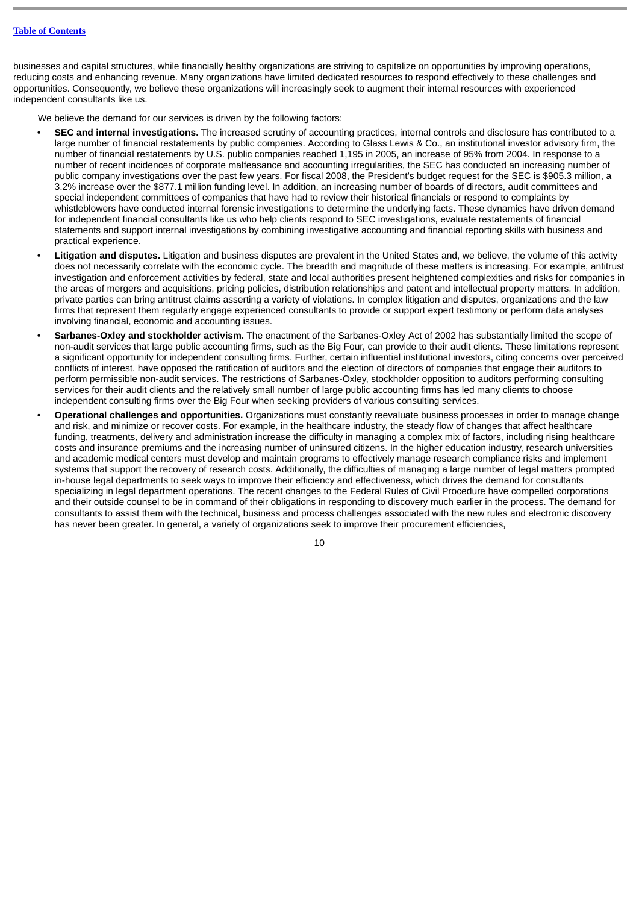businesses and capital structures, while financially healthy organizations are striving to capitalize on opportunities by improving operations, reducing costs and enhancing revenue. Many organizations have limited dedicated resources to respond effectively to these challenges and opportunities. Consequently, we believe these organizations will increasingly seek to augment their internal resources with experienced independent consultants like us.

We believe the demand for our services is driven by the following factors:

- **SEC and internal investigations.** The increased scrutiny of accounting practices, internal controls and disclosure has contributed to a large number of financial restatements by public companies. According to Glass Lewis & Co., an institutional investor advisory firm, the number of financial restatements by U.S. public companies reached 1,195 in 2005, an increase of 95% from 2004. In response to a number of recent incidences of corporate malfeasance and accounting irregularities, the SEC has conducted an increasing number of public company investigations over the past few years. For fiscal 2008, the President's budget request for the SEC is \$905.3 million, a 3.2% increase over the \$877.1 million funding level. In addition, an increasing number of boards of directors, audit committees and special independent committees of companies that have had to review their historical financials or respond to complaints by whistleblowers have conducted internal forensic investigations to determine the underlying facts. These dynamics have driven demand for independent financial consultants like us who help clients respond to SEC investigations, evaluate restatements of financial statements and support internal investigations by combining investigative accounting and financial reporting skills with business and practical experience.
- **Litigation and disputes.** Litigation and business disputes are prevalent in the United States and, we believe, the volume of this activity does not necessarily correlate with the economic cycle. The breadth and magnitude of these matters is increasing. For example, antitrust investigation and enforcement activities by federal, state and local authorities present heightened complexities and risks for companies in the areas of mergers and acquisitions, pricing policies, distribution relationships and patent and intellectual property matters. In addition, private parties can bring antitrust claims asserting a variety of violations. In complex litigation and disputes, organizations and the law firms that represent them regularly engage experienced consultants to provide or support expert testimony or perform data analyses involving financial, economic and accounting issues.
- **Sarbanes-Oxley and stockholder activism.** The enactment of the Sarbanes-Oxley Act of 2002 has substantially limited the scope of non-audit services that large public accounting firms, such as the Big Four, can provide to their audit clients. These limitations represent a significant opportunity for independent consulting firms. Further, certain influential institutional investors, citing concerns over perceived conflicts of interest, have opposed the ratification of auditors and the election of directors of companies that engage their auditors to perform permissible non-audit services. The restrictions of Sarbanes-Oxley, stockholder opposition to auditors performing consulting services for their audit clients and the relatively small number of large public accounting firms has led many clients to choose independent consulting firms over the Big Four when seeking providers of various consulting services.
- **Operational challenges and opportunities.** Organizations must constantly reevaluate business processes in order to manage change and risk, and minimize or recover costs. For example, in the healthcare industry, the steady flow of changes that affect healthcare funding, treatments, delivery and administration increase the difficulty in managing a complex mix of factors, including rising healthcare costs and insurance premiums and the increasing number of uninsured citizens. In the higher education industry, research universities and academic medical centers must develop and maintain programs to effectively manage research compliance risks and implement systems that support the recovery of research costs. Additionally, the difficulties of managing a large number of legal matters prompted in-house legal departments to seek ways to improve their efficiency and effectiveness, which drives the demand for consultants specializing in legal department operations. The recent changes to the Federal Rules of Civil Procedure have compelled corporations and their outside counsel to be in command of their obligations in responding to discovery much earlier in the process. The demand for consultants to assist them with the technical, business and process challenges associated with the new rules and electronic discovery has never been greater. In general, a variety of organizations seek to improve their procurement efficiencies,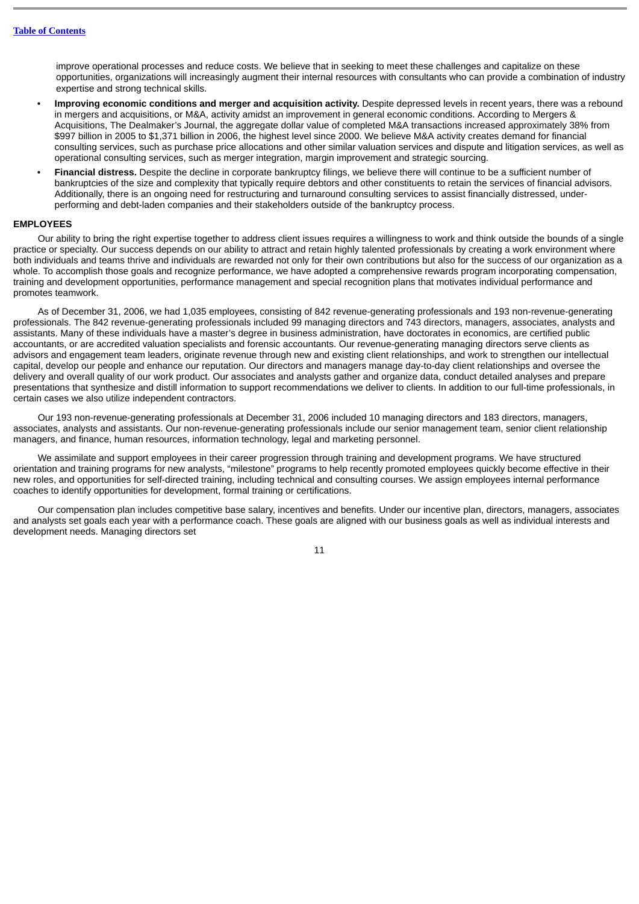improve operational processes and reduce costs. We believe that in seeking to meet these challenges and capitalize on these opportunities, organizations will increasingly augment their internal resources with consultants who can provide a combination of industry expertise and strong technical skills.

- **Improving economic conditions and merger and acquisition activity.** Despite depressed levels in recent years, there was a rebound in mergers and acquisitions, or M&A, activity amidst an improvement in general economic conditions. According to Mergers & Acquisitions, The Dealmaker's Journal, the aggregate dollar value of completed M&A transactions increased approximately 38% from \$997 billion in 2005 to \$1,371 billion in 2006, the highest level since 2000. We believe M&A activity creates demand for financial consulting services, such as purchase price allocations and other similar valuation services and dispute and litigation services, as well as operational consulting services, such as merger integration, margin improvement and strategic sourcing.
- **Financial distress.** Despite the decline in corporate bankruptcy filings, we believe there will continue to be a sufficient number of bankruptcies of the size and complexity that typically require debtors and other constituents to retain the services of financial advisors. Additionally, there is an ongoing need for restructuring and turnaround consulting services to assist financially distressed, underperforming and debt-laden companies and their stakeholders outside of the bankruptcy process.

#### **EMPLOYEES**

Our ability to bring the right expertise together to address client issues requires a willingness to work and think outside the bounds of a single practice or specialty. Our success depends on our ability to attract and retain highly talented professionals by creating a work environment where both individuals and teams thrive and individuals are rewarded not only for their own contributions but also for the success of our organization as a whole. To accomplish those goals and recognize performance, we have adopted a comprehensive rewards program incorporating compensation, training and development opportunities, performance management and special recognition plans that motivates individual performance and promotes teamwork.

As of December 31, 2006, we had 1,035 employees, consisting of 842 revenue-generating professionals and 193 non-revenue-generating professionals. The 842 revenue-generating professionals included 99 managing directors and 743 directors, managers, associates, analysts and assistants. Many of these individuals have a master's degree in business administration, have doctorates in economics, are certified public accountants, or are accredited valuation specialists and forensic accountants. Our revenue-generating managing directors serve clients as advisors and engagement team leaders, originate revenue through new and existing client relationships, and work to strengthen our intellectual capital, develop our people and enhance our reputation. Our directors and managers manage day-to-day client relationships and oversee the delivery and overall quality of our work product. Our associates and analysts gather and organize data, conduct detailed analyses and prepare presentations that synthesize and distill information to support recommendations we deliver to clients. In addition to our full-time professionals, in certain cases we also utilize independent contractors.

Our 193 non-revenue-generating professionals at December 31, 2006 included 10 managing directors and 183 directors, managers, associates, analysts and assistants. Our non-revenue-generating professionals include our senior management team, senior client relationship managers, and finance, human resources, information technology, legal and marketing personnel.

We assimilate and support employees in their career progression through training and development programs. We have structured orientation and training programs for new analysts, "milestone" programs to help recently promoted employees quickly become effective in their new roles, and opportunities for self-directed training, including technical and consulting courses. We assign employees internal performance coaches to identify opportunities for development, formal training or certifications.

Our compensation plan includes competitive base salary, incentives and benefits. Under our incentive plan, directors, managers, associates and analysts set goals each year with a performance coach. These goals are aligned with our business goals as well as individual interests and development needs. Managing directors set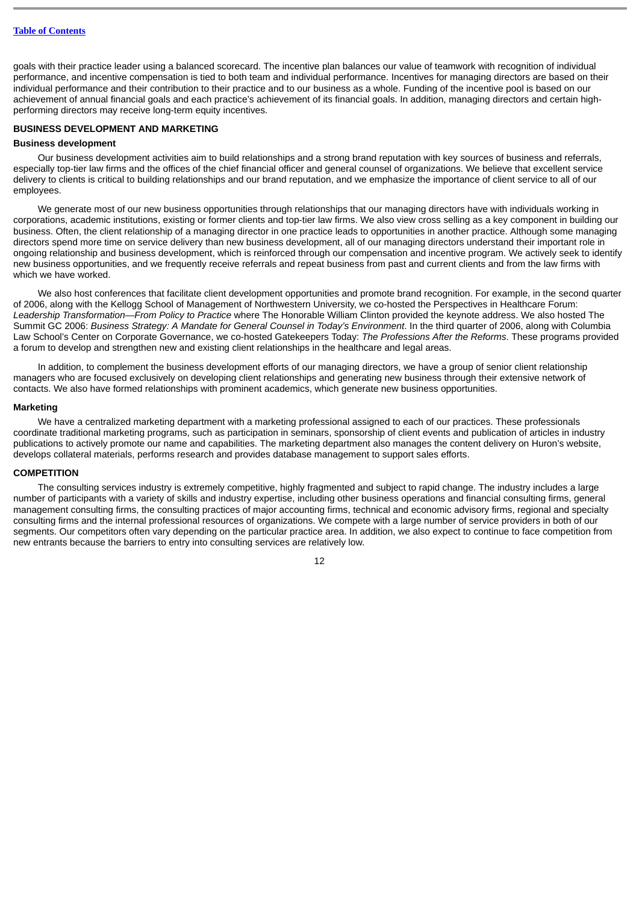goals with their practice leader using a balanced scorecard. The incentive plan balances our value of teamwork with recognition of individual performance, and incentive compensation is tied to both team and individual performance. Incentives for managing directors are based on their individual performance and their contribution to their practice and to our business as a whole. Funding of the incentive pool is based on our achievement of annual financial goals and each practice's achievement of its financial goals. In addition, managing directors and certain highperforming directors may receive long-term equity incentives.

## **BUSINESS DEVELOPMENT AND MARKETING**

#### **Business development**

Our business development activities aim to build relationships and a strong brand reputation with key sources of business and referrals, especially top-tier law firms and the offices of the chief financial officer and general counsel of organizations. We believe that excellent service delivery to clients is critical to building relationships and our brand reputation, and we emphasize the importance of client service to all of our employees.

We generate most of our new business opportunities through relationships that our managing directors have with individuals working in corporations, academic institutions, existing or former clients and top-tier law firms. We also view cross selling as a key component in building our business. Often, the client relationship of a managing director in one practice leads to opportunities in another practice. Although some managing directors spend more time on service delivery than new business development, all of our managing directors understand their important role in ongoing relationship and business development, which is reinforced through our compensation and incentive program. We actively seek to identify new business opportunities, and we frequently receive referrals and repeat business from past and current clients and from the law firms with which we have worked.

We also host conferences that facilitate client development opportunities and promote brand recognition. For example, in the second quarter of 2006, along with the Kellogg School of Management of Northwestern University, we co-hosted the Perspectives in Healthcare Forum: *Leadership Transformation—From Policy to Practice* where The Honorable William Clinton provided the keynote address. We also hosted The Summit GC 2006: *Business Strategy: A Mandate for General Counsel in Today's Environment*. In the third quarter of 2006, along with Columbia Law School's Center on Corporate Governance, we co-hosted Gatekeepers Today: *The Professions After the Reforms*. These programs provided a forum to develop and strengthen new and existing client relationships in the healthcare and legal areas.

In addition, to complement the business development efforts of our managing directors, we have a group of senior client relationship managers who are focused exclusively on developing client relationships and generating new business through their extensive network of contacts. We also have formed relationships with prominent academics, which generate new business opportunities.

#### **Marketing**

We have a centralized marketing department with a marketing professional assigned to each of our practices. These professionals coordinate traditional marketing programs, such as participation in seminars, sponsorship of client events and publication of articles in industry publications to actively promote our name and capabilities. The marketing department also manages the content delivery on Huron's website, develops collateral materials, performs research and provides database management to support sales efforts.

## **COMPETITION**

The consulting services industry is extremely competitive, highly fragmented and subject to rapid change. The industry includes a large number of participants with a variety of skills and industry expertise, including other business operations and financial consulting firms, general management consulting firms, the consulting practices of major accounting firms, technical and economic advisory firms, regional and specialty consulting firms and the internal professional resources of organizations. We compete with a large number of service providers in both of our segments. Our competitors often vary depending on the particular practice area. In addition, we also expect to continue to face competition from new entrants because the barriers to entry into consulting services are relatively low.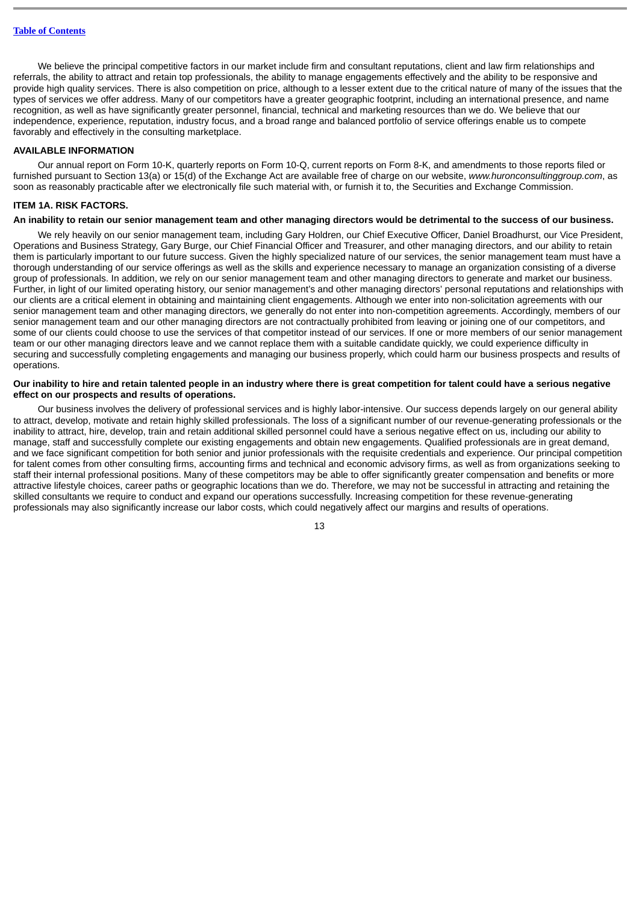We believe the principal competitive factors in our market include firm and consultant reputations, client and law firm relationships and referrals, the ability to attract and retain top professionals, the ability to manage engagements effectively and the ability to be responsive and provide high quality services. There is also competition on price, although to a lesser extent due to the critical nature of many of the issues that the types of services we offer address. Many of our competitors have a greater geographic footprint, including an international presence, and name recognition, as well as have significantly greater personnel, financial, technical and marketing resources than we do. We believe that our independence, experience, reputation, industry focus, and a broad range and balanced portfolio of service offerings enable us to compete favorably and effectively in the consulting marketplace.

## **AVAILABLE INFORMATION**

Our annual report on Form 10-K, quarterly reports on Form 10-Q, current reports on Form 8-K, and amendments to those reports filed or furnished pursuant to Section 13(a) or 15(d) of the Exchange Act are available free of charge on our website, *www.huronconsultinggroup.com*, as soon as reasonably practicable after we electronically file such material with, or furnish it to, the Securities and Exchange Commission.

## <span id="page-14-0"></span>**ITEM 1A. RISK FACTORS.**

#### **An inability to retain our senior management team and other managing directors would be detrimental to the success of our business.**

We rely heavily on our senior management team, including Gary Holdren, our Chief Executive Officer, Daniel Broadhurst, our Vice President, Operations and Business Strategy, Gary Burge, our Chief Financial Officer and Treasurer, and other managing directors, and our ability to retain them is particularly important to our future success. Given the highly specialized nature of our services, the senior management team must have a thorough understanding of our service offerings as well as the skills and experience necessary to manage an organization consisting of a diverse group of professionals. In addition, we rely on our senior management team and other managing directors to generate and market our business. Further, in light of our limited operating history, our senior management's and other managing directors' personal reputations and relationships with our clients are a critical element in obtaining and maintaining client engagements. Although we enter into non-solicitation agreements with our senior management team and other managing directors, we generally do not enter into non-competition agreements. Accordingly, members of our senior management team and our other managing directors are not contractually prohibited from leaving or joining one of our competitors, and some of our clients could choose to use the services of that competitor instead of our services. If one or more members of our senior management team or our other managing directors leave and we cannot replace them with a suitable candidate quickly, we could experience difficulty in securing and successfully completing engagements and managing our business properly, which could harm our business prospects and results of operations.

## **Our inability to hire and retain talented people in an industry where there is great competition for talent could have a serious negative effect on our prospects and results of operations.**

Our business involves the delivery of professional services and is highly labor-intensive. Our success depends largely on our general ability to attract, develop, motivate and retain highly skilled professionals. The loss of a significant number of our revenue-generating professionals or the inability to attract, hire, develop, train and retain additional skilled personnel could have a serious negative effect on us, including our ability to manage, staff and successfully complete our existing engagements and obtain new engagements. Qualified professionals are in great demand, and we face significant competition for both senior and junior professionals with the requisite credentials and experience. Our principal competition for talent comes from other consulting firms, accounting firms and technical and economic advisory firms, as well as from organizations seeking to staff their internal professional positions. Many of these competitors may be able to offer significantly greater compensation and benefits or more attractive lifestyle choices, career paths or geographic locations than we do. Therefore, we may not be successful in attracting and retaining the skilled consultants we require to conduct and expand our operations successfully. Increasing competition for these revenue-generating professionals may also significantly increase our labor costs, which could negatively affect our margins and results of operations.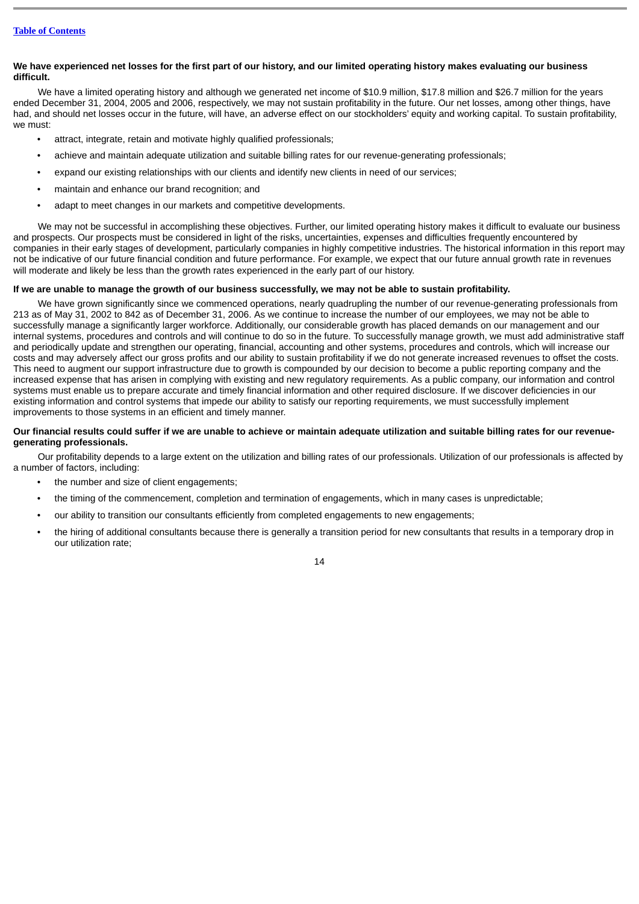## **We have experienced net losses for the first part of our history, and our limited operating history makes evaluating our business difficult.**

We have a limited operating history and although we generated net income of \$10.9 million, \$17.8 million and \$26.7 million for the years ended December 31, 2004, 2005 and 2006, respectively, we may not sustain profitability in the future. Our net losses, among other things, have had, and should net losses occur in the future, will have, an adverse effect on our stockholders' equity and working capital. To sustain profitability, we must:

- attract, integrate, retain and motivate highly qualified professionals;
- achieve and maintain adequate utilization and suitable billing rates for our revenue-generating professionals;
- expand our existing relationships with our clients and identify new clients in need of our services;
- maintain and enhance our brand recognition; and
- adapt to meet changes in our markets and competitive developments.

We may not be successful in accomplishing these objectives. Further, our limited operating history makes it difficult to evaluate our business and prospects. Our prospects must be considered in light of the risks, uncertainties, expenses and difficulties frequently encountered by companies in their early stages of development, particularly companies in highly competitive industries. The historical information in this report may not be indicative of our future financial condition and future performance. For example, we expect that our future annual growth rate in revenues will moderate and likely be less than the growth rates experienced in the early part of our history.

## **If we are unable to manage the growth of our business successfully, we may not be able to sustain profitability.**

We have grown significantly since we commenced operations, nearly quadrupling the number of our revenue-generating professionals from 213 as of May 31, 2002 to 842 as of December 31, 2006. As we continue to increase the number of our employees, we may not be able to successfully manage a significantly larger workforce. Additionally, our considerable growth has placed demands on our management and our internal systems, procedures and controls and will continue to do so in the future. To successfully manage growth, we must add administrative staff and periodically update and strengthen our operating, financial, accounting and other systems, procedures and controls, which will increase our costs and may adversely affect our gross profits and our ability to sustain profitability if we do not generate increased revenues to offset the costs. This need to augment our support infrastructure due to growth is compounded by our decision to become a public reporting company and the increased expense that has arisen in complying with existing and new regulatory requirements. As a public company, our information and control systems must enable us to prepare accurate and timely financial information and other required disclosure. If we discover deficiencies in our existing information and control systems that impede our ability to satisfy our reporting requirements, we must successfully implement improvements to those systems in an efficient and timely manner.

## **Our financial results could suffer if we are unable to achieve or maintain adequate utilization and suitable billing rates for our revenuegenerating professionals.**

Our profitability depends to a large extent on the utilization and billing rates of our professionals. Utilization of our professionals is affected by a number of factors, including:

- the number and size of client engagements;
- the timing of the commencement, completion and termination of engagements, which in many cases is unpredictable;
- our ability to transition our consultants efficiently from completed engagements to new engagements;
- the hiring of additional consultants because there is generally a transition period for new consultants that results in a temporary drop in our utilization rate;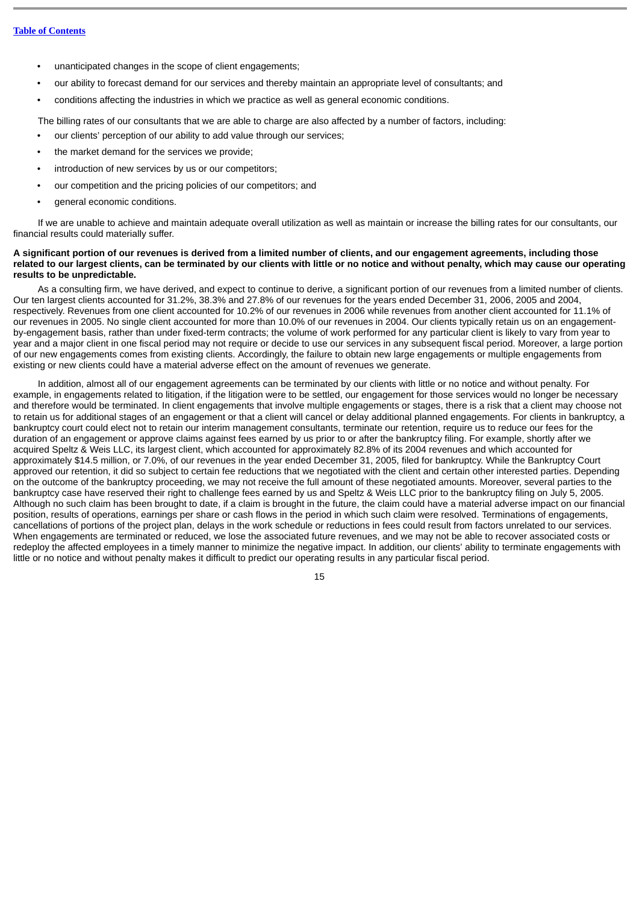- unanticipated changes in the scope of client engagements:
- our ability to forecast demand for our services and thereby maintain an appropriate level of consultants; and
- conditions affecting the industries in which we practice as well as general economic conditions.

The billing rates of our consultants that we are able to charge are also affected by a number of factors, including:

- our clients' perception of our ability to add value through our services;
- the market demand for the services we provide;
- introduction of new services by us or our competitors;
- our competition and the pricing policies of our competitors; and
- general economic conditions.

If we are unable to achieve and maintain adequate overall utilization as well as maintain or increase the billing rates for our consultants, our financial results could materially suffer.

### **A significant portion of our revenues is derived from a limited number of clients, and our engagement agreements, including those related to our largest clients, can be terminated by our clients with little or no notice and without penalty, which may cause our operating results to be unpredictable.**

As a consulting firm, we have derived, and expect to continue to derive, a significant portion of our revenues from a limited number of clients. Our ten largest clients accounted for 31.2%, 38.3% and 27.8% of our revenues for the years ended December 31, 2006, 2005 and 2004, respectively. Revenues from one client accounted for 10.2% of our revenues in 2006 while revenues from another client accounted for 11.1% of our revenues in 2005. No single client accounted for more than 10.0% of our revenues in 2004. Our clients typically retain us on an engagementby-engagement basis, rather than under fixed-term contracts; the volume of work performed for any particular client is likely to vary from year to year and a major client in one fiscal period may not require or decide to use our services in any subsequent fiscal period. Moreover, a large portion of our new engagements comes from existing clients. Accordingly, the failure to obtain new large engagements or multiple engagements from existing or new clients could have a material adverse effect on the amount of revenues we generate.

In addition, almost all of our engagement agreements can be terminated by our clients with little or no notice and without penalty. For example, in engagements related to litigation, if the litigation were to be settled, our engagement for those services would no longer be necessary and therefore would be terminated. In client engagements that involve multiple engagements or stages, there is a risk that a client may choose not to retain us for additional stages of an engagement or that a client will cancel or delay additional planned engagements. For clients in bankruptcy, a bankruptcy court could elect not to retain our interim management consultants, terminate our retention, require us to reduce our fees for the duration of an engagement or approve claims against fees earned by us prior to or after the bankruptcy filing. For example, shortly after we acquired Speltz & Weis LLC, its largest client, which accounted for approximately 82.8% of its 2004 revenues and which accounted for approximately \$14.5 million, or 7.0%, of our revenues in the year ended December 31, 2005, filed for bankruptcy. While the Bankruptcy Court approved our retention, it did so subject to certain fee reductions that we negotiated with the client and certain other interested parties. Depending on the outcome of the bankruptcy proceeding, we may not receive the full amount of these negotiated amounts. Moreover, several parties to the bankruptcy case have reserved their right to challenge fees earned by us and Speltz & Weis LLC prior to the bankruptcy filing on July 5, 2005. Although no such claim has been brought to date, if a claim is brought in the future, the claim could have a material adverse impact on our financial position, results of operations, earnings per share or cash flows in the period in which such claim were resolved. Terminations of engagements, cancellations of portions of the project plan, delays in the work schedule or reductions in fees could result from factors unrelated to our services. When engagements are terminated or reduced, we lose the associated future revenues, and we may not be able to recover associated costs or redeploy the affected employees in a timely manner to minimize the negative impact. In addition, our clients' ability to terminate engagements with little or no notice and without penalty makes it difficult to predict our operating results in any particular fiscal period.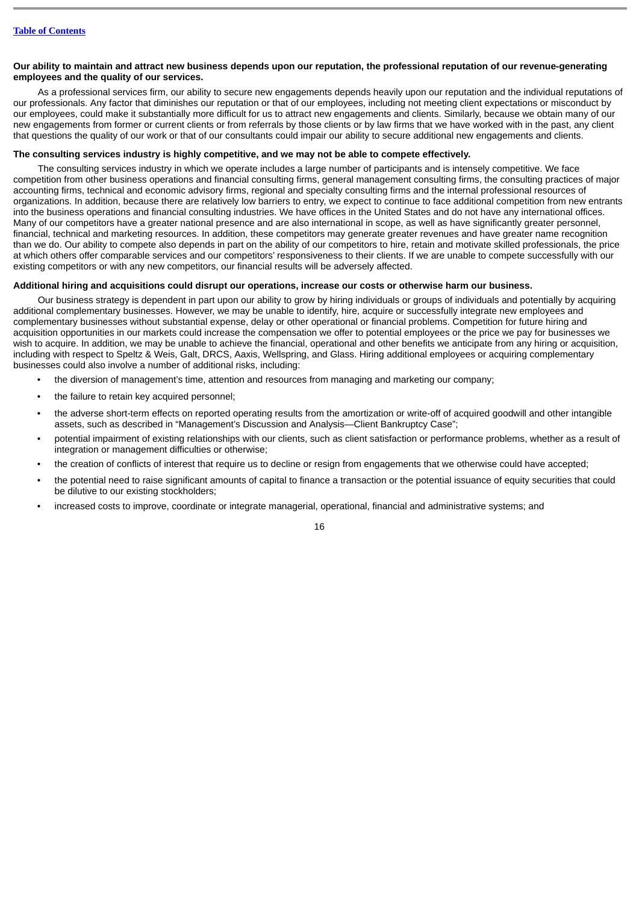## **Our ability to maintain and attract new business depends upon our reputation, the professional reputation of our revenue-generating employees and the quality of our services.**

As a professional services firm, our ability to secure new engagements depends heavily upon our reputation and the individual reputations of our professionals. Any factor that diminishes our reputation or that of our employees, including not meeting client expectations or misconduct by our employees, could make it substantially more difficult for us to attract new engagements and clients. Similarly, because we obtain many of our new engagements from former or current clients or from referrals by those clients or by law firms that we have worked with in the past, any client that questions the quality of our work or that of our consultants could impair our ability to secure additional new engagements and clients.

## **The consulting services industry is highly competitive, and we may not be able to compete effectively.**

The consulting services industry in which we operate includes a large number of participants and is intensely competitive. We face competition from other business operations and financial consulting firms, general management consulting firms, the consulting practices of major accounting firms, technical and economic advisory firms, regional and specialty consulting firms and the internal professional resources of organizations. In addition, because there are relatively low barriers to entry, we expect to continue to face additional competition from new entrants into the business operations and financial consulting industries. We have offices in the United States and do not have any international offices. Many of our competitors have a greater national presence and are also international in scope, as well as have significantly greater personnel, financial, technical and marketing resources. In addition, these competitors may generate greater revenues and have greater name recognition than we do. Our ability to compete also depends in part on the ability of our competitors to hire, retain and motivate skilled professionals, the price at which others offer comparable services and our competitors' responsiveness to their clients. If we are unable to compete successfully with our existing competitors or with any new competitors, our financial results will be adversely affected.

## **Additional hiring and acquisitions could disrupt our operations, increase our costs or otherwise harm our business.**

Our business strategy is dependent in part upon our ability to grow by hiring individuals or groups of individuals and potentially by acquiring additional complementary businesses. However, we may be unable to identify, hire, acquire or successfully integrate new employees and complementary businesses without substantial expense, delay or other operational or financial problems. Competition for future hiring and acquisition opportunities in our markets could increase the compensation we offer to potential employees or the price we pay for businesses we wish to acquire. In addition, we may be unable to achieve the financial, operational and other benefits we anticipate from any hiring or acquisition, including with respect to Speltz & Weis, Galt, DRCS, Aaxis, Wellspring, and Glass. Hiring additional employees or acquiring complementary businesses could also involve a number of additional risks, including:

- the diversion of management's time, attention and resources from managing and marketing our company;
- the failure to retain key acquired personnel;
- the adverse short-term effects on reported operating results from the amortization or write-off of acquired goodwill and other intangible assets, such as described in "Management's Discussion and Analysis—Client Bankruptcy Case";
- potential impairment of existing relationships with our clients, such as client satisfaction or performance problems, whether as a result of integration or management difficulties or otherwise;
- the creation of conflicts of interest that require us to decline or resign from engagements that we otherwise could have accepted;
- the potential need to raise significant amounts of capital to finance a transaction or the potential issuance of equity securities that could be dilutive to our existing stockholders;
- increased costs to improve, coordinate or integrate managerial, operational, financial and administrative systems; and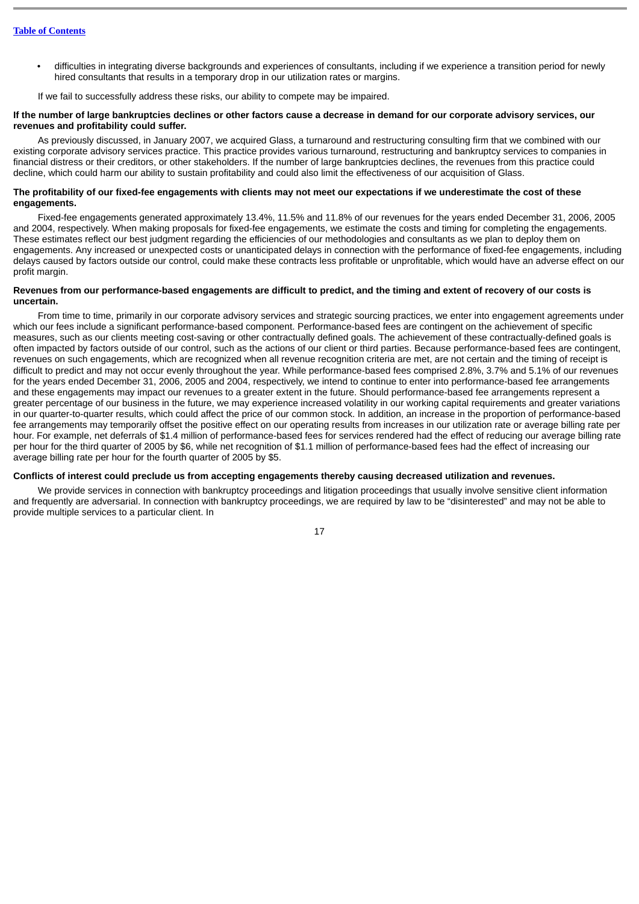- difficulties in integrating diverse backgrounds and experiences of consultants, including if we experience a transition period for newly hired consultants that results in a temporary drop in our utilization rates or margins.
- If we fail to successfully address these risks, our ability to compete may be impaired.

### **If the number of large bankruptcies declines or other factors cause a decrease in demand for our corporate advisory services, our revenues and profitability could suffer.**

As previously discussed, in January 2007, we acquired Glass, a turnaround and restructuring consulting firm that we combined with our existing corporate advisory services practice. This practice provides various turnaround, restructuring and bankruptcy services to companies in financial distress or their creditors, or other stakeholders. If the number of large bankruptcies declines, the revenues from this practice could decline, which could harm our ability to sustain profitability and could also limit the effectiveness of our acquisition of Glass.

### **The profitability of our fixed-fee engagements with clients may not meet our expectations if we underestimate the cost of these engagements.**

Fixed-fee engagements generated approximately 13.4%, 11.5% and 11.8% of our revenues for the years ended December 31, 2006, 2005 and 2004, respectively. When making proposals for fixed-fee engagements, we estimate the costs and timing for completing the engagements. These estimates reflect our best judgment regarding the efficiencies of our methodologies and consultants as we plan to deploy them on engagements. Any increased or unexpected costs or unanticipated delays in connection with the performance of fixed-fee engagements, including delays caused by factors outside our control, could make these contracts less profitable or unprofitable, which would have an adverse effect on our profit margin.

## **Revenues from our performance-based engagements are difficult to predict, and the timing and extent of recovery of our costs is uncertain.**

From time to time, primarily in our corporate advisory services and strategic sourcing practices, we enter into engagement agreements under which our fees include a significant performance-based component. Performance-based fees are contingent on the achievement of specific measures, such as our clients meeting cost-saving or other contractually defined goals. The achievement of these contractually-defined goals is often impacted by factors outside of our control, such as the actions of our client or third parties. Because performance-based fees are contingent, revenues on such engagements, which are recognized when all revenue recognition criteria are met, are not certain and the timing of receipt is difficult to predict and may not occur evenly throughout the year. While performance-based fees comprised 2.8%, 3.7% and 5.1% of our revenues for the years ended December 31, 2006, 2005 and 2004, respectively, we intend to continue to enter into performance-based fee arrangements and these engagements may impact our revenues to a greater extent in the future. Should performance-based fee arrangements represent a greater percentage of our business in the future, we may experience increased volatility in our working capital requirements and greater variations in our quarter-to-quarter results, which could affect the price of our common stock. In addition, an increase in the proportion of performance-based fee arrangements may temporarily offset the positive effect on our operating results from increases in our utilization rate or average billing rate per hour. For example, net deferrals of \$1.4 million of performance-based fees for services rendered had the effect of reducing our average billing rate per hour for the third quarter of 2005 by \$6, while net recognition of \$1.1 million of performance-based fees had the effect of increasing our average billing rate per hour for the fourth quarter of 2005 by \$5.

#### **Conflicts of interest could preclude us from accepting engagements thereby causing decreased utilization and revenues.**

We provide services in connection with bankruptcy proceedings and litigation proceedings that usually involve sensitive client information and frequently are adversarial. In connection with bankruptcy proceedings, we are required by law to be "disinterested" and may not be able to provide multiple services to a particular client. In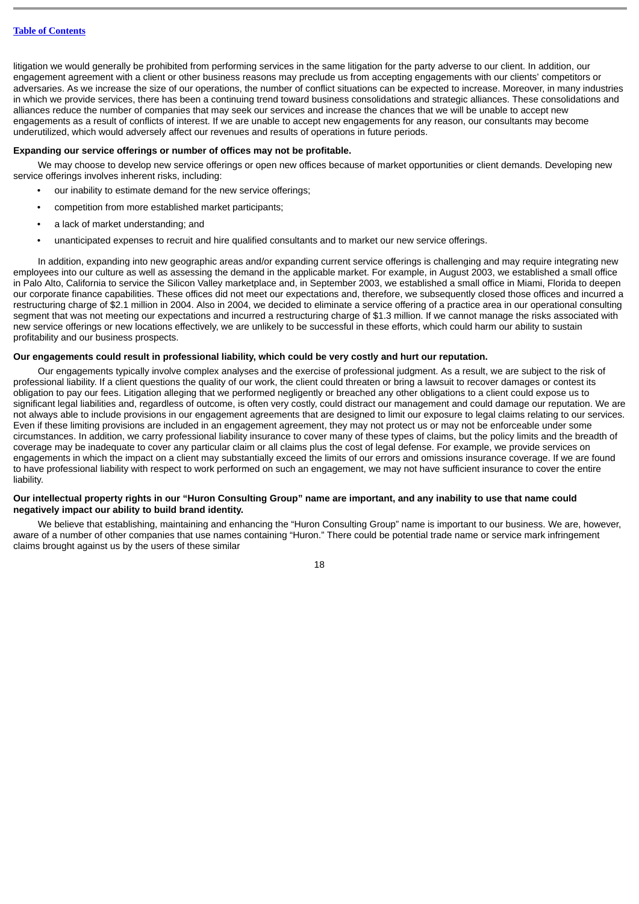litigation we would generally be prohibited from performing services in the same litigation for the party adverse to our client. In addition, our engagement agreement with a client or other business reasons may preclude us from accepting engagements with our clients' competitors or adversaries. As we increase the size of our operations, the number of conflict situations can be expected to increase. Moreover, in many industries in which we provide services, there has been a continuing trend toward business consolidations and strategic alliances. These consolidations and alliances reduce the number of companies that may seek our services and increase the chances that we will be unable to accept new engagements as a result of conflicts of interest. If we are unable to accept new engagements for any reason, our consultants may become underutilized, which would adversely affect our revenues and results of operations in future periods.

## **Expanding our service offerings or number of offices may not be profitable.**

We may choose to develop new service offerings or open new offices because of market opportunities or client demands. Developing new service offerings involves inherent risks, including:

- our inability to estimate demand for the new service offerings;
- competition from more established market participants;
- a lack of market understanding; and
- unanticipated expenses to recruit and hire qualified consultants and to market our new service offerings.

In addition, expanding into new geographic areas and/or expanding current service offerings is challenging and may require integrating new employees into our culture as well as assessing the demand in the applicable market. For example, in August 2003, we established a small office in Palo Alto, California to service the Silicon Valley marketplace and, in September 2003, we established a small office in Miami, Florida to deepen our corporate finance capabilities. These offices did not meet our expectations and, therefore, we subsequently closed those offices and incurred a restructuring charge of \$2.1 million in 2004. Also in 2004, we decided to eliminate a service offering of a practice area in our operational consulting segment that was not meeting our expectations and incurred a restructuring charge of \$1.3 million. If we cannot manage the risks associated with new service offerings or new locations effectively, we are unlikely to be successful in these efforts, which could harm our ability to sustain profitability and our business prospects.

#### **Our engagements could result in professional liability, which could be very costly and hurt our reputation.**

Our engagements typically involve complex analyses and the exercise of professional judgment. As a result, we are subject to the risk of professional liability. If a client questions the quality of our work, the client could threaten or bring a lawsuit to recover damages or contest its obligation to pay our fees. Litigation alleging that we performed negligently or breached any other obligations to a client could expose us to significant legal liabilities and, regardless of outcome, is often very costly, could distract our management and could damage our reputation. We are not always able to include provisions in our engagement agreements that are designed to limit our exposure to legal claims relating to our services. Even if these limiting provisions are included in an engagement agreement, they may not protect us or may not be enforceable under some circumstances. In addition, we carry professional liability insurance to cover many of these types of claims, but the policy limits and the breadth of coverage may be inadequate to cover any particular claim or all claims plus the cost of legal defense. For example, we provide services on engagements in which the impact on a client may substantially exceed the limits of our errors and omissions insurance coverage. If we are found to have professional liability with respect to work performed on such an engagement, we may not have sufficient insurance to cover the entire liability.

## **Our intellectual property rights in our "Huron Consulting Group" name are important, and any inability to use that name could negatively impact our ability to build brand identity.**

We believe that establishing, maintaining and enhancing the "Huron Consulting Group" name is important to our business. We are, however, aware of a number of other companies that use names containing "Huron." There could be potential trade name or service mark infringement claims brought against us by the users of these similar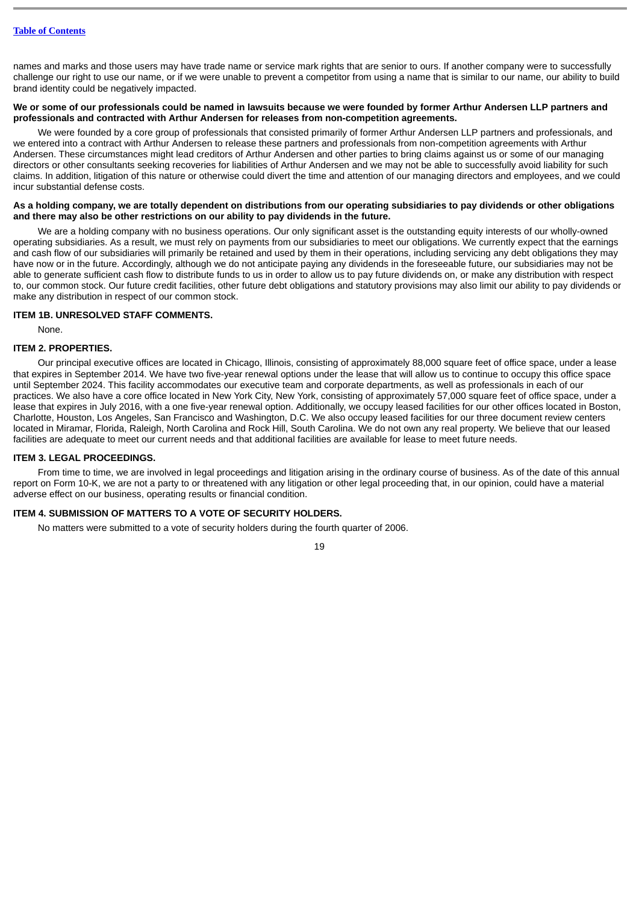names and marks and those users may have trade name or service mark rights that are senior to ours. If another company were to successfully challenge our right to use our name, or if we were unable to prevent a competitor from using a name that is similar to our name, our ability to build brand identity could be negatively impacted.

## **We or some of our professionals could be named in lawsuits because we were founded by former Arthur Andersen LLP partners and professionals and contracted with Arthur Andersen for releases from non-competition agreements.**

We were founded by a core group of professionals that consisted primarily of former Arthur Andersen LLP partners and professionals, and we entered into a contract with Arthur Andersen to release these partners and professionals from non-competition agreements with Arthur Andersen. These circumstances might lead creditors of Arthur Andersen and other parties to bring claims against us or some of our managing directors or other consultants seeking recoveries for liabilities of Arthur Andersen and we may not be able to successfully avoid liability for such claims. In addition, litigation of this nature or otherwise could divert the time and attention of our managing directors and employees, and we could incur substantial defense costs.

## **As a holding company, we are totally dependent on distributions from our operating subsidiaries to pay dividends or other obligations and there may also be other restrictions on our ability to pay dividends in the future.**

We are a holding company with no business operations. Our only significant asset is the outstanding equity interests of our wholly-owned operating subsidiaries. As a result, we must rely on payments from our subsidiaries to meet our obligations. We currently expect that the earnings and cash flow of our subsidiaries will primarily be retained and used by them in their operations, including servicing any debt obligations they may have now or in the future. Accordingly, although we do not anticipate paying any dividends in the foreseeable future, our subsidiaries may not be able to generate sufficient cash flow to distribute funds to us in order to allow us to pay future dividends on, or make any distribution with respect to, our common stock. Our future credit facilities, other future debt obligations and statutory provisions may also limit our ability to pay dividends or make any distribution in respect of our common stock.

## <span id="page-20-0"></span>**ITEM 1B. UNRESOLVED STAFF COMMENTS.**

None.

## <span id="page-20-1"></span>**ITEM 2. PROPERTIES.**

Our principal executive offices are located in Chicago, Illinois, consisting of approximately 88,000 square feet of office space, under a lease that expires in September 2014. We have two five-year renewal options under the lease that will allow us to continue to occupy this office space until September 2024. This facility accommodates our executive team and corporate departments, as well as professionals in each of our practices. We also have a core office located in New York City, New York, consisting of approximately 57,000 square feet of office space, under a lease that expires in July 2016, with a one five-year renewal option. Additionally, we occupy leased facilities for our other offices located in Boston, Charlotte, Houston, Los Angeles, San Francisco and Washington, D.C. We also occupy leased facilities for our three document review centers located in Miramar, Florida, Raleigh, North Carolina and Rock Hill, South Carolina. We do not own any real property. We believe that our leased facilities are adequate to meet our current needs and that additional facilities are available for lease to meet future needs.

#### <span id="page-20-2"></span>**ITEM 3. LEGAL PROCEEDINGS.**

From time to time, we are involved in legal proceedings and litigation arising in the ordinary course of business. As of the date of this annual report on Form 10-K, we are not a party to or threatened with any litigation or other legal proceeding that, in our opinion, could have a material adverse effect on our business, operating results or financial condition.

#### <span id="page-20-3"></span>**ITEM 4. SUBMISSION OF MATTERS TO A VOTE OF SECURITY HOLDERS.**

No matters were submitted to a vote of security holders during the fourth quarter of 2006.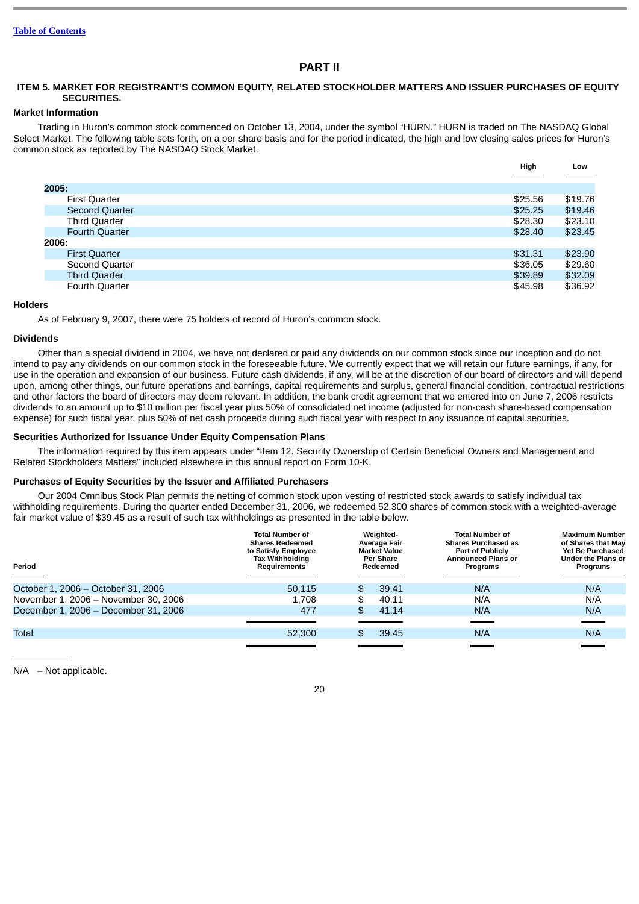## **PART II**

### <span id="page-21-0"></span>**ITEM 5. MARKET FOR REGISTRANT'S COMMON EQUITY, RELATED STOCKHOLDER MATTERS AND ISSUER PURCHASES OF EQUITY SECURITIES.**

#### **Market Information**

Trading in Huron's common stock commenced on October 13, 2004, under the symbol "HURN." HURN is traded on The NASDAQ Global Select Market. The following table sets forth, on a per share basis and for the period indicated, the high and low closing sales prices for Huron's common stock as reported by The NASDAQ Stock Market.

|                       | High    | Low     |
|-----------------------|---------|---------|
|                       |         |         |
| 2005:                 |         |         |
| <b>First Quarter</b>  | \$25.56 | \$19.76 |
| <b>Second Quarter</b> | \$25.25 | \$19.46 |
| <b>Third Quarter</b>  | \$28.30 | \$23.10 |
| <b>Fourth Quarter</b> | \$28.40 | \$23.45 |
| 2006:                 |         |         |
| <b>First Ouarter</b>  | \$31.31 | \$23.90 |
| Second Quarter        | \$36.05 | \$29.60 |
| Third Quarter         | \$39.89 | \$32.09 |
| Fourth Quarter        | \$45.98 | \$36.92 |

#### **Holders**

As of February 9, 2007, there were 75 holders of record of Huron's common stock.

#### **Dividends**

Other than a special dividend in 2004, we have not declared or paid any dividends on our common stock since our inception and do not intend to pay any dividends on our common stock in the foreseeable future. We currently expect that we will retain our future earnings, if any, for use in the operation and expansion of our business. Future cash dividends, if any, will be at the discretion of our board of directors and will depend upon, among other things, our future operations and earnings, capital requirements and surplus, general financial condition, contractual restrictions and other factors the board of directors may deem relevant. In addition, the bank credit agreement that we entered into on June 7, 2006 restricts dividends to an amount up to \$10 million per fiscal year plus 50% of consolidated net income (adjusted for non-cash share-based compensation expense) for such fiscal year, plus 50% of net cash proceeds during such fiscal year with respect to any issuance of capital securities.

#### **Securities Authorized for Issuance Under Equity Compensation Plans**

The information required by this item appears under "Item 12. Security Ownership of Certain Beneficial Owners and Management and Related Stockholders Matters" included elsewhere in this annual report on Form 10-K.

#### **Purchases of Equity Securities by the Issuer and Affiliated Purchasers**

Our 2004 Omnibus Stock Plan permits the netting of common stock upon vesting of restricted stock awards to satisfy individual tax withholding requirements. During the quarter ended December 31, 2006, we redeemed 52,300 shares of common stock with a weighted-average fair market value of \$39.45 as a result of such tax withholdings as presented in the table below.

| Period                               | <b>Total Number of</b><br><b>Shares Redeemed</b><br>to Satisfy Employee<br><b>Tax Withholding</b><br>Requirements | Weighted-<br>Average Fair<br><b>Market Value</b><br><b>Per Share</b><br>Redeemed | <b>Total Number of</b><br><b>Shares Purchased as</b><br><b>Part of Publicly</b><br><b>Announced Plans or</b><br>Programs | <b>Maximum Number</b><br>of Shares that May<br><b>Yet Be Purchased</b><br>Under the Plans or<br><b>Programs</b> |
|--------------------------------------|-------------------------------------------------------------------------------------------------------------------|----------------------------------------------------------------------------------|--------------------------------------------------------------------------------------------------------------------------|-----------------------------------------------------------------------------------------------------------------|
| October 1, 2006 – October 31, 2006   | 50.115                                                                                                            | 39.41<br>\$                                                                      | N/A                                                                                                                      | N/A                                                                                                             |
| November 1, 2006 - November 30, 2006 | 1.708                                                                                                             | \$<br>40.11                                                                      | N/A                                                                                                                      | N/A                                                                                                             |
| December 1, 2006 - December 31, 2006 | 477                                                                                                               | \$<br>41.14                                                                      | N/A                                                                                                                      | N/A                                                                                                             |
|                                      |                                                                                                                   |                                                                                  |                                                                                                                          |                                                                                                                 |
| <b>Total</b>                         | 52,300                                                                                                            | 39.45                                                                            | N/A                                                                                                                      | N/A                                                                                                             |
|                                      |                                                                                                                   |                                                                                  |                                                                                                                          |                                                                                                                 |

N/A – Not applicable.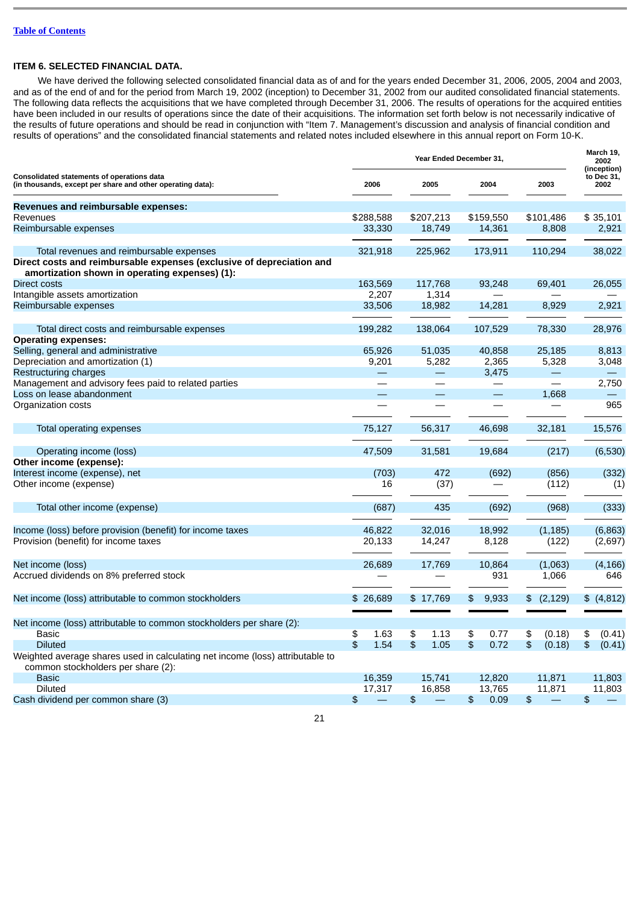## <span id="page-22-0"></span>**ITEM 6. SELECTED FINANCIAL DATA.**

We have derived the following selected consolidated financial data as of and for the years ended December 31, 2006, 2005, 2004 and 2003, and as of the end of and for the period from March 19, 2002 (inception) to December 31, 2002 from our audited consolidated financial statements. The following data reflects the acquisitions that we have completed through December 31, 2006. The results of operations for the acquired entities have been included in our results of operations since the date of their acquisitions. The information set forth below is not necessarily indicative of the results of future operations and should be read in conjunction with "Item 7. Management's discussion and analysis of financial condition and results of operations" and the consolidated financial statements and related notes included elsewhere in this annual report on Form 10-K.

|                                                                                                                         |                          | March 19,<br>2002<br>(inception) |             |                   |                    |
|-------------------------------------------------------------------------------------------------------------------------|--------------------------|----------------------------------|-------------|-------------------|--------------------|
| <b>Consolidated statements of operations data</b><br>(in thousands, except per share and other operating data):         | 2006                     | 2005                             | 2004        | 2003              | to Dec 31,<br>2002 |
| Revenues and reimbursable expenses:                                                                                     |                          |                                  |             |                   |                    |
| Revenues                                                                                                                | \$288,588                | \$207,213                        | \$159,550   | \$101,486         | \$35,101           |
| Reimbursable expenses                                                                                                   | 33,330                   | 18,749                           | 14,361      | 8,808             | 2,921              |
| Total revenues and reimbursable expenses                                                                                | 321,918                  | 225,962                          | 173,911     | 110,294           | 38,022             |
| Direct costs and reimbursable expenses (exclusive of depreciation and<br>amortization shown in operating expenses) (1): |                          |                                  |             |                   |                    |
| Direct costs                                                                                                            | 163,569                  | 117,768                          | 93,248      | 69,401            | 26,055             |
| Intangible assets amortization                                                                                          | 2,207                    | 1,314                            |             |                   |                    |
| Reimbursable expenses                                                                                                   | 33,506                   | 18,982                           | 14,281      | 8,929             | 2,921              |
| Total direct costs and reimbursable expenses                                                                            | 199.282                  | 138.064                          | 107.529     | 78.330            | 28,976             |
| <b>Operating expenses:</b>                                                                                              |                          |                                  |             |                   |                    |
| Selling, general and administrative                                                                                     | 65,926                   | 51,035                           | 40.858      | 25,185            | 8.813              |
| Depreciation and amortization (1)                                                                                       | 9,201                    | 5,282                            | 2,365       | 5,328             | 3,048              |
| Restructuring charges                                                                                                   | $\overline{\phantom{0}}$ | ш,                               | 3,475       | $\qquad \qquad -$ |                    |
| Management and advisory fees paid to related parties                                                                    |                          |                                  |             |                   | 2,750              |
| Loss on lease abandonment                                                                                               |                          |                                  | —           | 1,668             |                    |
| Organization costs                                                                                                      |                          |                                  |             |                   | 965                |
| Total operating expenses                                                                                                | 75,127                   | 56,317                           | 46,698      | 32,181            | 15,576             |
| Operating income (loss)                                                                                                 | 47,509                   | 31,581                           | 19,684      | (217)             | (6,530)            |
| Other income (expense):                                                                                                 |                          |                                  |             |                   |                    |
| Interest income (expense), net                                                                                          | (703)                    | 472                              | (692)       | (856)             | (332)              |
| Other income (expense)                                                                                                  | 16                       | (37)                             |             | (112)             | (1)                |
| Total other income (expense)                                                                                            | (687)                    | 435                              | (692)       | (968)             | (333)              |
| Income (loss) before provision (benefit) for income taxes                                                               | 46,822                   | 32,016                           | 18,992      | (1, 185)          | (6, 863)           |
| Provision (benefit) for income taxes                                                                                    | 20,133                   | 14,247                           | 8,128       | (122)             | (2,697)            |
| Net income (loss)                                                                                                       | 26,689                   | 17,769                           | 10,864      | (1,063)           | (4, 166)           |
| Accrued dividends on 8% preferred stock                                                                                 |                          |                                  | 931         | 1,066             | 646                |
| Net income (loss) attributable to common stockholders                                                                   | \$26,689                 | \$17,769                         | \$<br>9,933 | \$(2,129)         | \$ (4,812)         |
|                                                                                                                         |                          |                                  |             |                   |                    |
| Net income (loss) attributable to common stockholders per share (2):<br><b>Basic</b>                                    | \$<br>1.63               | \$<br>1.13                       | \$<br>0.77  | \$<br>(0.18)      | \$<br>(0.41)       |
| <b>Diluted</b>                                                                                                          | $\mathfrak{L}$<br>1.54   | \$<br>1.05                       | \$<br>0.72  | \$<br>(0.18)      | \$<br>(0.41)       |
| Weighted average shares used in calculating net income (loss) attributable to<br>common stockholders per share (2):     |                          |                                  |             |                   |                    |
| <b>Basic</b>                                                                                                            | 16,359                   | 15,741                           | 12,820      | 11,871            | 11,803             |
| <b>Diluted</b>                                                                                                          | 17,317                   | 16,858                           | 13,765      | 11,871            | 11,803             |
| Cash dividend per common share (3)                                                                                      | \$                       | \$                               | \$<br>0.09  | \$                | \$                 |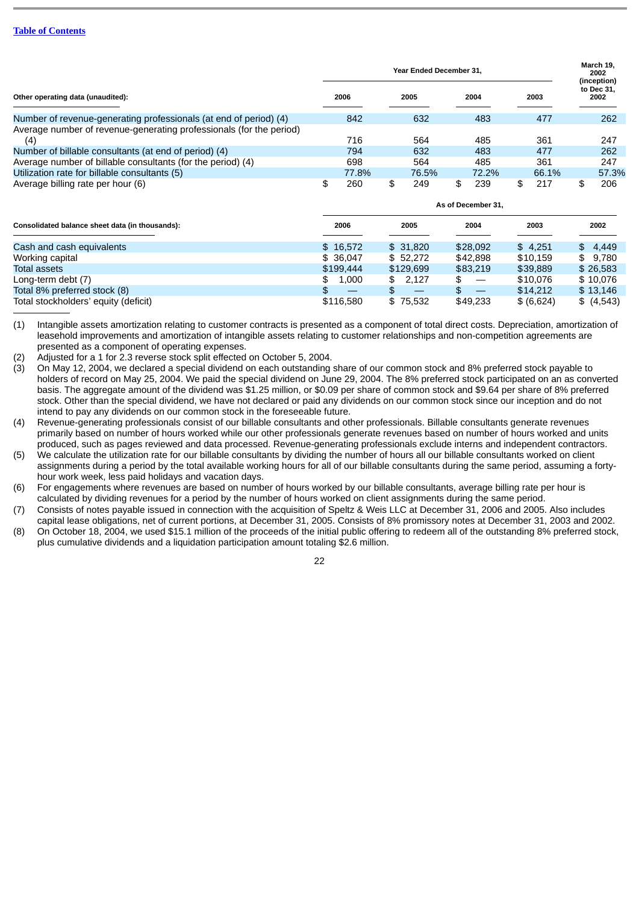#### **Table of [Contents](#page-1-0)**

|                                                                     | Year Ended December 31. |       |    |       |    |       |    |       | March 19.<br>2002<br>(inception) |                    |
|---------------------------------------------------------------------|-------------------------|-------|----|-------|----|-------|----|-------|----------------------------------|--------------------|
| Other operating data (unaudited):                                   | 2006                    |       |    | 2005  |    | 2004  |    | 2003  |                                  | to Dec 31,<br>2002 |
| Number of revenue-generating professionals (at end of period) (4)   |                         | 842   |    | 632   |    | 483   |    | 477   |                                  | 262                |
| Average number of revenue-generating professionals (for the period) |                         |       |    |       |    |       |    |       |                                  |                    |
| (4)                                                                 |                         | 716   |    | 564   |    | 485   |    | 361   |                                  | 247                |
| Number of billable consultants (at end of period) (4)               |                         | 794   |    | 632   |    | 483   |    | 477   |                                  | 262                |
| Average number of billable consultants (for the period) (4)         |                         | 698   |    | 564   |    | 485   |    | 361   |                                  | 247                |
| Utilization rate for billable consultants (5)                       |                         | 77.8% |    | 76.5% |    | 72.2% |    | 66.1% |                                  | 57.3%              |
| Average billing rate per hour (6)                                   | \$                      | 260   | \$ | 249   | \$ | 239   | \$ | 217   |                                  | 206                |

|                                                 | As of December 31.       |             |                          |            |            |  |  |  |  |  |
|-------------------------------------------------|--------------------------|-------------|--------------------------|------------|------------|--|--|--|--|--|
| Consolidated balance sheet data (in thousands): | 2006                     | 2005        | 2004                     | 2003       | 2002       |  |  |  |  |  |
| Cash and cash equivalents                       | \$16,572                 | \$31.820    | \$28,092                 | \$4.251    | \$4,449    |  |  |  |  |  |
| Working capital                                 | \$36.047                 | \$52.272    | \$42,898                 | \$10.159   | \$9.780    |  |  |  |  |  |
| <b>Total assets</b>                             | \$199.444                | \$129,699   | \$83,219                 | \$39,889   | \$26.583   |  |  |  |  |  |
| Long-term debt (7)                              | 1.000<br>\$              | 2.127<br>\$ | \$<br>$\hspace{0.05cm}$  | \$10.076   | \$10.076   |  |  |  |  |  |
| Total 8% preferred stock (8)                    | \$.<br>$\qquad \qquad -$ | \$.         | $\overline{\phantom{m}}$ | \$14,212   | \$13.146   |  |  |  |  |  |
| Total stockholders' equity (deficit)            | \$116,580                | \$75,532    | \$49,233                 | \$ (6,624) | \$ (4,543) |  |  |  |  |  |

(1) Intangible assets amortization relating to customer contracts is presented as a component of total direct costs. Depreciation, amortization of leasehold improvements and amortization of intangible assets relating to customer relationships and non-competition agreements are presented as a component of operating expenses.

- (2) Adjusted for a 1 for 2.3 reverse stock split effected on October 5, 2004.
- (3) On May 12, 2004, we declared a special dividend on each outstanding share of our common stock and 8% preferred stock payable to holders of record on May 25, 2004. We paid the special dividend on June 29, 2004. The 8% preferred stock participated on an as converted basis. The aggregate amount of the dividend was \$1.25 million, or \$0.09 per share of common stock and \$9.64 per share of 8% preferred stock. Other than the special dividend, we have not declared or paid any dividends on our common stock since our inception and do not intend to pay any dividends on our common stock in the foreseeable future.
- (4) Revenue-generating professionals consist of our billable consultants and other professionals. Billable consultants generate revenues primarily based on number of hours worked while our other professionals generate revenues based on number of hours worked and units produced, such as pages reviewed and data processed. Revenue-generating professionals exclude interns and independent contractors.
- (5) We calculate the utilization rate for our billable consultants by dividing the number of hours all our billable consultants worked on client assignments during a period by the total available working hours for all of our billable consultants during the same period, assuming a fortyhour work week, less paid holidays and vacation days.
- (6) For engagements where revenues are based on number of hours worked by our billable consultants, average billing rate per hour is calculated by dividing revenues for a period by the number of hours worked on client assignments during the same period.
- (7) Consists of notes payable issued in connection with the acquisition of Speltz & Weis LLC at December 31, 2006 and 2005. Also includes capital lease obligations, net of current portions, at December 31, 2005. Consists of 8% promissory notes at December 31, 2003 and 2002.
- (8) On October 18, 2004, we used \$15.1 million of the proceeds of the initial public offering to redeem all of the outstanding 8% preferred stock, plus cumulative dividends and a liquidation participation amount totaling \$2.6 million.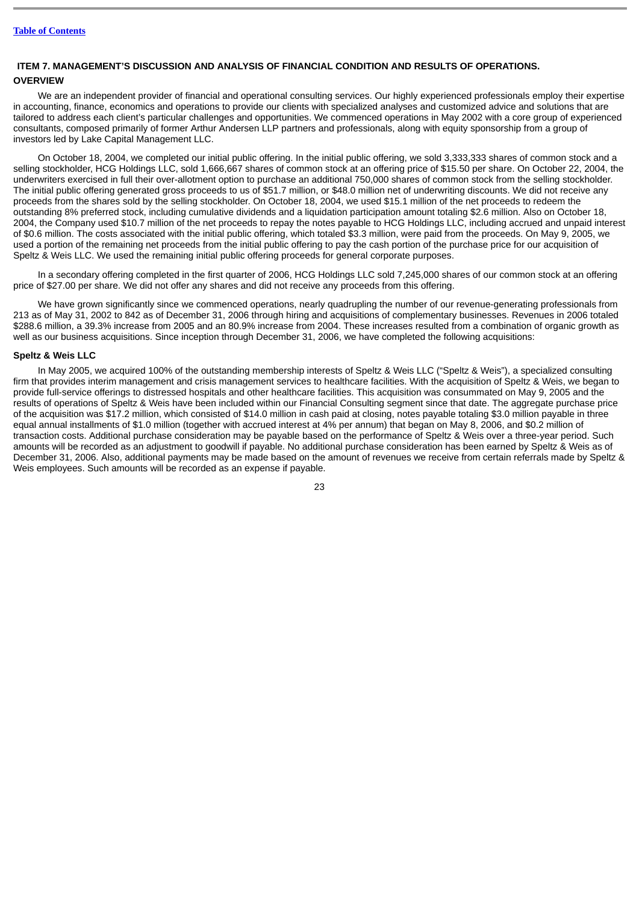## <span id="page-24-0"></span>**ITEM 7. MANAGEMENT'S DISCUSSION AND ANALYSIS OF FINANCIAL CONDITION AND RESULTS OF OPERATIONS. OVERVIEW**

We are an independent provider of financial and operational consulting services. Our highly experienced professionals employ their expertise in accounting, finance, economics and operations to provide our clients with specialized analyses and customized advice and solutions that are tailored to address each client's particular challenges and opportunities. We commenced operations in May 2002 with a core group of experienced consultants, composed primarily of former Arthur Andersen LLP partners and professionals, along with equity sponsorship from a group of investors led by Lake Capital Management LLC.

On October 18, 2004, we completed our initial public offering. In the initial public offering, we sold 3,333,333 shares of common stock and a selling stockholder, HCG Holdings LLC, sold 1,666,667 shares of common stock at an offering price of \$15.50 per share. On October 22, 2004, the underwriters exercised in full their over-allotment option to purchase an additional 750,000 shares of common stock from the selling stockholder. The initial public offering generated gross proceeds to us of \$51.7 million, or \$48.0 million net of underwriting discounts. We did not receive any proceeds from the shares sold by the selling stockholder. On October 18, 2004, we used \$15.1 million of the net proceeds to redeem the outstanding 8% preferred stock, including cumulative dividends and a liquidation participation amount totaling \$2.6 million. Also on October 18, 2004, the Company used \$10.7 million of the net proceeds to repay the notes payable to HCG Holdings LLC, including accrued and unpaid interest of \$0.6 million. The costs associated with the initial public offering, which totaled \$3.3 million, were paid from the proceeds. On May 9, 2005, we used a portion of the remaining net proceeds from the initial public offering to pay the cash portion of the purchase price for our acquisition of Speltz & Weis LLC. We used the remaining initial public offering proceeds for general corporate purposes.

In a secondary offering completed in the first quarter of 2006, HCG Holdings LLC sold 7,245,000 shares of our common stock at an offering price of \$27.00 per share. We did not offer any shares and did not receive any proceeds from this offering.

We have grown significantly since we commenced operations, nearly quadrupling the number of our revenue-generating professionals from 213 as of May 31, 2002 to 842 as of December 31, 2006 through hiring and acquisitions of complementary businesses. Revenues in 2006 totaled \$288.6 million, a 39.3% increase from 2005 and an 80.9% increase from 2004. These increases resulted from a combination of organic growth as well as our business acquisitions. Since inception through December 31, 2006, we have completed the following acquisitions:

#### **Speltz & Weis LLC**

In May 2005, we acquired 100% of the outstanding membership interests of Speltz & Weis LLC ("Speltz & Weis"), a specialized consulting firm that provides interim management and crisis management services to healthcare facilities. With the acquisition of Speltz & Weis, we began to provide full-service offerings to distressed hospitals and other healthcare facilities. This acquisition was consummated on May 9, 2005 and the results of operations of Speltz & Weis have been included within our Financial Consulting segment since that date. The aggregate purchase price of the acquisition was \$17.2 million, which consisted of \$14.0 million in cash paid at closing, notes payable totaling \$3.0 million payable in three equal annual installments of \$1.0 million (together with accrued interest at 4% per annum) that began on May 8, 2006, and \$0.2 million of transaction costs. Additional purchase consideration may be payable based on the performance of Speltz & Weis over a three-year period. Such amounts will be recorded as an adjustment to goodwill if payable. No additional purchase consideration has been earned by Speltz & Weis as of December 31, 2006. Also, additional payments may be made based on the amount of revenues we receive from certain referrals made by Speltz & Weis employees. Such amounts will be recorded as an expense if payable.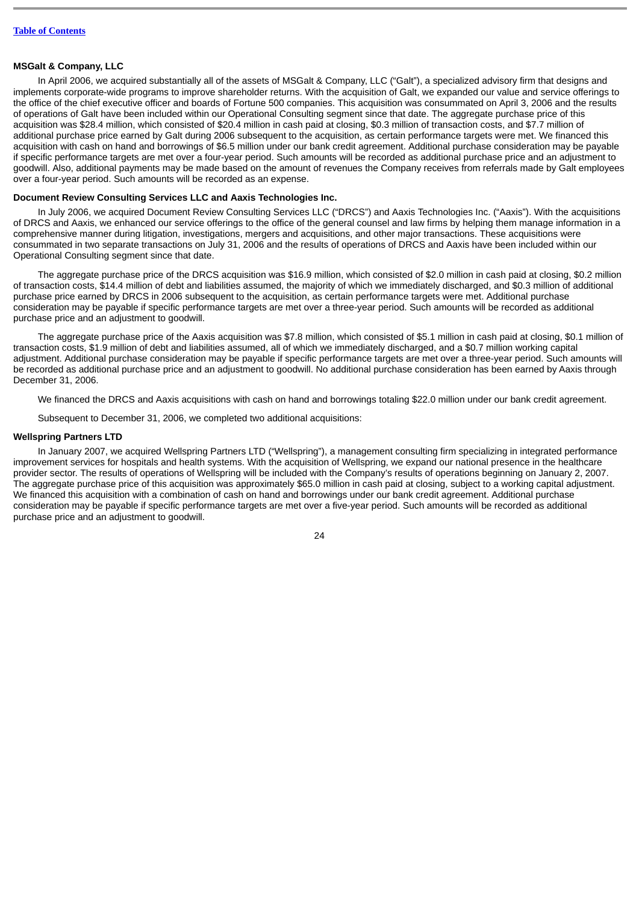## **MSGalt & Company, LLC**

In April 2006, we acquired substantially all of the assets of MSGalt & Company, LLC ("Galt"), a specialized advisory firm that designs and implements corporate-wide programs to improve shareholder returns. With the acquisition of Galt, we expanded our value and service offerings to the office of the chief executive officer and boards of Fortune 500 companies. This acquisition was consummated on April 3, 2006 and the results of operations of Galt have been included within our Operational Consulting segment since that date. The aggregate purchase price of this acquisition was \$28.4 million, which consisted of \$20.4 million in cash paid at closing, \$0.3 million of transaction costs, and \$7.7 million of additional purchase price earned by Galt during 2006 subsequent to the acquisition, as certain performance targets were met. We financed this acquisition with cash on hand and borrowings of \$6.5 million under our bank credit agreement. Additional purchase consideration may be payable if specific performance targets are met over a four-year period. Such amounts will be recorded as additional purchase price and an adjustment to goodwill. Also, additional payments may be made based on the amount of revenues the Company receives from referrals made by Galt employees over a four-year period. Such amounts will be recorded as an expense.

#### **Document Review Consulting Services LLC and Aaxis Technologies Inc.**

In July 2006, we acquired Document Review Consulting Services LLC ("DRCS") and Aaxis Technologies Inc. ("Aaxis"). With the acquisitions of DRCS and Aaxis, we enhanced our service offerings to the office of the general counsel and law firms by helping them manage information in a comprehensive manner during litigation, investigations, mergers and acquisitions, and other major transactions. These acquisitions were consummated in two separate transactions on July 31, 2006 and the results of operations of DRCS and Aaxis have been included within our Operational Consulting segment since that date.

The aggregate purchase price of the DRCS acquisition was \$16.9 million, which consisted of \$2.0 million in cash paid at closing, \$0.2 million of transaction costs, \$14.4 million of debt and liabilities assumed, the majority of which we immediately discharged, and \$0.3 million of additional purchase price earned by DRCS in 2006 subsequent to the acquisition, as certain performance targets were met. Additional purchase consideration may be payable if specific performance targets are met over a three-year period. Such amounts will be recorded as additional purchase price and an adjustment to goodwill.

The aggregate purchase price of the Aaxis acquisition was \$7.8 million, which consisted of \$5.1 million in cash paid at closing, \$0.1 million of transaction costs, \$1.9 million of debt and liabilities assumed, all of which we immediately discharged, and a \$0.7 million working capital adjustment. Additional purchase consideration may be payable if specific performance targets are met over a three-year period. Such amounts will be recorded as additional purchase price and an adjustment to goodwill. No additional purchase consideration has been earned by Aaxis through December 31, 2006.

We financed the DRCS and Aaxis acquisitions with cash on hand and borrowings totaling \$22.0 million under our bank credit agreement.

Subsequent to December 31, 2006, we completed two additional acquisitions:

#### **Wellspring Partners LTD**

In January 2007, we acquired Wellspring Partners LTD ("Wellspring"), a management consulting firm specializing in integrated performance improvement services for hospitals and health systems. With the acquisition of Wellspring, we expand our national presence in the healthcare provider sector. The results of operations of Wellspring will be included with the Company's results of operations beginning on January 2, 2007. The aggregate purchase price of this acquisition was approximately \$65.0 million in cash paid at closing, subject to a working capital adjustment. We financed this acquisition with a combination of cash on hand and borrowings under our bank credit agreement. Additional purchase consideration may be payable if specific performance targets are met over a five-year period. Such amounts will be recorded as additional purchase price and an adjustment to goodwill.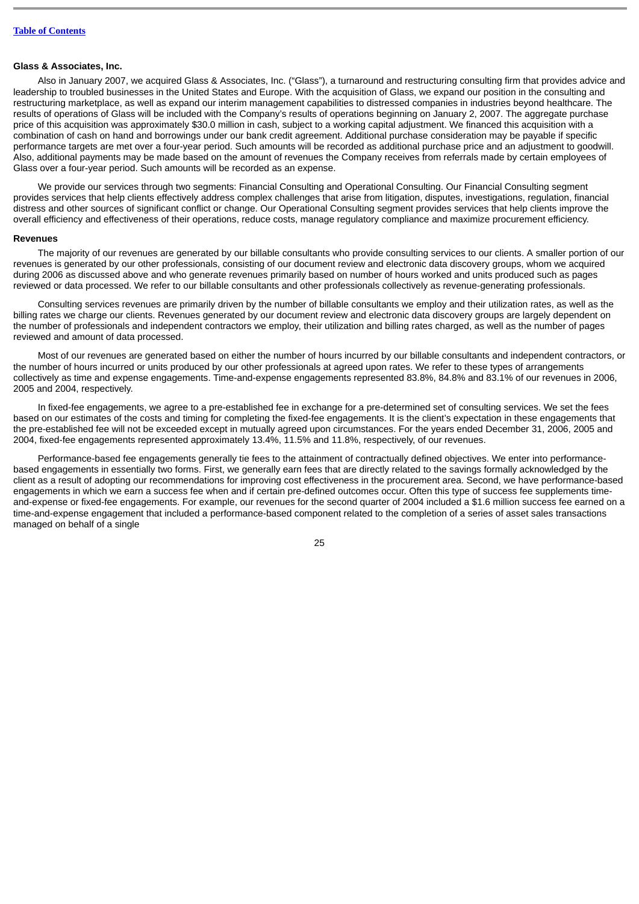## **Glass & Associates, Inc.**

Also in January 2007, we acquired Glass & Associates, Inc. ("Glass"), a turnaround and restructuring consulting firm that provides advice and leadership to troubled businesses in the United States and Europe. With the acquisition of Glass, we expand our position in the consulting and restructuring marketplace, as well as expand our interim management capabilities to distressed companies in industries beyond healthcare. The results of operations of Glass will be included with the Company's results of operations beginning on January 2, 2007. The aggregate purchase price of this acquisition was approximately \$30.0 million in cash, subject to a working capital adjustment. We financed this acquisition with a combination of cash on hand and borrowings under our bank credit agreement. Additional purchase consideration may be payable if specific performance targets are met over a four-year period. Such amounts will be recorded as additional purchase price and an adjustment to goodwill. Also, additional payments may be made based on the amount of revenues the Company receives from referrals made by certain employees of Glass over a four-year period. Such amounts will be recorded as an expense.

We provide our services through two segments: Financial Consulting and Operational Consulting. Our Financial Consulting segment provides services that help clients effectively address complex challenges that arise from litigation, disputes, investigations, regulation, financial distress and other sources of significant conflict or change. Our Operational Consulting segment provides services that help clients improve the overall efficiency and effectiveness of their operations, reduce costs, manage regulatory compliance and maximize procurement efficiency.

#### **Revenues**

The majority of our revenues are generated by our billable consultants who provide consulting services to our clients. A smaller portion of our revenues is generated by our other professionals, consisting of our document review and electronic data discovery groups, whom we acquired during 2006 as discussed above and who generate revenues primarily based on number of hours worked and units produced such as pages reviewed or data processed. We refer to our billable consultants and other professionals collectively as revenue-generating professionals.

Consulting services revenues are primarily driven by the number of billable consultants we employ and their utilization rates, as well as the billing rates we charge our clients. Revenues generated by our document review and electronic data discovery groups are largely dependent on the number of professionals and independent contractors we employ, their utilization and billing rates charged, as well as the number of pages reviewed and amount of data processed.

Most of our revenues are generated based on either the number of hours incurred by our billable consultants and independent contractors, or the number of hours incurred or units produced by our other professionals at agreed upon rates. We refer to these types of arrangements collectively as time and expense engagements. Time-and-expense engagements represented 83.8%, 84.8% and 83.1% of our revenues in 2006, 2005 and 2004, respectively.

In fixed-fee engagements, we agree to a pre-established fee in exchange for a pre-determined set of consulting services. We set the fees based on our estimates of the costs and timing for completing the fixed-fee engagements. It is the client's expectation in these engagements that the pre-established fee will not be exceeded except in mutually agreed upon circumstances. For the years ended December 31, 2006, 2005 and 2004, fixed-fee engagements represented approximately 13.4%, 11.5% and 11.8%, respectively, of our revenues.

Performance-based fee engagements generally tie fees to the attainment of contractually defined objectives. We enter into performancebased engagements in essentially two forms. First, we generally earn fees that are directly related to the savings formally acknowledged by the client as a result of adopting our recommendations for improving cost effectiveness in the procurement area. Second, we have performance-based engagements in which we earn a success fee when and if certain pre-defined outcomes occur. Often this type of success fee supplements timeand-expense or fixed-fee engagements. For example, our revenues for the second quarter of 2004 included a \$1.6 million success fee earned on a time-and-expense engagement that included a performance-based component related to the completion of a series of asset sales transactions managed on behalf of a single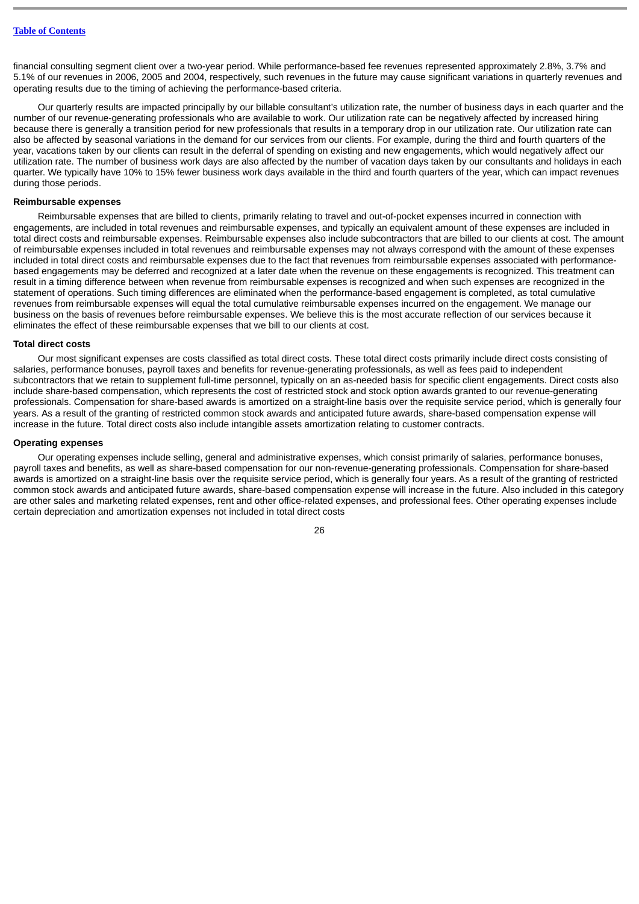financial consulting segment client over a two-year period. While performance-based fee revenues represented approximately 2.8%, 3.7% and 5.1% of our revenues in 2006, 2005 and 2004, respectively, such revenues in the future may cause significant variations in quarterly revenues and operating results due to the timing of achieving the performance-based criteria.

Our quarterly results are impacted principally by our billable consultant's utilization rate, the number of business days in each quarter and the number of our revenue-generating professionals who are available to work. Our utilization rate can be negatively affected by increased hiring because there is generally a transition period for new professionals that results in a temporary drop in our utilization rate. Our utilization rate can also be affected by seasonal variations in the demand for our services from our clients. For example, during the third and fourth quarters of the year, vacations taken by our clients can result in the deferral of spending on existing and new engagements, which would negatively affect our utilization rate. The number of business work days are also affected by the number of vacation days taken by our consultants and holidays in each quarter. We typically have 10% to 15% fewer business work days available in the third and fourth quarters of the year, which can impact revenues during those periods.

#### **Reimbursable expenses**

Reimbursable expenses that are billed to clients, primarily relating to travel and out-of-pocket expenses incurred in connection with engagements, are included in total revenues and reimbursable expenses, and typically an equivalent amount of these expenses are included in total direct costs and reimbursable expenses. Reimbursable expenses also include subcontractors that are billed to our clients at cost. The amount of reimbursable expenses included in total revenues and reimbursable expenses may not always correspond with the amount of these expenses included in total direct costs and reimbursable expenses due to the fact that revenues from reimbursable expenses associated with performancebased engagements may be deferred and recognized at a later date when the revenue on these engagements is recognized. This treatment can result in a timing difference between when revenue from reimbursable expenses is recognized and when such expenses are recognized in the statement of operations. Such timing differences are eliminated when the performance-based engagement is completed, as total cumulative revenues from reimbursable expenses will equal the total cumulative reimbursable expenses incurred on the engagement. We manage our business on the basis of revenues before reimbursable expenses. We believe this is the most accurate reflection of our services because it eliminates the effect of these reimbursable expenses that we bill to our clients at cost.

#### **Total direct costs**

Our most significant expenses are costs classified as total direct costs. These total direct costs primarily include direct costs consisting of salaries, performance bonuses, payroll taxes and benefits for revenue-generating professionals, as well as fees paid to independent subcontractors that we retain to supplement full-time personnel, typically on an as-needed basis for specific client engagements. Direct costs also include share-based compensation, which represents the cost of restricted stock and stock option awards granted to our revenue-generating professionals. Compensation for share-based awards is amortized on a straight-line basis over the requisite service period, which is generally four years. As a result of the granting of restricted common stock awards and anticipated future awards, share-based compensation expense will increase in the future. Total direct costs also include intangible assets amortization relating to customer contracts.

### **Operating expenses**

Our operating expenses include selling, general and administrative expenses, which consist primarily of salaries, performance bonuses, payroll taxes and benefits, as well as share-based compensation for our non-revenue-generating professionals. Compensation for share-based awards is amortized on a straight-line basis over the requisite service period, which is generally four years. As a result of the granting of restricted common stock awards and anticipated future awards, share-based compensation expense will increase in the future. Also included in this category are other sales and marketing related expenses, rent and other office-related expenses, and professional fees. Other operating expenses include certain depreciation and amortization expenses not included in total direct costs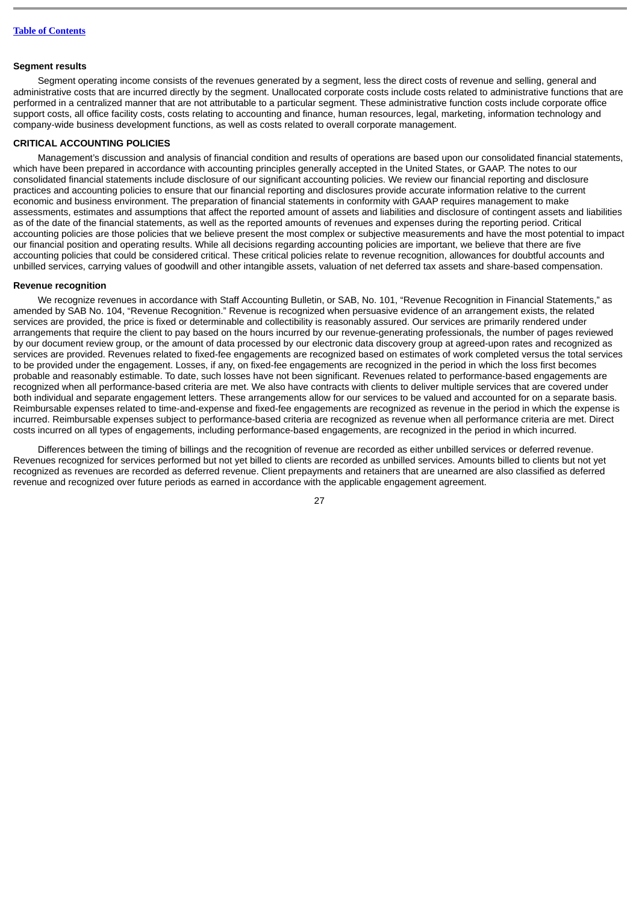#### **Segment results**

Segment operating income consists of the revenues generated by a segment, less the direct costs of revenue and selling, general and administrative costs that are incurred directly by the segment. Unallocated corporate costs include costs related to administrative functions that are performed in a centralized manner that are not attributable to a particular segment. These administrative function costs include corporate office support costs, all office facility costs, costs relating to accounting and finance, human resources, legal, marketing, information technology and company-wide business development functions, as well as costs related to overall corporate management.

## **CRITICAL ACCOUNTING POLICIES**

Management's discussion and analysis of financial condition and results of operations are based upon our consolidated financial statements, which have been prepared in accordance with accounting principles generally accepted in the United States, or GAAP. The notes to our consolidated financial statements include disclosure of our significant accounting policies. We review our financial reporting and disclosure practices and accounting policies to ensure that our financial reporting and disclosures provide accurate information relative to the current economic and business environment. The preparation of financial statements in conformity with GAAP requires management to make assessments, estimates and assumptions that affect the reported amount of assets and liabilities and disclosure of contingent assets and liabilities as of the date of the financial statements, as well as the reported amounts of revenues and expenses during the reporting period. Critical accounting policies are those policies that we believe present the most complex or subjective measurements and have the most potential to impact our financial position and operating results. While all decisions regarding accounting policies are important, we believe that there are five accounting policies that could be considered critical. These critical policies relate to revenue recognition, allowances for doubtful accounts and unbilled services, carrying values of goodwill and other intangible assets, valuation of net deferred tax assets and share-based compensation.

#### **Revenue recognition**

We recognize revenues in accordance with Staff Accounting Bulletin, or SAB, No. 101, "Revenue Recognition in Financial Statements," as amended by SAB No. 104, "Revenue Recognition." Revenue is recognized when persuasive evidence of an arrangement exists, the related services are provided, the price is fixed or determinable and collectibility is reasonably assured. Our services are primarily rendered under arrangements that require the client to pay based on the hours incurred by our revenue-generating professionals, the number of pages reviewed by our document review group, or the amount of data processed by our electronic data discovery group at agreed-upon rates and recognized as services are provided. Revenues related to fixed-fee engagements are recognized based on estimates of work completed versus the total services to be provided under the engagement. Losses, if any, on fixed-fee engagements are recognized in the period in which the loss first becomes probable and reasonably estimable. To date, such losses have not been significant. Revenues related to performance-based engagements are recognized when all performance-based criteria are met. We also have contracts with clients to deliver multiple services that are covered under both individual and separate engagement letters. These arrangements allow for our services to be valued and accounted for on a separate basis. Reimbursable expenses related to time-and-expense and fixed-fee engagements are recognized as revenue in the period in which the expense is incurred. Reimbursable expenses subject to performance-based criteria are recognized as revenue when all performance criteria are met. Direct costs incurred on all types of engagements, including performance-based engagements, are recognized in the period in which incurred.

Differences between the timing of billings and the recognition of revenue are recorded as either unbilled services or deferred revenue. Revenues recognized for services performed but not yet billed to clients are recorded as unbilled services. Amounts billed to clients but not yet recognized as revenues are recorded as deferred revenue. Client prepayments and retainers that are unearned are also classified as deferred revenue and recognized over future periods as earned in accordance with the applicable engagement agreement.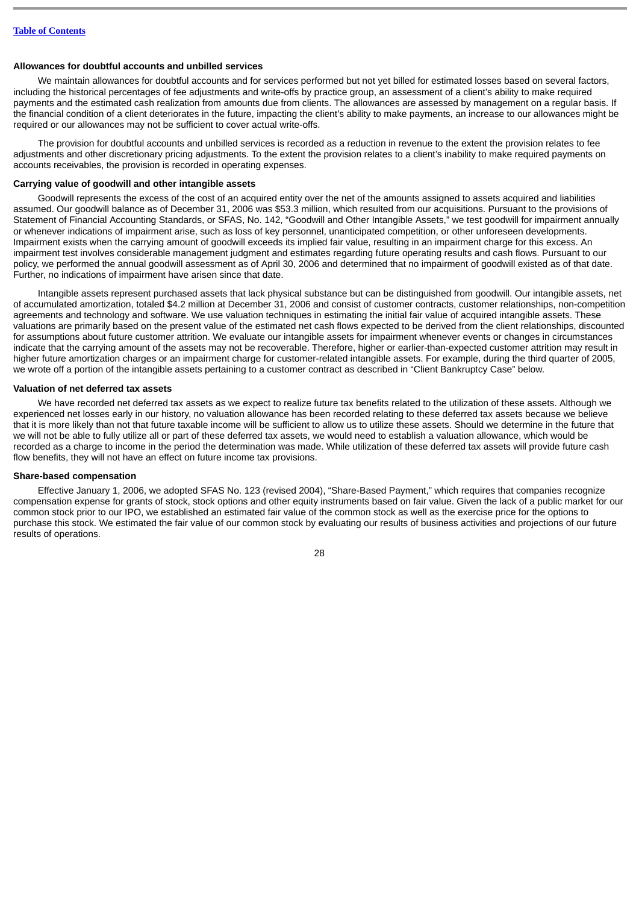## **Allowances for doubtful accounts and unbilled services**

We maintain allowances for doubtful accounts and for services performed but not yet billed for estimated losses based on several factors, including the historical percentages of fee adjustments and write-offs by practice group, an assessment of a client's ability to make required payments and the estimated cash realization from amounts due from clients. The allowances are assessed by management on a regular basis. If the financial condition of a client deteriorates in the future, impacting the client's ability to make payments, an increase to our allowances might be required or our allowances may not be sufficient to cover actual write-offs.

The provision for doubtful accounts and unbilled services is recorded as a reduction in revenue to the extent the provision relates to fee adjustments and other discretionary pricing adjustments. To the extent the provision relates to a client's inability to make required payments on accounts receivables, the provision is recorded in operating expenses.

## **Carrying value of goodwill and other intangible assets**

Goodwill represents the excess of the cost of an acquired entity over the net of the amounts assigned to assets acquired and liabilities assumed. Our goodwill balance as of December 31, 2006 was \$53.3 million, which resulted from our acquisitions. Pursuant to the provisions of Statement of Financial Accounting Standards, or SFAS, No. 142, "Goodwill and Other Intangible Assets," we test goodwill for impairment annually or whenever indications of impairment arise, such as loss of key personnel, unanticipated competition, or other unforeseen developments. Impairment exists when the carrying amount of goodwill exceeds its implied fair value, resulting in an impairment charge for this excess. An impairment test involves considerable management judgment and estimates regarding future operating results and cash flows. Pursuant to our policy, we performed the annual goodwill assessment as of April 30, 2006 and determined that no impairment of goodwill existed as of that date. Further, no indications of impairment have arisen since that date.

Intangible assets represent purchased assets that lack physical substance but can be distinguished from goodwill. Our intangible assets, net of accumulated amortization, totaled \$4.2 million at December 31, 2006 and consist of customer contracts, customer relationships, non-competition agreements and technology and software. We use valuation techniques in estimating the initial fair value of acquired intangible assets. These valuations are primarily based on the present value of the estimated net cash flows expected to be derived from the client relationships, discounted for assumptions about future customer attrition. We evaluate our intangible assets for impairment whenever events or changes in circumstances indicate that the carrying amount of the assets may not be recoverable. Therefore, higher or earlier-than-expected customer attrition may result in higher future amortization charges or an impairment charge for customer-related intangible assets. For example, during the third quarter of 2005, we wrote off a portion of the intangible assets pertaining to a customer contract as described in "Client Bankruptcy Case" below.

## **Valuation of net deferred tax assets**

We have recorded net deferred tax assets as we expect to realize future tax benefits related to the utilization of these assets. Although we experienced net losses early in our history, no valuation allowance has been recorded relating to these deferred tax assets because we believe that it is more likely than not that future taxable income will be sufficient to allow us to utilize these assets. Should we determine in the future that we will not be able to fully utilize all or part of these deferred tax assets, we would need to establish a valuation allowance, which would be recorded as a charge to income in the period the determination was made. While utilization of these deferred tax assets will provide future cash flow benefits, they will not have an effect on future income tax provisions.

## **Share-based compensation**

Effective January 1, 2006, we adopted SFAS No. 123 (revised 2004), "Share-Based Payment," which requires that companies recognize compensation expense for grants of stock, stock options and other equity instruments based on fair value. Given the lack of a public market for our common stock prior to our IPO, we established an estimated fair value of the common stock as well as the exercise price for the options to purchase this stock. We estimated the fair value of our common stock by evaluating our results of business activities and projections of our future results of operations.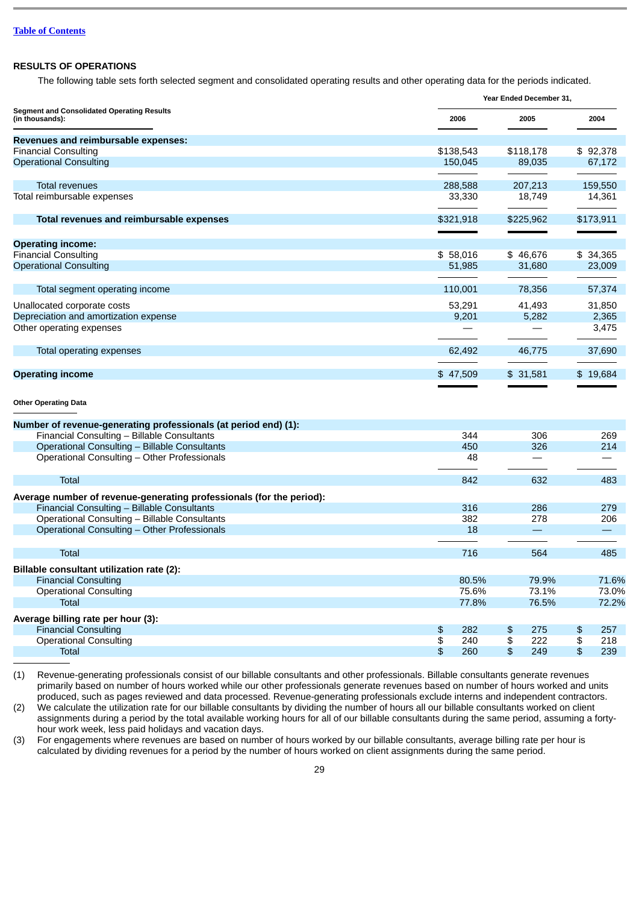## **RESULTS OF OPERATIONS**

The following table sets forth selected segment and consolidated operating results and other operating data for the periods indicated.

|                                                                      |           | Year Ended December 31, |                   |                  |                          |  |
|----------------------------------------------------------------------|-----------|-------------------------|-------------------|------------------|--------------------------|--|
| <b>Segment and Consolidated Operating Results</b><br>(in thousands): |           | 2006                    | 2005              |                  | 2004                     |  |
| Revenues and reimbursable expenses:                                  |           |                         |                   |                  |                          |  |
| <b>Financial Consulting</b>                                          | \$138,543 |                         | \$118,178         |                  | \$92,378                 |  |
| <b>Operational Consulting</b>                                        |           | 150,045                 | 89,035            |                  | 67,172                   |  |
| <b>Total revenues</b>                                                |           | 288,588                 | 207,213           |                  | 159,550                  |  |
| Total reimbursable expenses                                          |           | 33,330                  | 18,749            |                  | 14,361                   |  |
| Total revenues and reimbursable expenses                             | \$321,918 |                         | \$225,962         |                  | \$173,911                |  |
|                                                                      |           |                         |                   |                  |                          |  |
| <b>Operating income:</b>                                             |           |                         |                   |                  |                          |  |
| <b>Financial Consulting</b>                                          | \$58,016  |                         | \$46,676          |                  | \$34,365                 |  |
| <b>Operational Consulting</b>                                        |           | 51,985                  | 31,680            |                  | 23,009                   |  |
| Total segment operating income                                       |           | 110,001                 | 78,356            |                  | 57,374                   |  |
| Unallocated corporate costs                                          |           | 53,291                  | 41,493            |                  | 31,850                   |  |
| Depreciation and amortization expense                                |           | 9,201                   | 5,282             |                  | 2,365                    |  |
| Other operating expenses                                             |           |                         |                   |                  | 3,475                    |  |
| Total operating expenses                                             |           | 62,492                  | 46,775            |                  | 37,690                   |  |
| <b>Operating income</b>                                              | \$47,509  |                         | \$31,581          |                  | \$19,684                 |  |
| <b>Other Operating Data</b>                                          |           |                         |                   |                  |                          |  |
| Number of revenue-generating professionals (at period end) (1):      |           |                         |                   |                  |                          |  |
| Financial Consulting - Billable Consultants                          |           | 344                     | 306               |                  | 269                      |  |
| Operational Consulting - Billable Consultants                        |           | 450                     | 326               |                  | 214                      |  |
| Operational Consulting - Other Professionals                         |           | 48                      |                   |                  |                          |  |
| Total                                                                |           | 842                     | 632               |                  | 483                      |  |
| Average number of revenue-generating professionals (for the period): |           |                         |                   |                  |                          |  |
| Financial Consulting - Billable Consultants                          |           | 316                     | 286               |                  | 279                      |  |
| Operational Consulting - Billable Consultants                        |           | 382                     | 278               |                  | 206                      |  |
| Operational Consulting - Other Professionals                         |           | 18                      | $\qquad \qquad -$ |                  | $\overline{\phantom{0}}$ |  |
| <b>Total</b>                                                         |           | 716                     | 564               |                  | 485                      |  |
|                                                                      |           |                         |                   |                  |                          |  |
| Billable consultant utilization rate (2):                            |           |                         |                   |                  |                          |  |
| <b>Financial Consulting</b>                                          |           | 80.5%                   | 79.9%             |                  | 71.6%                    |  |
| <b>Operational Consulting</b><br><b>Total</b>                        |           | 75.6%<br>77.8%          | 73.1%<br>76.5%    |                  | 73.0%<br>72.2%           |  |
| Average billing rate per hour (3):                                   |           |                         |                   |                  |                          |  |
| <b>Financial Consulting</b>                                          | \$        | 282                     | $\,$<br>275       | \$               | 257                      |  |
| <b>Operational Consulting</b>                                        | \$        | 240                     | \$<br>222         | \$               | 218                      |  |
| Total                                                                | \$        | 260                     | \$<br>249         | $$\mathfrak{F}$$ | 239                      |  |
|                                                                      |           |                         |                   |                  |                          |  |

(1) Revenue-generating professionals consist of our billable consultants and other professionals. Billable consultants generate revenues primarily based on number of hours worked while our other professionals generate revenues based on number of hours worked and units produced, such as pages reviewed and data processed. Revenue-generating professionals exclude interns and independent contractors.

(2) We calculate the utilization rate for our billable consultants by dividing the number of hours all our billable consultants worked on client assignments during a period by the total available working hours for all of our billable consultants during the same period, assuming a fortyhour work week, less paid holidays and vacation days.

(3) For engagements where revenues are based on number of hours worked by our billable consultants, average billing rate per hour is calculated by dividing revenues for a period by the number of hours worked on client assignments during the same period.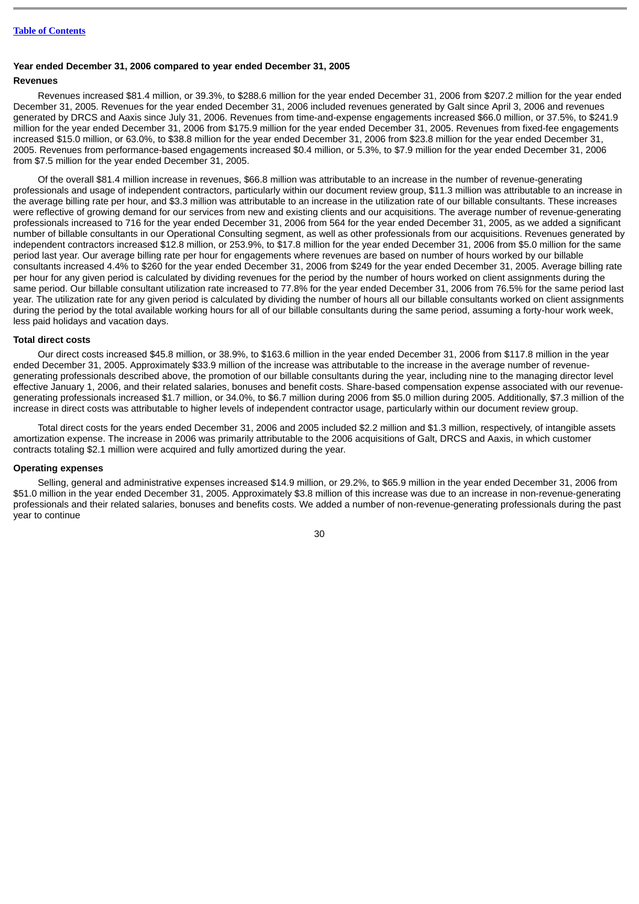# **Year ended December 31, 2006 compared to year ended December 31, 2005**

## **Revenues**

Revenues increased \$81.4 million, or 39.3%, to \$288.6 million for the year ended December 31, 2006 from \$207.2 million for the year ended December 31, 2005. Revenues for the year ended December 31, 2006 included revenues generated by Galt since April 3, 2006 and revenues generated by DRCS and Aaxis since July 31, 2006. Revenues from time-and-expense engagements increased \$66.0 million, or 37.5%, to \$241.9 million for the year ended December 31, 2006 from \$175.9 million for the year ended December 31, 2005. Revenues from fixed-fee engagements increased \$15.0 million, or 63.0%, to \$38.8 million for the year ended December 31, 2006 from \$23.8 million for the year ended December 31, 2005. Revenues from performance-based engagements increased \$0.4 million, or 5.3%, to \$7.9 million for the year ended December 31, 2006 from \$7.5 million for the year ended December 31, 2005.

Of the overall \$81.4 million increase in revenues, \$66.8 million was attributable to an increase in the number of revenue-generating professionals and usage of independent contractors, particularly within our document review group, \$11.3 million was attributable to an increase in the average billing rate per hour, and \$3.3 million was attributable to an increase in the utilization rate of our billable consultants. These increases were reflective of growing demand for our services from new and existing clients and our acquisitions. The average number of revenue-generating professionals increased to 716 for the year ended December 31, 2006 from 564 for the year ended December 31, 2005, as we added a significant number of billable consultants in our Operational Consulting segment, as well as other professionals from our acquisitions. Revenues generated by independent contractors increased \$12.8 million, or 253.9%, to \$17.8 million for the year ended December 31, 2006 from \$5.0 million for the same period last year. Our average billing rate per hour for engagements where revenues are based on number of hours worked by our billable consultants increased 4.4% to \$260 for the year ended December 31, 2006 from \$249 for the year ended December 31, 2005. Average billing rate per hour for any given period is calculated by dividing revenues for the period by the number of hours worked on client assignments during the same period. Our billable consultant utilization rate increased to 77.8% for the year ended December 31, 2006 from 76.5% for the same period last year. The utilization rate for any given period is calculated by dividing the number of hours all our billable consultants worked on client assignments during the period by the total available working hours for all of our billable consultants during the same period, assuming a forty-hour work week, less paid holidays and vacation days.

#### **Total direct costs**

Our direct costs increased \$45.8 million, or 38.9%, to \$163.6 million in the year ended December 31, 2006 from \$117.8 million in the year ended December 31, 2005. Approximately \$33.9 million of the increase was attributable to the increase in the average number of revenuegenerating professionals described above, the promotion of our billable consultants during the year, including nine to the managing director level effective January 1, 2006, and their related salaries, bonuses and benefit costs. Share-based compensation expense associated with our revenuegenerating professionals increased \$1.7 million, or 34.0%, to \$6.7 million during 2006 from \$5.0 million during 2005. Additionally, \$7.3 million of the increase in direct costs was attributable to higher levels of independent contractor usage, particularly within our document review group.

Total direct costs for the years ended December 31, 2006 and 2005 included \$2.2 million and \$1.3 million, respectively, of intangible assets amortization expense. The increase in 2006 was primarily attributable to the 2006 acquisitions of Galt, DRCS and Aaxis, in which customer contracts totaling \$2.1 million were acquired and fully amortized during the year.

#### **Operating expenses**

Selling, general and administrative expenses increased \$14.9 million, or 29.2%, to \$65.9 million in the year ended December 31, 2006 from \$51.0 million in the year ended December 31, 2005. Approximately \$3.8 million of this increase was due to an increase in non-revenue-generating professionals and their related salaries, bonuses and benefits costs. We added a number of non-revenue-generating professionals during the past year to continue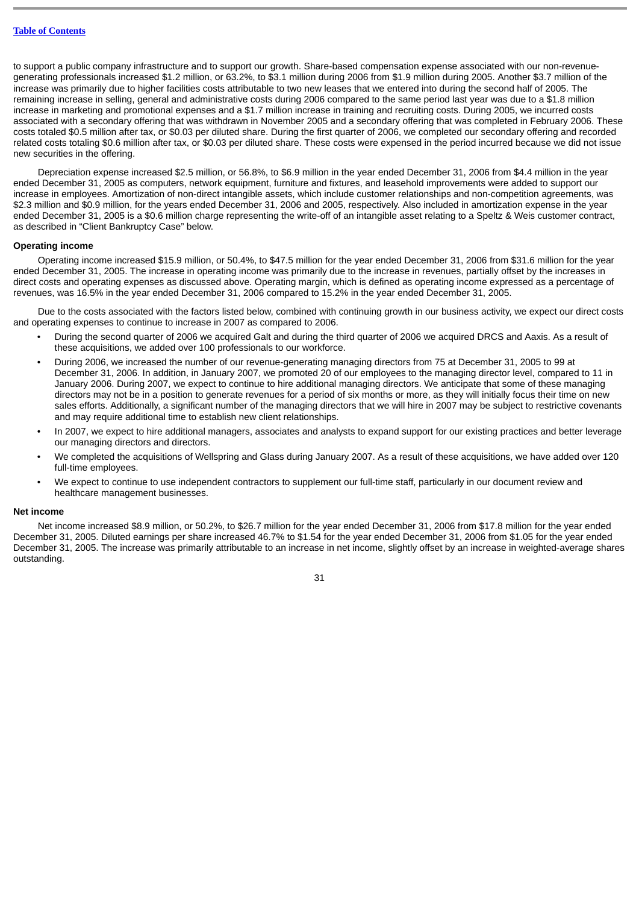to support a public company infrastructure and to support our growth. Share-based compensation expense associated with our non-revenuegenerating professionals increased \$1.2 million, or 63.2%, to \$3.1 million during 2006 from \$1.9 million during 2005. Another \$3.7 million of the increase was primarily due to higher facilities costs attributable to two new leases that we entered into during the second half of 2005. The remaining increase in selling, general and administrative costs during 2006 compared to the same period last year was due to a \$1.8 million increase in marketing and promotional expenses and a \$1.7 million increase in training and recruiting costs. During 2005, we incurred costs associated with a secondary offering that was withdrawn in November 2005 and a secondary offering that was completed in February 2006. These costs totaled \$0.5 million after tax, or \$0.03 per diluted share. During the first quarter of 2006, we completed our secondary offering and recorded related costs totaling \$0.6 million after tax, or \$0.03 per diluted share. These costs were expensed in the period incurred because we did not issue new securities in the offering.

Depreciation expense increased \$2.5 million, or 56.8%, to \$6.9 million in the year ended December 31, 2006 from \$4.4 million in the year ended December 31, 2005 as computers, network equipment, furniture and fixtures, and leasehold improvements were added to support our increase in employees. Amortization of non-direct intangible assets, which include customer relationships and non-competition agreements, was \$2.3 million and \$0.9 million, for the years ended December 31, 2006 and 2005, respectively. Also included in amortization expense in the year ended December 31, 2005 is a \$0.6 million charge representing the write-off of an intangible asset relating to a Speltz & Weis customer contract, as described in "Client Bankruptcy Case" below.

#### **Operating income**

Operating income increased \$15.9 million, or 50.4%, to \$47.5 million for the year ended December 31, 2006 from \$31.6 million for the year ended December 31, 2005. The increase in operating income was primarily due to the increase in revenues, partially offset by the increases in direct costs and operating expenses as discussed above. Operating margin, which is defined as operating income expressed as a percentage of revenues, was 16.5% in the year ended December 31, 2006 compared to 15.2% in the year ended December 31, 2005.

Due to the costs associated with the factors listed below, combined with continuing growth in our business activity, we expect our direct costs and operating expenses to continue to increase in 2007 as compared to 2006.

- During the second quarter of 2006 we acquired Galt and during the third quarter of 2006 we acquired DRCS and Aaxis. As a result of these acquisitions, we added over 100 professionals to our workforce.
- During 2006, we increased the number of our revenue-generating managing directors from 75 at December 31, 2005 to 99 at December 31, 2006. In addition, in January 2007, we promoted 20 of our employees to the managing director level, compared to 11 in January 2006. During 2007, we expect to continue to hire additional managing directors. We anticipate that some of these managing directors may not be in a position to generate revenues for a period of six months or more, as they will initially focus their time on new sales efforts. Additionally, a significant number of the managing directors that we will hire in 2007 may be subject to restrictive covenants and may require additional time to establish new client relationships.
- In 2007, we expect to hire additional managers, associates and analysts to expand support for our existing practices and better leverage our managing directors and directors.
- We completed the acquisitions of Wellspring and Glass during January 2007. As a result of these acquisitions, we have added over 120 full-time employees.
- We expect to continue to use independent contractors to supplement our full-time staff, particularly in our document review and healthcare management businesses.

#### **Net income**

Net income increased \$8.9 million, or 50.2%, to \$26.7 million for the year ended December 31, 2006 from \$17.8 million for the year ended December 31, 2005. Diluted earnings per share increased 46.7% to \$1.54 for the year ended December 31, 2006 from \$1.05 for the year ended December 31, 2005. The increase was primarily attributable to an increase in net income, slightly offset by an increase in weighted-average shares outstanding.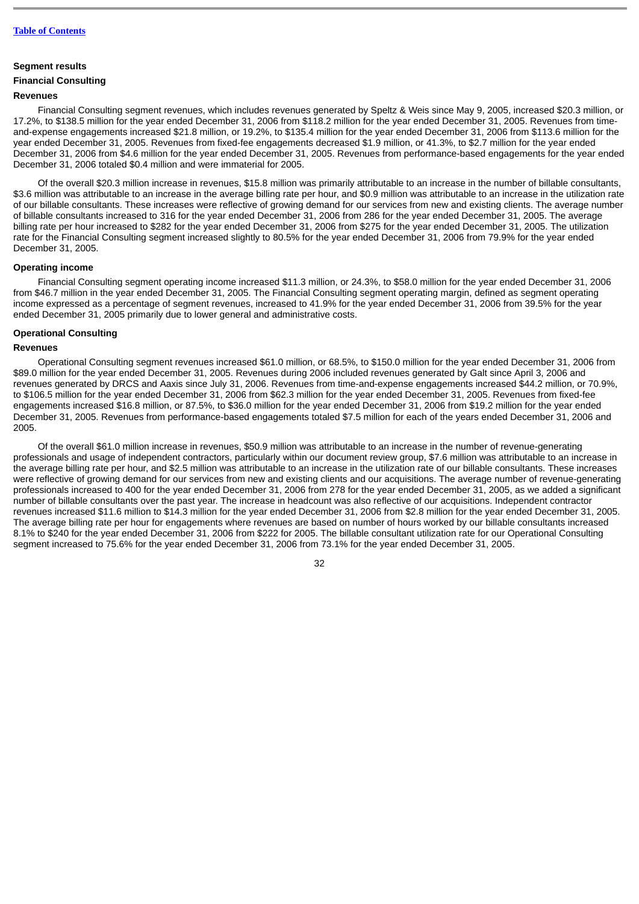#### **Segment results**

### **Financial Consulting**

#### **Revenues**

Financial Consulting segment revenues, which includes revenues generated by Speltz & Weis since May 9, 2005, increased \$20.3 million, or 17.2%, to \$138.5 million for the year ended December 31, 2006 from \$118.2 million for the year ended December 31, 2005. Revenues from timeand-expense engagements increased \$21.8 million, or 19.2%, to \$135.4 million for the year ended December 31, 2006 from \$113.6 million for the year ended December 31, 2005. Revenues from fixed-fee engagements decreased \$1.9 million, or 41.3%, to \$2.7 million for the year ended December 31, 2006 from \$4.6 million for the year ended December 31, 2005. Revenues from performance-based engagements for the year ended December 31, 2006 totaled \$0.4 million and were immaterial for 2005.

Of the overall \$20.3 million increase in revenues, \$15.8 million was primarily attributable to an increase in the number of billable consultants, \$3.6 million was attributable to an increase in the average billing rate per hour, and \$0.9 million was attributable to an increase in the utilization rate of our billable consultants. These increases were reflective of growing demand for our services from new and existing clients. The average number of billable consultants increased to 316 for the year ended December 31, 2006 from 286 for the year ended December 31, 2005. The average billing rate per hour increased to \$282 for the year ended December 31, 2006 from \$275 for the year ended December 31, 2005. The utilization rate for the Financial Consulting segment increased slightly to 80.5% for the year ended December 31, 2006 from 79.9% for the year ended December 31, 2005.

#### **Operating income**

Financial Consulting segment operating income increased \$11.3 million, or 24.3%, to \$58.0 million for the year ended December 31, 2006 from \$46.7 million in the year ended December 31, 2005. The Financial Consulting segment operating margin, defined as segment operating income expressed as a percentage of segment revenues, increased to 41.9% for the year ended December 31, 2006 from 39.5% for the year ended December 31, 2005 primarily due to lower general and administrative costs.

## **Operational Consulting**

### **Revenues**

Operational Consulting segment revenues increased \$61.0 million, or 68.5%, to \$150.0 million for the year ended December 31, 2006 from \$89.0 million for the year ended December 31, 2005. Revenues during 2006 included revenues generated by Galt since April 3, 2006 and revenues generated by DRCS and Aaxis since July 31, 2006. Revenues from time-and-expense engagements increased \$44.2 million, or 70.9%, to \$106.5 million for the year ended December 31, 2006 from \$62.3 million for the year ended December 31, 2005. Revenues from fixed-fee engagements increased \$16.8 million, or 87.5%, to \$36.0 million for the year ended December 31, 2006 from \$19.2 million for the year ended December 31, 2005. Revenues from performance-based engagements totaled \$7.5 million for each of the years ended December 31, 2006 and 2005.

Of the overall \$61.0 million increase in revenues, \$50.9 million was attributable to an increase in the number of revenue-generating professionals and usage of independent contractors, particularly within our document review group, \$7.6 million was attributable to an increase in the average billing rate per hour, and \$2.5 million was attributable to an increase in the utilization rate of our billable consultants. These increases were reflective of growing demand for our services from new and existing clients and our acquisitions. The average number of revenue-generating professionals increased to 400 for the year ended December 31, 2006 from 278 for the year ended December 31, 2005, as we added a significant number of billable consultants over the past year. The increase in headcount was also reflective of our acquisitions. Independent contractor revenues increased \$11.6 million to \$14.3 million for the year ended December 31, 2006 from \$2.8 million for the year ended December 31, 2005. The average billing rate per hour for engagements where revenues are based on number of hours worked by our billable consultants increased 8.1% to \$240 for the year ended December 31, 2006 from \$222 for 2005. The billable consultant utilization rate for our Operational Consulting segment increased to 75.6% for the year ended December 31, 2006 from 73.1% for the year ended December 31, 2005.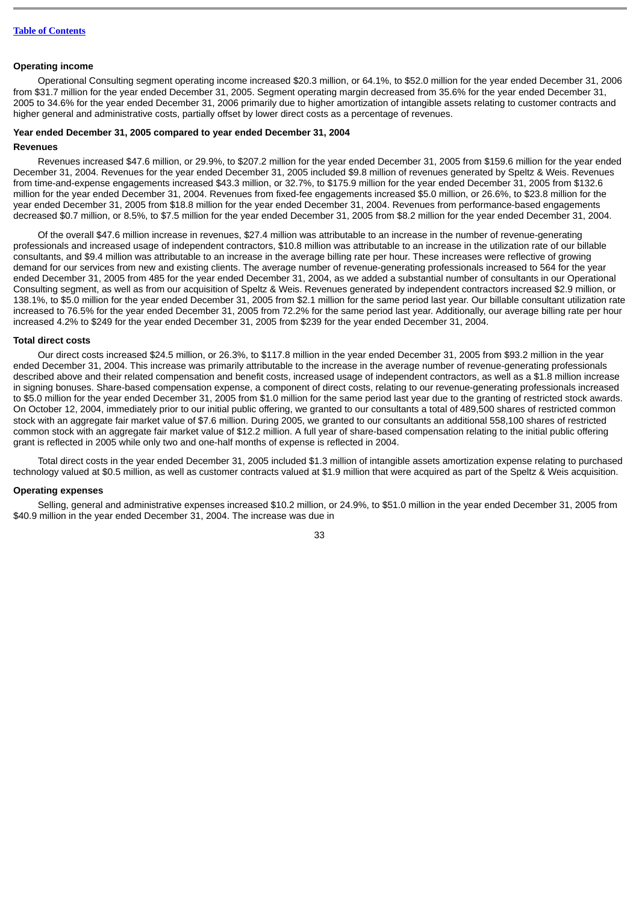#### **Operating income**

Operational Consulting segment operating income increased \$20.3 million, or 64.1%, to \$52.0 million for the year ended December 31, 2006 from \$31.7 million for the year ended December 31, 2005. Segment operating margin decreased from 35.6% for the year ended December 31, 2005 to 34.6% for the year ended December 31, 2006 primarily due to higher amortization of intangible assets relating to customer contracts and higher general and administrative costs, partially offset by lower direct costs as a percentage of revenues.

#### **Year ended December 31, 2005 compared to year ended December 31, 2004**

#### **Revenues**

Revenues increased \$47.6 million, or 29.9%, to \$207.2 million for the year ended December 31, 2005 from \$159.6 million for the year ended December 31, 2004. Revenues for the year ended December 31, 2005 included \$9.8 million of revenues generated by Speltz & Weis. Revenues from time-and-expense engagements increased \$43.3 million, or 32.7%, to \$175.9 million for the year ended December 31, 2005 from \$132.6 million for the year ended December 31, 2004. Revenues from fixed-fee engagements increased \$5.0 million, or 26.6%, to \$23.8 million for the year ended December 31, 2005 from \$18.8 million for the year ended December 31, 2004. Revenues from performance-based engagements decreased \$0.7 million, or 8.5%, to \$7.5 million for the year ended December 31, 2005 from \$8.2 million for the year ended December 31, 2004.

Of the overall \$47.6 million increase in revenues, \$27.4 million was attributable to an increase in the number of revenue-generating professionals and increased usage of independent contractors, \$10.8 million was attributable to an increase in the utilization rate of our billable consultants, and \$9.4 million was attributable to an increase in the average billing rate per hour. These increases were reflective of growing demand for our services from new and existing clients. The average number of revenue-generating professionals increased to 564 for the year ended December 31, 2005 from 485 for the year ended December 31, 2004, as we added a substantial number of consultants in our Operational Consulting segment, as well as from our acquisition of Speltz & Weis. Revenues generated by independent contractors increased \$2.9 million, or 138.1%, to \$5.0 million for the year ended December 31, 2005 from \$2.1 million for the same period last year. Our billable consultant utilization rate increased to 76.5% for the year ended December 31, 2005 from 72.2% for the same period last year. Additionally, our average billing rate per hour increased 4.2% to \$249 for the year ended December 31, 2005 from \$239 for the year ended December 31, 2004.

#### **Total direct costs**

Our direct costs increased \$24.5 million, or 26.3%, to \$117.8 million in the year ended December 31, 2005 from \$93.2 million in the year ended December 31, 2004. This increase was primarily attributable to the increase in the average number of revenue-generating professionals described above and their related compensation and benefit costs, increased usage of independent contractors, as well as a \$1.8 million increase in signing bonuses. Share-based compensation expense, a component of direct costs, relating to our revenue-generating professionals increased to \$5.0 million for the year ended December 31, 2005 from \$1.0 million for the same period last year due to the granting of restricted stock awards. On October 12, 2004, immediately prior to our initial public offering, we granted to our consultants a total of 489,500 shares of restricted common stock with an aggregate fair market value of \$7.6 million. During 2005, we granted to our consultants an additional 558,100 shares of restricted common stock with an aggregate fair market value of \$12.2 million. A full year of share-based compensation relating to the initial public offering grant is reflected in 2005 while only two and one-half months of expense is reflected in 2004.

Total direct costs in the year ended December 31, 2005 included \$1.3 million of intangible assets amortization expense relating to purchased technology valued at \$0.5 million, as well as customer contracts valued at \$1.9 million that were acquired as part of the Speltz & Weis acquisition.

### **Operating expenses**

Selling, general and administrative expenses increased \$10.2 million, or 24.9%, to \$51.0 million in the year ended December 31, 2005 from \$40.9 million in the year ended December 31, 2004. The increase was due in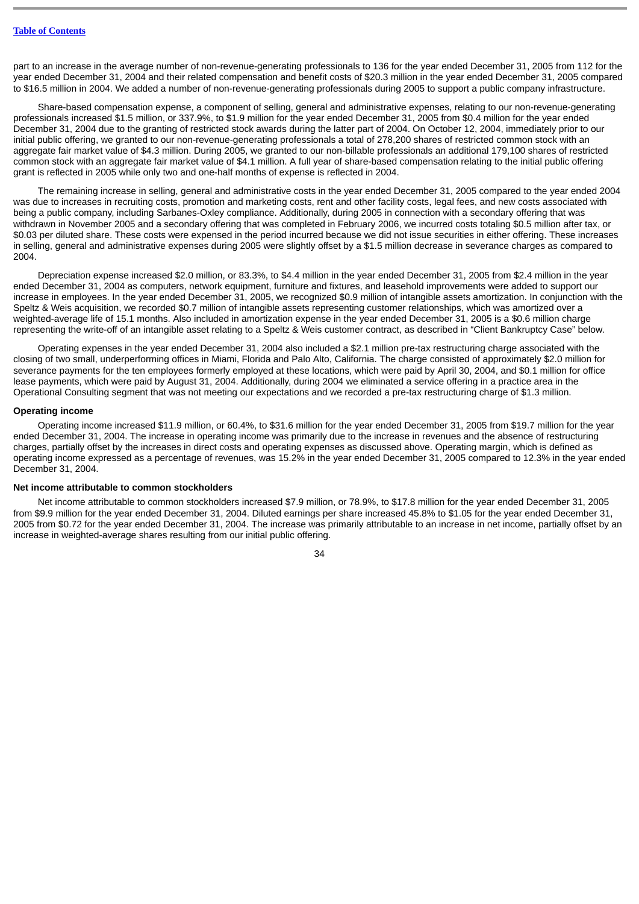part to an increase in the average number of non-revenue-generating professionals to 136 for the year ended December 31, 2005 from 112 for the year ended December 31, 2004 and their related compensation and benefit costs of \$20.3 million in the year ended December 31, 2005 compared to \$16.5 million in 2004. We added a number of non-revenue-generating professionals during 2005 to support a public company infrastructure.

Share-based compensation expense, a component of selling, general and administrative expenses, relating to our non-revenue-generating professionals increased \$1.5 million, or 337.9%, to \$1.9 million for the year ended December 31, 2005 from \$0.4 million for the year ended December 31, 2004 due to the granting of restricted stock awards during the latter part of 2004. On October 12, 2004, immediately prior to our initial public offering, we granted to our non-revenue-generating professionals a total of 278,200 shares of restricted common stock with an aggregate fair market value of \$4.3 million. During 2005, we granted to our non-billable professionals an additional 179,100 shares of restricted common stock with an aggregate fair market value of \$4.1 million. A full year of share-based compensation relating to the initial public offering grant is reflected in 2005 while only two and one-half months of expense is reflected in 2004.

The remaining increase in selling, general and administrative costs in the year ended December 31, 2005 compared to the year ended 2004 was due to increases in recruiting costs, promotion and marketing costs, rent and other facility costs, legal fees, and new costs associated with being a public company, including Sarbanes-Oxley compliance. Additionally, during 2005 in connection with a secondary offering that was withdrawn in November 2005 and a secondary offering that was completed in February 2006, we incurred costs totaling \$0.5 million after tax, or \$0.03 per diluted share. These costs were expensed in the period incurred because we did not issue securities in either offering. These increases in selling, general and administrative expenses during 2005 were slightly offset by a \$1.5 million decrease in severance charges as compared to 2004.

Depreciation expense increased \$2.0 million, or 83.3%, to \$4.4 million in the year ended December 31, 2005 from \$2.4 million in the year ended December 31, 2004 as computers, network equipment, furniture and fixtures, and leasehold improvements were added to support our increase in employees. In the year ended December 31, 2005, we recognized \$0.9 million of intangible assets amortization. In conjunction with the Speltz & Weis acquisition, we recorded \$0.7 million of intangible assets representing customer relationships, which was amortized over a weighted-average life of 15.1 months. Also included in amortization expense in the year ended December 31, 2005 is a \$0.6 million charge representing the write-off of an intangible asset relating to a Speltz & Weis customer contract, as described in "Client Bankruptcy Case" below.

Operating expenses in the year ended December 31, 2004 also included a \$2.1 million pre-tax restructuring charge associated with the closing of two small, underperforming offices in Miami, Florida and Palo Alto, California. The charge consisted of approximately \$2.0 million for severance payments for the ten employees formerly employed at these locations, which were paid by April 30, 2004, and \$0.1 million for office lease payments, which were paid by August 31, 2004. Additionally, during 2004 we eliminated a service offering in a practice area in the Operational Consulting segment that was not meeting our expectations and we recorded a pre-tax restructuring charge of \$1.3 million.

#### **Operating income**

Operating income increased \$11.9 million, or 60.4%, to \$31.6 million for the year ended December 31, 2005 from \$19.7 million for the year ended December 31, 2004. The increase in operating income was primarily due to the increase in revenues and the absence of restructuring charges, partially offset by the increases in direct costs and operating expenses as discussed above. Operating margin, which is defined as operating income expressed as a percentage of revenues, was 15.2% in the year ended December 31, 2005 compared to 12.3% in the year ended December 31, 2004.

### **Net income attributable to common stockholders**

Net income attributable to common stockholders increased \$7.9 million, or 78.9%, to \$17.8 million for the year ended December 31, 2005 from \$9.9 million for the year ended December 31, 2004. Diluted earnings per share increased 45.8% to \$1.05 for the year ended December 31, 2005 from \$0.72 for the year ended December 31, 2004. The increase was primarily attributable to an increase in net income, partially offset by an increase in weighted-average shares resulting from our initial public offering.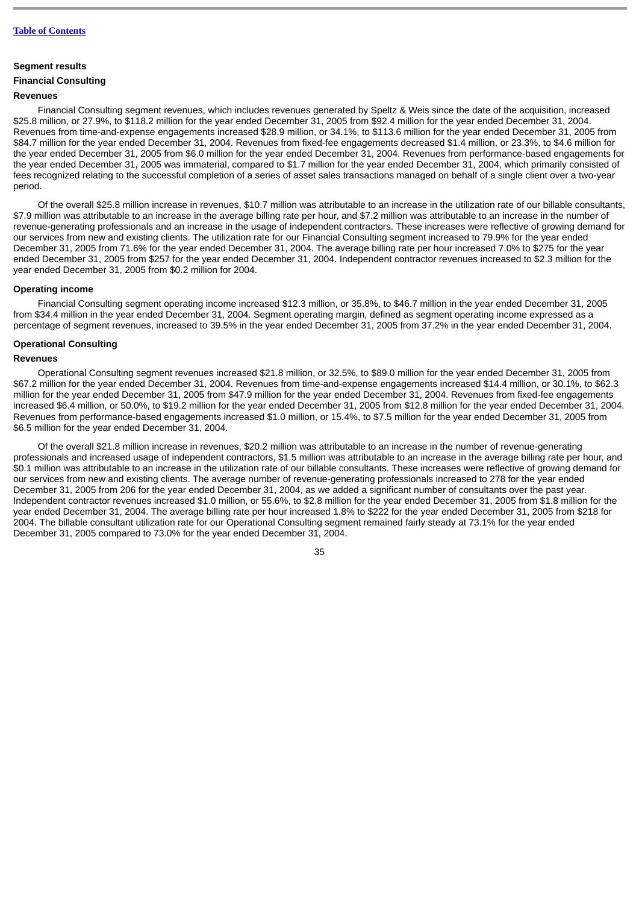### **Segment results**

#### **Financial Consulting**

#### **Revenues**

Financial Consulting segment revenues, which includes revenues generated by Speltz & Weis since the date of the acquisition, increased \$25.8 million, or 27.9%, to \$118.2 million for the year ended December 31, 2005 from \$92.4 million for the year ended December 31, 2004. Revenues from time-and-expense engagements increased \$28.9 million, or 34.1%, to \$113.6 million for the year ended December 31, 2005 from \$84.7 million for the year ended December 31, 2004. Revenues from fixed-fee engagements decreased \$1.4 million, or 23.3%, to \$4.6 million for the year ended December 31, 2005 from \$6.0 million for the year ended December 31, 2004. Revenues from performance-based engagements for the year ended December 31, 2005 was immaterial, compared to \$1.7 million for the year ended December 31, 2004, which primarily consisted of fees recognized relating to the successful completion of a series of asset sales transactions managed on behalf of a single client over a two-year period.

Of the overall \$25.8 million increase in revenues, \$10.7 million was attributable to an increase in the utilization rate of our billable consultants, \$7.9 million was attributable to an increase in the average billing rate per hour, and \$7.2 million was attributable to an increase in the number of revenue-generating professionals and an increase in the usage of independent contractors. These increases were reflective of growing demand for our services from new and existing clients. The utilization rate for our Financial Consulting segment increased to 79.9% for the year ended December 31, 2005 from 71.6% for the year ended December 31, 2004. The average billing rate per hour increased 7.0% to \$275 for the year ended December 31, 2005 from \$257 for the year ended December 31, 2004. Independent contractor revenues increased to \$2.3 million for the year ended December 31, 2005 from \$0.2 million for 2004.

### **Operating income**

Financial Consulting segment operating income increased \$12.3 million, or 35.8%, to \$46.7 million in the year ended December 31, 2005 from \$34.4 million in the year ended December 31, 2004. Segment operating margin, defined as segment operating income expressed as a percentage of segment revenues, increased to 39.5% in the year ended December 31, 2005 from 37.2% in the year ended December 31, 2004.

## **Operational Consulting**

## **Revenues**

Operational Consulting segment revenues increased \$21.8 million, or 32.5%, to \$89.0 million for the year ended December 31, 2005 from \$67.2 million for the year ended December 31, 2004. Revenues from time-and-expense engagements increased \$14.4 million, or 30.1%, to \$62.3 million for the year ended December 31, 2005 from \$47.9 million for the year ended December 31, 2004. Revenues from fixed-fee engagements increased \$6.4 million, or 50.0%, to \$19.2 million for the year ended December 31, 2005 from \$12.8 million for the year ended December 31, 2004. Revenues from performance-based engagements increased \$1.0 million, or 15.4%, to \$7.5 million for the year ended December 31, 2005 from \$6.5 million for the year ended December 31, 2004.

Of the overall \$21.8 million increase in revenues, \$20.2 million was attributable to an increase in the number of revenue-generating professionals and increased usage of independent contractors, \$1.5 million was attributable to an increase in the average billing rate per hour, and \$0.1 million was attributable to an increase in the utilization rate of our billable consultants. These increases were reflective of growing demand for our services from new and existing clients. The average number of revenue-generating professionals increased to 278 for the year ended December 31, 2005 from 206 for the year ended December 31, 2004, as we added a significant number of consultants over the past year. Independent contractor revenues increased \$1.0 million, or 55.6%, to \$2.8 million for the year ended December 31, 2005 from \$1.8 million for the year ended December 31, 2004. The average billing rate per hour increased 1.8% to \$222 for the year ended December 31, 2005 from \$218 for 2004. The billable consultant utilization rate for our Operational Consulting segment remained fairly steady at 73.1% for the year ended December 31, 2005 compared to 73.0% for the year ended December 31, 2004.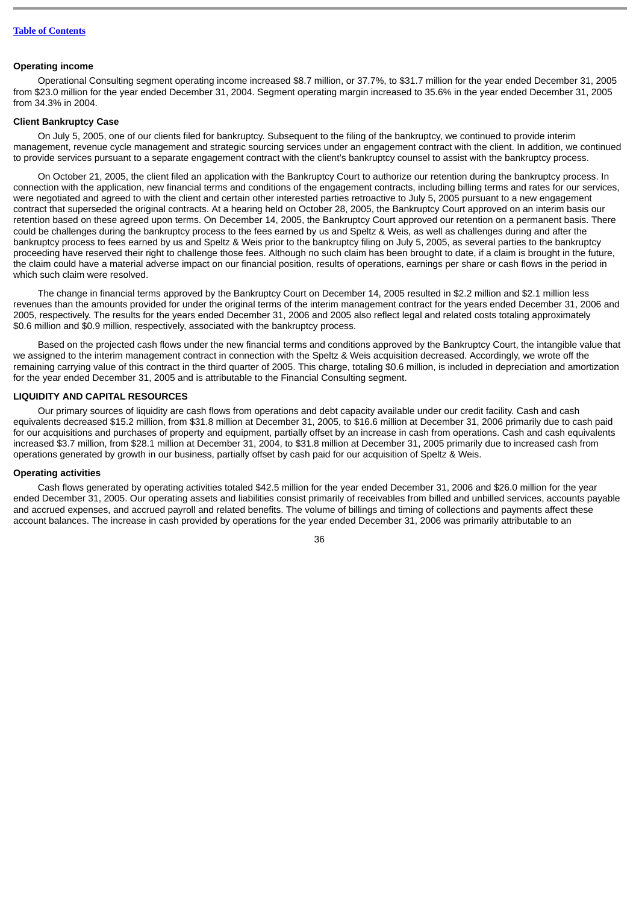#### **Operating income**

Operational Consulting segment operating income increased \$8.7 million, or 37.7%, to \$31.7 million for the year ended December 31, 2005 from \$23.0 million for the year ended December 31, 2004. Segment operating margin increased to 35.6% in the year ended December 31, 2005 from 34.3% in 2004.

### **Client Bankruptcy Case**

On July 5, 2005, one of our clients filed for bankruptcy. Subsequent to the filing of the bankruptcy, we continued to provide interim management, revenue cycle management and strategic sourcing services under an engagement contract with the client. In addition, we continued to provide services pursuant to a separate engagement contract with the client's bankruptcy counsel to assist with the bankruptcy process.

On October 21, 2005, the client filed an application with the Bankruptcy Court to authorize our retention during the bankruptcy process. In connection with the application, new financial terms and conditions of the engagement contracts, including billing terms and rates for our services, were negotiated and agreed to with the client and certain other interested parties retroactive to July 5, 2005 pursuant to a new engagement contract that superseded the original contracts. At a hearing held on October 28, 2005, the Bankruptcy Court approved on an interim basis our retention based on these agreed upon terms. On December 14, 2005, the Bankruptcy Court approved our retention on a permanent basis. There could be challenges during the bankruptcy process to the fees earned by us and Speltz & Weis, as well as challenges during and after the bankruptcy process to fees earned by us and Speltz & Weis prior to the bankruptcy filing on July 5, 2005, as several parties to the bankruptcy proceeding have reserved their right to challenge those fees. Although no such claim has been brought to date, if a claim is brought in the future, the claim could have a material adverse impact on our financial position, results of operations, earnings per share or cash flows in the period in which such claim were resolved.

The change in financial terms approved by the Bankruptcy Court on December 14, 2005 resulted in \$2.2 million and \$2.1 million less revenues than the amounts provided for under the original terms of the interim management contract for the years ended December 31, 2006 and 2005, respectively. The results for the years ended December 31, 2006 and 2005 also reflect legal and related costs totaling approximately \$0.6 million and \$0.9 million, respectively, associated with the bankruptcy process.

Based on the projected cash flows under the new financial terms and conditions approved by the Bankruptcy Court, the intangible value that we assigned to the interim management contract in connection with the Speltz & Weis acquisition decreased. Accordingly, we wrote off the remaining carrying value of this contract in the third quarter of 2005. This charge, totaling \$0.6 million, is included in depreciation and amortization for the year ended December 31, 2005 and is attributable to the Financial Consulting segment.

### **LIQUIDITY AND CAPITAL RESOURCES**

Our primary sources of liquidity are cash flows from operations and debt capacity available under our credit facility. Cash and cash equivalents decreased \$15.2 million, from \$31.8 million at December 31, 2005, to \$16.6 million at December 31, 2006 primarily due to cash paid for our acquisitions and purchases of property and equipment, partially offset by an increase in cash from operations. Cash and cash equivalents increased \$3.7 million, from \$28.1 million at December 31, 2004, to \$31.8 million at December 31, 2005 primarily due to increased cash from operations generated by growth in our business, partially offset by cash paid for our acquisition of Speltz & Weis.

#### **Operating activities**

Cash flows generated by operating activities totaled \$42.5 million for the year ended December 31, 2006 and \$26.0 million for the year ended December 31, 2005. Our operating assets and liabilities consist primarily of receivables from billed and unbilled services, accounts payable and accrued expenses, and accrued payroll and related benefits. The volume of billings and timing of collections and payments affect these account balances. The increase in cash provided by operations for the year ended December 31, 2006 was primarily attributable to an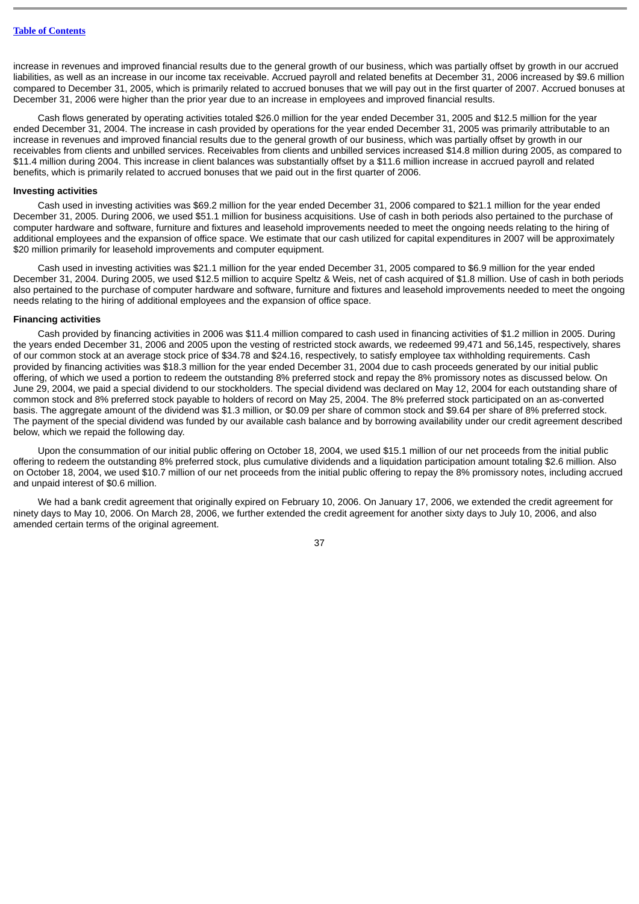increase in revenues and improved financial results due to the general growth of our business, which was partially offset by growth in our accrued liabilities, as well as an increase in our income tax receivable. Accrued payroll and related benefits at December 31, 2006 increased by \$9.6 million compared to December 31, 2005, which is primarily related to accrued bonuses that we will pay out in the first quarter of 2007. Accrued bonuses at December 31, 2006 were higher than the prior year due to an increase in employees and improved financial results.

Cash flows generated by operating activities totaled \$26.0 million for the year ended December 31, 2005 and \$12.5 million for the year ended December 31, 2004. The increase in cash provided by operations for the year ended December 31, 2005 was primarily attributable to an increase in revenues and improved financial results due to the general growth of our business, which was partially offset by growth in our receivables from clients and unbilled services. Receivables from clients and unbilled services increased \$14.8 million during 2005, as compared to \$11.4 million during 2004. This increase in client balances was substantially offset by a \$11.6 million increase in accrued payroll and related benefits, which is primarily related to accrued bonuses that we paid out in the first quarter of 2006.

### **Investing activities**

Cash used in investing activities was \$69.2 million for the year ended December 31, 2006 compared to \$21.1 million for the year ended December 31, 2005. During 2006, we used \$51.1 million for business acquisitions. Use of cash in both periods also pertained to the purchase of computer hardware and software, furniture and fixtures and leasehold improvements needed to meet the ongoing needs relating to the hiring of additional employees and the expansion of office space. We estimate that our cash utilized for capital expenditures in 2007 will be approximately \$20 million primarily for leasehold improvements and computer equipment.

Cash used in investing activities was \$21.1 million for the year ended December 31, 2005 compared to \$6.9 million for the year ended December 31, 2004. During 2005, we used \$12.5 million to acquire Speltz & Weis, net of cash acquired of \$1.8 million. Use of cash in both periods also pertained to the purchase of computer hardware and software, furniture and fixtures and leasehold improvements needed to meet the ongoing needs relating to the hiring of additional employees and the expansion of office space.

#### **Financing activities**

Cash provided by financing activities in 2006 was \$11.4 million compared to cash used in financing activities of \$1.2 million in 2005. During the years ended December 31, 2006 and 2005 upon the vesting of restricted stock awards, we redeemed 99,471 and 56,145, respectively, shares of our common stock at an average stock price of \$34.78 and \$24.16, respectively, to satisfy employee tax withholding requirements. Cash provided by financing activities was \$18.3 million for the year ended December 31, 2004 due to cash proceeds generated by our initial public offering, of which we used a portion to redeem the outstanding 8% preferred stock and repay the 8% promissory notes as discussed below. On June 29, 2004, we paid a special dividend to our stockholders. The special dividend was declared on May 12, 2004 for each outstanding share of common stock and 8% preferred stock payable to holders of record on May 25, 2004. The 8% preferred stock participated on an as-converted basis. The aggregate amount of the dividend was \$1.3 million, or \$0.09 per share of common stock and \$9.64 per share of 8% preferred stock. The payment of the special dividend was funded by our available cash balance and by borrowing availability under our credit agreement described below, which we repaid the following day.

Upon the consummation of our initial public offering on October 18, 2004, we used \$15.1 million of our net proceeds from the initial public offering to redeem the outstanding 8% preferred stock, plus cumulative dividends and a liquidation participation amount totaling \$2.6 million. Also on October 18, 2004, we used \$10.7 million of our net proceeds from the initial public offering to repay the 8% promissory notes, including accrued and unpaid interest of \$0.6 million.

We had a bank credit agreement that originally expired on February 10, 2006. On January 17, 2006, we extended the credit agreement for ninety days to May 10, 2006. On March 28, 2006, we further extended the credit agreement for another sixty days to July 10, 2006, and also amended certain terms of the original agreement.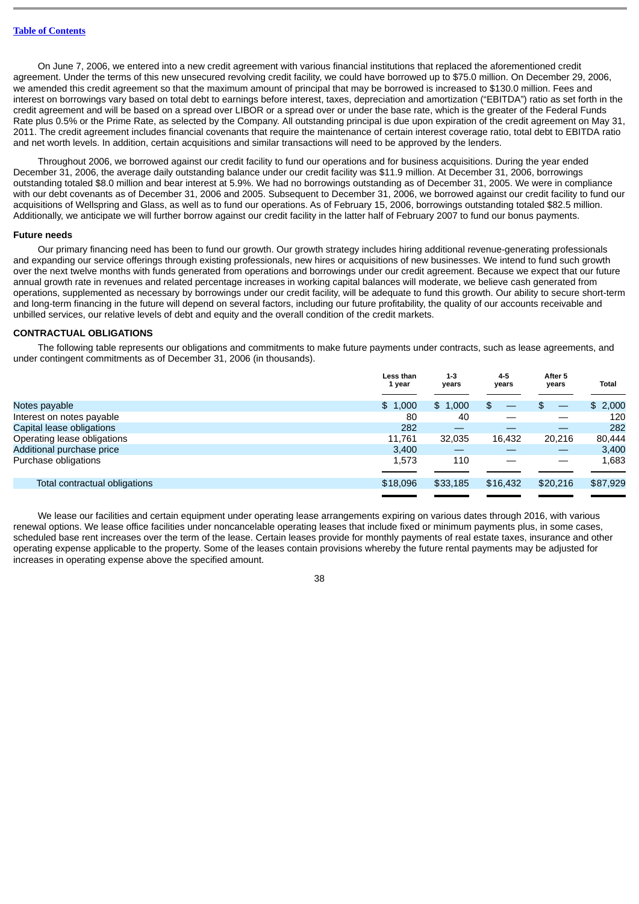On June 7, 2006, we entered into a new credit agreement with various financial institutions that replaced the aforementioned credit agreement. Under the terms of this new unsecured revolving credit facility, we could have borrowed up to \$75.0 million. On December 29, 2006, we amended this credit agreement so that the maximum amount of principal that may be borrowed is increased to \$130.0 million. Fees and interest on borrowings vary based on total debt to earnings before interest, taxes, depreciation and amortization ("EBITDA") ratio as set forth in the credit agreement and will be based on a spread over LIBOR or a spread over or under the base rate, which is the greater of the Federal Funds Rate plus 0.5% or the Prime Rate, as selected by the Company. All outstanding principal is due upon expiration of the credit agreement on May 31, 2011. The credit agreement includes financial covenants that require the maintenance of certain interest coverage ratio, total debt to EBITDA ratio and net worth levels. In addition, certain acquisitions and similar transactions will need to be approved by the lenders.

Throughout 2006, we borrowed against our credit facility to fund our operations and for business acquisitions. During the year ended December 31, 2006, the average daily outstanding balance under our credit facility was \$11.9 million. At December 31, 2006, borrowings outstanding totaled \$8.0 million and bear interest at 5.9%. We had no borrowings outstanding as of December 31, 2005. We were in compliance with our debt covenants as of December 31, 2006 and 2005. Subsequent to December 31, 2006, we borrowed against our credit facility to fund our acquisitions of Wellspring and Glass, as well as to fund our operations. As of February 15, 2006, borrowings outstanding totaled \$82.5 million. Additionally, we anticipate we will further borrow against our credit facility in the latter half of February 2007 to fund our bonus payments.

#### **Future needs**

Our primary financing need has been to fund our growth. Our growth strategy includes hiring additional revenue-generating professionals and expanding our service offerings through existing professionals, new hires or acquisitions of new businesses. We intend to fund such growth over the next twelve months with funds generated from operations and borrowings under our credit agreement. Because we expect that our future annual growth rate in revenues and related percentage increases in working capital balances will moderate, we believe cash generated from operations, supplemented as necessary by borrowings under our credit facility, will be adequate to fund this growth. Our ability to secure short-term and long-term financing in the future will depend on several factors, including our future profitability, the quality of our accounts receivable and unbilled services, our relative levels of debt and equity and the overall condition of the credit markets.

## **CONTRACTUAL OBLIGATIONS**

The following table represents our obligations and commitments to make future payments under contracts, such as lease agreements, and under contingent commitments as of December 31, 2006 (in thousands).

|                               | Less than<br>1 year | $1 - 3$<br>years | $4 - 5$<br>years | After 5<br>years | Total    |
|-------------------------------|---------------------|------------------|------------------|------------------|----------|
|                               |                     |                  |                  |                  |          |
| Notes payable                 | \$1,000             | \$1,000          | \$               |                  | \$2,000  |
| Interest on notes payable     | 80                  | 40               |                  |                  | 120      |
| Capital lease obligations     | 282                 | —                |                  |                  | 282      |
| Operating lease obligations   | 11,761              | 32,035           | 16,432           | 20,216           | 80,444   |
| Additional purchase price     | 3,400               |                  |                  |                  | 3,400    |
| Purchase obligations          | 1.573               | 110              |                  |                  | 1,683    |
|                               |                     |                  |                  |                  |          |
| Total contractual obligations | \$18,096            | \$33,185         | \$16,432         | \$20,216         | \$87,929 |
|                               |                     |                  |                  |                  |          |

We lease our facilities and certain equipment under operating lease arrangements expiring on various dates through 2016, with various renewal options. We lease office facilities under noncancelable operating leases that include fixed or minimum payments plus, in some cases, scheduled base rent increases over the term of the lease. Certain leases provide for monthly payments of real estate taxes, insurance and other operating expense applicable to the property. Some of the leases contain provisions whereby the future rental payments may be adjusted for increases in operating expense above the specified amount.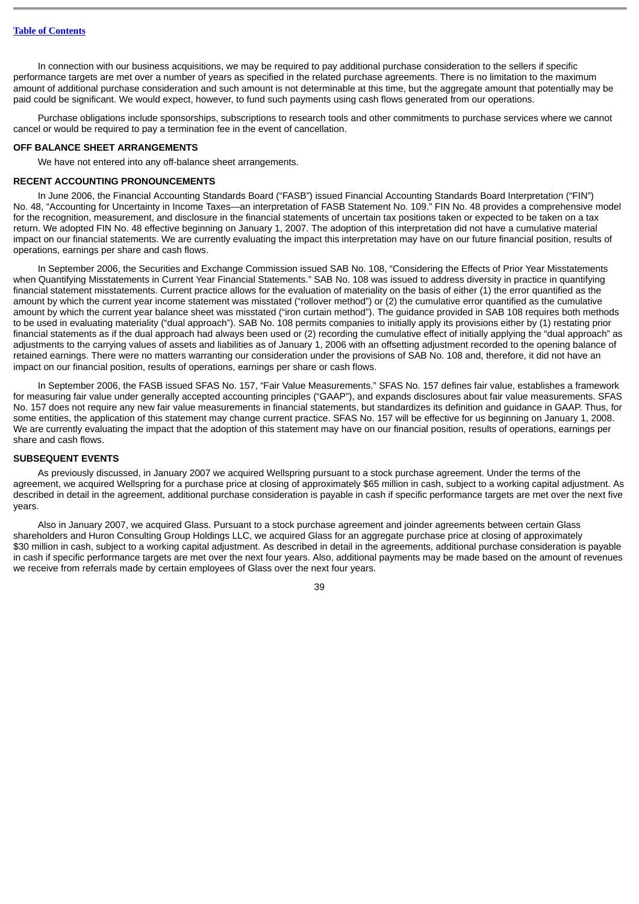In connection with our business acquisitions, we may be required to pay additional purchase consideration to the sellers if specific performance targets are met over a number of years as specified in the related purchase agreements. There is no limitation to the maximum amount of additional purchase consideration and such amount is not determinable at this time, but the aggregate amount that potentially may be paid could be significant. We would expect, however, to fund such payments using cash flows generated from our operations.

Purchase obligations include sponsorships, subscriptions to research tools and other commitments to purchase services where we cannot cancel or would be required to pay a termination fee in the event of cancellation.

# **OFF BALANCE SHEET ARRANGEMENTS**

We have not entered into any off-balance sheet arrangements.

# **RECENT ACCOUNTING PRONOUNCEMENTS**

In June 2006, the Financial Accounting Standards Board ("FASB") issued Financial Accounting Standards Board Interpretation ("FIN") No. 48, "Accounting for Uncertainty in Income Taxes—an interpretation of FASB Statement No. 109." FIN No. 48 provides a comprehensive model for the recognition, measurement, and disclosure in the financial statements of uncertain tax positions taken or expected to be taken on a tax return. We adopted FIN No. 48 effective beginning on January 1, 2007. The adoption of this interpretation did not have a cumulative material impact on our financial statements. We are currently evaluating the impact this interpretation may have on our future financial position, results of operations, earnings per share and cash flows.

In September 2006, the Securities and Exchange Commission issued SAB No. 108, "Considering the Effects of Prior Year Misstatements when Quantifying Misstatements in Current Year Financial Statements." SAB No. 108 was issued to address diversity in practice in quantifying financial statement misstatements. Current practice allows for the evaluation of materiality on the basis of either (1) the error quantified as the amount by which the current year income statement was misstated ("rollover method") or (2) the cumulative error quantified as the cumulative amount by which the current year balance sheet was misstated ("iron curtain method"). The guidance provided in SAB 108 requires both methods to be used in evaluating materiality ("dual approach"). SAB No. 108 permits companies to initially apply its provisions either by (1) restating prior financial statements as if the dual approach had always been used or (2) recording the cumulative effect of initially applying the "dual approach" as adjustments to the carrying values of assets and liabilities as of January 1, 2006 with an offsetting adjustment recorded to the opening balance of retained earnings. There were no matters warranting our consideration under the provisions of SAB No. 108 and, therefore, it did not have an impact on our financial position, results of operations, earnings per share or cash flows.

In September 2006, the FASB issued SFAS No. 157, "Fair Value Measurements." SFAS No. 157 defines fair value, establishes a framework for measuring fair value under generally accepted accounting principles ("GAAP"), and expands disclosures about fair value measurements. SFAS No. 157 does not require any new fair value measurements in financial statements, but standardizes its definition and guidance in GAAP. Thus, for some entities, the application of this statement may change current practice. SFAS No. 157 will be effective for us beginning on January 1, 2008. We are currently evaluating the impact that the adoption of this statement may have on our financial position, results of operations, earnings per share and cash flows.

### **SUBSEQUENT EVENTS**

As previously discussed, in January 2007 we acquired Wellspring pursuant to a stock purchase agreement. Under the terms of the agreement, we acquired Wellspring for a purchase price at closing of approximately \$65 million in cash, subject to a working capital adjustment. As described in detail in the agreement, additional purchase consideration is payable in cash if specific performance targets are met over the next five years.

Also in January 2007, we acquired Glass. Pursuant to a stock purchase agreement and joinder agreements between certain Glass shareholders and Huron Consulting Group Holdings LLC, we acquired Glass for an aggregate purchase price at closing of approximately \$30 million in cash, subject to a working capital adjustment. As described in detail in the agreements, additional purchase consideration is payable in cash if specific performance targets are met over the next four years. Also, additional payments may be made based on the amount of revenues we receive from referrals made by certain employees of Glass over the next four years.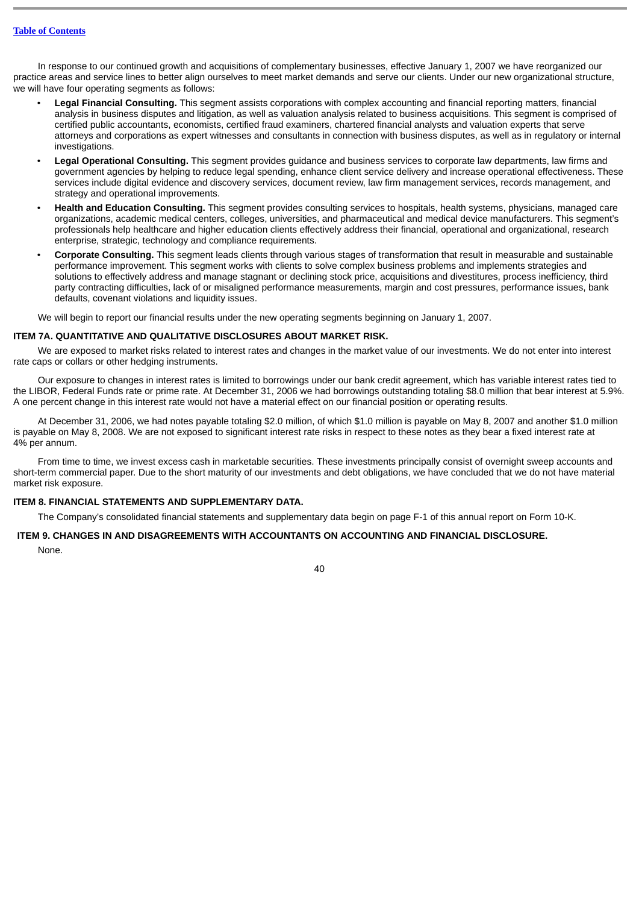In response to our continued growth and acquisitions of complementary businesses, effective January 1, 2007 we have reorganized our practice areas and service lines to better align ourselves to meet market demands and serve our clients. Under our new organizational structure, we will have four operating segments as follows:

- **Legal Financial Consulting.** This segment assists corporations with complex accounting and financial reporting matters, financial analysis in business disputes and litigation, as well as valuation analysis related to business acquisitions. This segment is comprised of certified public accountants, economists, certified fraud examiners, chartered financial analysts and valuation experts that serve attorneys and corporations as expert witnesses and consultants in connection with business disputes, as well as in regulatory or internal investigations.
- **Legal Operational Consulting.** This segment provides guidance and business services to corporate law departments, law firms and government agencies by helping to reduce legal spending, enhance client service delivery and increase operational effectiveness. These services include digital evidence and discovery services, document review, law firm management services, records management, and strategy and operational improvements.
- **Health and Education Consulting.** This segment provides consulting services to hospitals, health systems, physicians, managed care organizations, academic medical centers, colleges, universities, and pharmaceutical and medical device manufacturers. This segment's professionals help healthcare and higher education clients effectively address their financial, operational and organizational, research enterprise, strategic, technology and compliance requirements.
- **Corporate Consulting.** This segment leads clients through various stages of transformation that result in measurable and sustainable performance improvement. This segment works with clients to solve complex business problems and implements strategies and solutions to effectively address and manage stagnant or declining stock price, acquisitions and divestitures, process inefficiency, third party contracting difficulties, lack of or misaligned performance measurements, margin and cost pressures, performance issues, bank defaults, covenant violations and liquidity issues.

We will begin to report our financial results under the new operating segments beginning on January 1, 2007.

# **ITEM 7A. QUANTITATIVE AND QUALITATIVE DISCLOSURES ABOUT MARKET RISK.**

We are exposed to market risks related to interest rates and changes in the market value of our investments. We do not enter into interest rate caps or collars or other hedging instruments.

Our exposure to changes in interest rates is limited to borrowings under our bank credit agreement, which has variable interest rates tied to the LIBOR, Federal Funds rate or prime rate. At December 31, 2006 we had borrowings outstanding totaling \$8.0 million that bear interest at 5.9%. A one percent change in this interest rate would not have a material effect on our financial position or operating results.

At December 31, 2006, we had notes payable totaling \$2.0 million, of which \$1.0 million is payable on May 8, 2007 and another \$1.0 million is payable on May 8, 2008. We are not exposed to significant interest rate risks in respect to these notes as they bear a fixed interest rate at 4% per annum.

From time to time, we invest excess cash in marketable securities. These investments principally consist of overnight sweep accounts and short-term commercial paper. Due to the short maturity of our investments and debt obligations, we have concluded that we do not have material market risk exposure.

## **ITEM 8. FINANCIAL STATEMENTS AND SUPPLEMENTARY DATA.**

The Company's consolidated financial statements and supplementary data begin on page F-1 of this annual report on Form 10-K.

40

# **ITEM 9. CHANGES IN AND DISAGREEMENTS WITH ACCOUNTANTS ON ACCOUNTING AND FINANCIAL DISCLOSURE.**

None.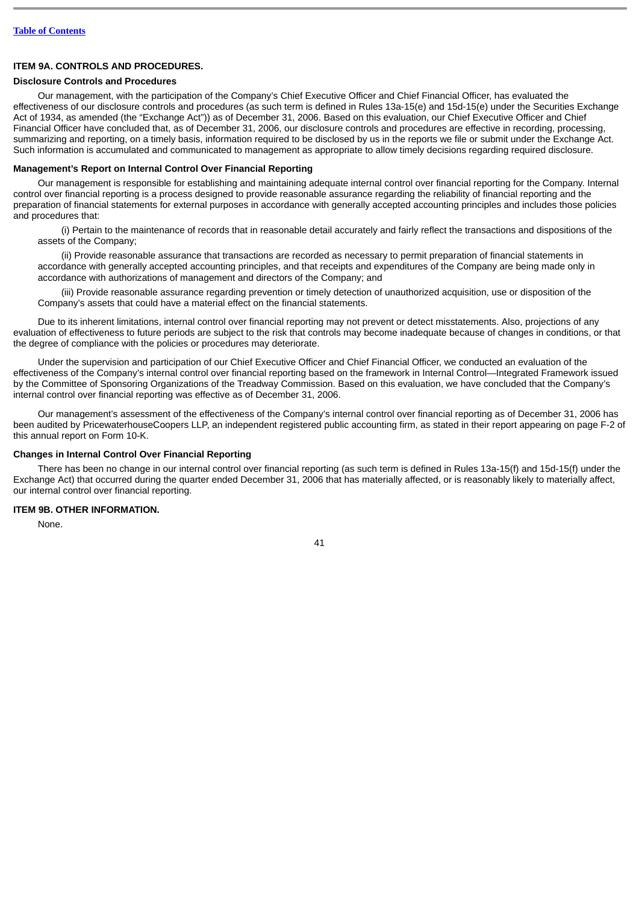# **ITEM 9A. CONTROLS AND PROCEDURES.**

# **Disclosure Controls and Procedures**

Our management, with the participation of the Company's Chief Executive Officer and Chief Financial Officer, has evaluated the effectiveness of our disclosure controls and procedures (as such term is defined in Rules 13a-15(e) and 15d-15(e) under the Securities Exchange Act of 1934, as amended (the "Exchange Act")) as of December 31, 2006. Based on this evaluation, our Chief Executive Officer and Chief Financial Officer have concluded that, as of December 31, 2006, our disclosure controls and procedures are effective in recording, processing, summarizing and reporting, on a timely basis, information required to be disclosed by us in the reports we file or submit under the Exchange Act. Such information is accumulated and communicated to management as appropriate to allow timely decisions regarding required disclosure.

# **Management's Report on Internal Control Over Financial Reporting**

Our management is responsible for establishing and maintaining adequate internal control over financial reporting for the Company. Internal control over financial reporting is a process designed to provide reasonable assurance regarding the reliability of financial reporting and the preparation of financial statements for external purposes in accordance with generally accepted accounting principles and includes those policies and procedures that:

(i) Pertain to the maintenance of records that in reasonable detail accurately and fairly reflect the transactions and dispositions of the assets of the Company;

(ii) Provide reasonable assurance that transactions are recorded as necessary to permit preparation of financial statements in accordance with generally accepted accounting principles, and that receipts and expenditures of the Company are being made only in accordance with authorizations of management and directors of the Company; and

(iii) Provide reasonable assurance regarding prevention or timely detection of unauthorized acquisition, use or disposition of the Company's assets that could have a material effect on the financial statements.

Due to its inherent limitations, internal control over financial reporting may not prevent or detect misstatements. Also, projections of any evaluation of effectiveness to future periods are subject to the risk that controls may become inadequate because of changes in conditions, or that the degree of compliance with the policies or procedures may deteriorate.

Under the supervision and participation of our Chief Executive Officer and Chief Financial Officer, we conducted an evaluation of the effectiveness of the Company's internal control over financial reporting based on the framework in Internal Control—Integrated Framework issued by the Committee of Sponsoring Organizations of the Treadway Commission. Based on this evaluation, we have concluded that the Company's internal control over financial reporting was effective as of December 31, 2006.

Our management's assessment of the effectiveness of the Company's internal control over financial reporting as of December 31, 2006 has been audited by PricewaterhouseCoopers LLP, an independent registered public accounting firm, as stated in their report appearing on page F-2 of this annual report on Form 10-K.

# **Changes in Internal Control Over Financial Reporting**

There has been no change in our internal control over financial reporting (as such term is defined in Rules 13a-15(f) and 15d-15(f) under the Exchange Act) that occurred during the quarter ended December 31, 2006 that has materially affected, or is reasonably likely to materially affect, our internal control over financial reporting.

# **ITEM 9B. OTHER INFORMATION.**

None.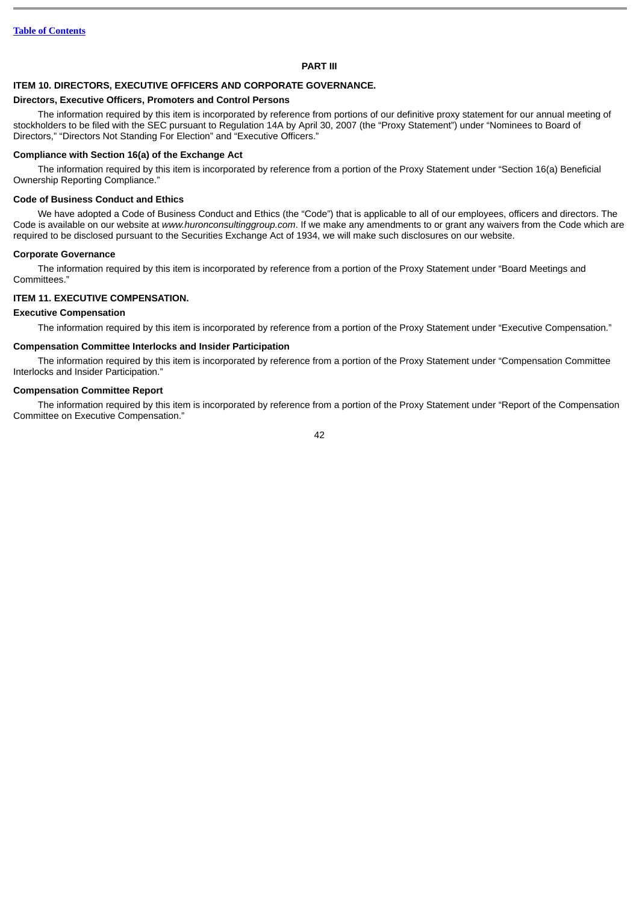## **PART III**

# **ITEM 10. DIRECTORS, EXECUTIVE OFFICERS AND CORPORATE GOVERNANCE.**

# **Directors, Executive Officers, Promoters and Control Persons**

The information required by this item is incorporated by reference from portions of our definitive proxy statement for our annual meeting of stockholders to be filed with the SEC pursuant to Regulation 14A by April 30, 2007 (the "Proxy Statement") under "Nominees to Board of Directors," "Directors Not Standing For Election" and "Executive Officers."

# **Compliance with Section 16(a) of the Exchange Act**

The information required by this item is incorporated by reference from a portion of the Proxy Statement under "Section 16(a) Beneficial Ownership Reporting Compliance."

# **Code of Business Conduct and Ethics**

We have adopted a Code of Business Conduct and Ethics (the "Code") that is applicable to all of our employees, officers and directors. The Code is available on our website at *www.huronconsultinggroup.com*. If we make any amendments to or grant any waivers from the Code which are required to be disclosed pursuant to the Securities Exchange Act of 1934, we will make such disclosures on our website.

# **Corporate Governance**

The information required by this item is incorporated by reference from a portion of the Proxy Statement under "Board Meetings and Committees."

# **ITEM 11. EXECUTIVE COMPENSATION.**

# **Executive Compensation**

The information required by this item is incorporated by reference from a portion of the Proxy Statement under "Executive Compensation."

# **Compensation Committee Interlocks and Insider Participation**

The information required by this item is incorporated by reference from a portion of the Proxy Statement under "Compensation Committee Interlocks and Insider Participation."

# **Compensation Committee Report**

The information required by this item is incorporated by reference from a portion of the Proxy Statement under "Report of the Compensation Committee on Executive Compensation."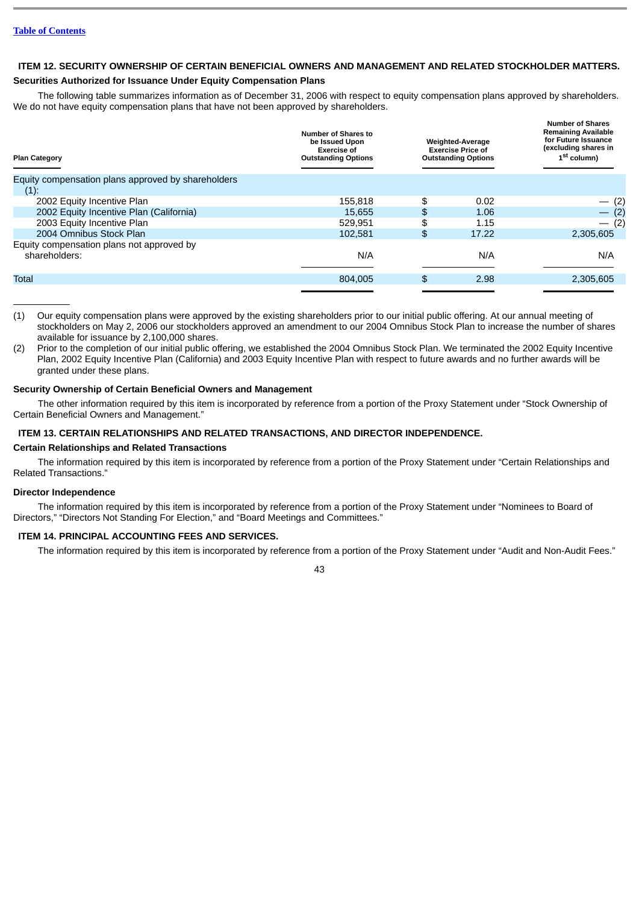# **ITEM 12. SECURITY OWNERSHIP OF CERTAIN BENEFICIAL OWNERS AND MANAGEMENT AND RELATED STOCKHOLDER MATTERS.**

# **Securities Authorized for Issuance Under Equity Compensation Plans**

The following table summarizes information as of December 31, 2006 with respect to equity compensation plans approved by shareholders. We do not have equity compensation plans that have not been approved by shareholders.

| <b>Plan Category</b>                                       | Number of Shares to<br>be Issued Upon<br><b>Exercise of</b><br><b>Outstanding Options</b> | <b>Weighted-Average</b><br><b>Exercise Price of</b><br><b>Outstanding Options</b> | <b>Number of Shares</b><br><b>Remaining Available</b><br>for Future Issuance<br>(excluding shares in<br>1 <sup>st</sup> column) |
|------------------------------------------------------------|-------------------------------------------------------------------------------------------|-----------------------------------------------------------------------------------|---------------------------------------------------------------------------------------------------------------------------------|
| Equity compensation plans approved by shareholders         |                                                                                           |                                                                                   |                                                                                                                                 |
| $(1)$ :                                                    |                                                                                           |                                                                                   |                                                                                                                                 |
| 2002 Equity Incentive Plan                                 | 155.818                                                                                   | \$<br>0.02                                                                        | $-$ (2)                                                                                                                         |
| 2002 Equity Incentive Plan (California)                    | 15,655                                                                                    | \$<br>1.06                                                                        | $-$ (2)                                                                                                                         |
| 2003 Equity Incentive Plan                                 | 529.951                                                                                   | \$<br>1.15                                                                        | (2)                                                                                                                             |
| 2004 Omnibus Stock Plan                                    | 102.581                                                                                   | \$<br>17.22                                                                       | 2,305,605                                                                                                                       |
| Equity compensation plans not approved by<br>shareholders: | N/A                                                                                       | N/A                                                                               | N/A                                                                                                                             |
| Total                                                      | 804.005                                                                                   | \$<br>2.98                                                                        | 2,305,605                                                                                                                       |
|                                                            |                                                                                           |                                                                                   |                                                                                                                                 |

(1) Our equity compensation plans were approved by the existing shareholders prior to our initial public offering. At our annual meeting of stockholders on May 2, 2006 our stockholders approved an amendment to our 2004 Omnibus Stock Plan to increase the number of shares available for issuance by 2,100,000 shares.

(2) Prior to the completion of our initial public offering, we established the 2004 Omnibus Stock Plan. We terminated the 2002 Equity Incentive Plan, 2002 Equity Incentive Plan (California) and 2003 Equity Incentive Plan with respect to future awards and no further awards will be granted under these plans.

# **Security Ownership of Certain Beneficial Owners and Management**

The other information required by this item is incorporated by reference from a portion of the Proxy Statement under "Stock Ownership of Certain Beneficial Owners and Management."

## **ITEM 13. CERTAIN RELATIONSHIPS AND RELATED TRANSACTIONS, AND DIRECTOR INDEPENDENCE.**

# **Certain Relationships and Related Transactions**

The information required by this item is incorporated by reference from a portion of the Proxy Statement under "Certain Relationships and Related Transactions."

# **Director Independence**

The information required by this item is incorporated by reference from a portion of the Proxy Statement under "Nominees to Board of Directors," "Directors Not Standing For Election," and "Board Meetings and Committees."

## **ITEM 14. PRINCIPAL ACCOUNTING FEES AND SERVICES.**

The information required by this item is incorporated by reference from a portion of the Proxy Statement under "Audit and Non-Audit Fees."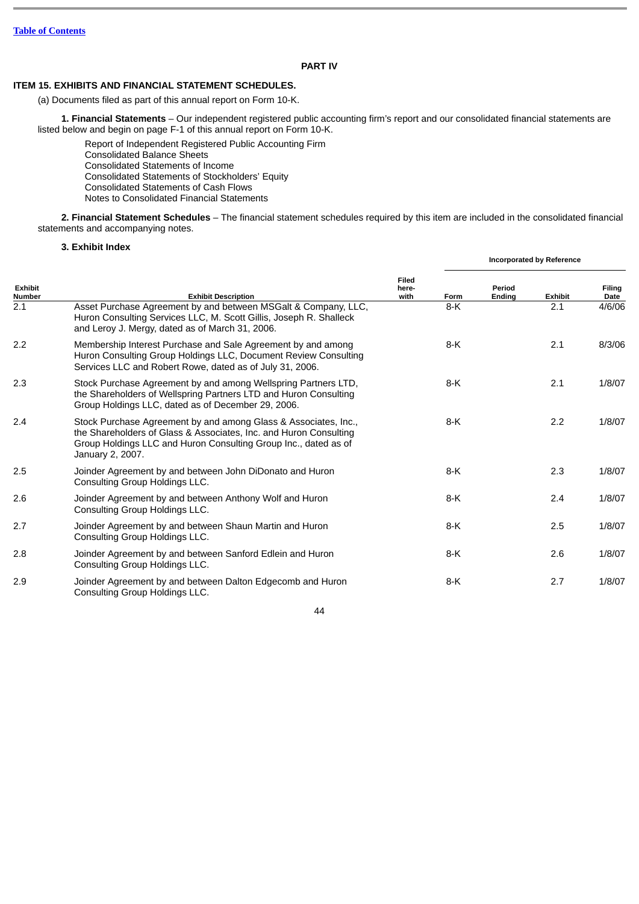# **PART IV**

# **ITEM 15. EXHIBITS AND FINANCIAL STATEMENT SCHEDULES.**

(a) Documents filed as part of this annual report on Form 10-K.

**1. Financial Statements** – Our independent registered public accounting firm's report and our consolidated financial statements are listed below and begin on page F-1 of this annual report on Form 10-K.

Report of Independent Registered Public Accounting Firm

Consolidated Balance Sheets Consolidated Statements of Income Consolidated Statements of Stockholders' Equity Consolidated Statements of Cash Flows Notes to Consolidated Financial Statements

**2. Financial Statement Schedules** – The financial statement schedules required by this item are included in the consolidated financial statements and accompanying notes.

# **3. Exhibit Index**

|                                 |                                                                                                                                                                                                                             |                        |       |                         | <b>Incorporated by Reference</b> |                |
|---------------------------------|-----------------------------------------------------------------------------------------------------------------------------------------------------------------------------------------------------------------------------|------------------------|-------|-------------------------|----------------------------------|----------------|
| <b>Exhibit</b><br><b>Number</b> | <b>Exhibit Description</b>                                                                                                                                                                                                  | Filed<br>here-<br>with | Form  | Period<br><b>Ending</b> | <b>Exhibit</b>                   | Filing<br>Date |
| 2.1                             | Asset Purchase Agreement by and between MSGalt & Company, LLC,<br>Huron Consulting Services LLC, M. Scott Gillis, Joseph R. Shalleck<br>and Leroy J. Mergy, dated as of March 31, 2006.                                     |                        | $8-K$ |                         | 2.1                              | 4/6/06         |
| 2.2                             | Membership Interest Purchase and Sale Agreement by and among<br>Huron Consulting Group Holdings LLC, Document Review Consulting<br>Services LLC and Robert Rowe, dated as of July 31, 2006.                                 |                        | $8-K$ |                         | 2.1                              | 8/3/06         |
| 2.3                             | Stock Purchase Agreement by and among Wellspring Partners LTD,<br>the Shareholders of Wellspring Partners LTD and Huron Consulting<br>Group Holdings LLC, dated as of December 29, 2006.                                    |                        | $8-K$ |                         | 2.1                              | 1/8/07         |
| 2.4                             | Stock Purchase Agreement by and among Glass & Associates, Inc.,<br>the Shareholders of Glass & Associates, Inc. and Huron Consulting<br>Group Holdings LLC and Huron Consulting Group Inc., dated as of<br>January 2, 2007. |                        | $8-K$ |                         | 2.2                              | 1/8/07         |
| 2.5                             | Joinder Agreement by and between John DiDonato and Huron<br>Consulting Group Holdings LLC.                                                                                                                                  |                        | $8-K$ |                         | 2.3                              | 1/8/07         |
| 2.6                             | Joinder Agreement by and between Anthony Wolf and Huron<br>Consulting Group Holdings LLC.                                                                                                                                   |                        | $8-K$ |                         | 2.4                              | 1/8/07         |
| 2.7                             | Joinder Agreement by and between Shaun Martin and Huron<br>Consulting Group Holdings LLC.                                                                                                                                   |                        | $8-K$ |                         | 2.5                              | 1/8/07         |
| 2.8                             | Joinder Agreement by and between Sanford Edlein and Huron<br>Consulting Group Holdings LLC.                                                                                                                                 |                        | $8-K$ |                         | 2.6                              | 1/8/07         |
| 2.9                             | Joinder Agreement by and between Dalton Edgecomb and Huron<br>Consulting Group Holdings LLC.                                                                                                                                |                        | $8-K$ |                         | 2.7                              | 1/8/07         |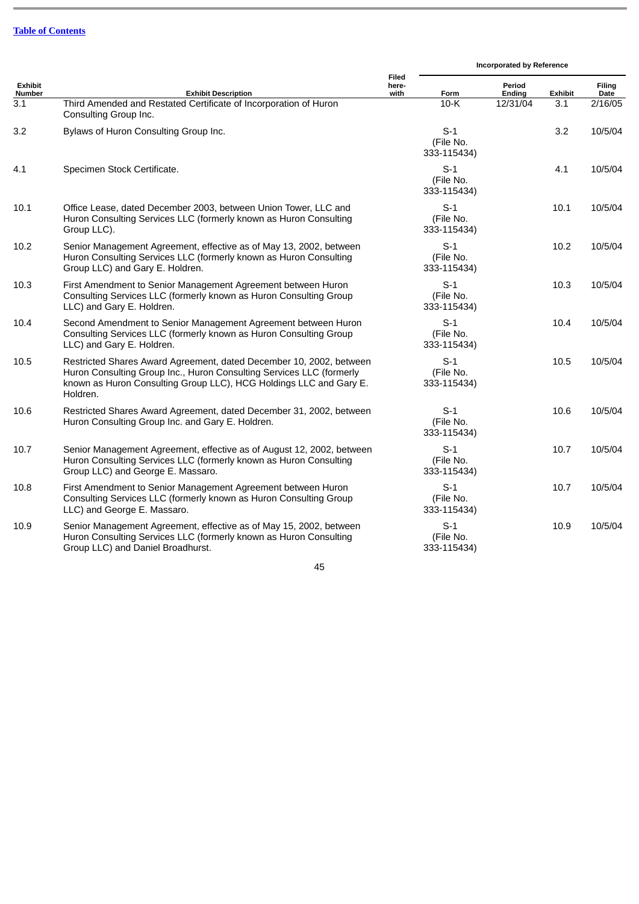# **Table of [Contents](#page-1-0)**

|                          |                                                                                                                                                                                                                               |                        | <b>Incorporated by Reference</b>  |                  |                |                |  |  |
|--------------------------|-------------------------------------------------------------------------------------------------------------------------------------------------------------------------------------------------------------------------------|------------------------|-----------------------------------|------------------|----------------|----------------|--|--|
| <b>Exhibit</b><br>Number | <b>Exhibit Description</b>                                                                                                                                                                                                    | Filed<br>here-<br>with | Form                              | Period<br>Ending | <b>Exhibit</b> | Filing<br>Date |  |  |
| 3.1                      | Third Amended and Restated Certificate of Incorporation of Huron<br>Consulting Group Inc.                                                                                                                                     |                        | $10-K$                            | 12/31/04         | 3.1            | 2/16/05        |  |  |
| 3.2                      | Bylaws of Huron Consulting Group Inc.                                                                                                                                                                                         |                        | $S-1$<br>(File No.<br>333-115434) |                  | 3.2            | 10/5/04        |  |  |
| 4.1                      | Specimen Stock Certificate.                                                                                                                                                                                                   |                        | $S-1$<br>(File No.<br>333-115434) |                  | 4.1            | 10/5/04        |  |  |
| $10.1\,$                 | Office Lease, dated December 2003, between Union Tower, LLC and<br>Huron Consulting Services LLC (formerly known as Huron Consulting<br>Group LLC).                                                                           |                        | $S-1$<br>(File No.<br>333-115434) |                  | 10.1           | 10/5/04        |  |  |
| 10.2                     | Senior Management Agreement, effective as of May 13, 2002, between<br>Huron Consulting Services LLC (formerly known as Huron Consulting<br>Group LLC) and Gary E. Holdren.                                                    |                        | $S-1$<br>(File No.<br>333-115434) |                  | 10.2           | 10/5/04        |  |  |
| 10.3                     | First Amendment to Senior Management Agreement between Huron<br>Consulting Services LLC (formerly known as Huron Consulting Group<br>LLC) and Gary E. Holdren.                                                                |                        | $S-1$<br>(File No.<br>333-115434) |                  | 10.3           | 10/5/04        |  |  |
| 10.4                     | Second Amendment to Senior Management Agreement between Huron<br>Consulting Services LLC (formerly known as Huron Consulting Group<br>LLC) and Gary E. Holdren.                                                               |                        | $S-1$<br>(File No.<br>333-115434) |                  | 10.4           | 10/5/04        |  |  |
| 10.5                     | Restricted Shares Award Agreement, dated December 10, 2002, between<br>Huron Consulting Group Inc., Huron Consulting Services LLC (formerly<br>known as Huron Consulting Group LLC), HCG Holdings LLC and Gary E.<br>Holdren. |                        | $S-1$<br>(File No.<br>333-115434) |                  | 10.5           | 10/5/04        |  |  |
| 10.6                     | Restricted Shares Award Agreement, dated December 31, 2002, between<br>Huron Consulting Group Inc. and Gary E. Holdren.                                                                                                       |                        | $S-1$<br>(File No.<br>333-115434) |                  | 10.6           | 10/5/04        |  |  |
| 10.7                     | Senior Management Agreement, effective as of August 12, 2002, between<br>Huron Consulting Services LLC (formerly known as Huron Consulting<br>Group LLC) and George E. Massaro.                                               |                        | $S-1$<br>(File No.<br>333-115434) |                  | 10.7           | 10/5/04        |  |  |
| 10.8                     | First Amendment to Senior Management Agreement between Huron<br>Consulting Services LLC (formerly known as Huron Consulting Group<br>LLC) and George E. Massaro.                                                              |                        | $S-1$<br>(File No.<br>333-115434) |                  | 10.7           | 10/5/04        |  |  |
| 10.9                     | Senior Management Agreement, effective as of May 15, 2002, between<br>Huron Consulting Services LLC (formerly known as Huron Consulting<br>Group LLC) and Daniel Broadhurst.                                                  |                        | $S-1$<br>(File No.<br>333-115434) |                  | 10.9           | 10/5/04        |  |  |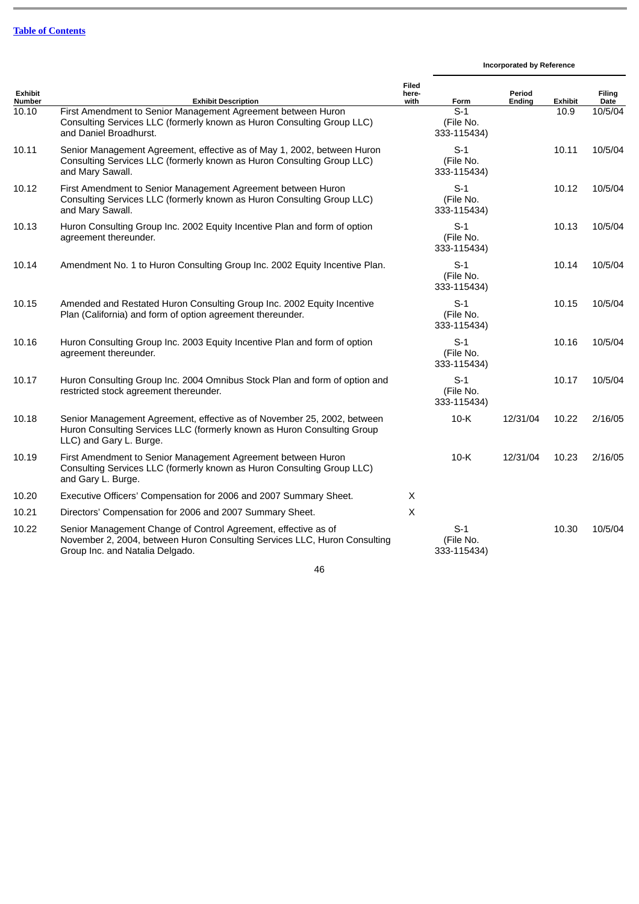**Incorporated by Reference**

| <b>Exhibit</b><br><b>Number</b> | <b>Exhibit Description</b>                                                                                                                                                     | Filed<br>here-<br>with | Form                              | Period<br>Ending | <b>Exhibit</b> | Filing<br>Date |
|---------------------------------|--------------------------------------------------------------------------------------------------------------------------------------------------------------------------------|------------------------|-----------------------------------|------------------|----------------|----------------|
| 10.10                           | First Amendment to Senior Management Agreement between Huron<br>Consulting Services LLC (formerly known as Huron Consulting Group LLC)<br>and Daniel Broadhurst.               |                        | $S-1$<br>(File No.<br>333-115434) |                  | 10.9           | 10/5/04        |
| 10.11                           | Senior Management Agreement, effective as of May 1, 2002, between Huron<br>Consulting Services LLC (formerly known as Huron Consulting Group LLC)<br>and Mary Sawall.          |                        | $S-1$<br>(File No.<br>333-115434) |                  | 10.11          | 10/5/04        |
| 10.12                           | First Amendment to Senior Management Agreement between Huron<br>Consulting Services LLC (formerly known as Huron Consulting Group LLC)<br>and Mary Sawall.                     |                        | $S-1$<br>(File No.<br>333-115434) |                  | 10.12          | 10/5/04        |
| 10.13                           | Huron Consulting Group Inc. 2002 Equity Incentive Plan and form of option<br>agreement thereunder.                                                                             |                        | $S-1$<br>(File No.<br>333-115434) |                  | 10.13          | 10/5/04        |
| 10.14                           | Amendment No. 1 to Huron Consulting Group Inc. 2002 Equity Incentive Plan.                                                                                                     |                        | $S-1$<br>(File No.<br>333-115434) |                  | 10.14          | 10/5/04        |
| 10.15                           | Amended and Restated Huron Consulting Group Inc. 2002 Equity Incentive<br>Plan (California) and form of option agreement thereunder.                                           |                        | $S-1$<br>(File No.<br>333-115434) |                  | 10.15          | 10/5/04        |
| 10.16                           | Huron Consulting Group Inc. 2003 Equity Incentive Plan and form of option<br>agreement thereunder.                                                                             |                        | $S-1$<br>(File No.<br>333-115434) |                  | 10.16          | 10/5/04        |
| 10.17                           | Huron Consulting Group Inc. 2004 Omnibus Stock Plan and form of option and<br>restricted stock agreement thereunder.                                                           |                        | $S-1$<br>(File No.<br>333-115434) |                  | 10.17          | 10/5/04        |
| 10.18                           | Senior Management Agreement, effective as of November 25, 2002, between<br>Huron Consulting Services LLC (formerly known as Huron Consulting Group<br>LLC) and Gary L. Burge.  |                        | $10-K$                            | 12/31/04         | 10.22          | 2/16/05        |
| 10.19                           | First Amendment to Senior Management Agreement between Huron<br>Consulting Services LLC (formerly known as Huron Consulting Group LLC)<br>and Gary L. Burge.                   |                        | $10-K$                            | 12/31/04         | 10.23          | 2/16/05        |
| 10.20                           | Executive Officers' Compensation for 2006 and 2007 Summary Sheet.                                                                                                              | Χ                      |                                   |                  |                |                |
| 10.21                           | Directors' Compensation for 2006 and 2007 Summary Sheet.                                                                                                                       | X                      |                                   |                  |                |                |
| 10.22                           | Senior Management Change of Control Agreement, effective as of<br>November 2, 2004, between Huron Consulting Services LLC, Huron Consulting<br>Group Inc. and Natalia Delgado. |                        | $S-1$<br>(File No.<br>333-115434) |                  | 10.30          | 10/5/04        |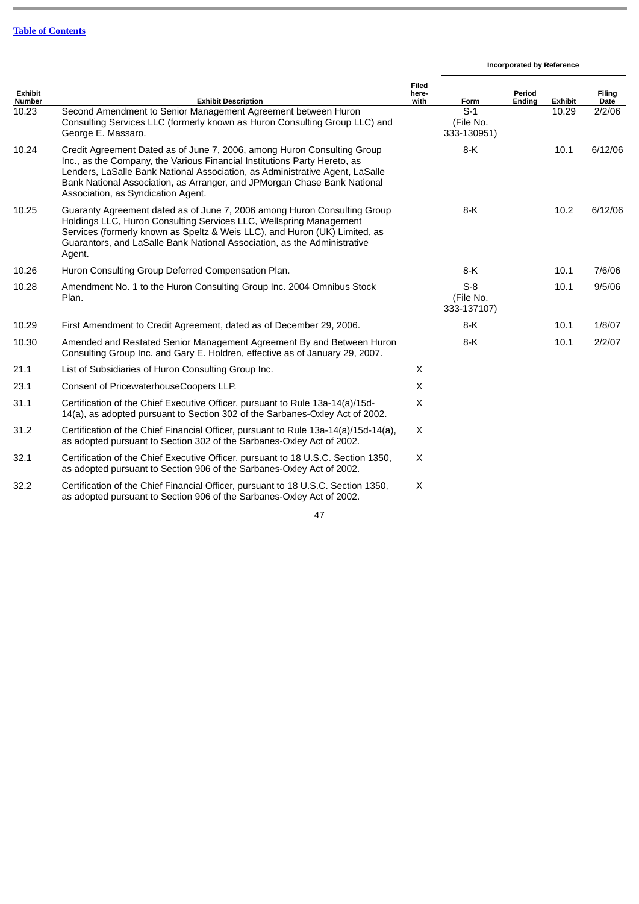**Incorporated by Reference**

| <b>Exhibit</b><br>Number | <b>Exhibit Description</b>                                                                                                                                                                                                                                                                                                                             | Filed<br>here-<br>with | Form                              | Period<br>Ending | Exhibit | Filing<br>Date |
|--------------------------|--------------------------------------------------------------------------------------------------------------------------------------------------------------------------------------------------------------------------------------------------------------------------------------------------------------------------------------------------------|------------------------|-----------------------------------|------------------|---------|----------------|
| 10.23                    | Second Amendment to Senior Management Agreement between Huron<br>Consulting Services LLC (formerly known as Huron Consulting Group LLC) and<br>George E. Massaro.                                                                                                                                                                                      |                        | $S-1$<br>(File No.<br>333-130951) |                  | 10.29   | 2/2/06         |
| 10.24                    | Credit Agreement Dated as of June 7, 2006, among Huron Consulting Group<br>Inc., as the Company, the Various Financial Institutions Party Hereto, as<br>Lenders, LaSalle Bank National Association, as Administrative Agent, LaSalle<br>Bank National Association, as Arranger, and JPMorgan Chase Bank National<br>Association, as Syndication Agent. |                        | $8-K$                             |                  | 10.1    | 6/12/06        |
| 10.25                    | Guaranty Agreement dated as of June 7, 2006 among Huron Consulting Group<br>Holdings LLC, Huron Consulting Services LLC, Wellspring Management<br>Services (formerly known as Speltz & Weis LLC), and Huron (UK) Limited, as<br>Guarantors, and LaSalle Bank National Association, as the Administrative<br>Agent.                                     |                        | $8-K$                             |                  | 10.2    | 6/12/06        |
| 10.26                    | Huron Consulting Group Deferred Compensation Plan.                                                                                                                                                                                                                                                                                                     |                        | $8-K$                             |                  | 10.1    | 7/6/06         |
| 10.28                    | Amendment No. 1 to the Huron Consulting Group Inc. 2004 Omnibus Stock<br>Plan.                                                                                                                                                                                                                                                                         |                        | $S-8$<br>(File No.<br>333-137107) |                  | 10.1    | 9/5/06         |
| 10.29                    | First Amendment to Credit Agreement, dated as of December 29, 2006.                                                                                                                                                                                                                                                                                    |                        | $8-K$                             |                  | 10.1    | 1/8/07         |
| 10.30                    | Amended and Restated Senior Management Agreement By and Between Huron<br>Consulting Group Inc. and Gary E. Holdren, effective as of January 29, 2007.                                                                                                                                                                                                  |                        | $8-K$                             |                  | 10.1    | 2/2/07         |
| 21.1                     | List of Subsidiaries of Huron Consulting Group Inc.                                                                                                                                                                                                                                                                                                    | X                      |                                   |                  |         |                |
| 23.1                     | Consent of PricewaterhouseCoopers LLP.                                                                                                                                                                                                                                                                                                                 | X                      |                                   |                  |         |                |
| 31.1                     | Certification of the Chief Executive Officer, pursuant to Rule 13a-14(a)/15d-<br>14(a), as adopted pursuant to Section 302 of the Sarbanes-Oxley Act of 2002.                                                                                                                                                                                          | X                      |                                   |                  |         |                |
| 31.2                     | Certification of the Chief Financial Officer, pursuant to Rule 13a-14(a)/15d-14(a),<br>as adopted pursuant to Section 302 of the Sarbanes-Oxley Act of 2002.                                                                                                                                                                                           | X                      |                                   |                  |         |                |
| 32.1                     | Certification of the Chief Executive Officer, pursuant to 18 U.S.C. Section 1350,<br>as adopted pursuant to Section 906 of the Sarbanes-Oxley Act of 2002.                                                                                                                                                                                             | X                      |                                   |                  |         |                |
| 32.2                     | Certification of the Chief Financial Officer, pursuant to 18 U.S.C. Section 1350,<br>as adopted pursuant to Section 906 of the Sarbanes-Oxley Act of 2002.                                                                                                                                                                                             | X                      |                                   |                  |         |                |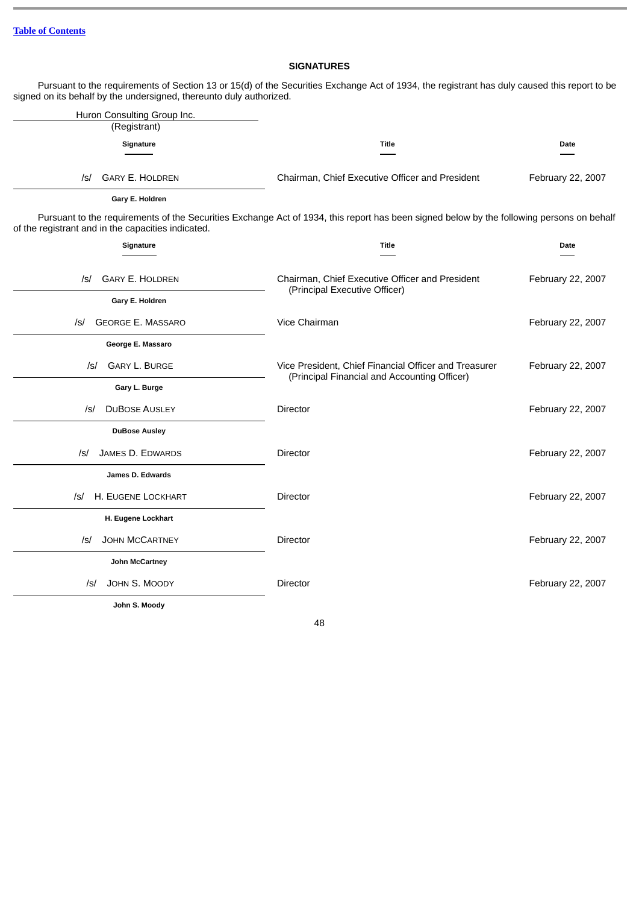# **Table of [Contents](#page-1-0)**

# **SIGNATURES**

Pursuant to the requirements of Section 13 or 15(d) of the Securities Exchange Act of 1934, the registrant has duly caused this report to be signed on its behalf by the undersigned, thereunto duly authorized. Huron Consulting Group Inc. (Registrant) **Signature Title Date**

/s/ GARY E. HOLDREN Chairman, Chief Executive Officer and President February 22, 2007

**Gary E. Holdren**

Pursuant to the requirements of the Securities Exchange Act of 1934, this report has been signed below by the following persons on behalf of the registrant and in the capacities indicated.

| Signature                       | <b>Title</b>                                                                                          | Date              |
|---------------------------------|-------------------------------------------------------------------------------------------------------|-------------------|
| <b>GARY E. HOLDREN</b><br>/s/   | Chairman, Chief Executive Officer and President<br>(Principal Executive Officer)                      | February 22, 2007 |
| Gary E. Holdren                 |                                                                                                       |                   |
| <b>GEORGE E. MASSARO</b><br>/s/ | Vice Chairman                                                                                         | February 22, 2007 |
| George E. Massaro               |                                                                                                       |                   |
| <b>GARY L. BURGE</b><br>/s/     | Vice President, Chief Financial Officer and Treasurer<br>(Principal Financial and Accounting Officer) | February 22, 2007 |
| Gary L. Burge                   |                                                                                                       |                   |
| <b>DUBOSE AUSLEY</b><br>/s/     | <b>Director</b>                                                                                       | February 22, 2007 |
| <b>DuBose Ausley</b>            |                                                                                                       |                   |
| JAMES D. EDWARDS<br>/s/         | Director                                                                                              | February 22, 2007 |
| <b>James D. Edwards</b>         |                                                                                                       |                   |
| H. EUGENE LOCKHART<br>/s/       | <b>Director</b>                                                                                       | February 22, 2007 |
| H. Eugene Lockhart              |                                                                                                       |                   |
| <b>JOHN MCCARTNEY</b><br>/s/    | Director                                                                                              | February 22, 2007 |
| <b>John McCartney</b>           |                                                                                                       |                   |
| JOHN S. MOODY<br>/s/            | <b>Director</b>                                                                                       | February 22, 2007 |
| John S. Moody                   |                                                                                                       |                   |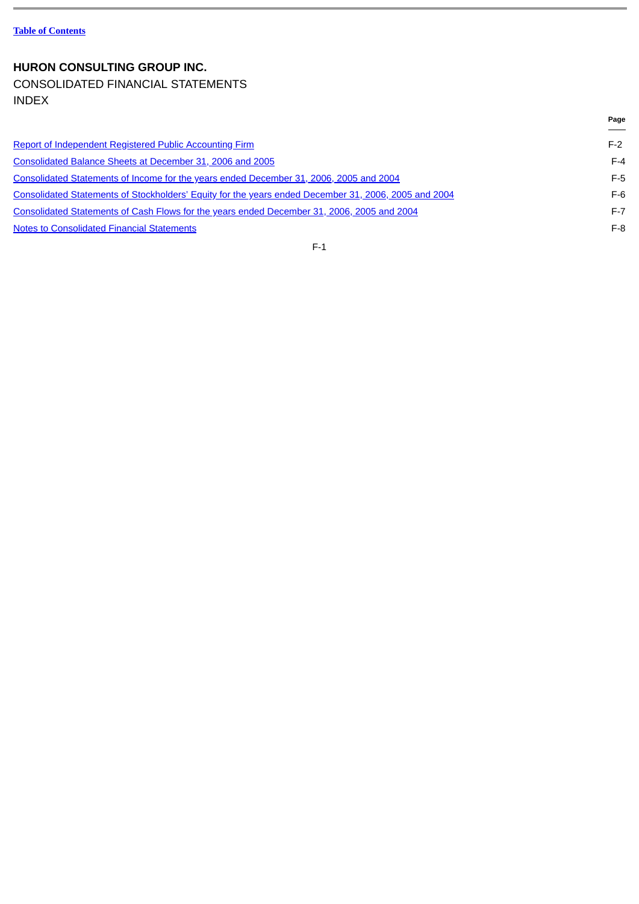# **Table of [Contents](#page-1-0)**

# **HURON CONSULTING GROUP INC.**

CONSOLIDATED FINANCIAL STATEMENTS INDEX

|                                                                                                      | Page  |
|------------------------------------------------------------------------------------------------------|-------|
| Report of Independent Registered Public Accounting Firm                                              | $F-2$ |
| Consolidated Balance Sheets at December 31, 2006 and 2005                                            | $F-4$ |
| Consolidated Statements of Income for the years ended December 31, 2006, 2005 and 2004               | $F-5$ |
| Consolidated Statements of Stockholders' Equity for the years ended December 31, 2006, 2005 and 2004 | $F-6$ |
| Consolidated Statements of Cash Flows for the years ended December 31, 2006, 2005 and 2004           | $F-7$ |
| Notes to Consolidated Financial Statements                                                           | $F-8$ |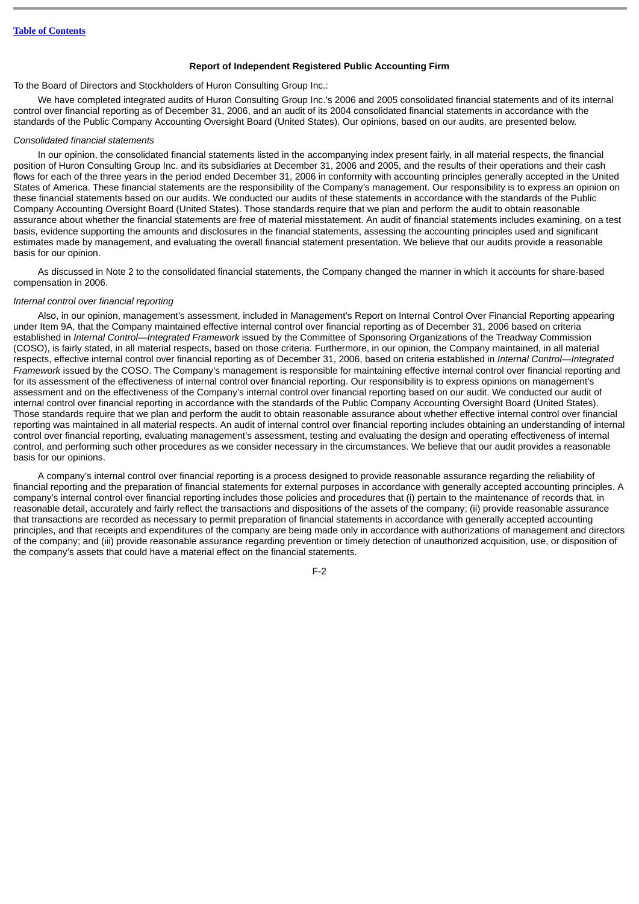### **Report of Independent Registered Public Accounting Firm**

<span id="page-51-0"></span>To the Board of Directors and Stockholders of Huron Consulting Group Inc.:

We have completed integrated audits of Huron Consulting Group Inc.'s 2006 and 2005 consolidated financial statements and of its internal control over financial reporting as of December 31, 2006, and an audit of its 2004 consolidated financial statements in accordance with the standards of the Public Company Accounting Oversight Board (United States). Our opinions, based on our audits, are presented below.

#### *Consolidated financial statements*

In our opinion, the consolidated financial statements listed in the accompanying index present fairly, in all material respects, the financial position of Huron Consulting Group Inc. and its subsidiaries at December 31, 2006 and 2005, and the results of their operations and their cash flows for each of the three years in the period ended December 31, 2006 in conformity with accounting principles generally accepted in the United States of America. These financial statements are the responsibility of the Company's management. Our responsibility is to express an opinion on these financial statements based on our audits. We conducted our audits of these statements in accordance with the standards of the Public Company Accounting Oversight Board (United States). Those standards require that we plan and perform the audit to obtain reasonable assurance about whether the financial statements are free of material misstatement. An audit of financial statements includes examining, on a test basis, evidence supporting the amounts and disclosures in the financial statements, assessing the accounting principles used and significant estimates made by management, and evaluating the overall financial statement presentation. We believe that our audits provide a reasonable basis for our opinion.

As discussed in Note 2 to the consolidated financial statements, the Company changed the manner in which it accounts for share-based compensation in 2006.

### *Internal control over financial reporting*

Also, in our opinion, management's assessment, included in Management's Report on Internal Control Over Financial Reporting appearing under Item 9A, that the Company maintained effective internal control over financial reporting as of December 31, 2006 based on criteria established in *Internal Control—Integrated Framework* issued by the Committee of Sponsoring Organizations of the Treadway Commission (COSO), is fairly stated, in all material respects, based on those criteria. Furthermore, in our opinion, the Company maintained, in all material respects, effective internal control over financial reporting as of December 31, 2006, based on criteria established in *Internal Control—Integrated Framework* issued by the COSO. The Company's management is responsible for maintaining effective internal control over financial reporting and for its assessment of the effectiveness of internal control over financial reporting. Our responsibility is to express opinions on management's assessment and on the effectiveness of the Company's internal control over financial reporting based on our audit. We conducted our audit of internal control over financial reporting in accordance with the standards of the Public Company Accounting Oversight Board (United States). Those standards require that we plan and perform the audit to obtain reasonable assurance about whether effective internal control over financial reporting was maintained in all material respects. An audit of internal control over financial reporting includes obtaining an understanding of internal control over financial reporting, evaluating management's assessment, testing and evaluating the design and operating effectiveness of internal control, and performing such other procedures as we consider necessary in the circumstances. We believe that our audit provides a reasonable basis for our opinions.

A company's internal control over financial reporting is a process designed to provide reasonable assurance regarding the reliability of financial reporting and the preparation of financial statements for external purposes in accordance with generally accepted accounting principles. A company's internal control over financial reporting includes those policies and procedures that (i) pertain to the maintenance of records that, in reasonable detail, accurately and fairly reflect the transactions and dispositions of the assets of the company; (ii) provide reasonable assurance that transactions are recorded as necessary to permit preparation of financial statements in accordance with generally accepted accounting principles, and that receipts and expenditures of the company are being made only in accordance with authorizations of management and directors of the company; and (iii) provide reasonable assurance regarding prevention or timely detection of unauthorized acquisition, use, or disposition of the company's assets that could have a material effect on the financial statements.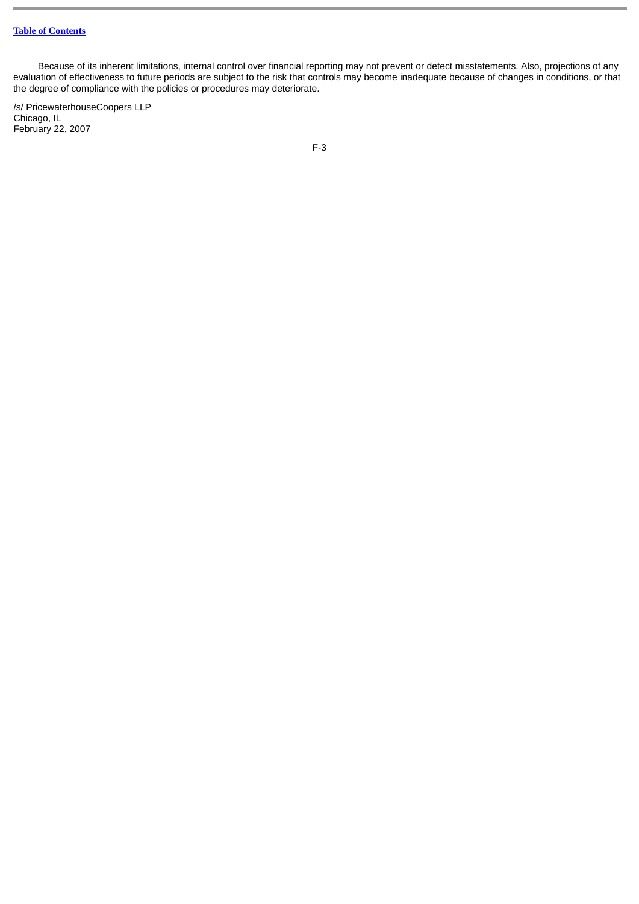# **Table of [Contents](#page-1-0)**

Because of its inherent limitations, internal control over financial reporting may not prevent or detect misstatements. Also, projections of any evaluation of effectiveness to future periods are subject to the risk that controls may become inadequate because of changes in conditions, or that the degree of compliance with the policies or procedures may deteriorate.

/s/ PricewaterhouseCoopers LLP Chicago, IL February 22, 2007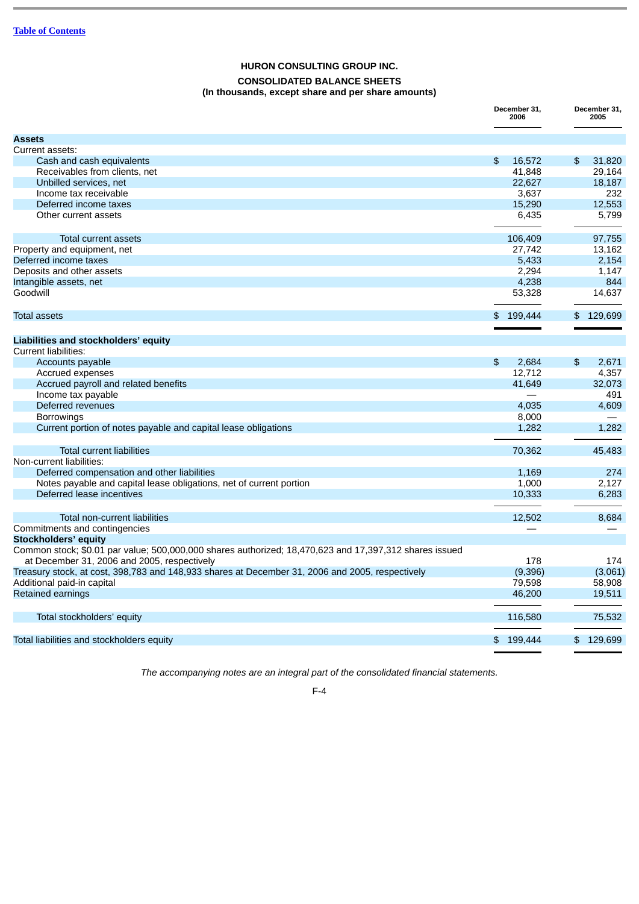# **HURON CONSULTING GROUP INC. CONSOLIDATED BALANCE SHEETS (In thousands, except share and per share amounts)**

<span id="page-53-0"></span>

|                                                                                                        |                | December 31,<br>2006 | December 31,<br>2005 |
|--------------------------------------------------------------------------------------------------------|----------------|----------------------|----------------------|
| <b>Assets</b>                                                                                          |                |                      |                      |
| Current assets:                                                                                        |                |                      |                      |
| Cash and cash equivalents                                                                              | \$             | 16,572               | \$<br>31,820         |
| Receivables from clients, net                                                                          |                | 41,848               | 29,164               |
| Unbilled services, net                                                                                 |                | 22,627               | 18,187               |
| Income tax receivable                                                                                  |                | 3,637                | 232                  |
| Deferred income taxes                                                                                  |                | 15,290               | 12,553               |
| Other current assets                                                                                   |                | 6,435                | 5,799                |
|                                                                                                        |                |                      |                      |
| Total current assets                                                                                   |                | 106,409              | 97,755               |
| Property and equipment, net                                                                            |                | 27,742               | 13,162               |
| Deferred income taxes                                                                                  |                | 5,433                | 2,154                |
| Deposits and other assets                                                                              |                | 2,294                | 1,147                |
| Intangible assets, net                                                                                 |                | 4,238                | 844                  |
| Goodwill                                                                                               |                | 53,328               | 14,637               |
|                                                                                                        |                |                      |                      |
| Total assets                                                                                           |                | \$199,444            | \$129,699            |
|                                                                                                        |                |                      |                      |
| Liabilities and stockholders' equity                                                                   |                |                      |                      |
| Current liabilities:                                                                                   |                |                      |                      |
| Accounts payable                                                                                       | $\mathfrak{S}$ | 2,684                | \$<br>2,671          |
| Accrued expenses                                                                                       |                | 12,712               | 4,357                |
| Accrued payroll and related benefits                                                                   |                | 41,649               | 32,073               |
| Income tax payable                                                                                     |                |                      | 491                  |
| Deferred revenues                                                                                      |                | 4,035                | 4,609                |
| Borrowings                                                                                             |                | 8,000                |                      |
| Current portion of notes payable and capital lease obligations                                         |                | 1,282                | 1,282                |
|                                                                                                        |                |                      |                      |
| <b>Total current liabilities</b>                                                                       |                | 70,362               | 45,483               |
| Non-current liabilities:                                                                               |                |                      |                      |
| Deferred compensation and other liabilities                                                            |                | 1.169                | 274                  |
| Notes payable and capital lease obligations, net of current portion                                    |                | 1,000                | 2,127                |
| Deferred lease incentives                                                                              |                | 10.333               | 6,283                |
|                                                                                                        |                |                      |                      |
| Total non-current liabilities                                                                          |                | 12,502               | 8,684                |
| Commitments and contingencies                                                                          |                |                      |                      |
| <b>Stockholders' equity</b>                                                                            |                |                      |                      |
| Common stock; \$0.01 par value; 500,000,000 shares authorized; 18,470,623 and 17,397,312 shares issued |                |                      |                      |
| at December 31, 2006 and 2005, respectively                                                            |                | 178                  | 174                  |
| Treasury stock, at cost, 398,783 and 148,933 shares at December 31, 2006 and 2005, respectively        |                | (9, 396)             | (3,061)              |
| Additional paid-in capital                                                                             |                | 79,598               | 58,908               |
| Retained earnings                                                                                      |                | 46,200               | 19,511               |
|                                                                                                        |                |                      |                      |
| Total stockholders' equity                                                                             |                | 116,580              | 75,532               |
|                                                                                                        |                |                      |                      |
| Total liabilities and stockholders equity                                                              |                | \$199,444            | \$129,699            |
|                                                                                                        |                |                      |                      |

*The accompanying notes are an integral part of the consolidated financial statements.*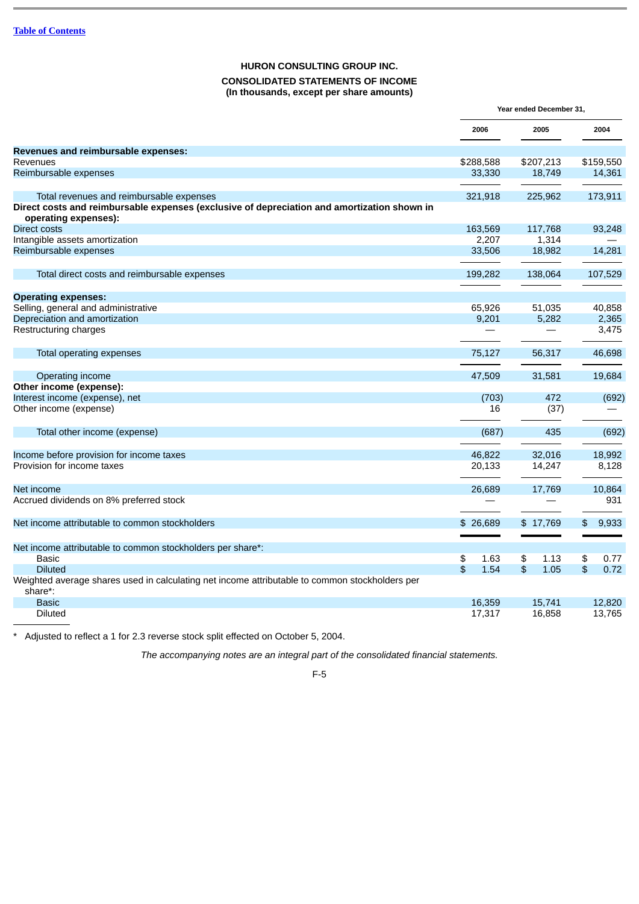# **HURON CONSULTING GROUP INC. CONSOLIDATED STATEMENTS OF INCOME (In thousands, except per share amounts)**

<span id="page-54-0"></span>

|                                                                                                                     | Year ended December 31, |                        |             |  |
|---------------------------------------------------------------------------------------------------------------------|-------------------------|------------------------|-------------|--|
|                                                                                                                     | 2006                    | 2005                   | 2004        |  |
| Revenues and reimbursable expenses:                                                                                 |                         |                        |             |  |
| Revenues                                                                                                            | \$288,588               | \$207,213              | \$159,550   |  |
| Reimbursable expenses                                                                                               | 33,330                  | 18,749                 | 14,361      |  |
| Total revenues and reimbursable expenses                                                                            | 321,918                 | 225,962                | 173,911     |  |
| Direct costs and reimbursable expenses (exclusive of depreciation and amortization shown in<br>operating expenses): |                         |                        |             |  |
| Direct costs                                                                                                        | 163,569                 | 117,768                | 93,248      |  |
| Intangible assets amortization                                                                                      | 2,207                   | 1,314                  |             |  |
| Reimbursable expenses                                                                                               | 33,506                  | 18,982                 | 14,281      |  |
|                                                                                                                     |                         |                        |             |  |
| Total direct costs and reimbursable expenses                                                                        | 199,282                 | 138,064                | 107,529     |  |
| <b>Operating expenses:</b>                                                                                          |                         |                        |             |  |
| Selling, general and administrative                                                                                 | 65,926                  | 51,035                 | 40,858      |  |
| Depreciation and amortization                                                                                       | 9,201                   | 5,282                  | 2,365       |  |
|                                                                                                                     |                         |                        |             |  |
| Restructuring charges                                                                                               |                         |                        | 3,475       |  |
| Total operating expenses                                                                                            | 75,127                  | 56,317                 | 46,698      |  |
|                                                                                                                     |                         |                        |             |  |
| Operating income                                                                                                    | 47,509                  | 31,581                 | 19,684      |  |
| Other income (expense):                                                                                             |                         |                        |             |  |
| Interest income (expense), net                                                                                      | (703)                   | 472                    | (692)       |  |
| Other income (expense)                                                                                              | 16                      | (37)                   |             |  |
| Total other income (expense)                                                                                        | (687)                   | 435                    | (692)       |  |
|                                                                                                                     |                         |                        |             |  |
| Income before provision for income taxes                                                                            | 46,822                  | 32,016                 | 18,992      |  |
| Provision for income taxes                                                                                          | 20,133                  | 14,247                 | 8,128       |  |
| Net income                                                                                                          | 26.689                  | 17,769                 | 10,864      |  |
| Accrued dividends on 8% preferred stock                                                                             |                         |                        | 931         |  |
| Net income attributable to common stockholders                                                                      | \$26,689                | \$17,769               | 9,933<br>\$ |  |
| Net income attributable to common stockholders per share*:                                                          |                         |                        |             |  |
| <b>Basic</b>                                                                                                        | \$<br>1.63              | \$<br>1.13             | \$<br>0.77  |  |
| <b>Diluted</b>                                                                                                      | \$<br>1.54              | $\mathfrak{P}$<br>1.05 | \$<br>0.72  |  |
| Weighted average shares used in calculating net income attributable to common stockholders per<br>share*:           |                         |                        |             |  |
| <b>Basic</b>                                                                                                        | 16,359                  | 15,741                 | 12,820      |  |
| Diluted                                                                                                             | 17,317                  | 16,858                 | 13,765      |  |
|                                                                                                                     |                         |                        |             |  |

\* Adjusted to reflect a 1 for 2.3 reverse stock split effected on October 5, 2004.

*The accompanying notes are an integral part of the consolidated financial statements.*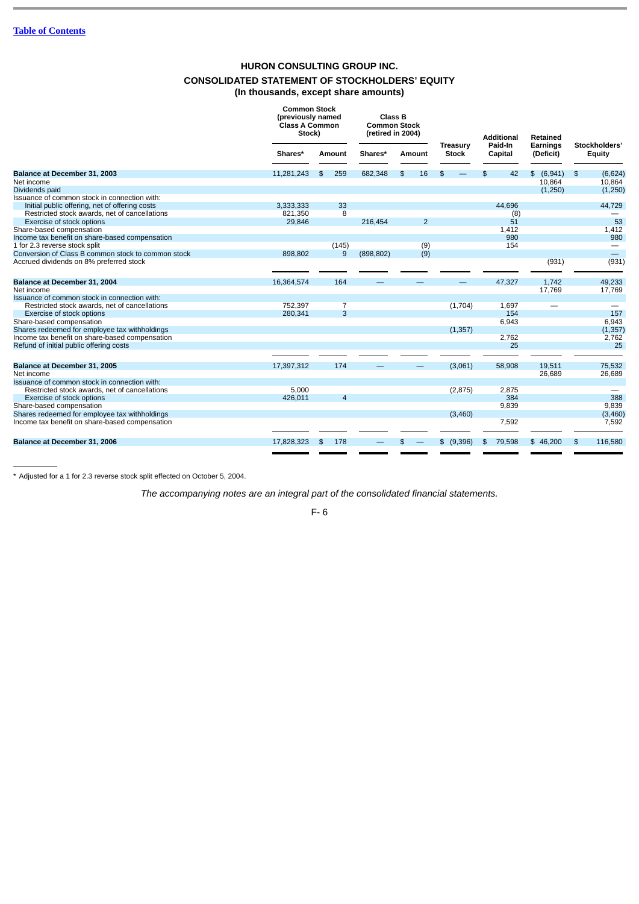# **HURON CONSULTING GROUP INC. CONSOLIDATED STATEMENT OF STOCKHOLDERS' EQUITY (In thousands, except share amounts)**

<span id="page-55-0"></span>

|                                                    | <b>Common Stock</b><br>(previously named<br><b>Class A Common</b><br>Stock) |                |            |        |                |            | <b>Class B</b><br><b>Common Stock</b><br>(retired in 2004) |        | <b>Additional</b> |                          | Retained |                                 |  |                    |                              |                                |
|----------------------------------------------------|-----------------------------------------------------------------------------|----------------|------------|--------|----------------|------------|------------------------------------------------------------|--------|-------------------|--------------------------|----------|---------------------------------|--|--------------------|------------------------------|--------------------------------|
|                                                    | Shares*                                                                     | Amount         | Shares*    | Amount |                |            |                                                            |        |                   |                          |          | <b>Treasury</b><br><b>Stock</b> |  | Paid-In<br>Capital | <b>Earnings</b><br>(Deficit) | Stockholders'<br><b>Equity</b> |
| Balance at December 31, 2003                       | 11,281,243                                                                  | \$<br>259      | 682,348    | \$     | 16             | \$         | \$                                                         | 42     | (6,941)<br>\$     | \$<br>(6,624)            |          |                                 |  |                    |                              |                                |
| Net income                                         |                                                                             |                |            |        |                |            |                                                            |        | 10.864            | 10.864                   |          |                                 |  |                    |                              |                                |
| Dividends paid                                     |                                                                             |                |            |        |                |            |                                                            |        | (1,250)           | (1,250)                  |          |                                 |  |                    |                              |                                |
| Issuance of common stock in connection with:       |                                                                             |                |            |        |                |            |                                                            |        |                   |                          |          |                                 |  |                    |                              |                                |
| Initial public offering, net of offering costs     | 3.333.333                                                                   | 33             |            |        |                |            |                                                            | 44.696 |                   | 44,729                   |          |                                 |  |                    |                              |                                |
| Restricted stock awards, net of cancellations      | 821.350                                                                     | 8              |            |        |                |            |                                                            | (8)    |                   |                          |          |                                 |  |                    |                              |                                |
| Exercise of stock options                          | 29,846                                                                      |                | 216,454    |        | $\overline{2}$ |            |                                                            | 51     |                   | 53                       |          |                                 |  |                    |                              |                                |
| Share-based compensation                           |                                                                             |                |            |        |                |            |                                                            | 1,412  |                   | 1,412                    |          |                                 |  |                    |                              |                                |
| Income tax benefit on share-based compensation     |                                                                             |                |            |        |                |            |                                                            | 980    |                   | 980                      |          |                                 |  |                    |                              |                                |
| 1 for 2.3 reverse stock split                      |                                                                             | (145)          |            |        | (9)            |            |                                                            | 154    |                   | $\overline{\phantom{0}}$ |          |                                 |  |                    |                              |                                |
| Conversion of Class B common stock to common stock | 898,802                                                                     | 9              | (898, 802) |        | (9)            |            |                                                            |        |                   | $\equiv$                 |          |                                 |  |                    |                              |                                |
| Accrued dividends on 8% preferred stock            |                                                                             |                |            |        |                |            |                                                            |        | (931)             | (931)                    |          |                                 |  |                    |                              |                                |
| Balance at December 31, 2004                       | 16,364,574                                                                  | 164            |            |        |                |            |                                                            | 47,327 | 1,742             | 49,233                   |          |                                 |  |                    |                              |                                |
| Net income                                         |                                                                             |                |            |        |                |            |                                                            |        | 17,769            | 17,769                   |          |                                 |  |                    |                              |                                |
| Issuance of common stock in connection with:       |                                                                             |                |            |        |                |            |                                                            |        |                   |                          |          |                                 |  |                    |                              |                                |
| Restricted stock awards, net of cancellations      | 752.397                                                                     | $\overline{7}$ |            |        |                | (1,704)    |                                                            | 1,697  |                   |                          |          |                                 |  |                    |                              |                                |
| Exercise of stock options                          | 280,341                                                                     | 3              |            |        |                |            |                                                            | 154    |                   | 157                      |          |                                 |  |                    |                              |                                |
| Share-based compensation                           |                                                                             |                |            |        |                |            |                                                            | 6,943  |                   | 6,943                    |          |                                 |  |                    |                              |                                |
| Shares redeemed for employee tax withholdings      |                                                                             |                |            |        |                | (1, 357)   |                                                            |        |                   | (1, 357)                 |          |                                 |  |                    |                              |                                |
| Income tax benefit on share-based compensation     |                                                                             |                |            |        |                |            |                                                            | 2,762  |                   | 2,762                    |          |                                 |  |                    |                              |                                |
| Refund of initial public offering costs            |                                                                             |                |            |        |                |            |                                                            | 25     |                   | 25                       |          |                                 |  |                    |                              |                                |
|                                                    |                                                                             |                |            |        |                |            |                                                            |        |                   |                          |          |                                 |  |                    |                              |                                |
| Balance at December 31, 2005                       | 17,397,312                                                                  | 174            |            |        |                | (3,061)    |                                                            | 58,908 | 19.511            | 75,532                   |          |                                 |  |                    |                              |                                |
| Net income                                         |                                                                             |                |            |        |                |            |                                                            |        | 26,689            | 26,689                   |          |                                 |  |                    |                              |                                |
| Issuance of common stock in connection with:       |                                                                             |                |            |        |                |            |                                                            |        |                   |                          |          |                                 |  |                    |                              |                                |
| Restricted stock awards, net of cancellations      | 5.000                                                                       |                |            |        |                | (2, 875)   |                                                            | 2,875  |                   |                          |          |                                 |  |                    |                              |                                |
| Exercise of stock options                          | 426.011                                                                     | $\overline{4}$ |            |        |                |            |                                                            | 384    |                   | 388                      |          |                                 |  |                    |                              |                                |
| Share-based compensation                           |                                                                             |                |            |        |                |            |                                                            | 9,839  |                   | 9,839                    |          |                                 |  |                    |                              |                                |
| Shares redeemed for employee tax withholdings      |                                                                             |                |            |        |                | (3,460)    |                                                            |        |                   | (3,460)                  |          |                                 |  |                    |                              |                                |
| Income tax benefit on share-based compensation     |                                                                             |                |            |        |                |            |                                                            | 7,592  |                   | 7,592                    |          |                                 |  |                    |                              |                                |
|                                                    |                                                                             |                |            |        |                |            |                                                            |        |                   |                          |          |                                 |  |                    |                              |                                |
| Balance at December 31, 2006                       | 17,828,323                                                                  | \$<br>178      |            |        |                | \$ (9,396) | \$                                                         | 79,598 | \$46,200          | \$<br>116,580            |          |                                 |  |                    |                              |                                |

\* Adjusted for a 1 for 2.3 reverse stock split effected on October 5, 2004.

*The accompanying notes are an integral part of the consolidated financial statements.*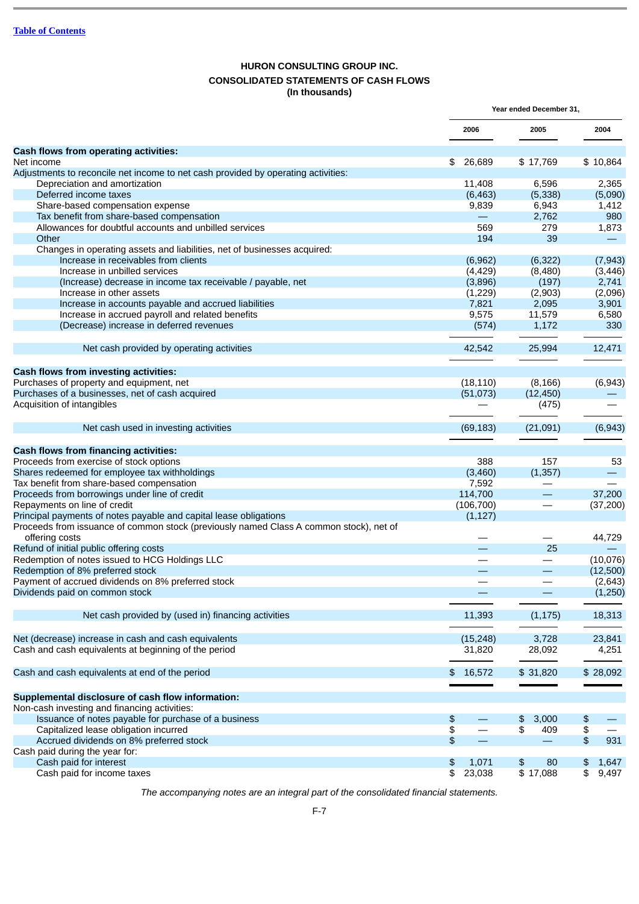# **HURON CONSULTING GROUP INC. CONSOLIDATED STATEMENTS OF CASH FLOWS (In thousands)**

<span id="page-56-0"></span>

|                                                                                        |                                            | Year ended December 31,  |             |  |
|----------------------------------------------------------------------------------------|--------------------------------------------|--------------------------|-------------|--|
|                                                                                        | 2006                                       | 2005                     | 2004        |  |
| Cash flows from operating activities:                                                  |                                            |                          |             |  |
| Net income                                                                             | 26,689<br>\$                               | \$17,769                 | \$10,864    |  |
| Adjustments to reconcile net income to net cash provided by operating activities:      |                                            |                          |             |  |
| Depreciation and amortization                                                          | 11,408                                     | 6,596                    | 2,365       |  |
| Deferred income taxes                                                                  | (6, 463)                                   | (5, 338)                 | (5,090)     |  |
| Share-based compensation expense                                                       | 9,839                                      | 6,943                    | 1,412       |  |
| Tax benefit from share-based compensation                                              |                                            | 2,762                    | 980         |  |
|                                                                                        |                                            |                          |             |  |
| Allowances for doubtful accounts and unbilled services                                 | 569                                        | 279                      | 1,873       |  |
| Other                                                                                  | 194                                        | 39                       |             |  |
| Changes in operating assets and liabilities, net of businesses acquired:               |                                            |                          |             |  |
| Increase in receivables from clients                                                   | (6, 962)                                   | (6, 322)                 | (7, 943)    |  |
| Increase in unbilled services                                                          | (4, 429)                                   | (8,480)                  | (3, 446)    |  |
| (Increase) decrease in income tax receivable / payable, net                            | (3,896)                                    | (197)                    | 2,741       |  |
| Increase in other assets                                                               | (1, 229)                                   | (2,903)                  | (2,096)     |  |
| Increase in accounts payable and accrued liabilities                                   | 7,821                                      | 2,095                    | 3,901       |  |
| Increase in accrued payroll and related benefits                                       | 9,575                                      | 11,579                   | 6,580       |  |
| (Decrease) increase in deferred revenues                                               | (574)                                      | 1,172                    | 330         |  |
|                                                                                        |                                            |                          |             |  |
|                                                                                        |                                            |                          |             |  |
| Net cash provided by operating activities                                              | 42,542                                     | 25,994                   | 12,471      |  |
|                                                                                        |                                            |                          |             |  |
| Cash flows from investing activities:                                                  |                                            |                          |             |  |
| Purchases of property and equipment, net                                               | (18, 110)                                  | (8, 166)                 | (6, 943)    |  |
| Purchases of a businesses, net of cash acquired                                        | (51,073)                                   | (12, 450)                |             |  |
| Acquisition of intangibles                                                             |                                            |                          |             |  |
|                                                                                        |                                            | (475)                    |             |  |
| Net cash used in investing activities                                                  | (69, 183)                                  | (21,091)                 | (6, 943)    |  |
| Cash flows from financing activities:                                                  |                                            |                          |             |  |
| Proceeds from exercise of stock options                                                | 388                                        | 157                      | 53          |  |
| Shares redeemed for employee tax withholdings                                          | (3,460)                                    | (1, 357)                 |             |  |
| Tax benefit from share-based compensation                                              |                                            |                          |             |  |
|                                                                                        | 7,592                                      |                          |             |  |
| Proceeds from borrowings under line of credit                                          | 114,700                                    | $\overline{\phantom{0}}$ | 37,200      |  |
| Repayments on line of credit                                                           | (106, 700)                                 |                          | (37, 200)   |  |
| Principal payments of notes payable and capital lease obligations                      | (1, 127)                                   |                          |             |  |
| Proceeds from issuance of common stock (previously named Class A common stock), net of |                                            |                          |             |  |
| offering costs                                                                         |                                            |                          | 44,729      |  |
| Refund of initial public offering costs                                                |                                            | 25                       |             |  |
| Redemption of notes issued to HCG Holdings LLC                                         |                                            | $\overline{\phantom{0}}$ | (10,076)    |  |
| Redemption of 8% preferred stock                                                       |                                            | $\overline{\phantom{0}}$ | (12,500)    |  |
| Payment of accrued dividends on 8% preferred stock                                     |                                            |                          | (2,643)     |  |
| Dividends paid on common stock                                                         |                                            |                          | (1,250)     |  |
|                                                                                        |                                            |                          |             |  |
| Net cash provided by (used in) financing activities                                    | 11,393                                     | (1, 175)                 | 18,313      |  |
|                                                                                        |                                            |                          |             |  |
|                                                                                        |                                            |                          |             |  |
| Net (decrease) increase in cash and cash equivalents                                   | (15, 248)                                  | 3,728                    | 23,841      |  |
| Cash and cash equivalents at beginning of the period                                   | 31,820                                     | 28,092                   | 4,251       |  |
| Cash and cash equivalents at end of the period                                         | 16,572<br>\$                               | \$31,820                 | \$28,092    |  |
|                                                                                        |                                            |                          |             |  |
| Supplemental disclosure of cash flow information:                                      |                                            |                          |             |  |
| Non-cash investing and financing activities:                                           |                                            |                          |             |  |
| Issuance of notes payable for purchase of a business                                   | \$                                         | $\frac{1}{2}$<br>3,000   | \$          |  |
| Capitalized lease obligation incurred                                                  | \$                                         | \$<br>409                | \$          |  |
| Accrued dividends on 8% preferred stock                                                | $\mathfrak{D}$<br>$\overline{\phantom{0}}$ |                          | \$<br>931   |  |
|                                                                                        |                                            |                          |             |  |
| Cash paid during the year for:                                                         |                                            |                          |             |  |
| Cash paid for interest                                                                 | \$<br>1,071                                | $\, \, \$$<br>80         | 1,647<br>\$ |  |
| Cash paid for income taxes                                                             | 23,038<br>\$                               | \$17,088                 | \$9,497     |  |

*The accompanying notes are an integral part of the consolidated financial statements.*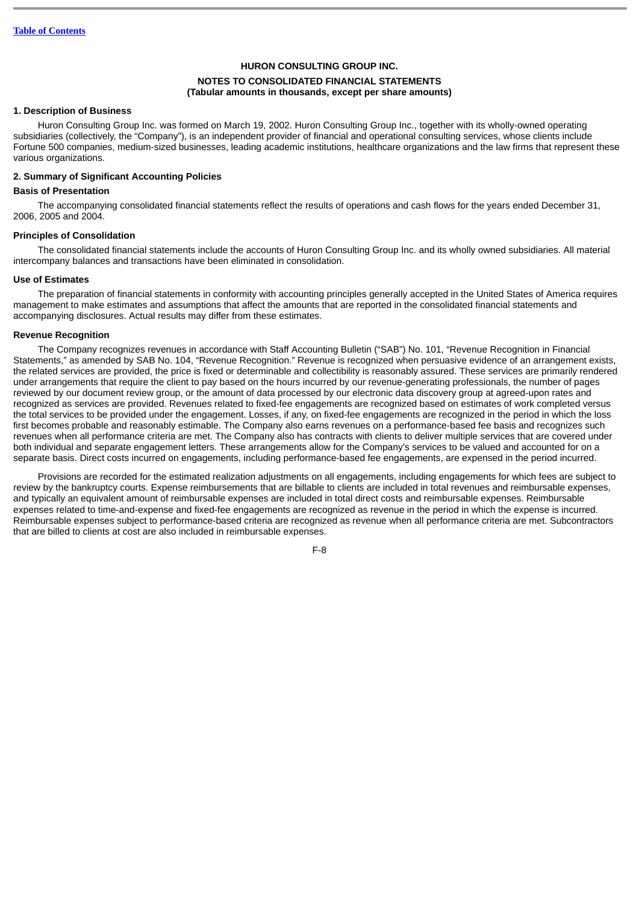# **HURON CONSULTING GROUP INC. NOTES TO CONSOLIDATED FINANCIAL STATEMENTS (Tabular amounts in thousands, except per share amounts)**

# <span id="page-57-0"></span>**1. Description of Business**

Huron Consulting Group Inc. was formed on March 19, 2002. Huron Consulting Group Inc., together with its wholly-owned operating subsidiaries (collectively, the "Company"), is an independent provider of financial and operational consulting services, whose clients include Fortune 500 companies, medium-sized businesses, leading academic institutions, healthcare organizations and the law firms that represent these various organizations.

# **2. Summary of Significant Accounting Policies**

## **Basis of Presentation**

The accompanying consolidated financial statements reflect the results of operations and cash flows for the years ended December 31, 2006, 2005 and 2004.

## **Principles of Consolidation**

The consolidated financial statements include the accounts of Huron Consulting Group Inc. and its wholly owned subsidiaries. All material intercompany balances and transactions have been eliminated in consolidation.

# **Use of Estimates**

The preparation of financial statements in conformity with accounting principles generally accepted in the United States of America requires management to make estimates and assumptions that affect the amounts that are reported in the consolidated financial statements and accompanying disclosures. Actual results may differ from these estimates.

### **Revenue Recognition**

The Company recognizes revenues in accordance with Staff Accounting Bulletin ("SAB") No. 101, "Revenue Recognition in Financial Statements," as amended by SAB No. 104, "Revenue Recognition." Revenue is recognized when persuasive evidence of an arrangement exists, the related services are provided, the price is fixed or determinable and collectibility is reasonably assured. These services are primarily rendered under arrangements that require the client to pay based on the hours incurred by our revenue-generating professionals, the number of pages reviewed by our document review group, or the amount of data processed by our electronic data discovery group at agreed-upon rates and recognized as services are provided. Revenues related to fixed-fee engagements are recognized based on estimates of work completed versus the total services to be provided under the engagement. Losses, if any, on fixed-fee engagements are recognized in the period in which the loss first becomes probable and reasonably estimable. The Company also earns revenues on a performance-based fee basis and recognizes such revenues when all performance criteria are met. The Company also has contracts with clients to deliver multiple services that are covered under both individual and separate engagement letters. These arrangements allow for the Company's services to be valued and accounted for on a separate basis. Direct costs incurred on engagements, including performance-based fee engagements, are expensed in the period incurred.

Provisions are recorded for the estimated realization adjustments on all engagements, including engagements for which fees are subject to review by the bankruptcy courts. Expense reimbursements that are billable to clients are included in total revenues and reimbursable expenses, and typically an equivalent amount of reimbursable expenses are included in total direct costs and reimbursable expenses. Reimbursable expenses related to time-and-expense and fixed-fee engagements are recognized as revenue in the period in which the expense is incurred. Reimbursable expenses subject to performance-based criteria are recognized as revenue when all performance criteria are met. Subcontractors that are billed to clients at cost are also included in reimbursable expenses.

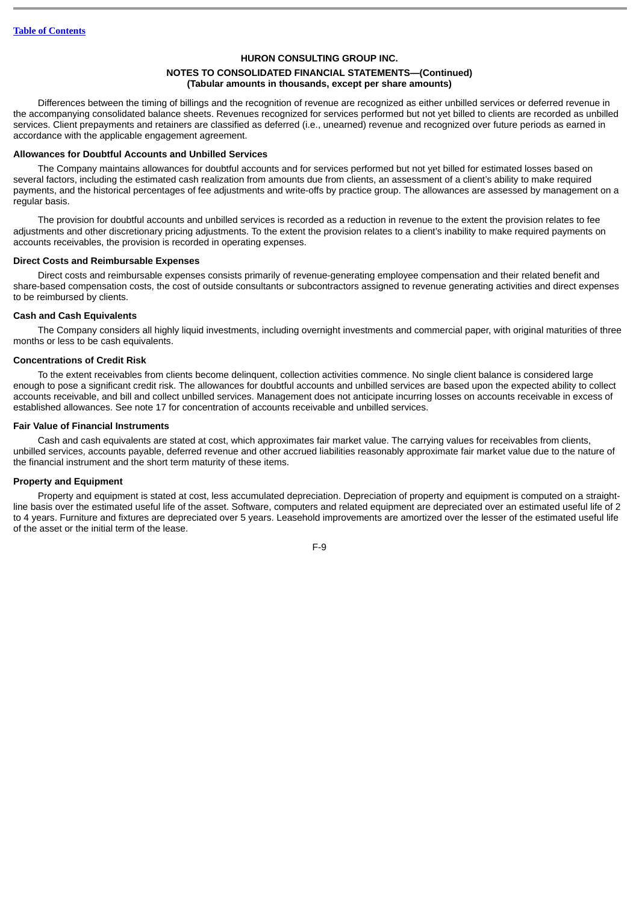# **NOTES TO CONSOLIDATED FINANCIAL STATEMENTS—(Continued) (Tabular amounts in thousands, except per share amounts)**

Differences between the timing of billings and the recognition of revenue are recognized as either unbilled services or deferred revenue in the accompanying consolidated balance sheets. Revenues recognized for services performed but not yet billed to clients are recorded as unbilled services. Client prepayments and retainers are classified as deferred (i.e., unearned) revenue and recognized over future periods as earned in accordance with the applicable engagement agreement.

#### **Allowances for Doubtful Accounts and Unbilled Services**

The Company maintains allowances for doubtful accounts and for services performed but not yet billed for estimated losses based on several factors, including the estimated cash realization from amounts due from clients, an assessment of a client's ability to make required payments, and the historical percentages of fee adjustments and write-offs by practice group. The allowances are assessed by management on a regular basis.

The provision for doubtful accounts and unbilled services is recorded as a reduction in revenue to the extent the provision relates to fee adjustments and other discretionary pricing adjustments. To the extent the provision relates to a client's inability to make required payments on accounts receivables, the provision is recorded in operating expenses.

#### **Direct Costs and Reimbursable Expenses**

Direct costs and reimbursable expenses consists primarily of revenue-generating employee compensation and their related benefit and share-based compensation costs, the cost of outside consultants or subcontractors assigned to revenue generating activities and direct expenses to be reimbursed by clients.

## **Cash and Cash Equivalents**

The Company considers all highly liquid investments, including overnight investments and commercial paper, with original maturities of three months or less to be cash equivalents.

## **Concentrations of Credit Risk**

To the extent receivables from clients become delinquent, collection activities commence. No single client balance is considered large enough to pose a significant credit risk. The allowances for doubtful accounts and unbilled services are based upon the expected ability to collect accounts receivable, and bill and collect unbilled services. Management does not anticipate incurring losses on accounts receivable in excess of established allowances. See note 17 for concentration of accounts receivable and unbilled services.

#### **Fair Value of Financial Instruments**

Cash and cash equivalents are stated at cost, which approximates fair market value. The carrying values for receivables from clients, unbilled services, accounts payable, deferred revenue and other accrued liabilities reasonably approximate fair market value due to the nature of the financial instrument and the short term maturity of these items.

### **Property and Equipment**

Property and equipment is stated at cost, less accumulated depreciation. Depreciation of property and equipment is computed on a straightline basis over the estimated useful life of the asset. Software, computers and related equipment are depreciated over an estimated useful life of 2 to 4 years. Furniture and fixtures are depreciated over 5 years. Leasehold improvements are amortized over the lesser of the estimated useful life of the asset or the initial term of the lease.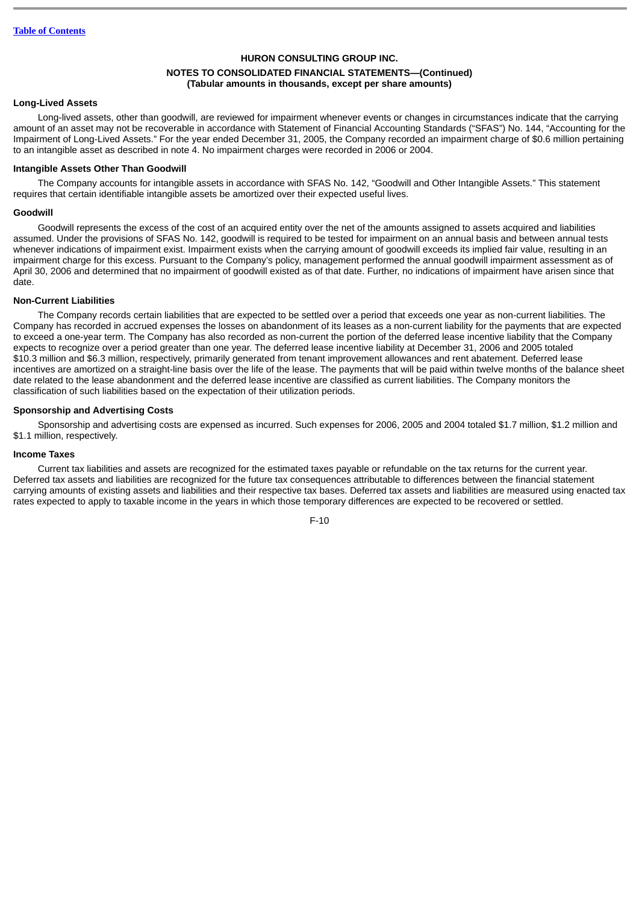# **NOTES TO CONSOLIDATED FINANCIAL STATEMENTS—(Continued) (Tabular amounts in thousands, except per share amounts)**

## **Long-Lived Assets**

Long-lived assets, other than goodwill, are reviewed for impairment whenever events or changes in circumstances indicate that the carrying amount of an asset may not be recoverable in accordance with Statement of Financial Accounting Standards ("SFAS") No. 144, "Accounting for the Impairment of Long-Lived Assets." For the year ended December 31, 2005, the Company recorded an impairment charge of \$0.6 million pertaining to an intangible asset as described in note 4. No impairment charges were recorded in 2006 or 2004.

### **Intangible Assets Other Than Goodwill**

The Company accounts for intangible assets in accordance with SFAS No. 142, "Goodwill and Other Intangible Assets." This statement requires that certain identifiable intangible assets be amortized over their expected useful lives.

#### **Goodwill**

Goodwill represents the excess of the cost of an acquired entity over the net of the amounts assigned to assets acquired and liabilities assumed. Under the provisions of SFAS No. 142, goodwill is required to be tested for impairment on an annual basis and between annual tests whenever indications of impairment exist. Impairment exists when the carrying amount of goodwill exceeds its implied fair value, resulting in an impairment charge for this excess. Pursuant to the Company's policy, management performed the annual goodwill impairment assessment as of April 30, 2006 and determined that no impairment of goodwill existed as of that date. Further, no indications of impairment have arisen since that date.

### **Non-Current Liabilities**

The Company records certain liabilities that are expected to be settled over a period that exceeds one year as non-current liabilities. The Company has recorded in accrued expenses the losses on abandonment of its leases as a non-current liability for the payments that are expected to exceed a one-year term. The Company has also recorded as non-current the portion of the deferred lease incentive liability that the Company expects to recognize over a period greater than one year. The deferred lease incentive liability at December 31, 2006 and 2005 totaled \$10.3 million and \$6.3 million, respectively, primarily generated from tenant improvement allowances and rent abatement. Deferred lease incentives are amortized on a straight-line basis over the life of the lease. The payments that will be paid within twelve months of the balance sheet date related to the lease abandonment and the deferred lease incentive are classified as current liabilities. The Company monitors the classification of such liabilities based on the expectation of their utilization periods.

## **Sponsorship and Advertising Costs**

Sponsorship and advertising costs are expensed as incurred. Such expenses for 2006, 2005 and 2004 totaled \$1.7 million, \$1.2 million and \$1.1 million, respectively.

### **Income Taxes**

Current tax liabilities and assets are recognized for the estimated taxes payable or refundable on the tax returns for the current year. Deferred tax assets and liabilities are recognized for the future tax consequences attributable to differences between the financial statement carrying amounts of existing assets and liabilities and their respective tax bases. Deferred tax assets and liabilities are measured using enacted tax rates expected to apply to taxable income in the years in which those temporary differences are expected to be recovered or settled.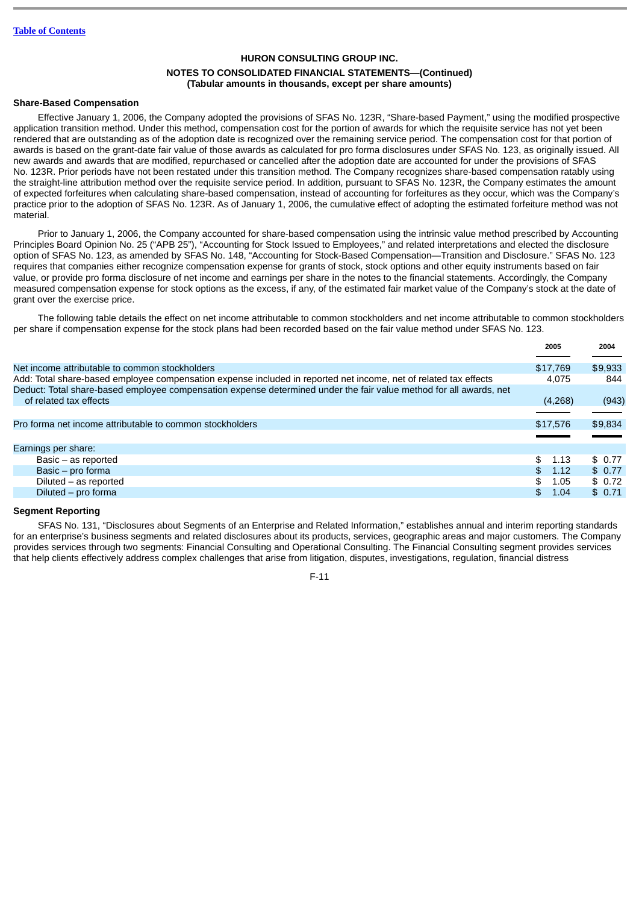# **HURON CONSULTING GROUP INC. NOTES TO CONSOLIDATED FINANCIAL STATEMENTS—(Continued) (Tabular amounts in thousands, except per share amounts)**

## **Share-Based Compensation**

Effective January 1, 2006, the Company adopted the provisions of SFAS No. 123R, "Share-based Payment," using the modified prospective application transition method. Under this method, compensation cost for the portion of awards for which the requisite service has not yet been rendered that are outstanding as of the adoption date is recognized over the remaining service period. The compensation cost for that portion of awards is based on the grant-date fair value of those awards as calculated for pro forma disclosures under SFAS No. 123, as originally issued. All new awards and awards that are modified, repurchased or cancelled after the adoption date are accounted for under the provisions of SFAS No. 123R. Prior periods have not been restated under this transition method. The Company recognizes share-based compensation ratably using the straight-line attribution method over the requisite service period. In addition, pursuant to SFAS No. 123R, the Company estimates the amount of expected forfeitures when calculating share-based compensation, instead of accounting for forfeitures as they occur, which was the Company's practice prior to the adoption of SFAS No. 123R. As of January 1, 2006, the cumulative effect of adopting the estimated forfeiture method was not material.

Prior to January 1, 2006, the Company accounted for share-based compensation using the intrinsic value method prescribed by Accounting Principles Board Opinion No. 25 ("APB 25"), "Accounting for Stock Issued to Employees," and related interpretations and elected the disclosure option of SFAS No. 123, as amended by SFAS No. 148, "Accounting for Stock-Based Compensation—Transition and Disclosure." SFAS No. 123 requires that companies either recognize compensation expense for grants of stock, stock options and other equity instruments based on fair value, or provide pro forma disclosure of net income and earnings per share in the notes to the financial statements. Accordingly, the Company measured compensation expense for stock options as the excess, if any, of the estimated fair market value of the Company's stock at the date of grant over the exercise price.

The following table details the effect on net income attributable to common stockholders and net income attributable to common stockholders per share if compensation expense for the stock plans had been recorded based on the fair value method under SFAS No. 123.

|                                                                                                                                              | 2005                   | 2004    |
|----------------------------------------------------------------------------------------------------------------------------------------------|------------------------|---------|
| Net income attributable to common stockholders                                                                                               | \$17.769               | \$9,933 |
| Add: Total share-based employee compensation expense included in reported net income, net of related tax effects                             | 4.075                  | 844     |
| Deduct: Total share-based employee compensation expense determined under the fair value method for all awards, net<br>of related tax effects | (4,268)                | (943)   |
|                                                                                                                                              |                        |         |
| Pro forma net income attributable to common stockholders                                                                                     | \$17.576               | \$9,834 |
|                                                                                                                                              |                        |         |
| Earnings per share:                                                                                                                          |                        |         |
| Basic – as reported                                                                                                                          | \$<br>1.13             | \$0.77  |
| Basic - pro forma                                                                                                                            | $\mathbb{S}$<br>1.12   | \$0.77  |
| Diluted - as reported                                                                                                                        | \$<br>1.05             | \$0.72  |
| Diluted – pro forma                                                                                                                          | $\mathfrak{L}$<br>1.04 | \$0.71  |

#### **Segment Reporting**

SFAS No. 131, "Disclosures about Segments of an Enterprise and Related Information," establishes annual and interim reporting standards for an enterprise's business segments and related disclosures about its products, services, geographic areas and major customers. The Company provides services through two segments: Financial Consulting and Operational Consulting. The Financial Consulting segment provides services that help clients effectively address complex challenges that arise from litigation, disputes, investigations, regulation, financial distress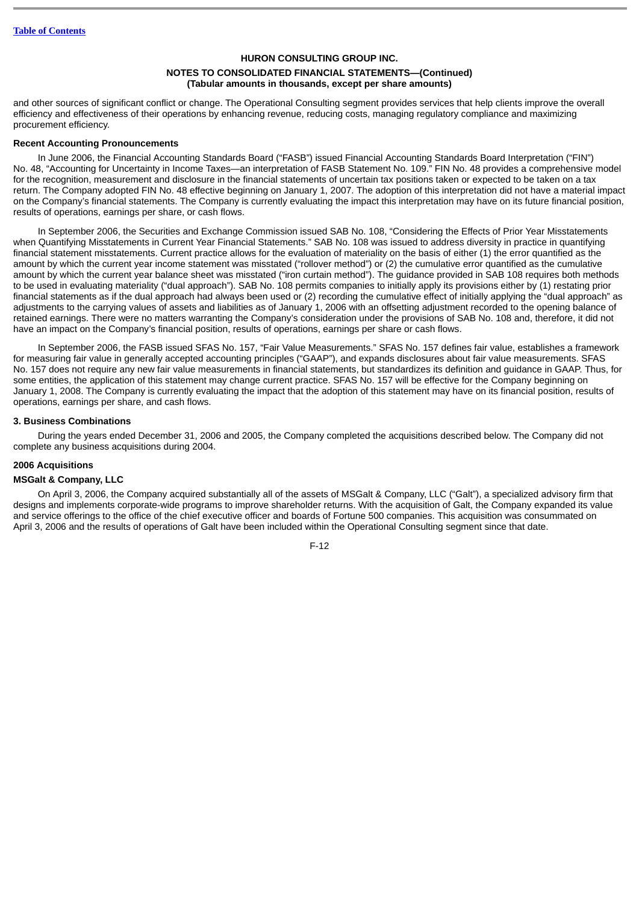# **NOTES TO CONSOLIDATED FINANCIAL STATEMENTS—(Continued) (Tabular amounts in thousands, except per share amounts)**

and other sources of significant conflict or change. The Operational Consulting segment provides services that help clients improve the overall efficiency and effectiveness of their operations by enhancing revenue, reducing costs, managing regulatory compliance and maximizing procurement efficiency.

#### **Recent Accounting Pronouncements**

In June 2006, the Financial Accounting Standards Board ("FASB") issued Financial Accounting Standards Board Interpretation ("FIN") No. 48, "Accounting for Uncertainty in Income Taxes—an interpretation of FASB Statement No. 109." FIN No. 48 provides a comprehensive model for the recognition, measurement and disclosure in the financial statements of uncertain tax positions taken or expected to be taken on a tax return. The Company adopted FIN No. 48 effective beginning on January 1, 2007. The adoption of this interpretation did not have a material impact on the Company's financial statements. The Company is currently evaluating the impact this interpretation may have on its future financial position, results of operations, earnings per share, or cash flows.

In September 2006, the Securities and Exchange Commission issued SAB No. 108, "Considering the Effects of Prior Year Misstatements when Quantifying Misstatements in Current Year Financial Statements." SAB No. 108 was issued to address diversity in practice in quantifying financial statement misstatements. Current practice allows for the evaluation of materiality on the basis of either (1) the error quantified as the amount by which the current year income statement was misstated ("rollover method") or (2) the cumulative error quantified as the cumulative amount by which the current year balance sheet was misstated ("iron curtain method"). The guidance provided in SAB 108 requires both methods to be used in evaluating materiality ("dual approach"). SAB No. 108 permits companies to initially apply its provisions either by (1) restating prior financial statements as if the dual approach had always been used or (2) recording the cumulative effect of initially applying the "dual approach" as adjustments to the carrying values of assets and liabilities as of January 1, 2006 with an offsetting adjustment recorded to the opening balance of retained earnings. There were no matters warranting the Company's consideration under the provisions of SAB No. 108 and, therefore, it did not have an impact on the Company's financial position, results of operations, earnings per share or cash flows.

In September 2006, the FASB issued SFAS No. 157, "Fair Value Measurements." SFAS No. 157 defines fair value, establishes a framework for measuring fair value in generally accepted accounting principles ("GAAP"), and expands disclosures about fair value measurements. SFAS No. 157 does not require any new fair value measurements in financial statements, but standardizes its definition and guidance in GAAP. Thus, for some entities, the application of this statement may change current practice. SFAS No. 157 will be effective for the Company beginning on January 1, 2008. The Company is currently evaluating the impact that the adoption of this statement may have on its financial position, results of operations, earnings per share, and cash flows.

#### **3. Business Combinations**

During the years ended December 31, 2006 and 2005, the Company completed the acquisitions described below. The Company did not complete any business acquisitions during 2004.

## **2006 Acquisitions**

## **MSGalt & Company, LLC**

On April 3, 2006, the Company acquired substantially all of the assets of MSGalt & Company, LLC ("Galt"), a specialized advisory firm that designs and implements corporate-wide programs to improve shareholder returns. With the acquisition of Galt, the Company expanded its value and service offerings to the office of the chief executive officer and boards of Fortune 500 companies. This acquisition was consummated on April 3, 2006 and the results of operations of Galt have been included within the Operational Consulting segment since that date.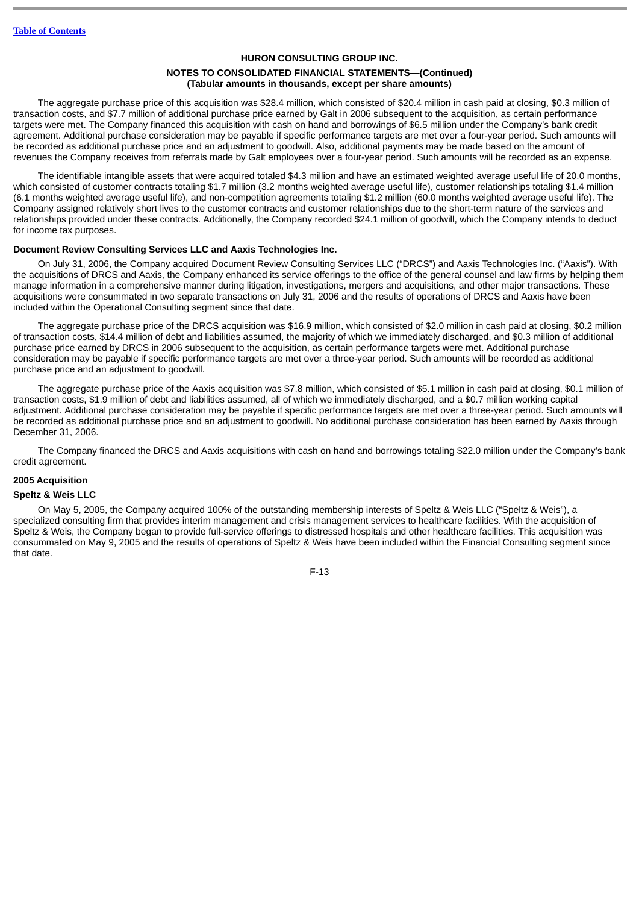# **NOTES TO CONSOLIDATED FINANCIAL STATEMENTS—(Continued) (Tabular amounts in thousands, except per share amounts)**

The aggregate purchase price of this acquisition was \$28.4 million, which consisted of \$20.4 million in cash paid at closing, \$0.3 million of transaction costs, and \$7.7 million of additional purchase price earned by Galt in 2006 subsequent to the acquisition, as certain performance targets were met. The Company financed this acquisition with cash on hand and borrowings of \$6.5 million under the Company's bank credit agreement. Additional purchase consideration may be payable if specific performance targets are met over a four-year period. Such amounts will be recorded as additional purchase price and an adjustment to goodwill. Also, additional payments may be made based on the amount of revenues the Company receives from referrals made by Galt employees over a four-year period. Such amounts will be recorded as an expense.

The identifiable intangible assets that were acquired totaled \$4.3 million and have an estimated weighted average useful life of 20.0 months, which consisted of customer contracts totaling \$1.7 million (3.2 months weighted average useful life), customer relationships totaling \$1.4 million (6.1 months weighted average useful life), and non-competition agreements totaling \$1.2 million (60.0 months weighted average useful life). The Company assigned relatively short lives to the customer contracts and customer relationships due to the short-term nature of the services and relationships provided under these contracts. Additionally, the Company recorded \$24.1 million of goodwill, which the Company intends to deduct for income tax purposes.

### **Document Review Consulting Services LLC and Aaxis Technologies Inc.**

On July 31, 2006, the Company acquired Document Review Consulting Services LLC ("DRCS") and Aaxis Technologies Inc. ("Aaxis"). With the acquisitions of DRCS and Aaxis, the Company enhanced its service offerings to the office of the general counsel and law firms by helping them manage information in a comprehensive manner during litigation, investigations, mergers and acquisitions, and other major transactions. These acquisitions were consummated in two separate transactions on July 31, 2006 and the results of operations of DRCS and Aaxis have been included within the Operational Consulting segment since that date.

The aggregate purchase price of the DRCS acquisition was \$16.9 million, which consisted of \$2.0 million in cash paid at closing, \$0.2 million of transaction costs, \$14.4 million of debt and liabilities assumed, the majority of which we immediately discharged, and \$0.3 million of additional purchase price earned by DRCS in 2006 subsequent to the acquisition, as certain performance targets were met. Additional purchase consideration may be payable if specific performance targets are met over a three-year period. Such amounts will be recorded as additional purchase price and an adjustment to goodwill.

The aggregate purchase price of the Aaxis acquisition was \$7.8 million, which consisted of \$5.1 million in cash paid at closing, \$0.1 million of transaction costs, \$1.9 million of debt and liabilities assumed, all of which we immediately discharged, and a \$0.7 million working capital adjustment. Additional purchase consideration may be payable if specific performance targets are met over a three-year period. Such amounts will be recorded as additional purchase price and an adjustment to goodwill. No additional purchase consideration has been earned by Aaxis through December 31, 2006.

The Company financed the DRCS and Aaxis acquisitions with cash on hand and borrowings totaling \$22.0 million under the Company's bank credit agreement.

## **2005 Acquisition**

### **Speltz & Weis LLC**

On May 5, 2005, the Company acquired 100% of the outstanding membership interests of Speltz & Weis LLC ("Speltz & Weis"), a specialized consulting firm that provides interim management and crisis management services to healthcare facilities. With the acquisition of Speltz & Weis, the Company began to provide full-service offerings to distressed hospitals and other healthcare facilities. This acquisition was consummated on May 9, 2005 and the results of operations of Speltz & Weis have been included within the Financial Consulting segment since that date.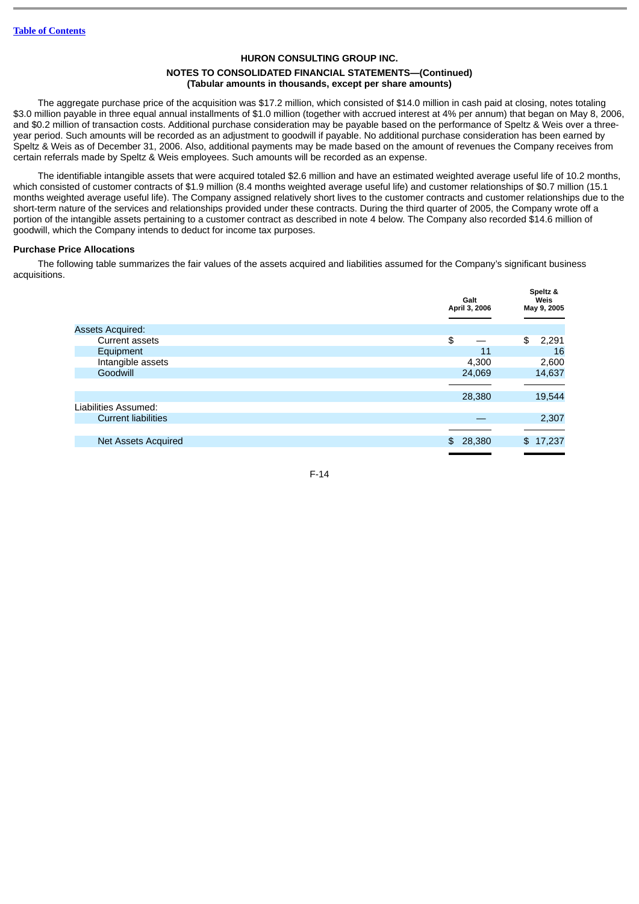## **NOTES TO CONSOLIDATED FINANCIAL STATEMENTS—(Continued) (Tabular amounts in thousands, except per share amounts)**

The aggregate purchase price of the acquisition was \$17.2 million, which consisted of \$14.0 million in cash paid at closing, notes totaling \$3.0 million payable in three equal annual installments of \$1.0 million (together with accrued interest at 4% per annum) that began on May 8, 2006, and \$0.2 million of transaction costs. Additional purchase consideration may be payable based on the performance of Speltz & Weis over a threeyear period. Such amounts will be recorded as an adjustment to goodwill if payable. No additional purchase consideration has been earned by Speltz & Weis as of December 31, 2006. Also, additional payments may be made based on the amount of revenues the Company receives from certain referrals made by Speltz & Weis employees. Such amounts will be recorded as an expense.

The identifiable intangible assets that were acquired totaled \$2.6 million and have an estimated weighted average useful life of 10.2 months, which consisted of customer contracts of \$1.9 million (8.4 months weighted average useful life) and customer relationships of \$0.7 million (15.1 months weighted average useful life). The Company assigned relatively short lives to the customer contracts and customer relationships due to the short-term nature of the services and relationships provided under these contracts. During the third quarter of 2005, the Company wrote off a portion of the intangible assets pertaining to a customer contract as described in note 4 below. The Company also recorded \$14.6 million of goodwill, which the Company intends to deduct for income tax purposes.

### **Purchase Price Allocations**

The following table summarizes the fair values of the assets acquired and liabilities assumed for the Company's significant business acquisitions.

|                            | Galt<br>April 3, 2006 | Speltz &<br>Weis<br>May 9, 2005 |
|----------------------------|-----------------------|---------------------------------|
| <b>Assets Acquired:</b>    |                       |                                 |
| Current assets             | \$                    | \$<br>2,291                     |
| Equipment                  | 11                    | 16                              |
| Intangible assets          | 4,300                 | 2,600                           |
| Goodwill                   | 24.069                | 14,637                          |
|                            |                       |                                 |
|                            | 28,380                | 19,544                          |
| Liabilities Assumed:       |                       |                                 |
| <b>Current liabilities</b> |                       | 2,307                           |
|                            |                       |                                 |
| Net Assets Acquired        | 28,380<br>\$          | 17,237<br>\$                    |
|                            |                       |                                 |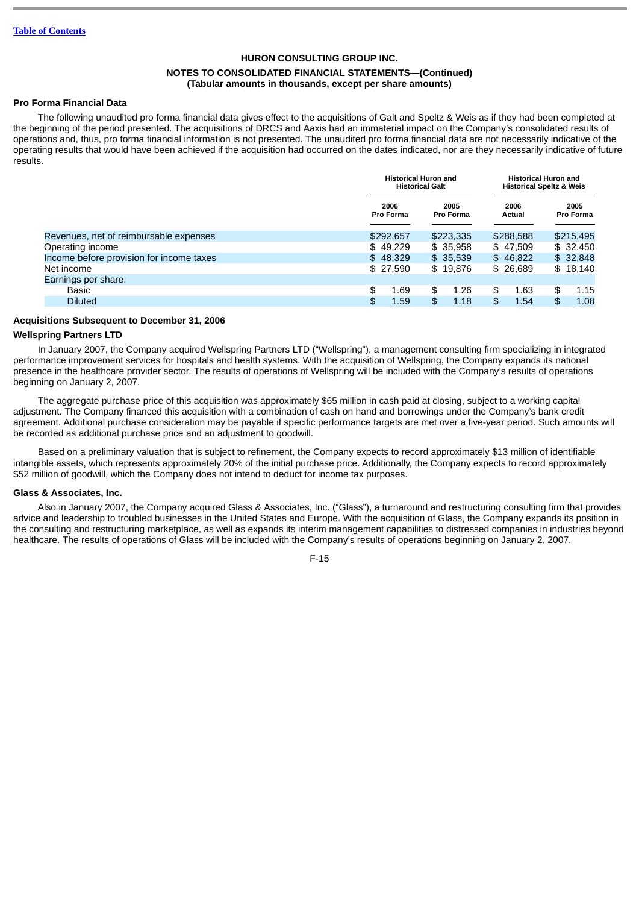# **HURON CONSULTING GROUP INC. NOTES TO CONSOLIDATED FINANCIAL STATEMENTS—(Continued) (Tabular amounts in thousands, except per share amounts)**

#### **Pro Forma Financial Data**

The following unaudited pro forma financial data gives effect to the acquisitions of Galt and Speltz & Weis as if they had been completed at the beginning of the period presented. The acquisitions of DRCS and Aaxis had an immaterial impact on the Company's consolidated results of operations and, thus, pro forma financial information is not presented. The unaudited pro forma financial data are not necessarily indicative of the operating results that would have been achieved if the acquisition had occurred on the dates indicated, nor are they necessarily indicative of future results.

|                                          |                          | <b>Historical Huron and</b><br><b>Historical Galt</b> |                | <b>Historical Huron and</b><br><b>Historical Speltz &amp; Weis</b> |
|------------------------------------------|--------------------------|-------------------------------------------------------|----------------|--------------------------------------------------------------------|
|                                          | 2006<br><b>Pro Forma</b> | 2005<br><b>Pro Forma</b>                              | 2006<br>Actual | 2005<br><b>Pro Forma</b>                                           |
| Revenues, net of reimbursable expenses   | \$292.657                | \$223,335                                             | \$288,588      | \$215,495                                                          |
| Operating income                         | \$49.229                 | \$35.958                                              | \$47.509       | \$32.450                                                           |
| Income before provision for income taxes | \$48.329                 | \$35.539                                              | \$46.822       | \$32.848                                                           |
| Net income                               | \$27,590                 | \$19,876                                              | \$26,689       | \$18,140                                                           |
| Earnings per share:                      |                          |                                                       |                |                                                                    |
| Basic                                    | 1.69<br>\$               | 1.26<br>\$                                            | 1.63<br>\$     | 1.15<br>\$                                                         |
| <b>Diluted</b>                           | \$<br>1.59               | 1.18<br>\$                                            | 1.54<br>\$     | 1.08<br>\$                                                         |
|                                          |                          |                                                       |                |                                                                    |

## **Acquisitions Subsequent to December 31, 2006**

## **Wellspring Partners LTD**

In January 2007, the Company acquired Wellspring Partners LTD ("Wellspring"), a management consulting firm specializing in integrated performance improvement services for hospitals and health systems. With the acquisition of Wellspring, the Company expands its national presence in the healthcare provider sector. The results of operations of Wellspring will be included with the Company's results of operations beginning on January 2, 2007.

The aggregate purchase price of this acquisition was approximately \$65 million in cash paid at closing, subject to a working capital adjustment. The Company financed this acquisition with a combination of cash on hand and borrowings under the Company's bank credit agreement. Additional purchase consideration may be payable if specific performance targets are met over a five-year period. Such amounts will be recorded as additional purchase price and an adjustment to goodwill.

Based on a preliminary valuation that is subject to refinement, the Company expects to record approximately \$13 million of identifiable intangible assets, which represents approximately 20% of the initial purchase price. Additionally, the Company expects to record approximately \$52 million of goodwill, which the Company does not intend to deduct for income tax purposes.

#### **Glass & Associates, Inc.**

Also in January 2007, the Company acquired Glass & Associates, Inc. ("Glass"), a turnaround and restructuring consulting firm that provides advice and leadership to troubled businesses in the United States and Europe. With the acquisition of Glass, the Company expands its position in the consulting and restructuring marketplace, as well as expands its interim management capabilities to distressed companies in industries beyond healthcare. The results of operations of Glass will be included with the Company's results of operations beginning on January 2, 2007.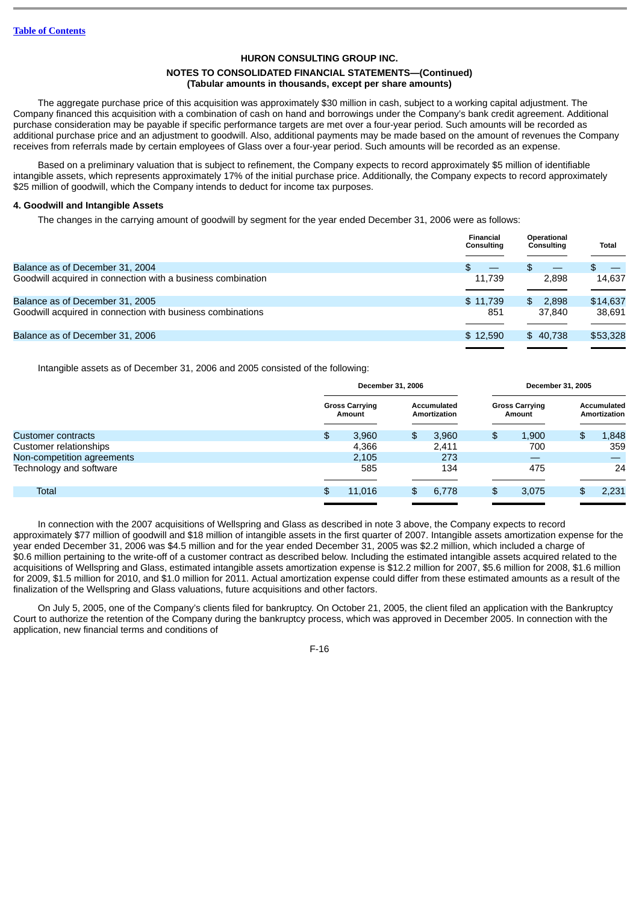### **NOTES TO CONSOLIDATED FINANCIAL STATEMENTS—(Continued) (Tabular amounts in thousands, except per share amounts)**

The aggregate purchase price of this acquisition was approximately \$30 million in cash, subject to a working capital adjustment. The Company financed this acquisition with a combination of cash on hand and borrowings under the Company's bank credit agreement. Additional purchase consideration may be payable if specific performance targets are met over a four-year period. Such amounts will be recorded as additional purchase price and an adjustment to goodwill. Also, additional payments may be made based on the amount of revenues the Company receives from referrals made by certain employees of Glass over a four-year period. Such amounts will be recorded as an expense.

Based on a preliminary valuation that is subject to refinement, the Company expects to record approximately \$5 million of identifiable intangible assets, which represents approximately 17% of the initial purchase price. Additionally, the Company expects to record approximately \$25 million of goodwill, which the Company intends to deduct for income tax purposes.

# **4. Goodwill and Intangible Assets**

The changes in the carrying amount of goodwill by segment for the year ended December 31, 2006 were as follows:

|                                                             | <b>Financial</b><br>Consulting | Operational<br>Consulting | Total    |
|-------------------------------------------------------------|--------------------------------|---------------------------|----------|
| Balance as of December 31, 2004                             |                                |                           |          |
| Goodwill acquired in connection with a business combination | 11.739                         | 2.898                     | 14.637   |
|                                                             |                                |                           |          |
| Balance as of December 31, 2005                             | \$11.739                       | 2.898<br>S.               | \$14,637 |
| Goodwill acquired in connection with business combinations  | 851                            | 37.840                    | 38.691   |
| Balance as of December 31, 2006                             | \$12.590                       | \$40.738                  | \$53,328 |
|                                                             |                                |                           |          |

Intangible assets as of December 31, 2006 and 2005 consisted of the following:

|                            | December 31, 2006               |                             |                                 | December 31, 2005           |
|----------------------------|---------------------------------|-----------------------------|---------------------------------|-----------------------------|
|                            | <b>Gross Carrying</b><br>Amount | Accumulated<br>Amortization | <b>Gross Carrying</b><br>Amount | Accumulated<br>Amortization |
| Customer contracts         | \$<br>3,960                     | 3,960<br>\$                 | 1.900<br>\$                     | 1,848<br>\$                 |
| Customer relationships     | 4,366                           | 2.411                       | 700                             | 359                         |
| Non-competition agreements | 2,105                           | 273                         |                                 |                             |
| Technology and software    | 585                             | 134                         | 475                             | 24                          |
|                            |                                 |                             |                                 |                             |
| <b>Total</b>               | 11,016<br>\$                    | 6,778<br>\$                 | 3.075<br>\$                     | 2.231                       |

In connection with the 2007 acquisitions of Wellspring and Glass as described in note 3 above, the Company expects to record approximately \$77 million of goodwill and \$18 million of intangible assets in the first quarter of 2007. Intangible assets amortization expense for the year ended December 31, 2006 was \$4.5 million and for the year ended December 31, 2005 was \$2.2 million, which included a charge of \$0.6 million pertaining to the write-off of a customer contract as described below. Including the estimated intangible assets acquired related to the acquisitions of Wellspring and Glass, estimated intangible assets amortization expense is \$12.2 million for 2007, \$5.6 million for 2008, \$1.6 million for 2009, \$1.5 million for 2010, and \$1.0 million for 2011. Actual amortization expense could differ from these estimated amounts as a result of the finalization of the Wellspring and Glass valuations, future acquisitions and other factors.

On July 5, 2005, one of the Company's clients filed for bankruptcy. On October 21, 2005, the client filed an application with the Bankruptcy Court to authorize the retention of the Company during the bankruptcy process, which was approved in December 2005. In connection with the application, new financial terms and conditions of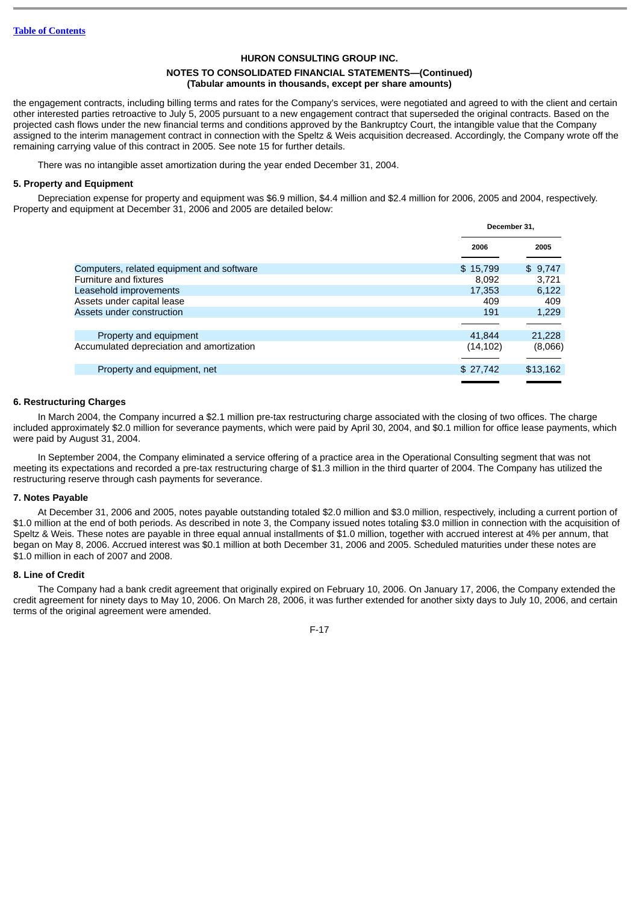## **NOTES TO CONSOLIDATED FINANCIAL STATEMENTS—(Continued) (Tabular amounts in thousands, except per share amounts)**

the engagement contracts, including billing terms and rates for the Company's services, were negotiated and agreed to with the client and certain other interested parties retroactive to July 5, 2005 pursuant to a new engagement contract that superseded the original contracts. Based on the projected cash flows under the new financial terms and conditions approved by the Bankruptcy Court, the intangible value that the Company assigned to the interim management contract in connection with the Speltz & Weis acquisition decreased. Accordingly, the Company wrote off the remaining carrying value of this contract in 2005. See note 15 for further details.

There was no intangible asset amortization during the year ended December 31, 2004.

### **5. Property and Equipment**

Depreciation expense for property and equipment was \$6.9 million, \$4.4 million and \$2.4 million for 2006, 2005 and 2004, respectively. Property and equipment at December 31, 2006 and 2005 are detailed below:

|                                           | December 31. |          |
|-------------------------------------------|--------------|----------|
|                                           | 2006         | 2005     |
| Computers, related equipment and software | \$15,799     | \$9,747  |
| Furniture and fixtures                    | 8.092        | 3.721    |
| Leasehold improvements                    | 17.353       | 6,122    |
| Assets under capital lease                | 409          | 409      |
| Assets under construction                 | 191          | 1,229    |
|                                           |              |          |
| Property and equipment                    | 41.844       | 21,228   |
| Accumulated depreciation and amortization | (14, 102)    | (8,066)  |
|                                           |              |          |
| Property and equipment, net               | \$27,742     | \$13.162 |
|                                           |              |          |

## **6. Restructuring Charges**

In March 2004, the Company incurred a \$2.1 million pre-tax restructuring charge associated with the closing of two offices. The charge included approximately \$2.0 million for severance payments, which were paid by April 30, 2004, and \$0.1 million for office lease payments, which were paid by August 31, 2004.

In September 2004, the Company eliminated a service offering of a practice area in the Operational Consulting segment that was not meeting its expectations and recorded a pre-tax restructuring charge of \$1.3 million in the third quarter of 2004. The Company has utilized the restructuring reserve through cash payments for severance.

## **7. Notes Payable**

At December 31, 2006 and 2005, notes payable outstanding totaled \$2.0 million and \$3.0 million, respectively, including a current portion of \$1.0 million at the end of both periods. As described in note 3, the Company issued notes totaling \$3.0 million in connection with the acquisition of Speltz & Weis. These notes are payable in three equal annual installments of \$1.0 million, together with accrued interest at 4% per annum, that began on May 8, 2006. Accrued interest was \$0.1 million at both December 31, 2006 and 2005. Scheduled maturities under these notes are \$1.0 million in each of 2007 and 2008.

### **8. Line of Credit**

The Company had a bank credit agreement that originally expired on February 10, 2006. On January 17, 2006, the Company extended the credit agreement for ninety days to May 10, 2006. On March 28, 2006, it was further extended for another sixty days to July 10, 2006, and certain terms of the original agreement were amended.

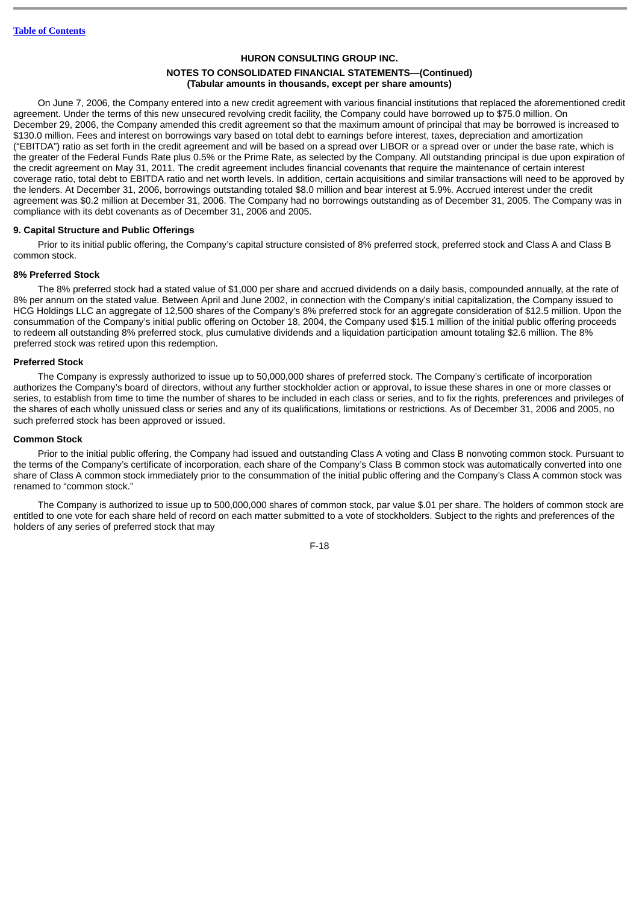## **NOTES TO CONSOLIDATED FINANCIAL STATEMENTS—(Continued) (Tabular amounts in thousands, except per share amounts)**

On June 7, 2006, the Company entered into a new credit agreement with various financial institutions that replaced the aforementioned credit agreement. Under the terms of this new unsecured revolving credit facility, the Company could have borrowed up to \$75.0 million. On December 29, 2006, the Company amended this credit agreement so that the maximum amount of principal that may be borrowed is increased to \$130.0 million. Fees and interest on borrowings vary based on total debt to earnings before interest, taxes, depreciation and amortization ("EBITDA") ratio as set forth in the credit agreement and will be based on a spread over LIBOR or a spread over or under the base rate, which is the greater of the Federal Funds Rate plus 0.5% or the Prime Rate, as selected by the Company. All outstanding principal is due upon expiration of the credit agreement on May 31, 2011. The credit agreement includes financial covenants that require the maintenance of certain interest coverage ratio, total debt to EBITDA ratio and net worth levels. In addition, certain acquisitions and similar transactions will need to be approved by the lenders. At December 31, 2006, borrowings outstanding totaled \$8.0 million and bear interest at 5.9%. Accrued interest under the credit agreement was \$0.2 million at December 31, 2006. The Company had no borrowings outstanding as of December 31, 2005. The Company was in compliance with its debt covenants as of December 31, 2006 and 2005.

# **9. Capital Structure and Public Offerings**

Prior to its initial public offering, the Company's capital structure consisted of 8% preferred stock, preferred stock and Class A and Class B common stock.

### **8% Preferred Stock**

The 8% preferred stock had a stated value of \$1,000 per share and accrued dividends on a daily basis, compounded annually, at the rate of 8% per annum on the stated value. Between April and June 2002, in connection with the Company's initial capitalization, the Company issued to HCG Holdings LLC an aggregate of 12,500 shares of the Company's 8% preferred stock for an aggregate consideration of \$12.5 million. Upon the consummation of the Company's initial public offering on October 18, 2004, the Company used \$15.1 million of the initial public offering proceeds to redeem all outstanding 8% preferred stock, plus cumulative dividends and a liquidation participation amount totaling \$2.6 million. The 8% preferred stock was retired upon this redemption.

## **Preferred Stock**

The Company is expressly authorized to issue up to 50,000,000 shares of preferred stock. The Company's certificate of incorporation authorizes the Company's board of directors, without any further stockholder action or approval, to issue these shares in one or more classes or series, to establish from time to time the number of shares to be included in each class or series, and to fix the rights, preferences and privileges of the shares of each wholly unissued class or series and any of its qualifications, limitations or restrictions. As of December 31, 2006 and 2005, no such preferred stock has been approved or issued.

### **Common Stock**

Prior to the initial public offering, the Company had issued and outstanding Class A voting and Class B nonvoting common stock. Pursuant to the terms of the Company's certificate of incorporation, each share of the Company's Class B common stock was automatically converted into one share of Class A common stock immediately prior to the consummation of the initial public offering and the Company's Class A common stock was renamed to "common stock."

The Company is authorized to issue up to 500,000,000 shares of common stock, par value \$.01 per share. The holders of common stock are entitled to one vote for each share held of record on each matter submitted to a vote of stockholders. Subject to the rights and preferences of the holders of any series of preferred stock that may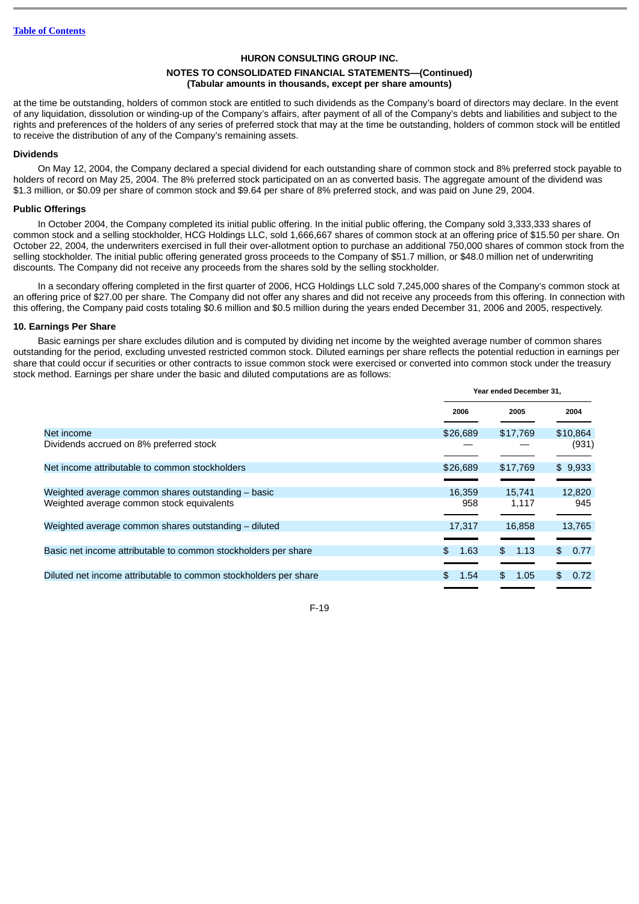# **NOTES TO CONSOLIDATED FINANCIAL STATEMENTS—(Continued) (Tabular amounts in thousands, except per share amounts)**

at the time be outstanding, holders of common stock are entitled to such dividends as the Company's board of directors may declare. In the event of any liquidation, dissolution or winding-up of the Company's affairs, after payment of all of the Company's debts and liabilities and subject to the rights and preferences of the holders of any series of preferred stock that may at the time be outstanding, holders of common stock will be entitled to receive the distribution of any of the Company's remaining assets.

### **Dividends**

On May 12, 2004, the Company declared a special dividend for each outstanding share of common stock and 8% preferred stock payable to holders of record on May 25, 2004. The 8% preferred stock participated on an as converted basis. The aggregate amount of the dividend was \$1.3 million, or \$0.09 per share of common stock and \$9.64 per share of 8% preferred stock, and was paid on June 29, 2004.

### **Public Offerings**

In October 2004, the Company completed its initial public offering. In the initial public offering, the Company sold 3,333,333 shares of common stock and a selling stockholder, HCG Holdings LLC, sold 1,666,667 shares of common stock at an offering price of \$15.50 per share. On October 22, 2004, the underwriters exercised in full their over-allotment option to purchase an additional 750,000 shares of common stock from the selling stockholder. The initial public offering generated gross proceeds to the Company of \$51.7 million, or \$48.0 million net of underwriting discounts. The Company did not receive any proceeds from the shares sold by the selling stockholder.

In a secondary offering completed in the first quarter of 2006, HCG Holdings LLC sold 7,245,000 shares of the Company's common stock at an offering price of \$27.00 per share. The Company did not offer any shares and did not receive any proceeds from this offering. In connection with this offering, the Company paid costs totaling \$0.6 million and \$0.5 million during the years ended December 31, 2006 and 2005, respectively.

#### **10. Earnings Per Share**

Basic earnings per share excludes dilution and is computed by dividing net income by the weighted average number of common shares outstanding for the period, excluding unvested restricted common stock. Diluted earnings per share reflects the potential reduction in earnings per share that could occur if securities or other contracts to issue common stock were exercised or converted into common stock under the treasury stock method. Earnings per share under the basic and diluted computations are as follows:

|                                                                  |            | Year ended December 31, |            |  |
|------------------------------------------------------------------|------------|-------------------------|------------|--|
|                                                                  | 2006       | 2005                    | 2004       |  |
|                                                                  |            |                         |            |  |
| Net income                                                       | \$26,689   | \$17,769                | \$10,864   |  |
| Dividends accrued on 8% preferred stock                          |            |                         | (931)      |  |
|                                                                  |            |                         |            |  |
| Net income attributable to common stockholders                   | \$26,689   | \$17,769                | \$9,933    |  |
|                                                                  |            |                         |            |  |
| Weighted average common shares outstanding - basic               | 16.359     | 15,741                  | 12,820     |  |
| Weighted average common stock equivalents                        | 958        | 1,117                   | 945        |  |
|                                                                  |            |                         |            |  |
| Weighted average common shares outstanding – diluted             | 17.317     | 16.858                  | 13.765     |  |
|                                                                  |            |                         |            |  |
| Basic net income attributable to common stockholders per share   | 1.63<br>£. | 1.13<br>\$              | 0.77<br>\$ |  |
|                                                                  |            |                         |            |  |
| Diluted net income attributable to common stockholders per share | 1.54<br>£. | 1.05<br>\$.             | 0.72<br>\$ |  |
|                                                                  |            |                         |            |  |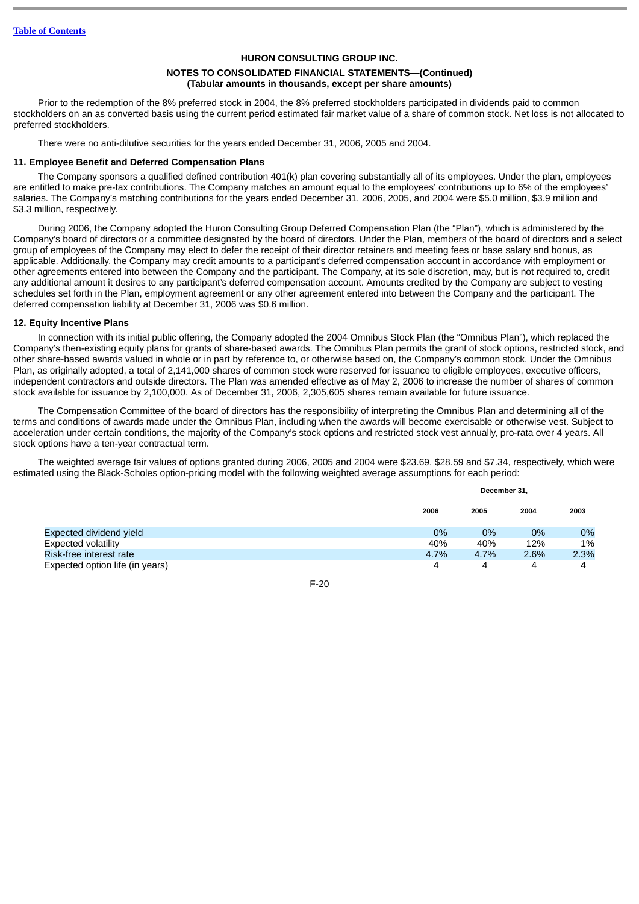# **NOTES TO CONSOLIDATED FINANCIAL STATEMENTS—(Continued) (Tabular amounts in thousands, except per share amounts)**

Prior to the redemption of the 8% preferred stock in 2004, the 8% preferred stockholders participated in dividends paid to common stockholders on an as converted basis using the current period estimated fair market value of a share of common stock. Net loss is not allocated to preferred stockholders.

There were no anti-dilutive securities for the years ended December 31, 2006, 2005 and 2004.

### **11. Employee Benefit and Deferred Compensation Plans**

The Company sponsors a qualified defined contribution 401(k) plan covering substantially all of its employees. Under the plan, employees are entitled to make pre-tax contributions. The Company matches an amount equal to the employees' contributions up to 6% of the employees' salaries. The Company's matching contributions for the years ended December 31, 2006, 2005, and 2004 were \$5.0 million, \$3.9 million and \$3.3 million, respectively.

During 2006, the Company adopted the Huron Consulting Group Deferred Compensation Plan (the "Plan"), which is administered by the Company's board of directors or a committee designated by the board of directors. Under the Plan, members of the board of directors and a select group of employees of the Company may elect to defer the receipt of their director retainers and meeting fees or base salary and bonus, as applicable. Additionally, the Company may credit amounts to a participant's deferred compensation account in accordance with employment or other agreements entered into between the Company and the participant. The Company, at its sole discretion, may, but is not required to, credit any additional amount it desires to any participant's deferred compensation account. Amounts credited by the Company are subject to vesting schedules set forth in the Plan, employment agreement or any other agreement entered into between the Company and the participant. The deferred compensation liability at December 31, 2006 was \$0.6 million.

## **12. Equity Incentive Plans**

In connection with its initial public offering, the Company adopted the 2004 Omnibus Stock Plan (the "Omnibus Plan"), which replaced the Company's then-existing equity plans for grants of share-based awards. The Omnibus Plan permits the grant of stock options, restricted stock, and other share-based awards valued in whole or in part by reference to, or otherwise based on, the Company's common stock. Under the Omnibus Plan, as originally adopted, a total of 2,141,000 shares of common stock were reserved for issuance to eligible employees, executive officers, independent contractors and outside directors. The Plan was amended effective as of May 2, 2006 to increase the number of shares of common stock available for issuance by 2,100,000. As of December 31, 2006, 2,305,605 shares remain available for future issuance.

The Compensation Committee of the board of directors has the responsibility of interpreting the Omnibus Plan and determining all of the terms and conditions of awards made under the Omnibus Plan, including when the awards will become exercisable or otherwise vest. Subject to acceleration under certain conditions, the majority of the Company's stock options and restricted stock vest annually, pro-rata over 4 years. All stock options have a ten-year contractual term.

The weighted average fair values of options granted during 2006, 2005 and 2004 were \$23.69, \$28.59 and \$7.34, respectively, which were estimated using the Black-Scholes option-pricing model with the following weighted average assumptions for each period:

|                                 |      | December 31, |      |      |
|---------------------------------|------|--------------|------|------|
|                                 | 2006 | 2005         | 2004 | 2003 |
| Expected dividend yield         | 0%   | 0%           | 0%   | 0%   |
| <b>Expected volatility</b>      | 40%  | 40%          | 12%  | 1%   |
| Risk-free interest rate         | 4.7% | 4.7%         | 2.6% | 2.3% |
| Expected option life (in years) |      | 4            | 4    | 4    |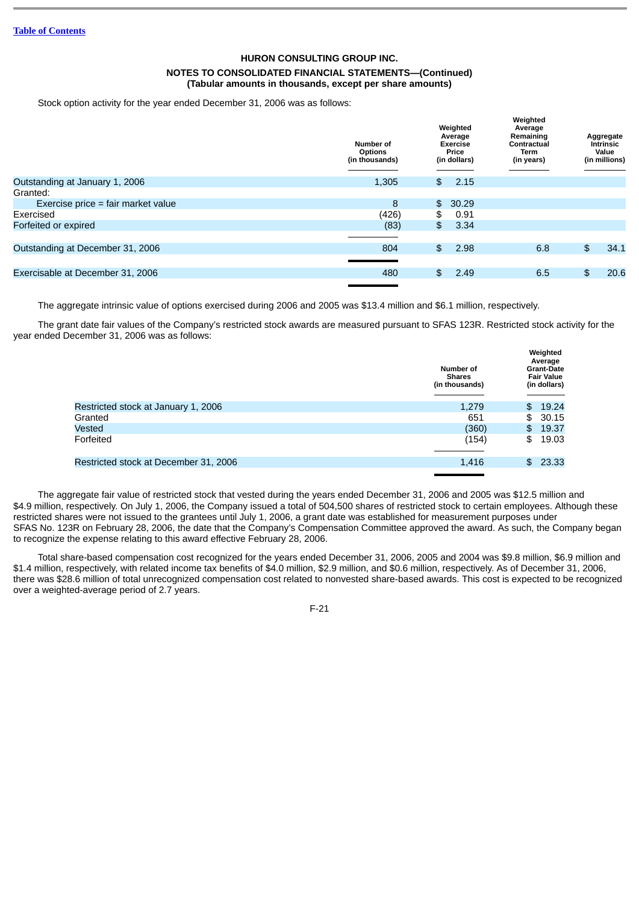# **HURON CONSULTING GROUP INC. NOTES TO CONSOLIDATED FINANCIAL STATEMENTS—(Continued) (Tabular amounts in thousands, except per share amounts)**

Stock option activity for the year ended December 31, 2006 was as follows:

|                                    | Number of<br><b>Options</b><br>(in thousands) | Weighted<br>Average<br>Exercise<br>Price<br>(in dollars) | Weighted<br>Average<br>Remaining<br>Contractual<br>Term<br>(in years) | Aggregate<br><b>Intrinsic</b><br>Value<br>(in millions) |
|------------------------------------|-----------------------------------------------|----------------------------------------------------------|-----------------------------------------------------------------------|---------------------------------------------------------|
| Outstanding at January 1, 2006     | 1,305                                         | 2.15<br>\$                                               |                                                                       |                                                         |
| Granted:                           |                                               |                                                          |                                                                       |                                                         |
| Exercise price = fair market value | 8                                             | \$30.29                                                  |                                                                       |                                                         |
| Exercised                          | (426)                                         | \$<br>0.91                                               |                                                                       |                                                         |
| Forfeited or expired               | (83)                                          | \$<br>3.34                                               |                                                                       |                                                         |
|                                    |                                               |                                                          |                                                                       |                                                         |
| Outstanding at December 31, 2006   | 804                                           | 2.98<br>\$                                               | 6.8                                                                   | \$<br>34.1                                              |
|                                    |                                               |                                                          |                                                                       |                                                         |
| Exercisable at December 31, 2006   | 480                                           | 2.49<br>\$                                               | 6.5                                                                   | 20.6<br>\$                                              |
|                                    |                                               |                                                          |                                                                       |                                                         |

The aggregate intrinsic value of options exercised during 2006 and 2005 was \$13.4 million and \$6.1 million, respectively.

The grant date fair values of the Company's restricted stock awards are measured pursuant to SFAS 123R. Restricted stock activity for the year ended December 31, 2006 was as follows:

|                                       | Number of<br><b>Shares</b><br>(in thousands) | Weighted<br>Average<br><b>Grant-Date</b><br><b>Fair Value</b><br>(in dollars) |
|---------------------------------------|----------------------------------------------|-------------------------------------------------------------------------------|
| Restricted stock at January 1, 2006   | 1,279                                        | 19.24<br>\$                                                                   |
| Granted                               | 651                                          | 30.15<br>\$                                                                   |
| Vested                                | (360)                                        | 19.37<br>$\mathfrak{S}$                                                       |
| Forfeited                             | (154)                                        | 19.03<br>\$                                                                   |
| Restricted stock at December 31, 2006 | 1,416                                        | 23.33<br>\$.                                                                  |
|                                       |                                              |                                                                               |

The aggregate fair value of restricted stock that vested during the years ended December 31, 2006 and 2005 was \$12.5 million and \$4.9 million, respectively. On July 1, 2006, the Company issued a total of 504,500 shares of restricted stock to certain employees. Although these restricted shares were not issued to the grantees until July 1, 2006, a grant date was established for measurement purposes under SFAS No. 123R on February 28, 2006, the date that the Company's Compensation Committee approved the award. As such, the Company began to recognize the expense relating to this award effective February 28, 2006.

Total share-based compensation cost recognized for the years ended December 31, 2006, 2005 and 2004 was \$9.8 million, \$6.9 million and \$1.4 million, respectively, with related income tax benefits of \$4.0 million, \$2.9 million, and \$0.6 million, respectively. As of December 31, 2006, there was \$28.6 million of total unrecognized compensation cost related to nonvested share-based awards. This cost is expected to be recognized over a weighted-average period of 2.7 years.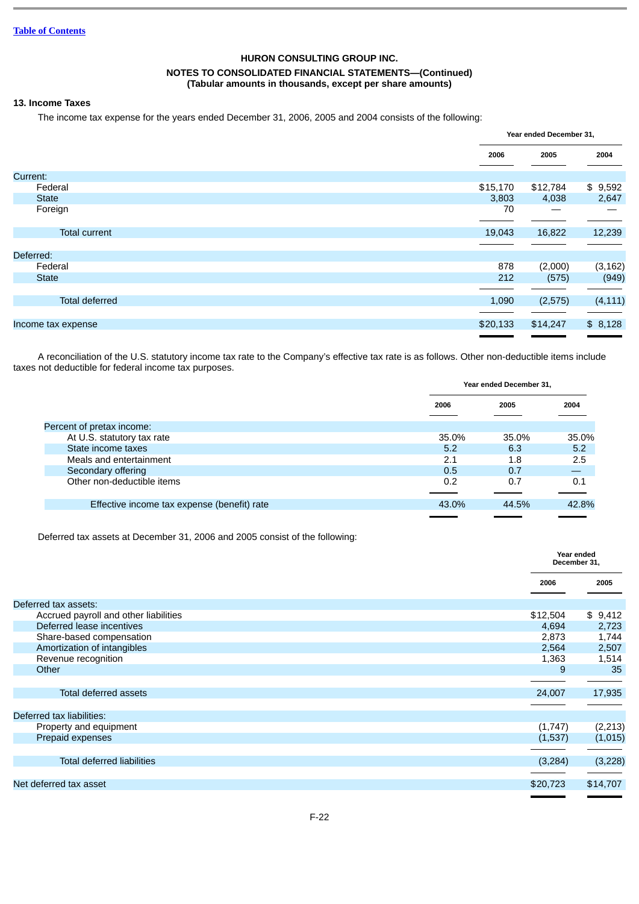# **NOTES TO CONSOLIDATED FINANCIAL STATEMENTS—(Continued) (Tabular amounts in thousands, except per share amounts)**

# **13. Income Taxes**

The income tax expense for the years ended December 31, 2006, 2005 and 2004 consists of the following:

|          | Year ended December 31, |          |  |
|----------|-------------------------|----------|--|
| 2006     | 2005                    | 2004     |  |
|          |                         |          |  |
| \$15,170 | \$12,784                | \$9,592  |  |
| 3,803    | 4,038                   | 2,647    |  |
| 70       | –                       |          |  |
| 19,043   | 16,822                  | 12,239   |  |
|          |                         |          |  |
|          |                         |          |  |
| 878      | (2,000)                 | (3, 162) |  |
| 212      | (575)                   | (949)    |  |
|          |                         |          |  |
| 1,090    | (2, 575)                | (4, 111) |  |
| \$20,133 | \$14,247                | \$8,128  |  |
|          |                         |          |  |

A reconciliation of the U.S. statutory income tax rate to the Company's effective tax rate is as follows. Other non-deductible items include taxes not deductible for federal income tax purposes.

|                                             |       | Year ended December 31. |       |  |
|---------------------------------------------|-------|-------------------------|-------|--|
|                                             | 2006  | 2005                    | 2004  |  |
| Percent of pretax income:                   |       |                         |       |  |
| At U.S. statutory tax rate                  | 35.0% | 35.0%                   | 35.0% |  |
| State income taxes                          | 5.2   | 6.3                     | 5.2   |  |
| Meals and entertainment                     | 2.1   | 1.8                     | 2.5   |  |
| Secondary offering                          | 0.5   | 0.7                     |       |  |
| Other non-deductible items                  | 0.2   | 0.7                     | 0.1   |  |
|                                             |       |                         |       |  |
| Effective income tax expense (benefit) rate | 43.0% | 44.5%                   | 42.8% |  |
|                                             |       |                         |       |  |

Deferred tax assets at December 31, 2006 and 2005 consist of the following:

|                                       |          | Year ended<br>December 31, |  |
|---------------------------------------|----------|----------------------------|--|
|                                       | 2006     | 2005                       |  |
| Deferred tax assets:                  |          |                            |  |
| Accrued payroll and other liabilities | \$12,504 | \$9,412                    |  |
| Deferred lease incentives             | 4,694    | 2,723                      |  |
| Share-based compensation              | 2,873    | 1,744                      |  |
| Amortization of intangibles           | 2,564    | 2,507                      |  |
| Revenue recognition                   | 1,363    | 1,514                      |  |
| Other                                 | 9        | 35                         |  |
|                                       |          |                            |  |
| Total deferred assets                 | 24,007   | 17,935                     |  |
|                                       |          |                            |  |
| Deferred tax liabilities:             |          |                            |  |
| Property and equipment                | (1,747)  | (2,213)                    |  |
| Prepaid expenses                      | (1,537)  | (1,015)                    |  |
|                                       |          |                            |  |
| <b>Total deferred liabilities</b>     | (3,284)  | (3,228)                    |  |
|                                       |          |                            |  |
| Net deferred tax asset                | \$20,723 | \$14,707                   |  |
|                                       |          |                            |  |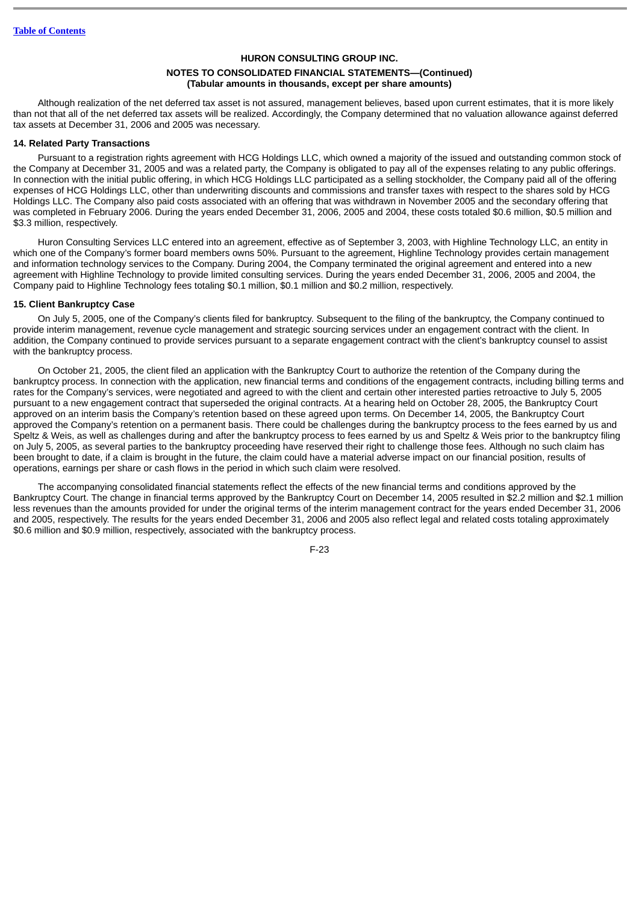# **NOTES TO CONSOLIDATED FINANCIAL STATEMENTS—(Continued) (Tabular amounts in thousands, except per share amounts)**

Although realization of the net deferred tax asset is not assured, management believes, based upon current estimates, that it is more likely than not that all of the net deferred tax assets will be realized. Accordingly, the Company determined that no valuation allowance against deferred tax assets at December 31, 2006 and 2005 was necessary.

#### **14. Related Party Transactions**

Pursuant to a registration rights agreement with HCG Holdings LLC, which owned a majority of the issued and outstanding common stock of the Company at December 31, 2005 and was a related party, the Company is obligated to pay all of the expenses relating to any public offerings. In connection with the initial public offering, in which HCG Holdings LLC participated as a selling stockholder, the Company paid all of the offering expenses of HCG Holdings LLC, other than underwriting discounts and commissions and transfer taxes with respect to the shares sold by HCG Holdings LLC. The Company also paid costs associated with an offering that was withdrawn in November 2005 and the secondary offering that was completed in February 2006. During the years ended December 31, 2006, 2005 and 2004, these costs totaled \$0.6 million, \$0.5 million and \$3.3 million, respectively.

Huron Consulting Services LLC entered into an agreement, effective as of September 3, 2003, with Highline Technology LLC, an entity in which one of the Company's former board members owns 50%. Pursuant to the agreement, Highline Technology provides certain management and information technology services to the Company. During 2004, the Company terminated the original agreement and entered into a new agreement with Highline Technology to provide limited consulting services. During the years ended December 31, 2006, 2005 and 2004, the Company paid to Highline Technology fees totaling \$0.1 million, \$0.1 million and \$0.2 million, respectively.

# **15. Client Bankruptcy Case**

On July 5, 2005, one of the Company's clients filed for bankruptcy. Subsequent to the filing of the bankruptcy, the Company continued to provide interim management, revenue cycle management and strategic sourcing services under an engagement contract with the client. In addition, the Company continued to provide services pursuant to a separate engagement contract with the client's bankruptcy counsel to assist with the bankruptcy process.

On October 21, 2005, the client filed an application with the Bankruptcy Court to authorize the retention of the Company during the bankruptcy process. In connection with the application, new financial terms and conditions of the engagement contracts, including billing terms and rates for the Company's services, were negotiated and agreed to with the client and certain other interested parties retroactive to July 5, 2005 pursuant to a new engagement contract that superseded the original contracts. At a hearing held on October 28, 2005, the Bankruptcy Court approved on an interim basis the Company's retention based on these agreed upon terms. On December 14, 2005, the Bankruptcy Court approved the Company's retention on a permanent basis. There could be challenges during the bankruptcy process to the fees earned by us and Speltz & Weis, as well as challenges during and after the bankruptcy process to fees earned by us and Speltz & Weis prior to the bankruptcy filing on July 5, 2005, as several parties to the bankruptcy proceeding have reserved their right to challenge those fees. Although no such claim has been brought to date, if a claim is brought in the future, the claim could have a material adverse impact on our financial position, results of operations, earnings per share or cash flows in the period in which such claim were resolved.

The accompanying consolidated financial statements reflect the effects of the new financial terms and conditions approved by the Bankruptcy Court. The change in financial terms approved by the Bankruptcy Court on December 14, 2005 resulted in \$2.2 million and \$2.1 million less revenues than the amounts provided for under the original terms of the interim management contract for the years ended December 31, 2006 and 2005, respectively. The results for the years ended December 31, 2006 and 2005 also reflect legal and related costs totaling approximately \$0.6 million and \$0.9 million, respectively, associated with the bankruptcy process.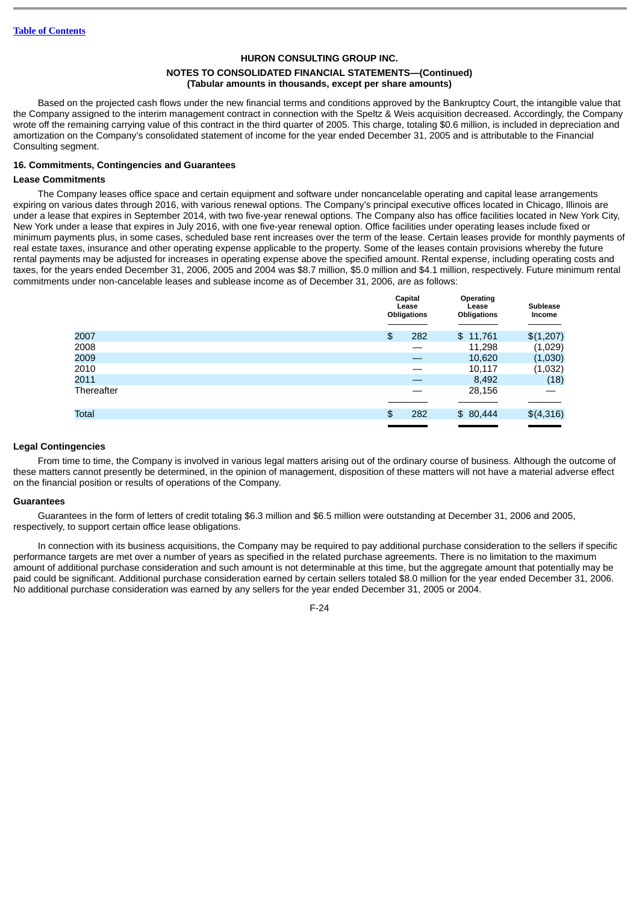# **NOTES TO CONSOLIDATED FINANCIAL STATEMENTS—(Continued) (Tabular amounts in thousands, except per share amounts)**

Based on the projected cash flows under the new financial terms and conditions approved by the Bankruptcy Court, the intangible value that the Company assigned to the interim management contract in connection with the Speltz & Weis acquisition decreased. Accordingly, the Company wrote off the remaining carrying value of this contract in the third quarter of 2005. This charge, totaling \$0.6 million, is included in depreciation and amortization on the Company's consolidated statement of income for the year ended December 31, 2005 and is attributable to the Financial Consulting segment.

# **16. Commitments, Contingencies and Guarantees**

# **Lease Commitments**

The Company leases office space and certain equipment and software under noncancelable operating and capital lease arrangements expiring on various dates through 2016, with various renewal options. The Company's principal executive offices located in Chicago, Illinois are under a lease that expires in September 2014, with two five-year renewal options. The Company also has office facilities located in New York City, New York under a lease that expires in July 2016, with one five-year renewal option. Office facilities under operating leases include fixed or minimum payments plus, in some cases, scheduled base rent increases over the term of the lease. Certain leases provide for monthly payments of real estate taxes, insurance and other operating expense applicable to the property. Some of the leases contain provisions whereby the future rental payments may be adjusted for increases in operating expense above the specified amount. Rental expense, including operating costs and taxes, for the years ended December 31, 2006, 2005 and 2004 was \$8.7 million, \$5.0 million and \$4.1 million, respectively. Future minimum rental commitments under non-cancelable leases and sublease income as of December 31, 2006, are as follows:

|              | Capital<br>Lease<br><b>Obligations</b> |          | <b>Sublease</b><br>Income |
|--------------|----------------------------------------|----------|---------------------------|
| 2007         | \$<br>282                              | \$11,761 | \$(1,207)                 |
| 2008         |                                        | 11,298   | (1,029)                   |
| 2009         |                                        | 10,620   | (1,030)                   |
| 2010         |                                        | 10,117   | (1,032)                   |
| 2011         |                                        | 8,492    | (18)                      |
| Thereafter   |                                        | 28,156   |                           |
| <b>Total</b> | \$<br>282                              | \$80,444 | \$(4,316)                 |
|              |                                        |          |                           |

### **Legal Contingencies**

From time to time, the Company is involved in various legal matters arising out of the ordinary course of business. Although the outcome of these matters cannot presently be determined, in the opinion of management, disposition of these matters will not have a material adverse effect on the financial position or results of operations of the Company.

#### **Guarantees**

Guarantees in the form of letters of credit totaling \$6.3 million and \$6.5 million were outstanding at December 31, 2006 and 2005, respectively, to support certain office lease obligations.

In connection with its business acquisitions, the Company may be required to pay additional purchase consideration to the sellers if specific performance targets are met over a number of years as specified in the related purchase agreements. There is no limitation to the maximum amount of additional purchase consideration and such amount is not determinable at this time, but the aggregate amount that potentially may be paid could be significant. Additional purchase consideration earned by certain sellers totaled \$8.0 million for the year ended December 31, 2006. No additional purchase consideration was earned by any sellers for the year ended December 31, 2005 or 2004.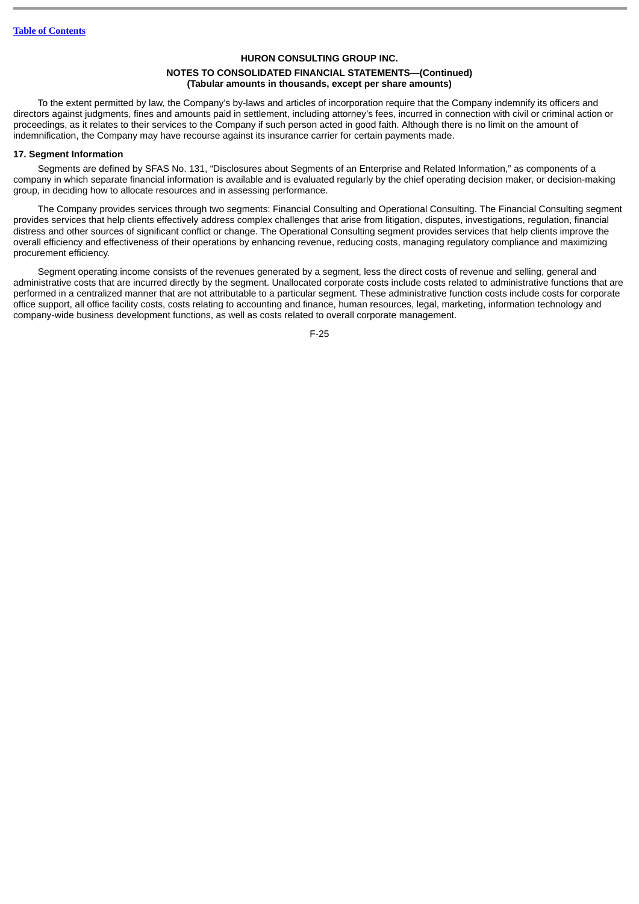# **NOTES TO CONSOLIDATED FINANCIAL STATEMENTS—(Continued) (Tabular amounts in thousands, except per share amounts)**

To the extent permitted by law, the Company's by-laws and articles of incorporation require that the Company indemnify its officers and directors against judgments, fines and amounts paid in settlement, including attorney's fees, incurred in connection with civil or criminal action or proceedings, as it relates to their services to the Company if such person acted in good faith. Although there is no limit on the amount of indemnification, the Company may have recourse against its insurance carrier for certain payments made.

#### **17. Segment Information**

Segments are defined by SFAS No. 131, "Disclosures about Segments of an Enterprise and Related Information," as components of a company in which separate financial information is available and is evaluated regularly by the chief operating decision maker, or decision-making group, in deciding how to allocate resources and in assessing performance.

The Company provides services through two segments: Financial Consulting and Operational Consulting. The Financial Consulting segment provides services that help clients effectively address complex challenges that arise from litigation, disputes, investigations, regulation, financial distress and other sources of significant conflict or change. The Operational Consulting segment provides services that help clients improve the overall efficiency and effectiveness of their operations by enhancing revenue, reducing costs, managing regulatory compliance and maximizing procurement efficiency.

Segment operating income consists of the revenues generated by a segment, less the direct costs of revenue and selling, general and administrative costs that are incurred directly by the segment. Unallocated corporate costs include costs related to administrative functions that are performed in a centralized manner that are not attributable to a particular segment. These administrative function costs include costs for corporate office support, all office facility costs, costs relating to accounting and finance, human resources, legal, marketing, information technology and company-wide business development functions, as well as costs related to overall corporate management.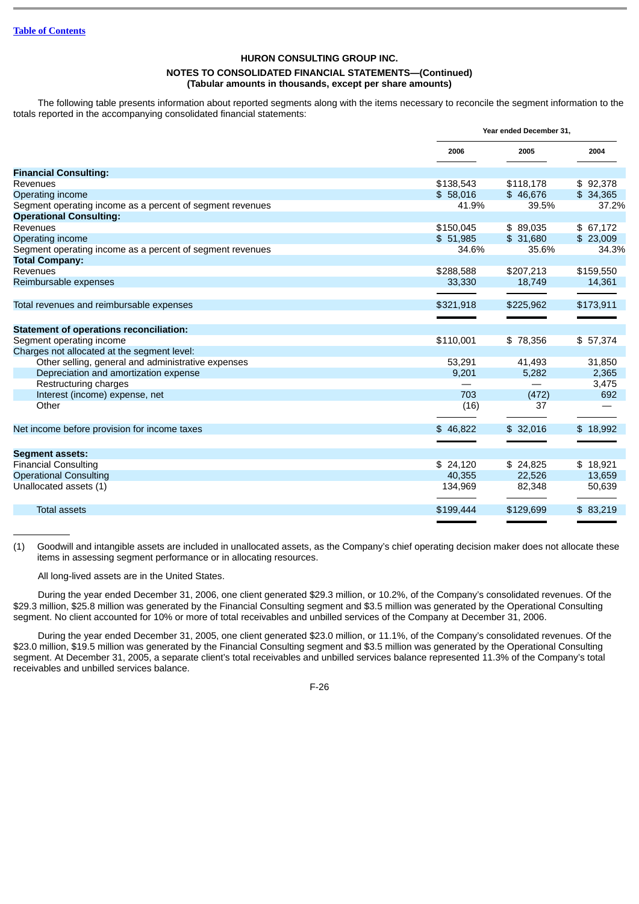# **NOTES TO CONSOLIDATED FINANCIAL STATEMENTS—(Continued) (Tabular amounts in thousands, except per share amounts)**

The following table presents information about reported segments along with the items necessary to reconcile the segment information to the totals reported in the accompanying consolidated financial statements:

|                                                           |           | Year ended December 31, |           |  |  |
|-----------------------------------------------------------|-----------|-------------------------|-----------|--|--|
|                                                           | 2006      | 2005                    | 2004      |  |  |
| <b>Financial Consulting:</b>                              |           |                         |           |  |  |
| Revenues                                                  | \$138,543 | \$118,178               | \$92,378  |  |  |
| Operating income                                          | \$58,016  | \$46,676                | \$34,365  |  |  |
| Segment operating income as a percent of segment revenues | 41.9%     | 39.5%                   | 37.2%     |  |  |
| <b>Operational Consulting:</b>                            |           |                         |           |  |  |
| Revenues                                                  | \$150,045 | \$89,035                | \$67,172  |  |  |
| Operating income                                          | \$51,985  | \$31,680                | \$23,009  |  |  |
| Segment operating income as a percent of segment revenues | 34.6%     | 35.6%                   | 34.3%     |  |  |
| <b>Total Company:</b>                                     |           |                         |           |  |  |
| Revenues                                                  | \$288,588 | \$207,213               | \$159,550 |  |  |
| Reimbursable expenses                                     | 33,330    | 18,749                  | 14,361    |  |  |
|                                                           |           |                         |           |  |  |
| Total revenues and reimbursable expenses                  | \$321,918 | \$225,962               | \$173,911 |  |  |
|                                                           |           |                         |           |  |  |
| <b>Statement of operations reconciliation:</b>            |           |                         |           |  |  |
| Segment operating income                                  | \$110,001 | \$78,356                | \$57,374  |  |  |
| Charges not allocated at the segment level:               |           |                         |           |  |  |
| Other selling, general and administrative expenses        | 53,291    | 41,493                  | 31,850    |  |  |
| Depreciation and amortization expense                     | 9,201     | 5,282                   | 2,365     |  |  |
| Restructuring charges                                     |           |                         | 3,475     |  |  |
| Interest (income) expense, net                            | 703       | (472)                   | 692       |  |  |
| Other                                                     | (16)      | 37                      |           |  |  |
|                                                           |           |                         |           |  |  |
| Net income before provision for income taxes              | \$46,822  | \$32,016                | \$18,992  |  |  |
|                                                           |           |                         |           |  |  |
| <b>Segment assets:</b>                                    |           |                         |           |  |  |
| <b>Financial Consulting</b>                               | \$24,120  | \$24,825                | \$18,921  |  |  |
| <b>Operational Consulting</b>                             | 40,355    | 22,526                  | 13,659    |  |  |
| Unallocated assets (1)                                    | 134,969   | 82,348                  | 50,639    |  |  |
|                                                           |           |                         |           |  |  |
| <b>Total assets</b>                                       | \$199,444 | \$129,699               | \$83,219  |  |  |
|                                                           |           |                         |           |  |  |

(1) Goodwill and intangible assets are included in unallocated assets, as the Company's chief operating decision maker does not allocate these items in assessing segment performance or in allocating resources.

All long-lived assets are in the United States.

During the year ended December 31, 2006, one client generated \$29.3 million, or 10.2%, of the Company's consolidated revenues. Of the \$29.3 million, \$25.8 million was generated by the Financial Consulting segment and \$3.5 million was generated by the Operational Consulting segment. No client accounted for 10% or more of total receivables and unbilled services of the Company at December 31, 2006.

During the year ended December 31, 2005, one client generated \$23.0 million, or 11.1%, of the Company's consolidated revenues. Of the \$23.0 million, \$19.5 million was generated by the Financial Consulting segment and \$3.5 million was generated by the Operational Consulting segment. At December 31, 2005, a separate client's total receivables and unbilled services balance represented 11.3% of the Company's total receivables and unbilled services balance.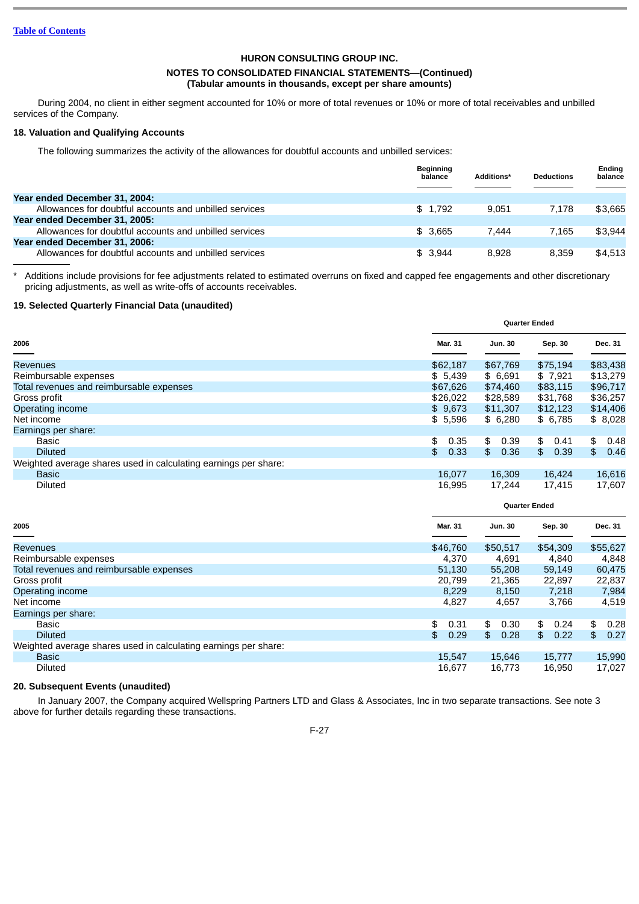# **NOTES TO CONSOLIDATED FINANCIAL STATEMENTS—(Continued) (Tabular amounts in thousands, except per share amounts)**

During 2004, no client in either segment accounted for 10% or more of total revenues or 10% or more of total receivables and unbilled services of the Company.

#### **18. Valuation and Qualifying Accounts**

The following summarizes the activity of the allowances for doubtful accounts and unbilled services:

|                                                        | <b>Beginning</b><br>balance | Additions* | <b>Deductions</b> | Ending<br>balance |
|--------------------------------------------------------|-----------------------------|------------|-------------------|-------------------|
| Year ended December 31, 2004:                          |                             |            |                   |                   |
| Allowances for doubtful accounts and unbilled services | \$1.792                     | 9.051      | 7.178             | \$3.665           |
| Year ended December 31, 2005:                          |                             |            |                   |                   |
| Allowances for doubtful accounts and unbilled services | \$3.665                     | 7.444      | 7.165             | \$3.944           |
| Year ended December 31, 2006:                          |                             |            |                   |                   |
| Allowances for doubtful accounts and unbilled services | \$3.944                     | 8.928      | 8.359             | \$4.513           |

\* Additions include provisions for fee adjustments related to estimated overruns on fixed and capped fee engagements and other discretionary pricing adjustments, as well as write-offs of accounts receivables.

# **19. Selected Quarterly Financial Data (unaudited)**

|                                                                 |            | <b>Quarter Ended</b> |                        |            |  |  |
|-----------------------------------------------------------------|------------|----------------------|------------------------|------------|--|--|
| 2006                                                            | Mar. 31    | <b>Jun. 30</b>       | Sep. 30                | Dec. 31    |  |  |
| <b>Revenues</b>                                                 | \$62,187   | \$67,769             | \$75,194               | \$83,438   |  |  |
| Reimbursable expenses                                           | \$5,439    | \$6,691              | \$7,921                | \$13,279   |  |  |
| Total revenues and reimbursable expenses                        | \$67,626   | \$74,460             | \$83,115               | \$96,717   |  |  |
| Gross profit                                                    | \$26,022   | \$28,589             | \$31,768               | \$36,257   |  |  |
| Operating income                                                | \$9,673    | \$11,307             | \$12,123               | \$14,406   |  |  |
| Net income                                                      | \$5,596    | \$6,280              | \$6,785                | \$8,028    |  |  |
| Earnings per share:                                             |            |                      |                        |            |  |  |
| <b>Basic</b>                                                    | \$<br>0.35 | \$<br>0.39           | 0.41<br>\$             | \$<br>0.48 |  |  |
| <b>Diluted</b>                                                  | \$<br>0.33 | \$<br>0.36           | \$<br>0.39             | \$<br>0.46 |  |  |
| Weighted average shares used in calculating earnings per share: |            |                      |                        |            |  |  |
| <b>Basic</b>                                                    | 16,077     | 16,309               | 16,424                 | 16,616     |  |  |
| <b>Diluted</b>                                                  | 16,995     | 17,244               | 17,415                 | 17,607     |  |  |
|                                                                 |            |                      | <b>Ouarter Ended</b>   |            |  |  |
| 2005                                                            | Mar. 31    | Jun. 30              | Sep. 30                | Dec. 31    |  |  |
| <b>Revenues</b>                                                 | \$46,760   | \$50,517             | \$54,309               | \$55,627   |  |  |
| Reimbursable expenses                                           | 4,370      | 4,691                | 4,840                  | 4,848      |  |  |
| Total revenues and reimbursable expenses                        | 51,130     | 55,208               | 59,149                 | 60,475     |  |  |
| Gross profit                                                    | 20,799     | 21,365               | 22,897                 | 22,837     |  |  |
| Operating income                                                | 8,229      | 8,150                | 7,218                  | 7,984      |  |  |
| Net income                                                      | 4,827      | 4,657                | 3,766                  | 4,519      |  |  |
| Earnings per share:                                             |            |                      |                        |            |  |  |
| <b>Basic</b>                                                    | 0.31<br>\$ | \$<br>0.30           | 0.24<br>\$             | 0.28<br>\$ |  |  |
| <b>Diluted</b>                                                  | \$<br>0.29 | \$<br>0.28           | $\mathfrak{L}$<br>0.22 | \$<br>0.27 |  |  |
| Weighted average shares used in calculating earnings per share: |            |                      |                        |            |  |  |
| <b>Basic</b>                                                    | 15,547     | 15,646               | 15,777                 | 15,990     |  |  |
| <b>Diluted</b>                                                  | 16.677     | 16,773               | 16.950                 | 17,027     |  |  |

# **20. Subsequent Events (unaudited)**

In January 2007, the Company acquired Wellspring Partners LTD and Glass & Associates, Inc in two separate transactions. See note 3 above for further details regarding these transactions.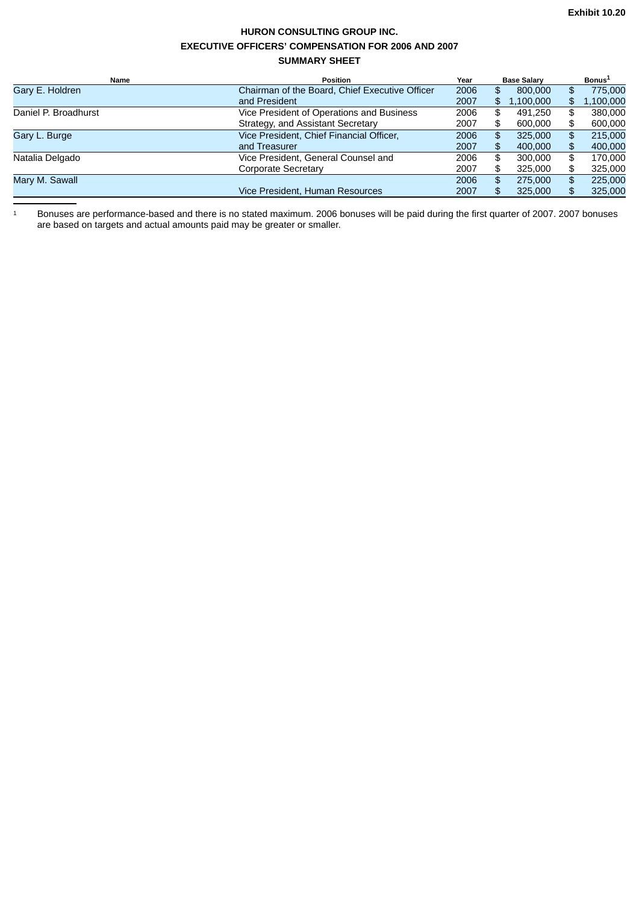# **HURON CONSULTING GROUP INC. EXECUTIVE OFFICERS' COMPENSATION FOR 2006 AND 2007 SUMMARY SHEET**

| Name                 | <b>Position</b>                                | Year |                | <b>Base Salary</b> |                | Bonus <sup>1</sup> |
|----------------------|------------------------------------------------|------|----------------|--------------------|----------------|--------------------|
| Gary E. Holdren      | Chairman of the Board, Chief Executive Officer | 2006 | \$.            | 800,000            | \$.            | 775,000            |
|                      | and President                                  | 2007 | $\mathfrak{F}$ | 1,100,000          | \$.            | 1,100,000          |
| Daniel P. Broadhurst | Vice President of Operations and Business      | 2006 | \$.            | 491.250            | \$             | 380,000            |
|                      | Strategy, and Assistant Secretary              | 2007 | \$.            | 600,000            | \$             | 600,000            |
| Gary L. Burge        | Vice President, Chief Financial Officer,       | 2006 | £.             | 325,000            | \$             | 215,000            |
|                      | and Treasurer                                  | 2007 | \$.            | 400,000            | \$             | 400,000            |
| Natalia Delgado      | Vice President, General Counsel and            | 2006 | \$.            | 300,000            | \$             | 170,000            |
|                      | Corporate Secretary                            | 2007 | \$.            | 325,000            | \$             | 325,000            |
| Mary M. Sawall       |                                                | 2006 | £.             | 275,000            | $\mathfrak{L}$ | 225,000            |
|                      | Vice President, Human Resources                | 2007 |                | 325,000            | \$             | 325,000            |

<sup>1</sup> Bonuses are performance-based and there is no stated maximum. 2006 bonuses will be paid during the first quarter of 2007. 2007 bonuses are based on targets and actual amounts paid may be greater or smaller.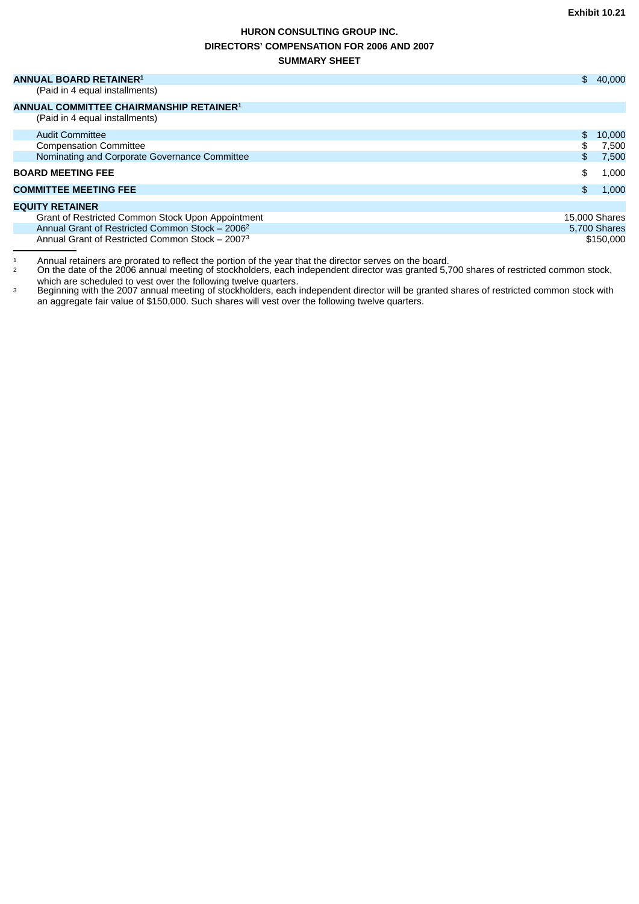# **HURON CONSULTING GROUP INC. DIRECTORS' COMPENSATION FOR 2006 AND 2007 SUMMARY SHEET**

| ANNUAL BOARD RETAINER1                                      | \$<br>40,000  |
|-------------------------------------------------------------|---------------|
| (Paid in 4 equal installments)                              |               |
| ANNUAL COMMITTEE CHAIRMANSHIP RETAINER <sup>1</sup>         |               |
| (Paid in 4 equal installments)                              |               |
| <b>Audit Committee</b>                                      | \$<br>10,000  |
| <b>Compensation Committee</b>                               | \$<br>7,500   |
| Nominating and Corporate Governance Committee               | \$<br>7,500   |
| <b>BOARD MEETING FEE</b>                                    | \$<br>1,000   |
| <b>COMMITTEE MEETING FEE</b>                                | \$<br>1,000   |
| <b>EQUITY RETAINER</b>                                      |               |
| Grant of Restricted Common Stock Upon Appointment           | 15,000 Shares |
| Annual Grant of Restricted Common Stock - 2006 <sup>2</sup> | 5,700 Shares  |
| Annual Grant of Restricted Common Stock - 2007 <sup>3</sup> | \$150,000     |

<sup>1</sup> Annual retainers are prorated to reflect the portion of the year that the director serves on the board.

<sup>2</sup> On the date of the 2006 annual meeting of stockholders, each independent director was granted 5,700 shares of restricted common stock, which are scheduled to vest over the following twelve quarters.

<sup>3</sup> Beginning with the 2007 annual meeting of stockholders, each independent director will be granted shares of restricted common stock with an aggregate fair value of \$150,000. Such shares will vest over the following twelve quarters.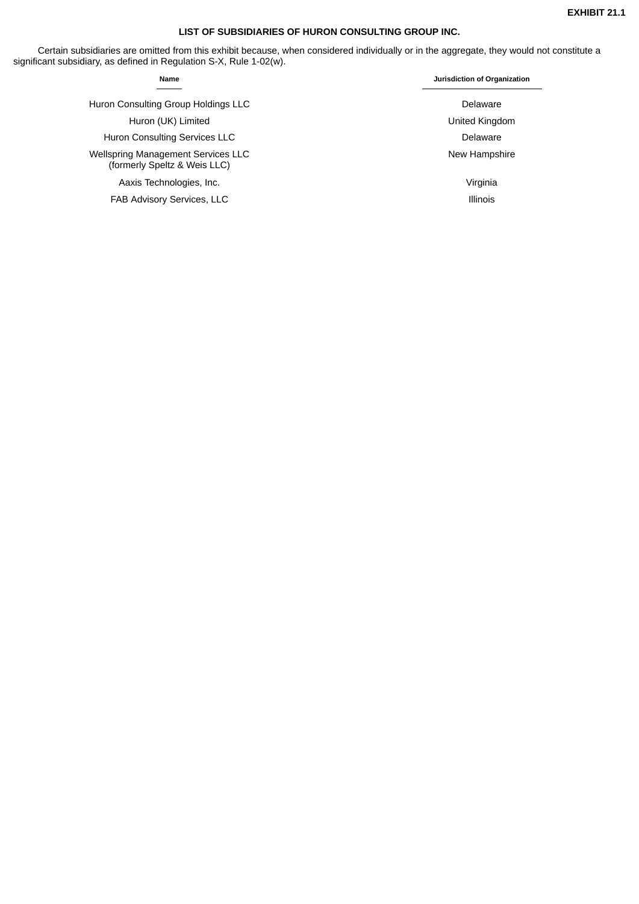# **LIST OF SUBSIDIARIES OF HURON CONSULTING GROUP INC.**

Certain subsidiaries are omitted from this exhibit because, when considered individually or in the aggregate, they would not constitute a significant subsidiary, as defined in Regulation S-X, Rule 1-02(w).

| <b>Name</b>                                                        | Jurisdiction of Organization |
|--------------------------------------------------------------------|------------------------------|
| Huron Consulting Group Holdings LLC                                | Delaware                     |
| Huron (UK) Limited                                                 | United Kingdom               |
| Huron Consulting Services LLC                                      | Delaware                     |
| Wellspring Management Services LLC<br>(formerly Speltz & Weis LLC) | New Hampshire                |
| Aaxis Technologies, Inc.                                           | Virginia                     |
| <b>FAB Advisory Services, LLC</b>                                  | <b>Illinois</b>              |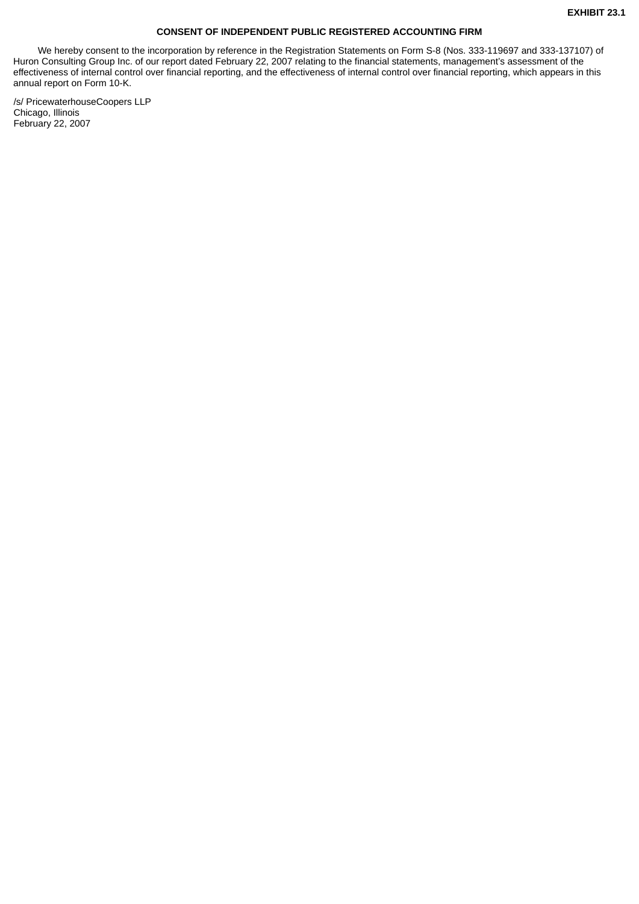# **CONSENT OF INDEPENDENT PUBLIC REGISTERED ACCOUNTING FIRM**

We hereby consent to the incorporation by reference in the Registration Statements on Form S-8 (Nos. 333-119697 and 333-137107) of Huron Consulting Group Inc. of our report dated February 22, 2007 relating to the financial statements, management's assessment of the effectiveness of internal control over financial reporting, and the effectiveness of internal control over financial reporting, which appears in this annual report on Form 10-K.

/s/ PricewaterhouseCoopers LLP Chicago, Illinois February 22, 2007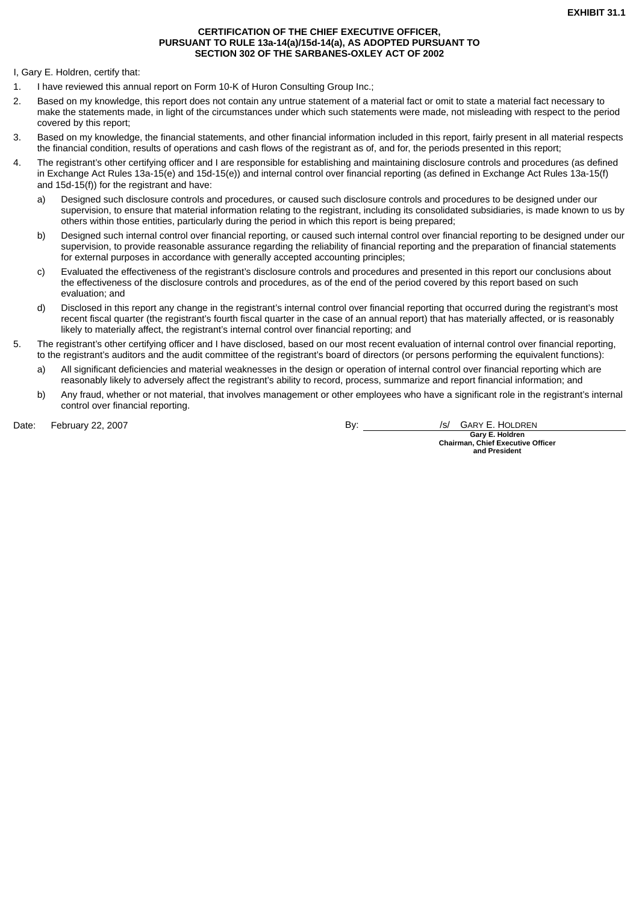# **CERTIFICATION OF THE CHIEF EXECUTIVE OFFICER, PURSUANT TO RULE 13a-14(a)/15d-14(a), AS ADOPTED PURSUANT TO SECTION 302 OF THE SARBANES-OXLEY ACT OF 2002**

I, Gary E. Holdren, certify that:

- 1. I have reviewed this annual report on Form 10-K of Huron Consulting Group Inc.;
- 2. Based on my knowledge, this report does not contain any untrue statement of a material fact or omit to state a material fact necessary to make the statements made, in light of the circumstances under which such statements were made, not misleading with respect to the period covered by this report;
- 3. Based on my knowledge, the financial statements, and other financial information included in this report, fairly present in all material respects the financial condition, results of operations and cash flows of the registrant as of, and for, the periods presented in this report;
- 4. The registrant's other certifying officer and I are responsible for establishing and maintaining disclosure controls and procedures (as defined in Exchange Act Rules 13a-15(e) and 15d-15(e)) and internal control over financial reporting (as defined in Exchange Act Rules 13a-15(f) and 15d-15(f)) for the registrant and have:
	- a) Designed such disclosure controls and procedures, or caused such disclosure controls and procedures to be designed under our supervision, to ensure that material information relating to the registrant, including its consolidated subsidiaries, is made known to us by others within those entities, particularly during the period in which this report is being prepared;
	- b) Designed such internal control over financial reporting, or caused such internal control over financial reporting to be designed under our supervision, to provide reasonable assurance regarding the reliability of financial reporting and the preparation of financial statements for external purposes in accordance with generally accepted accounting principles;
	- c) Evaluated the effectiveness of the registrant's disclosure controls and procedures and presented in this report our conclusions about the effectiveness of the disclosure controls and procedures, as of the end of the period covered by this report based on such evaluation; and
	- d) Disclosed in this report any change in the registrant's internal control over financial reporting that occurred during the registrant's most recent fiscal quarter (the registrant's fourth fiscal quarter in the case of an annual report) that has materially affected, or is reasonably likely to materially affect, the registrant's internal control over financial reporting; and
- 5. The registrant's other certifying officer and I have disclosed, based on our most recent evaluation of internal control over financial reporting, to the registrant's auditors and the audit committee of the registrant's board of directors (or persons performing the equivalent functions):
	- a) All significant deficiencies and material weaknesses in the design or operation of internal control over financial reporting which are reasonably likely to adversely affect the registrant's ability to record, process, summarize and report financial information; and
	- b) Any fraud, whether or not material, that involves management or other employees who have a significant role in the registrant's internal control over financial reporting.

Date: February 22, 2007 **By:** By: **/s/ GARY E. HOLDREN** 

**Gary E. Holdren Chairman, Chief Executive Officer and President**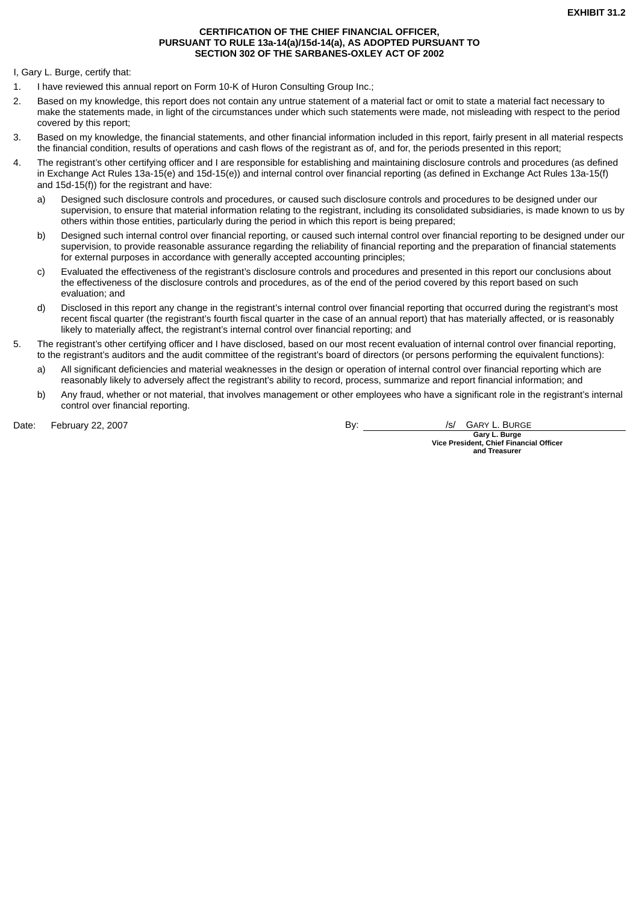# **CERTIFICATION OF THE CHIEF FINANCIAL OFFICER, PURSUANT TO RULE 13a-14(a)/15d-14(a), AS ADOPTED PURSUANT TO SECTION 302 OF THE SARBANES-OXLEY ACT OF 2002**

I, Gary L. Burge, certify that:

- 1. I have reviewed this annual report on Form 10-K of Huron Consulting Group Inc.;
- 2. Based on my knowledge, this report does not contain any untrue statement of a material fact or omit to state a material fact necessary to make the statements made, in light of the circumstances under which such statements were made, not misleading with respect to the period covered by this report;
- 3. Based on my knowledge, the financial statements, and other financial information included in this report, fairly present in all material respects the financial condition, results of operations and cash flows of the registrant as of, and for, the periods presented in this report;
- 4. The registrant's other certifying officer and I are responsible for establishing and maintaining disclosure controls and procedures (as defined in Exchange Act Rules 13a-15(e) and 15d-15(e)) and internal control over financial reporting (as defined in Exchange Act Rules 13a-15(f) and 15d-15(f)) for the registrant and have:
	- a) Designed such disclosure controls and procedures, or caused such disclosure controls and procedures to be designed under our supervision, to ensure that material information relating to the registrant, including its consolidated subsidiaries, is made known to us by others within those entities, particularly during the period in which this report is being prepared;
	- b) Designed such internal control over financial reporting, or caused such internal control over financial reporting to be designed under our supervision, to provide reasonable assurance regarding the reliability of financial reporting and the preparation of financial statements for external purposes in accordance with generally accepted accounting principles;
	- c) Evaluated the effectiveness of the registrant's disclosure controls and procedures and presented in this report our conclusions about the effectiveness of the disclosure controls and procedures, as of the end of the period covered by this report based on such evaluation; and
	- d) Disclosed in this report any change in the registrant's internal control over financial reporting that occurred during the registrant's most recent fiscal quarter (the registrant's fourth fiscal quarter in the case of an annual report) that has materially affected, or is reasonably likely to materially affect, the registrant's internal control over financial reporting; and
- 5. The registrant's other certifying officer and I have disclosed, based on our most recent evaluation of internal control over financial reporting, to the registrant's auditors and the audit committee of the registrant's board of directors (or persons performing the equivalent functions):
	- a) All significant deficiencies and material weaknesses in the design or operation of internal control over financial reporting which are reasonably likely to adversely affect the registrant's ability to record, process, summarize and report financial information; and
	- b) Any fraud, whether or not material, that involves management or other employees who have a significant role in the registrant's internal control over financial reporting.

Date: February 22, 2007 **By:** By: *Same By:* By: *Same By:* GARY L. BURGE Burge By: **60 By:** Gary L. Burge Gary L. Burge

**Gary L. Burge Vice President, Chief Financial Officer and Treasurer**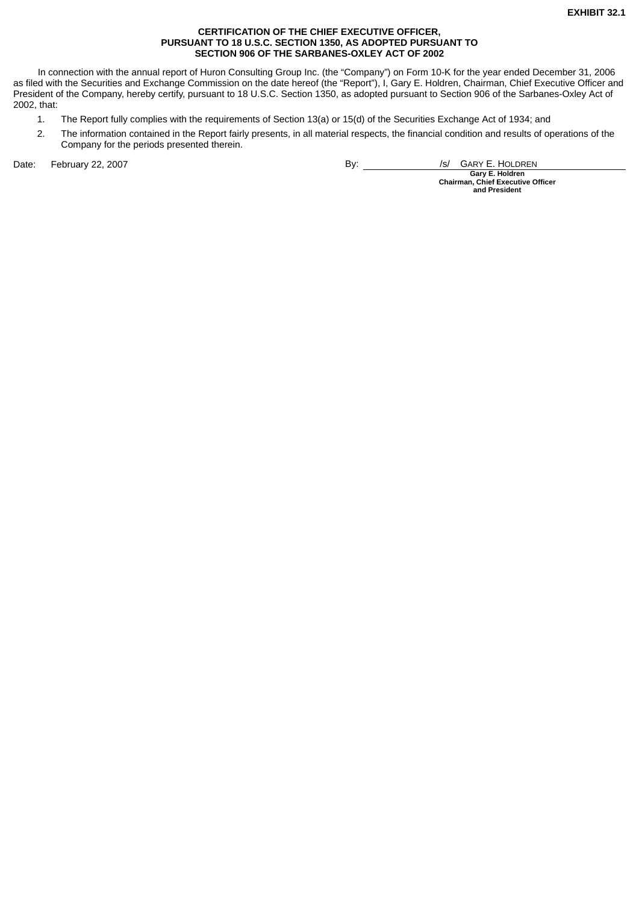## **CERTIFICATION OF THE CHIEF EXECUTIVE OFFICER, PURSUANT TO 18 U.S.C. SECTION 1350, AS ADOPTED PURSUANT TO SECTION 906 OF THE SARBANES-OXLEY ACT OF 2002**

In connection with the annual report of Huron Consulting Group Inc. (the "Company") on Form 10-K for the year ended December 31, 2006 as filed with the Securities and Exchange Commission on the date hereof (the "Report"), I, Gary E. Holdren, Chairman, Chief Executive Officer and President of the Company, hereby certify, pursuant to 18 U.S.C. Section 1350, as adopted pursuant to Section 906 of the Sarbanes-Oxley Act of 2002, that:

- 1. The Report fully complies with the requirements of Section 13(a) or 15(d) of the Securities Exchange Act of 1934; and
- 2. The information contained in the Report fairly presents, in all material respects, the financial condition and results of operations of the Company for the periods presented therein.

Date: February 22, 2007 **By:** By: *Same By: By: By: Isl* GARY E. HOLDREN

**Gary E. Holdren Chairman, Chief Executive Officer and President**